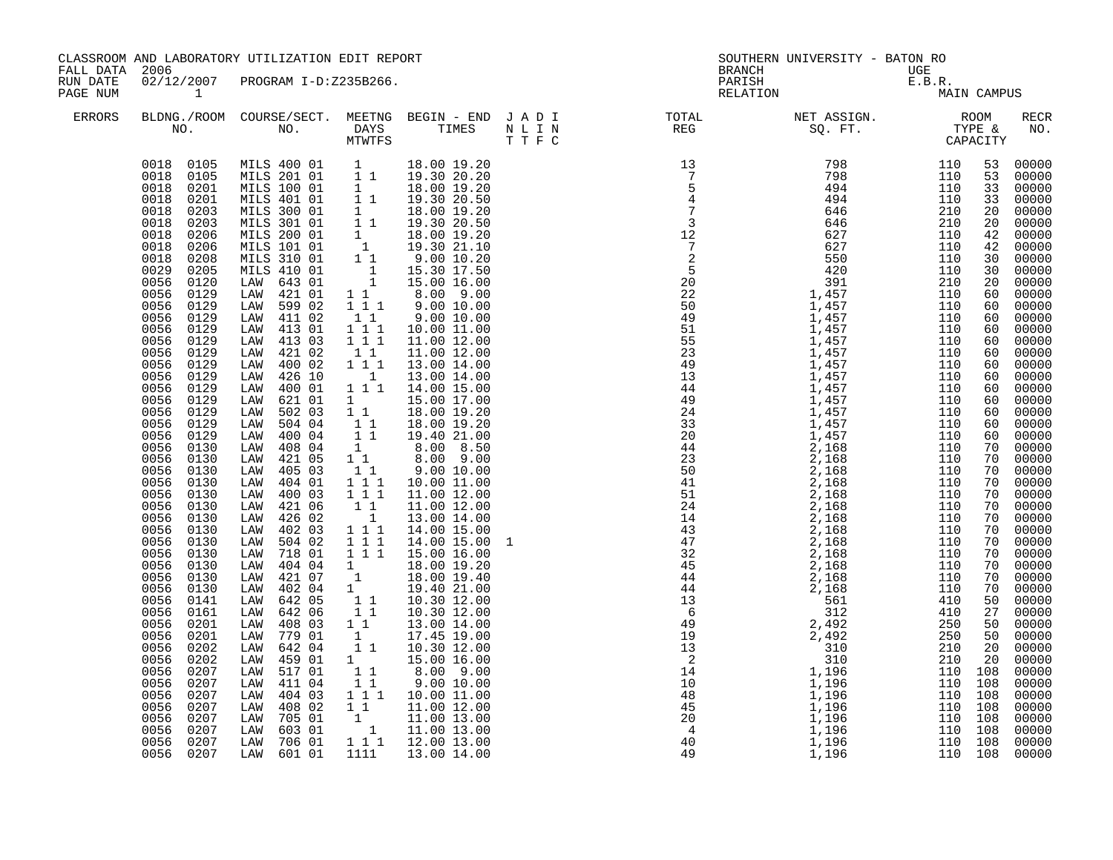| FALL DATA 2006       |                                                                                                                                                                                                                                                                                                                                                                                                                                                                                                                                                                                                                                                                                                                                                                                                                                        | CLASSROOM AND LABORATORY UTILIZATION EDIT REPORT                                                                                                                                                                                                                                                                                                                                                                                                                                                                                                                                                                                                                                                                                                                                                                                                                                           |                                                                                                                                                                                                                                                                                                                                                                                                                                                                                                                                                                                                                                                                                                                                                                                        |                                                                                                                                                                                                                                                                                                                                                                                                                                                                                                                                                                                                                                                                                                                                                                                                                                                                                          | <b>BRANCH</b>      | SOUTHERN UNIVERSITY - BATON RO                                                                                                                                                                                                                                                                                                                                                                                                         | UGE                                                                       |                                                                                                                                                                                                                                                                       |                                                                                                                                                                                                                                                                                                                                                                                                                                                                            |
|----------------------|----------------------------------------------------------------------------------------------------------------------------------------------------------------------------------------------------------------------------------------------------------------------------------------------------------------------------------------------------------------------------------------------------------------------------------------------------------------------------------------------------------------------------------------------------------------------------------------------------------------------------------------------------------------------------------------------------------------------------------------------------------------------------------------------------------------------------------------|--------------------------------------------------------------------------------------------------------------------------------------------------------------------------------------------------------------------------------------------------------------------------------------------------------------------------------------------------------------------------------------------------------------------------------------------------------------------------------------------------------------------------------------------------------------------------------------------------------------------------------------------------------------------------------------------------------------------------------------------------------------------------------------------------------------------------------------------------------------------------------------------|----------------------------------------------------------------------------------------------------------------------------------------------------------------------------------------------------------------------------------------------------------------------------------------------------------------------------------------------------------------------------------------------------------------------------------------------------------------------------------------------------------------------------------------------------------------------------------------------------------------------------------------------------------------------------------------------------------------------------------------------------------------------------------------|------------------------------------------------------------------------------------------------------------------------------------------------------------------------------------------------------------------------------------------------------------------------------------------------------------------------------------------------------------------------------------------------------------------------------------------------------------------------------------------------------------------------------------------------------------------------------------------------------------------------------------------------------------------------------------------------------------------------------------------------------------------------------------------------------------------------------------------------------------------------------------------|--------------------|----------------------------------------------------------------------------------------------------------------------------------------------------------------------------------------------------------------------------------------------------------------------------------------------------------------------------------------------------------------------------------------------------------------------------------------|---------------------------------------------------------------------------|-----------------------------------------------------------------------------------------------------------------------------------------------------------------------------------------------------------------------------------------------------------------------|----------------------------------------------------------------------------------------------------------------------------------------------------------------------------------------------------------------------------------------------------------------------------------------------------------------------------------------------------------------------------------------------------------------------------------------------------------------------------|
| RUN DATE<br>PAGE NUM | 02/12/2007<br>$\sim$ 1                                                                                                                                                                                                                                                                                                                                                                                                                                                                                                                                                                                                                                                                                                                                                                                                                 | PROGRAM I-D:Z235B266.                                                                                                                                                                                                                                                                                                                                                                                                                                                                                                                                                                                                                                                                                                                                                                                                                                                                      |                                                                                                                                                                                                                                                                                                                                                                                                                                                                                                                                                                                                                                                                                                                                                                                        |                                                                                                                                                                                                                                                                                                                                                                                                                                                                                                                                                                                                                                                                                                                                                                                                                                                                                          | PARISH<br>RELATION | UGE<br>E.B.R.<br>MA                                                                                                                                                                                                                                                                                                                                                                                                                    |                                                                           | MAIN CAMPUS                                                                                                                                                                                                                                                           |                                                                                                                                                                                                                                                                                                                                                                                                                                                                            |
| ERRORS               |                                                                                                                                                                                                                                                                                                                                                                                                                                                                                                                                                                                                                                                                                                                                                                                                                                        |                                                                                                                                                                                                                                                                                                                                                                                                                                                                                                                                                                                                                                                                                                                                                                                                                                                                                            |                                                                                                                                                                                                                                                                                                                                                                                                                                                                                                                                                                                                                                                                                                                                                                                        |                                                                                                                                                                                                                                                                                                                                                                                                                                                                                                                                                                                                                                                                                                                                                                                                                                                                                          |                    |                                                                                                                                                                                                                                                                                                                                                                                                                                        |                                                                           |                                                                                                                                                                                                                                                                       | RECR<br>NO.                                                                                                                                                                                                                                                                                                                                                                                                                                                                |
|                      | 0018 0105<br>0018<br>0105<br>0201<br>0018<br>0018<br>0201<br>0203<br>0018<br>0018<br>0203<br>0018<br>0206<br>0018<br>0206<br>0018<br>0208<br>0029<br>0205<br>0056<br>0120<br>0056<br>0129<br>0056<br>0129<br>0056<br>0129<br>0056<br>0129<br>0056<br>0129<br>0056<br>0129<br>0056<br>0129<br>0056<br>0129<br>0056<br>0129<br>0056<br>0129<br>0056<br>0129<br>0056<br>0129<br>0056<br>0129<br>0056<br>0130<br>0056<br>0130<br>0056<br>0130<br>0056<br>0130<br>0056<br>0130<br>0056<br>0130<br>0056<br>0130<br>0056<br>0130<br>0056<br>0130<br>0056<br>0130<br>0056<br>0130<br>0056<br>0130<br>0056<br>0130<br>0056<br>0141<br>0056<br>0161<br>0056<br>0201<br>0056<br>0201<br>0056<br>0202<br>0056<br>0202<br>0056<br>0207<br>0056<br>0207<br>0056<br>0207<br>0056<br>0207<br>0056<br>0207<br>0056<br>0207<br>0056<br>0207<br>0056 0207 | MILS 400 01 1 18.00 19.20<br>MILS 201 01 1 1 19.30 20.20<br>MILS 100 01<br>MILS 401 01<br>MILS 300 01<br>MILS 301 01<br>MILS 200 01<br>MILS 101 01<br>MILS 310 01<br>MILS 410 01<br>LAW 643 01<br>421 01<br>LAW<br>599 02<br>LAW<br>LAW<br>411 02<br>413 01<br>LAW<br>413 03<br>LAW<br>421 02<br>LAW<br>LAW 400 02<br>426 10<br>LAW<br>400 01<br>LAW<br>621 01<br>LAW<br>502 03<br>LAW<br>504 04<br>LAW<br>400 04<br>LAW<br>408 04<br>LAW<br>421 05<br>LAW<br>405 03<br>LAW<br>404 01<br>LAW<br>400 03<br>LAW<br>421 06<br>LAW<br>426 02<br>LAW<br>402 03<br>LAW<br>504 02<br>LAW<br>718 01<br>LAW<br>LAW<br>404 04<br>421 07<br>LAW<br>402 04<br>LAW<br>642 05<br>LAW<br>LAW<br>642 06<br>408 03<br>LAW<br>779 01<br>LAW<br>642 04<br>LAW<br>459 01<br>LAW<br>517 01<br>LAW<br>411 04<br>LAW<br>404 03<br>LAW<br>408 02<br>LAW<br>LAW<br>705 01<br>LAW 603 01<br>LAW 706 01<br>LAW 601 01 | $\begin{smallmatrix}1\1\1\end{smallmatrix}$<br>$\begin{smallmatrix}1\1\1\end{smallmatrix}$<br>$\begin{bmatrix} 1 \\ 1 \\ 1 \end{bmatrix}$<br>$\frac{1}{1}$<br>$1\quad1$<br>$\overline{1}$ $\overline{1}$ 1<br>1 1<br>$1\hspace{0.1cm} 1\hspace{0.1cm} 1$<br>$1 1 1$<br>$1\quad1$<br>1 1 1<br>$\overline{1}$<br>1 1 1<br>$1 \quad \blacksquare$<br>$1\quad1$<br>$\begin{array}{cc} 1 & 1 \\ 1 & 1 \end{array}$<br>$\mathbf{1}$<br>11<br>$1\quad1$<br>$1 1 1$<br>$1 1 1$<br>1 1<br>$\begin{smallmatrix}&&1\\1&1&1\end{smallmatrix}$<br>$\begin{array}{ccc} 1&1&1\\ 1&1&1 \end{array}$<br>$\begin{smallmatrix}1&&\\&1\end{smallmatrix}$<br>1<br>11<br>11<br>$1\quad1$<br>1<br>11<br>$1 \quad \blacksquare$<br>$\begin{bmatrix} 1 & 1 \end{bmatrix}$<br>11<br>$1 1 1$<br>$1\quad1$<br>1111 | 18.00 19.20<br>19.30 20.50<br>18.00 19.20<br>19.30 20.50<br>18.00 19.20<br>19.30 21.10<br>9.00 10.20<br>15.30 17.50<br>15.00 16.00<br>8.00 9.00<br>9.0010.00<br>$9.00\ 10.00$<br>10.00 11.00<br>11.00 12.00<br>11.00 12.00<br>13.00 14.00<br>13.00 14.00<br>14.00 15.00<br>15.00 17.00<br>18.00 19.20<br>18.00 19.20<br>19.40 21.00<br>8.00 8.50<br>8.00 9.00<br>9.00 10.00<br>10.00 11.00<br>11.00 12.00<br>11.00 12.00<br>13.00 14.00<br>14.00 15.00<br>14.00 15.00<br>15.00 16.00<br>18.00 19.20<br>18.00 19.40<br>19.40 21.00<br>10.30 12.00<br>10.30 12.00<br>13.00 14.00<br>17.45 19.00<br>10.30 12.00<br>15.00 16.00<br>8.00 9.00<br>9.00 10.00<br>10.00 11.00<br>11.00 12.00<br>$\begin{bmatrix} 1 \\ 1 \\ 1 \\ 1 \\ 1 \end{bmatrix} \quad \begin{bmatrix} 11.00 & 13.00 \\ 11.00 & 13.00 \\ 12.00 & 13.00 \\ 12.00 & 13.00 \end{bmatrix}$<br>1 1 1 1 12.00 13.00<br>13.00 14.00 |                    | $\begin{smallmatrix} \text{R} & \text{R} & \text{R} & \text{R} & \text{R} \\ \text{R} & \text{R} & \text{R} & \text{R} \\ \text{R} & \text{R} & \text{R} & \text{R} \\ \text{R} & \text{R} & \text{R} & \text{R} \\ \text{R} & \text{R} & \text{R} & \text{R} \\ \text{R} & \text{R} & \text{R} & \text{R} \\ \text{R} & \text{R} & \text{R} & \text{R} \\ \text{R} & \text{R} & \text{R} & \text{R} \\ \text{R} & \text{R} & \text{R$ | 110 108<br>110 108<br>110 108<br>110 108<br>110 108<br>110 108<br>110 108 | 53<br>53<br>33<br>33<br>20<br>20<br>42<br>42<br>30<br>30<br>20<br>60<br>60<br>60<br>60<br>60<br>60<br>60<br>60<br>60<br>60<br>60<br>60<br>60<br>70<br>70<br>70<br>70<br>70<br>70<br>70<br>70<br>70<br>70<br>70<br>70<br>70<br>50<br>27<br>50<br>50<br>20<br>20<br>108 | 00000<br>00000<br>00000<br>00000<br>00000<br>00000<br>00000<br>00000<br>00000<br>$00000$<br>$00000$<br>00000<br>00000<br>00000<br>00000<br>00000<br>00000<br>00000<br>00000<br>00000<br>00000<br>00000<br>00000<br>00000<br>00000<br>$00000$<br>00000<br>00000<br>00000<br>$00000$<br>00000<br>00000<br>00000<br>00000<br>$00000$<br>$00000$<br>00000<br>00000<br>00000<br>00000<br>00000<br>00000<br>00000<br>00000<br>00000<br>00000<br>00000<br>00000<br>00000<br>00000 |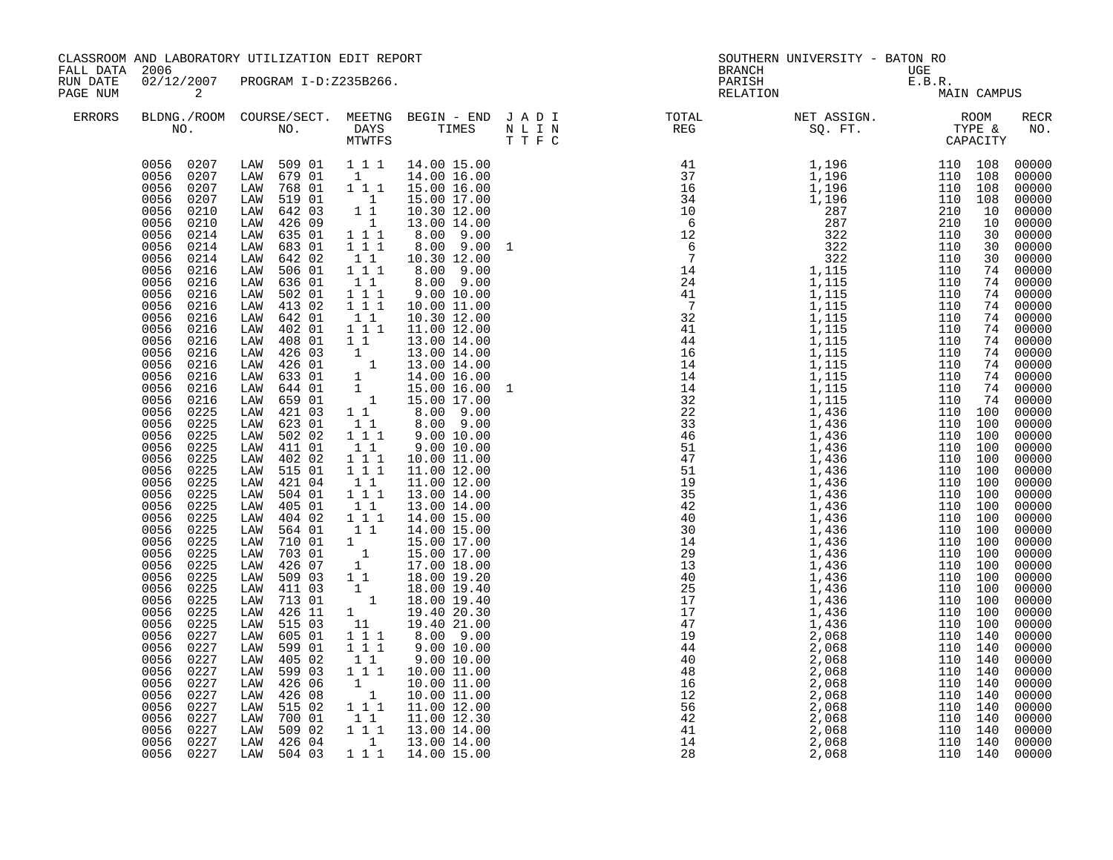| FALL DATA            | 2006                                                                                                                                                                                                                                                                                                                                                                                                                                                                                                                                                                                                                                                                                                                                                                                                                                | CLASSROOM AND LABORATORY UTILIZATION EDIT REPORT                                                                                                                                                                                                                                                                                                                                                                                                                                                                                                                                                                                                                                                                                                                                                                                                                                                        |                                                                                                                                                                                                                                                                                                                                                                                                                                                                                                                                                                                                   |                                                                                                                                                                                                                                                                                                                                                                                                                                                                                                                                                                                                                                                                                                                                                                                                                             | <b>BRANCH</b>      | SOUTHERN UNIVERSITY - BATON RO                                                                                                                                                                                                                                            |             |                                                                                                                                                                                                                                                                                                                                                                                                                                     |
|----------------------|-------------------------------------------------------------------------------------------------------------------------------------------------------------------------------------------------------------------------------------------------------------------------------------------------------------------------------------------------------------------------------------------------------------------------------------------------------------------------------------------------------------------------------------------------------------------------------------------------------------------------------------------------------------------------------------------------------------------------------------------------------------------------------------------------------------------------------------|---------------------------------------------------------------------------------------------------------------------------------------------------------------------------------------------------------------------------------------------------------------------------------------------------------------------------------------------------------------------------------------------------------------------------------------------------------------------------------------------------------------------------------------------------------------------------------------------------------------------------------------------------------------------------------------------------------------------------------------------------------------------------------------------------------------------------------------------------------------------------------------------------------|---------------------------------------------------------------------------------------------------------------------------------------------------------------------------------------------------------------------------------------------------------------------------------------------------------------------------------------------------------------------------------------------------------------------------------------------------------------------------------------------------------------------------------------------------------------------------------------------------|-----------------------------------------------------------------------------------------------------------------------------------------------------------------------------------------------------------------------------------------------------------------------------------------------------------------------------------------------------------------------------------------------------------------------------------------------------------------------------------------------------------------------------------------------------------------------------------------------------------------------------------------------------------------------------------------------------------------------------------------------------------------------------------------------------------------------------|--------------------|---------------------------------------------------------------------------------------------------------------------------------------------------------------------------------------------------------------------------------------------------------------------------|-------------|-------------------------------------------------------------------------------------------------------------------------------------------------------------------------------------------------------------------------------------------------------------------------------------------------------------------------------------------------------------------------------------------------------------------------------------|
| RUN DATE<br>PAGE NUM | 02/12/2007<br>2                                                                                                                                                                                                                                                                                                                                                                                                                                                                                                                                                                                                                                                                                                                                                                                                                     | PROGRAM I-D:Z235B266.                                                                                                                                                                                                                                                                                                                                                                                                                                                                                                                                                                                                                                                                                                                                                                                                                                                                                   |                                                                                                                                                                                                                                                                                                                                                                                                                                                                                                                                                                                                   |                                                                                                                                                                                                                                                                                                                                                                                                                                                                                                                                                                                                                                                                                                                                                                                                                             | PARISH<br>RELATION | UGE<br>E.B.R.<br>MA                                                                                                                                                                                                                                                       | MAIN CAMPUS |                                                                                                                                                                                                                                                                                                                                                                                                                                     |
| <b>ERRORS</b>        |                                                                                                                                                                                                                                                                                                                                                                                                                                                                                                                                                                                                                                                                                                                                                                                                                                     |                                                                                                                                                                                                                                                                                                                                                                                                                                                                                                                                                                                                                                                                                                                                                                                                                                                                                                         |                                                                                                                                                                                                                                                                                                                                                                                                                                                                                                                                                                                                   |                                                                                                                                                                                                                                                                                                                                                                                                                                                                                                                                                                                                                                                                                                                                                                                                                             |                    | BLDNG./ROOM COURSE/SECT. MEETNG BEGIN – END JADI TOTAL TOTAL NET ASSIGN. RECOM ROOM NO. DAYS TIMES NLIN REG SQ.FT. TYPE &                                                                                                                                                 |             | <b>RECR</b><br>NO.                                                                                                                                                                                                                                                                                                                                                                                                                  |
|                      | 0056 0207<br>0056 0207<br>0056<br>0207<br>0056<br>0207<br>0056<br>0210<br>0056<br>0210<br>0056<br>0214<br>0214<br>0056<br>0056<br>0214<br>0056<br>0216<br>0056<br>0216<br>0056<br>0216<br>0056<br>0216<br>0056<br>0216<br>0056<br>0216<br>0056<br>0216<br>0056<br>0216<br>0056<br>0216<br>0056<br>0216<br>0056<br>0216<br>0056<br>0216<br>0056<br>0225<br>0056<br>0225<br>0056<br>0225<br>0056<br>0225<br>0056<br>0225<br>0056<br>0225<br>0056<br>0225<br>0056<br>0225<br>0225<br>0056<br>0056<br>0225<br>0056<br>0225<br>0225<br>0056<br>0056<br>0225<br>0056<br>0225<br>0056<br>0225<br>0056<br>0225<br>0056<br>0225<br>0056<br>0225<br>0056<br>0225<br>0056<br>0227<br>0056<br>0227<br>0056<br>0227<br>0056<br>0227<br>0056<br>0227<br>0056<br>0227<br>0056<br>0227<br>0056<br>0227<br>0056<br>0227<br>0056<br>0227<br>0056 0227 | LAW 509 01 1 1 1 1 14.00 15.00<br>679 01<br>LAW<br>768 01<br>LAW<br>LAW<br>519 01<br>642 03<br>LAW<br>426 09<br>LAW<br>635 01<br>LAW<br>683 01<br>LAW<br>642 02<br>LAW<br>506 01<br>LAW<br>636 01<br>LAW<br>502 01<br>LAW<br>413 02<br>LAW<br>LAW<br>642 01<br>402 01<br>LAW<br>LAW<br>408 01<br>426 03<br>LAW<br>426 01<br>LAW<br>633 01<br>LAW<br>644 01<br>LAW<br>659 01<br>LAW<br>421 03<br>LAW<br>623 01<br>LAW<br>502 02<br>LAW<br>411 01<br>LAW<br>402 02<br>LAW<br>515 01<br>LAW<br>421 04<br>LAW<br>504 01<br>LAW<br>405 01<br>LAW<br>404 02<br>LAW<br>LAW<br>564 01<br>LAW<br>710 01<br>703 01<br>LAW<br>426 07<br>LAW<br>509 03<br>LAW<br>411 03<br>LAW<br>713 01<br>LAW<br>LAW<br>426 11<br>515 03<br>LAW<br>605 01<br>LAW<br>599 01<br>LAW<br>LAW<br>405 02<br>599 03<br>LAW<br>426 06<br>LAW<br>426 08<br>LAW<br>LAW<br>515 02<br>700 01<br>LAW<br>LAW 509 02<br>LAW 426 04<br>LAW 504 03 | $\mathbf{1}$<br>1 1 1<br>$\overline{1}$<br>$1\quad1$<br>$\overline{1}$<br>$1 1 1$<br>1 1 1<br>$1\quad1$<br>111<br>11<br>$1\ 1\ 1$<br>111<br>1 1<br>$1\hspace{0.1cm} 1\hspace{0.1cm} 1$<br>$1\quad1$<br>1<br>11<br>$1\quad1$<br>111<br>$1\quad1$<br>111<br>$1 1 1$<br>$1\quad1$<br>111<br>11<br>111<br>11<br>$\begin{smallmatrix}1&&\&1\end{smallmatrix}$<br>1<br>$1^-1$<br>$\begin{smallmatrix}1&&\\&1\end{smallmatrix}$<br>$1 \quad \blacksquare$<br>11<br>111<br>$1 1 1$<br>1 1<br>111<br>$\begin{smallmatrix}1&&\\&1\end{smallmatrix}$<br>1 1 1<br>$1\quad1$<br>111<br>$\overline{1}$<br>1 1 1 | 14.00 16.00<br>15.00 16.00<br>15.00 17.00<br>10.30 12.00<br>13.00 14.00<br>8.00 9.00<br>8.00 9.00<br>10.30 12.00<br>8.00 9.00<br>8.00 9.00<br>$9.00\ 10.00$<br>10.00 11.00<br>10.30 12.00<br>11.00 12.00<br>13.00 14.00<br>13.00 14.00<br>$\begin{array}{rrrr} 1 & 13.00 & 14.00 \ 1 & 14.00 & 16.00 \ 1 & 15.00 & 16.00 \ 1 & 15.00 & 17.00 \end{array}$<br>$8.00$ $9.00$<br>8.00 9.00<br>$9.00\ 10.00$<br>9.00 10.00<br>10.00 11.00<br>11.00 12.00<br>11.00 12.00<br>13.00 14.00<br>13.00 14.00<br>14.00 15.00<br>14.00 15.00<br>15.00 17.00<br>15.00 17.00<br>17.00 18.00<br>18.00 19.20<br>18.00 19.40<br>18.00 19.40<br>19.40 20.30<br>19.40 21.00<br>8.00 9.00<br>$9.00\ 10.00$<br>9.00 10.00<br>10.00 11.00<br>10.00 11.00<br>10.00 11.00<br>11.00 12.00<br>11.00 12.30<br>13.00 14.00<br>13.00 14.00<br>14.00 15.00 |                    | $\begin{smallmatrix}1.1111 & 11111 & 11111 & 11111 & 11111 & 11111 & 11111 & 11111 & 11111 & 11111 & 11111 & 11111 & 11111 & 11111 & 11111 & 11111 & 11111 & 11111 & 11111 & 11111 & 11111 & 11111 & 11111 & 11111 & 11111 & 11111 & 11111 & 11111 & 11111 & 11111 & 111$ |             | 00000<br>00000<br>00000<br>00000<br>00000<br>00000<br>00000<br>00000<br>00000<br>00000<br>00000<br>00000<br>00000<br>00000<br>00000<br>00000<br>00000<br>00000<br>00000<br>00000<br>00000<br>00000<br>00000<br>00000<br>00000<br>00000<br>00000<br>00000<br>00000<br>00000<br>00000<br>00000<br>00000<br>00000<br>00000<br>00000<br>00000<br>00000<br>00000<br>00000<br>00000<br>00000<br>00000<br>00000<br>00000<br>00000<br>00000 |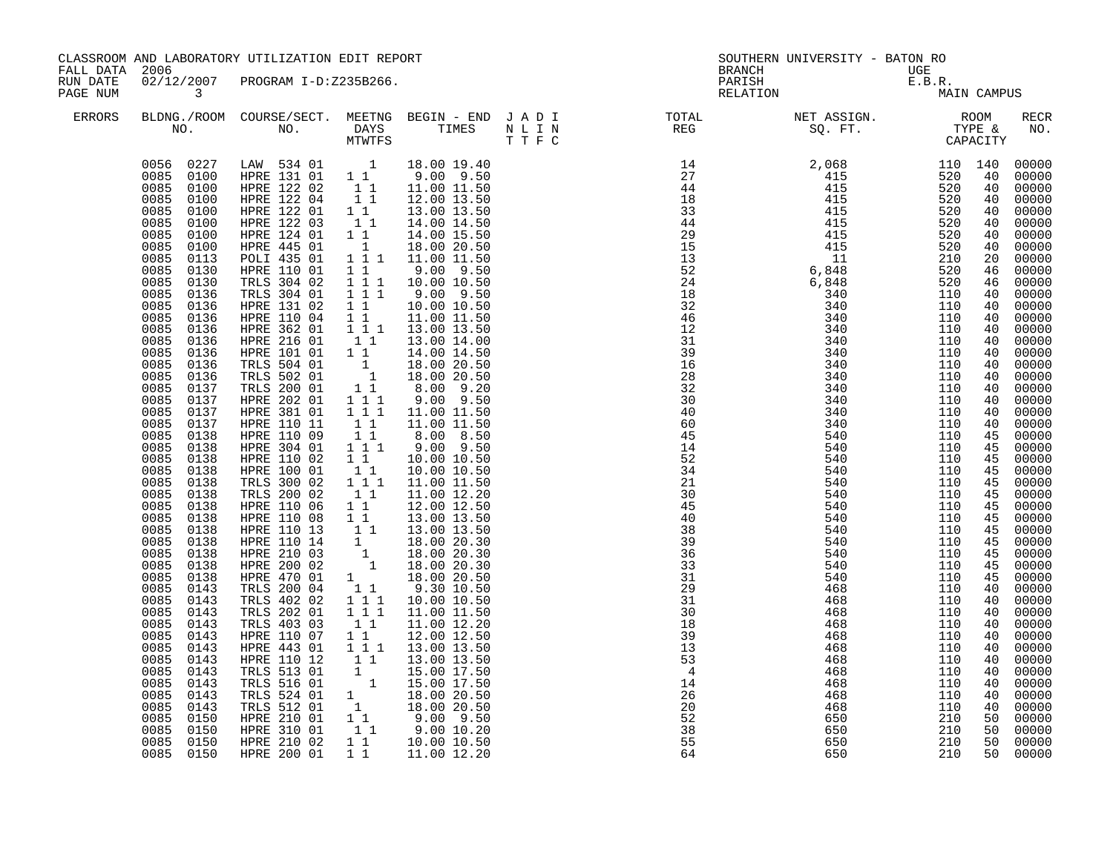| FALL DATA 2006       |                                                                                                                                                                                                                                                                                                                                                                                                                                                                                                                                                                                                                                                                                                                                                                                                                     | CLASSROOM AND LABORATORY UTILIZATION EDIT REPORT                                                                                                                                                                                                                                                                                                                                                                                                                                                                                                                                                                                                                                                                                                                                                                                             |                                                                                                                                                                                                                                                                                                                                                                                                                                                     |                                                                                                                                                                                                                                                                                                                                                                                                                                                                                                                                                                                                                                                                                                                                                                                                                                                                                                                                                                                                                   |                                                                                                                         | SOUTHERN UNIVERSITY - BATON RO              |             |                                                                                                                                                                                                                                                                                                                                                                                                                                                                         |
|----------------------|---------------------------------------------------------------------------------------------------------------------------------------------------------------------------------------------------------------------------------------------------------------------------------------------------------------------------------------------------------------------------------------------------------------------------------------------------------------------------------------------------------------------------------------------------------------------------------------------------------------------------------------------------------------------------------------------------------------------------------------------------------------------------------------------------------------------|----------------------------------------------------------------------------------------------------------------------------------------------------------------------------------------------------------------------------------------------------------------------------------------------------------------------------------------------------------------------------------------------------------------------------------------------------------------------------------------------------------------------------------------------------------------------------------------------------------------------------------------------------------------------------------------------------------------------------------------------------------------------------------------------------------------------------------------------|-----------------------------------------------------------------------------------------------------------------------------------------------------------------------------------------------------------------------------------------------------------------------------------------------------------------------------------------------------------------------------------------------------------------------------------------------------|-------------------------------------------------------------------------------------------------------------------------------------------------------------------------------------------------------------------------------------------------------------------------------------------------------------------------------------------------------------------------------------------------------------------------------------------------------------------------------------------------------------------------------------------------------------------------------------------------------------------------------------------------------------------------------------------------------------------------------------------------------------------------------------------------------------------------------------------------------------------------------------------------------------------------------------------------------------------------------------------------------------------|-------------------------------------------------------------------------------------------------------------------------|---------------------------------------------|-------------|-------------------------------------------------------------------------------------------------------------------------------------------------------------------------------------------------------------------------------------------------------------------------------------------------------------------------------------------------------------------------------------------------------------------------------------------------------------------------|
| RUN DATE<br>PAGE NUM | 02/12/2007<br>$\sim$ 3                                                                                                                                                                                                                                                                                                                                                                                                                                                                                                                                                                                                                                                                                                                                                                                              | PROGRAM I-D:Z235B266.                                                                                                                                                                                                                                                                                                                                                                                                                                                                                                                                                                                                                                                                                                                                                                                                                        |                                                                                                                                                                                                                                                                                                                                                                                                                                                     |                                                                                                                                                                                                                                                                                                                                                                                                                                                                                                                                                                                                                                                                                                                                                                                                                                                                                                                                                                                                                   |                                                                                                                         | BRANCH UGE<br>PARISH E.B.R.<br>RELATION MA: | MAIN CAMPUS |                                                                                                                                                                                                                                                                                                                                                                                                                                                                         |
| <b>ERRORS</b>        |                                                                                                                                                                                                                                                                                                                                                                                                                                                                                                                                                                                                                                                                                                                                                                                                                     |                                                                                                                                                                                                                                                                                                                                                                                                                                                                                                                                                                                                                                                                                                                                                                                                                                              |                                                                                                                                                                                                                                                                                                                                                                                                                                                     |                                                                                                                                                                                                                                                                                                                                                                                                                                                                                                                                                                                                                                                                                                                                                                                                                                                                                                                                                                                                                   | BLDNG./ROOM COURSE/SECT. MEETNG BEGIN – END JADI TOTAL TOTAL NET ASSIGN. REG ROOM NO. DAYS TIMES NLIN REG SQ.FT. TYPE & |                                             |             | <b>RECR</b><br>NO.                                                                                                                                                                                                                                                                                                                                                                                                                                                      |
|                      | 0085 0100<br>0085 0100<br>0085<br>0100<br>0085<br>0100<br>0085<br>0100<br>0085<br>0100<br>0085<br>0100<br>0085<br>0113<br>0085<br>0130<br>0085<br>0130<br>0085<br>0136<br>0085<br>0136<br>0085<br>0136<br>0085<br>0136<br>0085<br>0136<br>0085<br>0136<br>0085<br>0136<br>0085<br>0136<br>0085<br>0137<br>0085<br>0137<br>0085<br>0137<br>0085<br>0137<br>0085<br>0138<br>0085<br>0138<br>0085<br>0138<br>0085<br>0138<br>0085<br>0138<br>0085<br>0138<br>0085<br>0138<br>0085<br>0138<br>0085<br>0138<br>0085<br>0138<br>0085<br>0138<br>0085<br>0138<br>0085<br>0138<br>0085<br>0143<br>0085<br>0143<br>0085<br>0143<br>0085<br>0143<br>0085<br>0143<br>0085<br>0143<br>0085<br>0143<br>0085<br>0143<br>0085<br>0143<br>0085<br>0143<br>0085<br>0143<br>0085<br>0150<br>0085<br>0150<br>0085<br>0150<br>0085 0150 | 0056 0227 LAW 534 01 1 18.00 19.40<br>HPRE 131 01 11<br>HPRE 122 02 1 1<br>HPRE 122 04 1 1<br>HPRE $122$ 01 1 1<br>HPRE 122 03 1 1<br>HPRE 124 01 1 1<br>HPRE 445 01<br>POLI 435 01<br>HPRE 110 01<br>TRLS 304 02<br>TRLS 304 01<br>HPRE 131 02<br>HPRE 110 04<br>HPRE 362 01<br>HPRE 216 01<br>HPRE 101 01 11<br>TRLS 504 01<br>TRLS 502 01<br>TRLS 200 01<br>HPRE 202 01<br>HPRE 381 01<br>HPRE 110 11<br>HPRE 110 09<br>HPRE 304 01<br>HPRE 110 02<br>HPRE 100 01<br>TRLS 300 02<br>TRLS 200 02<br>HPRE 110 06<br>HPRE 110 08<br>HPRE 110 13<br>HPRE 110 14<br>HPRE 210 03<br>HPRE 200 02<br>HPRE 470 01<br>TRLS 200 04<br>TRLS 402 02<br>TRLS 202 01<br>TRLS 403 03<br>HPRE 110 07<br>HPRE 443 01<br>HPRE 110 12<br>TRLS 513 01<br>TRLS 516 01<br>TRLS 524 01<br>TRLS 512 01<br>HPRE 210 01<br>HPRE 310 01<br>HPRE 210 02<br>HPRE 200 01 | $\begin{smallmatrix}&&1\\1&1&1\end{smallmatrix}$<br>$\begin{array}{cccc} 1 & 1 & \\ 1 & 1 & 1 \\ 1 & 1 & 1 \end{array}$<br>$1\quad1$<br>$1\quad1$<br>$1\quad1$<br>$\begin{smallmatrix}1\cr-1\end{smallmatrix}$<br>11<br>$1 1 1$<br>$1 1 1$<br>$\begin{array}{rr} & 1 & 1 \\ & 1 & 1 \end{array}$<br>111<br>$1\quad1$<br>11<br>11<br>1 1<br>$\begin{smallmatrix}1&1\\1&1\end{smallmatrix}$<br>11<br>$1 1 1$<br>111<br>11<br>$1\quad1$<br>1 1 1<br>11 | $9.00$ $9.50$<br>11.00 11.50<br>12.00 13.50<br>13.00 13.50<br>14.00 14.50<br>14.00 15.50<br>18.00 20.50<br>11.00 11.50<br>9.00 9.50<br>10.00 10.50<br>$9.00$ $9.50$<br>10.00 10.50<br>11.00 11.50<br>1 1 1 1 13.00 13.50<br>13.00 14.00<br>14.00 14.50<br>18.00 20.50<br>18.00 20.50<br>$8.00$ 9.20<br>9.00 9.50<br>11.00 11.50<br>11.00 11.50<br>8.00 8.50<br>$9.00$ $9.50$<br>10.00 10.50<br>10.00 10.50<br>1 1 1 11.00 11.50<br>11.00 12.20<br>12.00 12.50<br>13.00 13.50<br>13.00 13.50<br>$\begin{bmatrix} 1 & 18.00 & 20.30 \ 1 & 18.00 & 20.30 \ 1 & 18.00 & 20.30 \ 1 & 18.00 & 20.30 \ 1 & 18.00 & 20.50 \end{bmatrix}$<br>9.30 10.50<br>10.00 10.50<br>11.00 11.50<br>11.00 12.20<br>12.00 12.50<br>13.00 13.50<br>13.00 13.50<br>$\begin{array}{rrrr} 1 & 1 & 1.5 \ 1 & 15 \ 1 & 15 \ 0 & 17 \ 50 & 1.50 \ 1 & 18 \ 0 & 20 \ 50 & 1 & 18 \ 0 & 20 \ 50 & 1 & 1 \end{array}$<br>$\begin{array}{cccc} 1 & 1 & 9.00 & 9.50 \ 1 & 1 & 9.00 & 10.20 \ 1 & 1 & 10.00 & 10.50 \end{array}$<br>1 1 11.00 12.20 |                                                                                                                         |                                             |             | 00000<br>00000<br>00000<br>00000<br>00000<br>00000<br>00000<br>00000<br>00000<br>00000<br>00000<br>00000<br>00000<br>00000<br>00000<br>00000<br>00000<br>00000<br>00000<br>00000<br>00000<br>00000<br>00000<br>00000<br>00000<br>00000<br>00000<br>00000<br>00000<br>00000<br>00000<br>00000<br>00000<br>00000<br>00000<br>00000<br>00000<br>00000<br>00000<br>00000<br>00000<br>00000<br>00000<br>00000<br>00000<br>00000<br>00000<br>00000<br>00000<br>00000<br>00000 |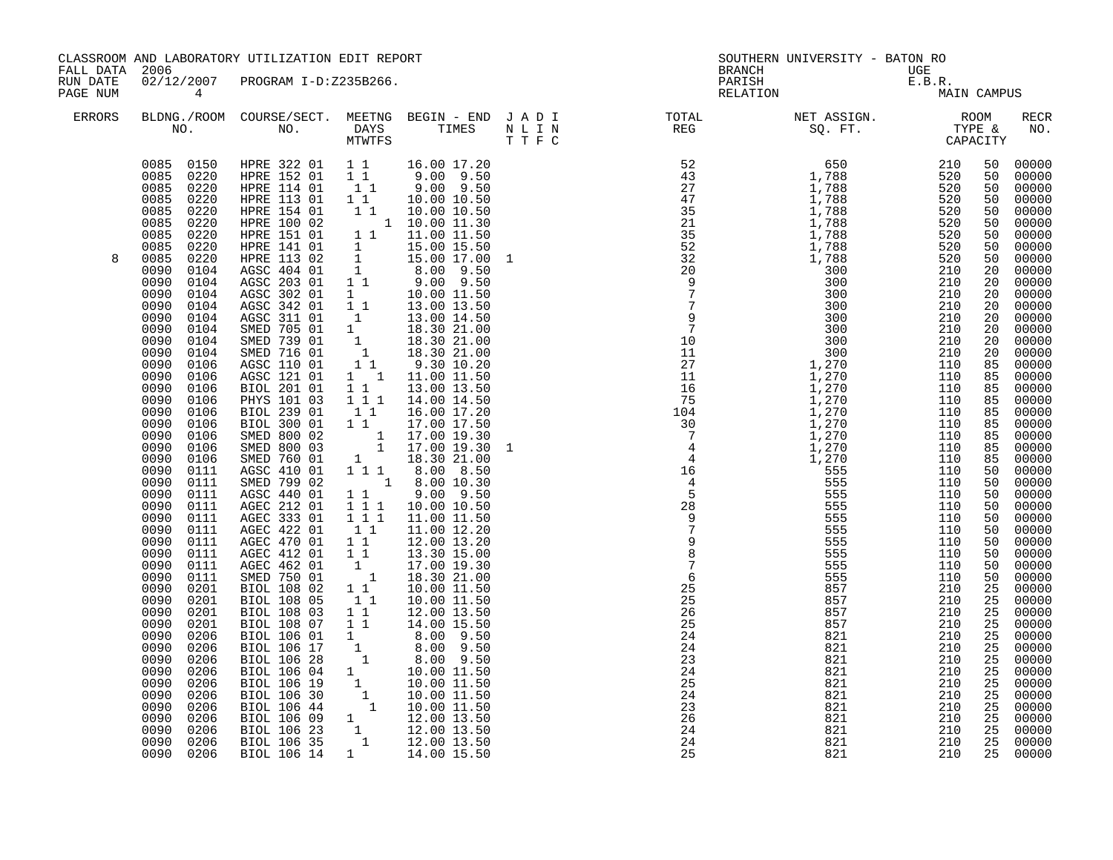| FALL DATA 2006       |                                                                                                                                                                                                                                                                                                                                                                                                                                                                                                                                                                                                                                                                                                                                                                                                                                  | CLASSROOM AND LABORATORY UTILIZATION EDIT REPORT                                                                                                                                                                                                                                                                                                                                                                                                                                                                                                                                                                                                                                                                                                                                                                                                                                                                                                                                                                                |                                                                                                                                                                                                                                                                                                    |                                                                                                                                                                                                                                                                                                                                                                                                                                                                                                                                                                                                                                                                                                                                                                                                                                                                                                                  |                                                                                                      | SOUTHERN UNIVERSITY - BATON RO                                                                                                                                                                                                                                                                                                                                                                                                                                                               |                                                             |                                                                                                                                                                                                                                                                                                                |                                                                                                                                                                                                                                                                                                                                                                                                                                                                             |
|----------------------|----------------------------------------------------------------------------------------------------------------------------------------------------------------------------------------------------------------------------------------------------------------------------------------------------------------------------------------------------------------------------------------------------------------------------------------------------------------------------------------------------------------------------------------------------------------------------------------------------------------------------------------------------------------------------------------------------------------------------------------------------------------------------------------------------------------------------------|---------------------------------------------------------------------------------------------------------------------------------------------------------------------------------------------------------------------------------------------------------------------------------------------------------------------------------------------------------------------------------------------------------------------------------------------------------------------------------------------------------------------------------------------------------------------------------------------------------------------------------------------------------------------------------------------------------------------------------------------------------------------------------------------------------------------------------------------------------------------------------------------------------------------------------------------------------------------------------------------------------------------------------|----------------------------------------------------------------------------------------------------------------------------------------------------------------------------------------------------------------------------------------------------------------------------------------------------|------------------------------------------------------------------------------------------------------------------------------------------------------------------------------------------------------------------------------------------------------------------------------------------------------------------------------------------------------------------------------------------------------------------------------------------------------------------------------------------------------------------------------------------------------------------------------------------------------------------------------------------------------------------------------------------------------------------------------------------------------------------------------------------------------------------------------------------------------------------------------------------------------------------|------------------------------------------------------------------------------------------------------|----------------------------------------------------------------------------------------------------------------------------------------------------------------------------------------------------------------------------------------------------------------------------------------------------------------------------------------------------------------------------------------------------------------------------------------------------------------------------------------------|-------------------------------------------------------------|----------------------------------------------------------------------------------------------------------------------------------------------------------------------------------------------------------------------------------------------------------------------------------------------------------------|-----------------------------------------------------------------------------------------------------------------------------------------------------------------------------------------------------------------------------------------------------------------------------------------------------------------------------------------------------------------------------------------------------------------------------------------------------------------------------|
| RUN DATE<br>PAGE NUM | 02/12/2007<br>$\overline{4}$                                                                                                                                                                                                                                                                                                                                                                                                                                                                                                                                                                                                                                                                                                                                                                                                     | PROGRAM I-D:Z235B266.                                                                                                                                                                                                                                                                                                                                                                                                                                                                                                                                                                                                                                                                                                                                                                                                                                                                                                                                                                                                           |                                                                                                                                                                                                                                                                                                    |                                                                                                                                                                                                                                                                                                                                                                                                                                                                                                                                                                                                                                                                                                                                                                                                                                                                                                                  |                                                                                                      | BRANCH UGE<br>PARISH E.B.R.<br>RELATION MA:                                                                                                                                                                                                                                                                                                                                                                                                                                                  | MAIN CAMPUS                                                 |                                                                                                                                                                                                                                                                                                                |                                                                                                                                                                                                                                                                                                                                                                                                                                                                             |
| <b>ERRORS</b>        |                                                                                                                                                                                                                                                                                                                                                                                                                                                                                                                                                                                                                                                                                                                                                                                                                                  |                                                                                                                                                                                                                                                                                                                                                                                                                                                                                                                                                                                                                                                                                                                                                                                                                                                                                                                                                                                                                                 |                                                                                                                                                                                                                                                                                                    |                                                                                                                                                                                                                                                                                                                                                                                                                                                                                                                                                                                                                                                                                                                                                                                                                                                                                                                  |                                                                                                      | BLDNG./ROOM COURSE/SECT. MEETNG BEGIN – END JADI TOTAL TOTAL NET ASSIGN. ROOM ROOM NO. DAYS TIMES NLIN REG SQ.FT. TYPE &                                                                                                                                                                                                                                                                                                                                                                     |                                                             |                                                                                                                                                                                                                                                                                                                | <b>RECR</b><br>NO.                                                                                                                                                                                                                                                                                                                                                                                                                                                          |
| 8                    | 0085 0150<br>0085 0220<br>0085 0220<br>0085<br>0220<br>0220<br>0085<br>0085<br>0220<br>0085<br>0220<br>0085<br>0220<br>0085<br>0220<br>0090<br>0104<br>0090<br>0104<br>0090<br>0104<br>0090<br>0104<br>0090<br>0104<br>0090<br>0104<br>0090<br>0104<br>0090<br>0104<br>0090<br>0106<br>0090<br>0106<br>0090<br>0106<br>0090<br>0106<br>0090<br>0106<br>0090<br>0106<br>0090<br>0106<br>0090<br>0106<br>0090<br>0106<br>0090<br>0111<br>0090<br>0111<br>0090<br>0111<br>0090<br>0111<br>0090<br>0111<br>0090<br>0111<br>0090<br>0111<br>0090<br>0111<br>0090<br>0111<br>0090<br>0111<br>0090<br>0201<br>0090<br>0201<br>0090<br>0201<br>0090<br>0201<br>0090<br>0206<br>0090<br>0206<br>0090<br>0206<br>0090<br>0206<br>0090<br>0206<br>0090<br>0206<br>0090<br>0206<br>0090<br>0206<br>0090<br>0206<br>0090<br>0206<br>0090 0206 | HPRE 322 01 1 1 16.00 17.20<br>HPRE 152 01 1 1 9.00 9.50<br>HPRE 114 01 1 1 9.00 9.50<br>HPRE 113 01 11<br>HPRE 154 01<br>HPRE 100 02<br>HPRE 151 01<br>HPRE 141 01<br>HPRE 113 02<br>AGSC 404 01<br>AGSC 203 01<br>AGSC 302 01<br>AGSC 342 01<br>AGSC 311 01<br>SMED 705 01<br>SMED 739 01<br>SMED 716 01<br>AGSC 110 01<br>AGSC 121 01<br>BIOL 201 01<br>PHYS 101 03<br>BIOL 239 01<br>BIOL 300 01<br>SMED 800 02<br>SMED 800 03<br>SMED 760 01<br>AGSC 410 01<br>SMED 799 02<br>AGSC 440 01<br>AGEC 212 01<br>AGEC 333 01<br>AGEC 422 01<br>AGEC 470 01<br>AGEC 412 01<br>AGEC 462 01<br>SMED 750 01<br>BIOL 108 02<br>BIOL 108 05<br>BIOL 108 03<br>BIOL 108 07<br>BIOL 106 01<br>BIOL 106 17<br>BIOL 106 28<br>BIOL 106 04 1<br>BIOL 106 19<br>BIOL 106 19<br>1 10.00 11.50<br>BIOL 106 30<br>1 10.00 11.50<br>BIOL 106 44<br>1 10.00 11.50<br>BIOL 106 44<br>1 12.00 13.50<br>BIOL 106 23<br>1 12.00 13.50<br>BIOL 106 35<br>BIOL 106 35<br>1 12.00 13.50<br>BIOL 106 35<br>BIOL 106 35<br>1<br>BIOL 106 14 1 14.00 15.50 | $1\quad1$<br>$\mathbf{1}$<br>$1\quad1$<br>$1\quad1$<br>$1\overline{1}1$<br>11<br>$1\quad1$<br>$1\quad1$<br>111<br>1 1 1<br>11<br>$1\quad1$<br>$1\quad1$<br>$\begin{smallmatrix}1&&\\&1\\&&1\end{smallmatrix}$<br>$1\quad1$<br>11<br>$1\quad1$<br>11<br>$\begin{bmatrix} 1 \\ 1 \\ 1 \end{bmatrix}$ | 10.00 10.50<br>1 1 10.00 10.50<br>$1 \t 1 \t 10.00 \t 11.30$<br>1 1 11.00 11.50<br>$\begin{array}{cc} 1 & 15.00 & 15.50 \\ 1 & 15.00 & 17.00 \end{array}$<br>15.00 17.00 1<br>$\begin{array}{cccc} 1 & 8.00 & 9.50 \\ 1 & 1 & 9.00 & 9.50 \\ 1 & 10.00 & 11.50 \end{array}$<br>13.00 13.50<br>13.00 14.50<br>$1 \t 18.30 \t 21.00$<br>$\begin{bmatrix} 1 & 18.30 & 21.00 \\ 1 & 18.30 & 21.00 \end{bmatrix}$<br>9.30 10.20<br>1 1 11.00 11.50<br>13.00 13.50<br>14.00 14.50<br>16.00 17.20<br>17.00 17.50<br>$\begin{array}{rrrr} 1 & 17.00 & 19.30 \ 1 & 17.00 & 19.30 \ 1 & 17.00 & 19.30 \ 1 & 18.30 & 21.00 \ 1 & 1 & 8.00 & 8.50 \ \end{array}$<br>1 8.00 10.30<br>$9.00$ $9.50$<br>10.00 10.50<br>11.00 11.50<br>11.00 12.20<br>12.00 13.20<br>13.30 15.00<br>17.00 19.30<br>18.30 21.00<br>10.00 11.50<br>10.00 11.50<br>12.00 13.50<br>14.00 15.50<br>8.00 9.50<br>8.00 9.50<br>8.00 9.50<br>10.00 11.50 | $25$<br>$24$<br>$24$<br>$24$<br>$25$<br>$24$<br>$25$<br>$24$<br>$23$<br>$24$<br>$24$<br>$24$<br>$24$ | $\begin{array}{cccc} \texttt{N} & \texttt{R} & \texttt{R} & \texttt{SQ} & \texttt{P} \texttt{T} & \texttt{TP} \\ \texttt{N} & \texttt{R} & \texttt{SQ} & \texttt{SQ} & \texttt{P} \texttt{T} & \texttt{TP} \\ \texttt{SQ} & \texttt{SQ} & \texttt{SQ} & \texttt{SQ} & \texttt{SQ} & \texttt{SQ} & \texttt{SQ} \\ \texttt{SQ} & \texttt{SQ} & \texttt{SQ} & \texttt{SQ} & \texttt{SQ} & \texttt{SQ} & \texttt{SQ} \\ \texttt{$<br>821<br>821<br>821<br>821<br>821<br>821<br>821<br>821<br>821 | 210<br>210<br>210<br>210<br>210<br>210<br>210<br>210<br>210 | 50<br>50<br>50<br>50<br>50<br>50<br>50<br>50<br>50<br>20<br>20<br>20<br>20<br>20<br>20<br>20<br>20<br>85<br>85<br>85<br>85<br>85<br>85<br>85<br>85<br>85<br>50<br>50<br>50<br>50<br>50<br>50<br>50<br>50<br>50<br>50<br>25<br>25<br>25<br>25<br>25<br>25<br>25<br>25<br>25<br>25<br>25<br>25<br>25<br>25<br>25 | 00000<br>00000<br>00000<br>00000<br>00000<br>$00000$<br>00000<br>00000<br>00000<br>00000<br>00000<br>00000<br>00000<br>00000<br>00000<br>00000<br>00000<br>00000<br>00000<br>00000<br>00000<br>00000<br>00000<br>00000<br>00000<br>$00000$<br>00000<br>00000<br>00000<br>00000<br>00000<br>00000<br>00000<br>00000<br>00000<br>00000<br>00000<br>00000<br>00000<br>00000<br>00000<br>00000<br>00000<br>00000<br>00000<br>00000<br>00000<br>00000<br>00000<br>00000<br>00000 |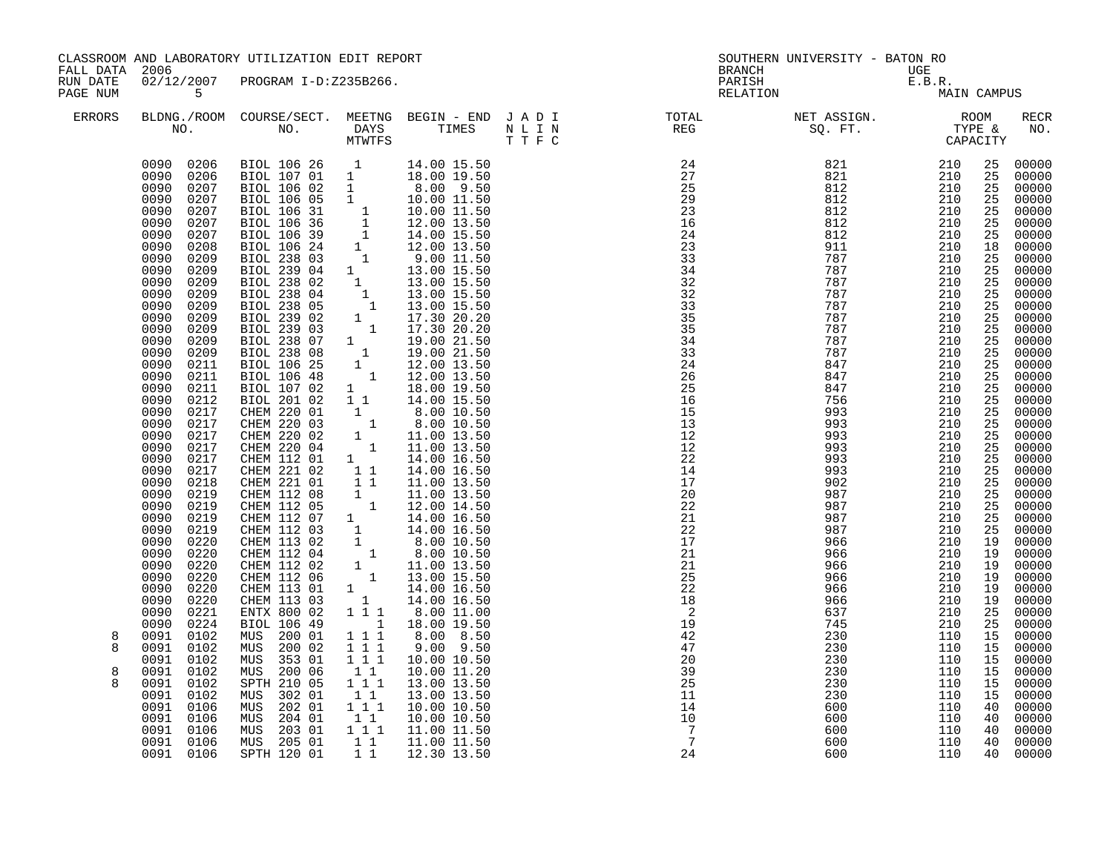| FALL DATA 2006       |                                                                                                                                                                                                                                                                                                                                                                                                                                                                                                                                                                                                                                                                                                                                                                                                                                        | CLASSROOM AND LABORATORY UTILIZATION EDIT REPORT                                                                                                                                                                                                                                                                                                                                                                                                                                                                                                                                                                                                                                                     |                                                                                                                                                                                                                                                                                                                                                                                                             |                                                                                                                                                                                                                                                                                                                                                                                                                                                                                                                                      |         |                                                                                                                           | SOUTHERN UNIVERSITY - BATON RO<br><b>BRANCH</b>                                  |                                                                                  |                                                                                                                                                                                                                                                                                                                |                                                                                                                                                                                                                                                                                                                                                                                                                                                                                   |
|----------------------|----------------------------------------------------------------------------------------------------------------------------------------------------------------------------------------------------------------------------------------------------------------------------------------------------------------------------------------------------------------------------------------------------------------------------------------------------------------------------------------------------------------------------------------------------------------------------------------------------------------------------------------------------------------------------------------------------------------------------------------------------------------------------------------------------------------------------------------|------------------------------------------------------------------------------------------------------------------------------------------------------------------------------------------------------------------------------------------------------------------------------------------------------------------------------------------------------------------------------------------------------------------------------------------------------------------------------------------------------------------------------------------------------------------------------------------------------------------------------------------------------------------------------------------------------|-------------------------------------------------------------------------------------------------------------------------------------------------------------------------------------------------------------------------------------------------------------------------------------------------------------------------------------------------------------------------------------------------------------|--------------------------------------------------------------------------------------------------------------------------------------------------------------------------------------------------------------------------------------------------------------------------------------------------------------------------------------------------------------------------------------------------------------------------------------------------------------------------------------------------------------------------------------|---------|---------------------------------------------------------------------------------------------------------------------------|----------------------------------------------------------------------------------|----------------------------------------------------------------------------------|----------------------------------------------------------------------------------------------------------------------------------------------------------------------------------------------------------------------------------------------------------------------------------------------------------------|-----------------------------------------------------------------------------------------------------------------------------------------------------------------------------------------------------------------------------------------------------------------------------------------------------------------------------------------------------------------------------------------------------------------------------------------------------------------------------------|
| RUN DATE<br>PAGE NUM | $5^{\circ}$                                                                                                                                                                                                                                                                                                                                                                                                                                                                                                                                                                                                                                                                                                                                                                                                                            | 02/12/2007 PROGRAM I-D:Z235B266.                                                                                                                                                                                                                                                                                                                                                                                                                                                                                                                                                                                                                                                                     |                                                                                                                                                                                                                                                                                                                                                                                                             |                                                                                                                                                                                                                                                                                                                                                                                                                                                                                                                                      |         |                                                                                                                           | UGE<br>E.B.R.<br>MA:<br>PARISH<br>RELATION                                       | MAIN CAMPUS                                                                      |                                                                                                                                                                                                                                                                                                                |                                                                                                                                                                                                                                                                                                                                                                                                                                                                                   |
| <b>ERRORS</b>        |                                                                                                                                                                                                                                                                                                                                                                                                                                                                                                                                                                                                                                                                                                                                                                                                                                        |                                                                                                                                                                                                                                                                                                                                                                                                                                                                                                                                                                                                                                                                                                      | MTWTFS                                                                                                                                                                                                                                                                                                                                                                                                      |                                                                                                                                                                                                                                                                                                                                                                                                                                                                                                                                      | T T F C |                                                                                                                           |                                                                                  |                                                                                  |                                                                                                                                                                                                                                                                                                                | RECR<br>NO.                                                                                                                                                                                                                                                                                                                                                                                                                                                                       |
| 8<br>8<br>8<br>8     | 0090 0206<br>0090<br>0206<br>0090<br>0207<br>0090<br>0207<br>0090<br>0207<br>0090<br>0207<br>0090<br>0207<br>0090<br>0208<br>0090<br>0209<br>0090<br>0209<br>0090<br>0209<br>0090<br>0209<br>0090<br>0209<br>0090<br>0209<br>0090<br>0209<br>0090<br>0209<br>0090<br>0209<br>0090<br>0211<br>0090<br>0211<br>0090<br>0211<br>0090<br>0212<br>0090<br>0217<br>0090<br>0217<br>0090<br>0217<br>0090<br>0217<br>0090<br>0217<br>0090<br>0217<br>0090<br>0218<br>0090<br>0219<br>0090<br>0219<br>0219<br>0090<br>0090<br>0219<br>0090<br>0220<br>0090<br>0220<br>0090<br>0220<br>0090<br>0220<br>0090<br>0220<br>0090<br>0220<br>0090<br>0221<br>0090<br>0224<br>0091<br>0102<br>0091<br>0102<br>0091<br>0102<br>0091<br>0102<br>0091<br>0102<br>0091<br>0102<br>0091<br>0106<br>0091<br>0106<br>0091<br>0106<br>0091<br>0106<br>0091 0106 | BIOL 106 26 1<br>BIOL 107 01 1<br>BIOL 106 02 1<br>BIOL 106 05 1<br>BIOL 106 31<br>BIOL 106 36<br>BIOL 106 36<br>BIOL 106 39<br>BIOL 106 39<br>1 14.00 15.50<br>BIOL 238 03<br>1 12.00 13.50<br>BIOL 238 03<br>1 9.00 11.50<br>238 03<br>1 9.00 11.50<br>BIOL 239 04 1<br>BIOL 238 02<br>BIOL 238 04<br>BIOL 238 05<br>BIOL 239 02<br>BIOL 239 03<br>BIOL 238 07<br>BIOL 238 08<br>BIOL 106 25<br>BIOL 106 48<br>BIOL 107 02<br>BIOL 201 02<br>CHEM 220 01<br>CHEM 220 03<br>CHEM 220 02<br>CHEM 220 04<br>BIOL 106 49<br>MUS 200 01<br>200 02<br>MUS<br>MUS<br>353 01<br>200 06<br>MUS<br>SPTH 210 05<br>302 01<br>MUS<br>202 01<br>MUS<br>204 01<br>MUS<br>MUS 203 01<br>MUS 205 01<br>SPTH 120 01 | $\mathbf{1}$<br>$\mathbf{1}$<br>$\overline{1}$<br>$\begin{smallmatrix}1&&1\\&1\end{smallmatrix}$<br>$\begin{smallmatrix}1\\1\\1\end{smallmatrix}$<br>$1^{\circ}$<br>$1\quad1$<br>$\begin{smallmatrix}1&&\\&1\end{smallmatrix}$<br>$\begin{smallmatrix} 1\\1\\1 \end{smallmatrix}$<br>$\overline{1}$<br>1 1 1<br>$1 1 1$<br>1 1 1<br>$1\quad1$<br>1 1 1<br>$1\quad1$<br>$1 1 1$<br>11<br>$1 1 1$<br>11<br>11 | 14.00 15.50<br>18.00 19.50<br>8.00 9.50<br>10.00 11.50<br>13.00 15.50<br>13.00 15.50<br>$\begin{bmatrix} 1 & 13.00 & 15.50 \\ 1 & 13.00 & 15.50 \end{bmatrix}$<br>17.30 20.20<br>17.30 20.20<br>19.00 21.50<br>19.00 21.50<br>12.00 13.50<br>12.00 13.50<br>18.00 19.50<br>14.00 15.50<br>8.00 10.50<br>8.00 10.50<br>11.00 13.50<br>11.00 13.50<br>18.00 19.50<br>8.00 8.50<br>$9.00$ $9.50$<br>10.00 10.50<br>10.00 11.20<br>13.00 13.50<br>13.00 13.50<br>10.00 10.50<br>10.00 10.50<br>11.00 11.50<br>11.00 11.50<br>12.30 13.50 |         | $\overline{\phantom{a}}$<br>19<br>42<br>47<br>20<br>39<br>25<br>11<br>14<br>10<br>$\overline{7}$<br>$7\phantom{.0}$<br>24 | 745<br>230<br>230<br>230<br>230<br>230<br>230<br>600<br>600<br>600<br>600<br>600 | 210<br>110<br>110<br>110<br>110<br>110<br>110<br>110<br>110<br>110<br>110<br>110 | 25<br>25<br>25<br>25<br>25<br>25<br>25<br>18<br>25<br>25<br>25<br>25<br>25<br>25<br>25<br>25<br>25<br>25<br>25<br>25<br>25<br>25<br>25<br>25<br>25<br>25<br>25<br>25<br>25<br>25<br>25<br>25<br>19<br>19<br>19<br>19<br>19<br>19<br>25<br>25<br>15<br>15<br>15<br>15<br>15<br>15<br>40<br>40<br>40<br>40<br>40 | 00000<br>00000<br>00000<br>00000<br>00000<br>00000<br>00000<br>00000<br>00000<br>00000<br>00000<br>00000<br>$00000$<br>$00000$<br>00000<br>$00000$<br>$00000$<br>$00000$<br>00000<br>00000<br>00000<br>00000<br>00000<br>00000<br>00000<br>00000<br>00000<br>00000<br>00000<br>00000<br>00000<br>00000<br>00000<br>00000<br>00000<br>00000<br>00000<br>00000<br>00000<br>00000<br>00000<br>00000<br>00000<br>00000<br>00000<br>00000<br>00000<br>00000<br>00000<br>00000<br>00000 |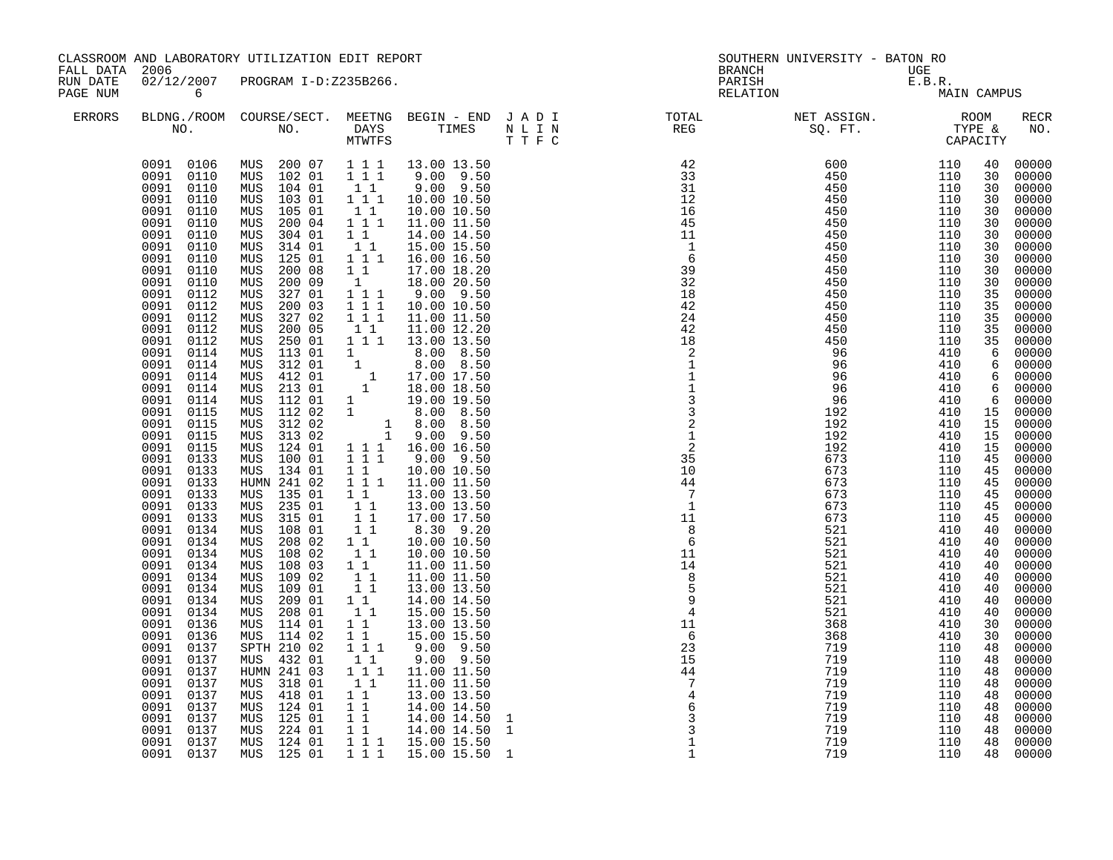| FALL DATA            | 2006                                                                                                                                                                                                                                                                                                                                                                                                                                                                                                                                                                                                                                                                                                                                                                                                                                   | CLASSROOM AND LABORATORY UTILIZATION EDIT REPORT                                                                                                                                                                                                                                                                                                                                                                                                                                                                                                                                                                                                                                                                                                                                                                                                            |                                                                                                                                                                                                                                                                                                                                                                                                                                                                                       |                                                                                                                                                                                                                                                                                                                                                                                                                                                                                                                                                                                                                                                                                                                                                                                                                                                                                                                        |                              | <b>BRANCH</b>                                                                                                                                                                                                                                                                                                                                                                                                                                                                                                                                                                                                                                                                                         | SOUTHERN UNIVERSITY - BATON RO                                                                                                                                                                                                                                    |                                                                                                                                                                                                                                                                        |                                                                                                                                                                                                                                                                                                                    |                                                                                                                                                                                                                                                                                                                                                                                                                                                                         |
|----------------------|----------------------------------------------------------------------------------------------------------------------------------------------------------------------------------------------------------------------------------------------------------------------------------------------------------------------------------------------------------------------------------------------------------------------------------------------------------------------------------------------------------------------------------------------------------------------------------------------------------------------------------------------------------------------------------------------------------------------------------------------------------------------------------------------------------------------------------------|-------------------------------------------------------------------------------------------------------------------------------------------------------------------------------------------------------------------------------------------------------------------------------------------------------------------------------------------------------------------------------------------------------------------------------------------------------------------------------------------------------------------------------------------------------------------------------------------------------------------------------------------------------------------------------------------------------------------------------------------------------------------------------------------------------------------------------------------------------------|---------------------------------------------------------------------------------------------------------------------------------------------------------------------------------------------------------------------------------------------------------------------------------------------------------------------------------------------------------------------------------------------------------------------------------------------------------------------------------------|------------------------------------------------------------------------------------------------------------------------------------------------------------------------------------------------------------------------------------------------------------------------------------------------------------------------------------------------------------------------------------------------------------------------------------------------------------------------------------------------------------------------------------------------------------------------------------------------------------------------------------------------------------------------------------------------------------------------------------------------------------------------------------------------------------------------------------------------------------------------------------------------------------------------|------------------------------|-------------------------------------------------------------------------------------------------------------------------------------------------------------------------------------------------------------------------------------------------------------------------------------------------------------------------------------------------------------------------------------------------------------------------------------------------------------------------------------------------------------------------------------------------------------------------------------------------------------------------------------------------------------------------------------------------------|-------------------------------------------------------------------------------------------------------------------------------------------------------------------------------------------------------------------------------------------------------------------|------------------------------------------------------------------------------------------------------------------------------------------------------------------------------------------------------------------------------------------------------------------------|--------------------------------------------------------------------------------------------------------------------------------------------------------------------------------------------------------------------------------------------------------------------------------------------------------------------|-------------------------------------------------------------------------------------------------------------------------------------------------------------------------------------------------------------------------------------------------------------------------------------------------------------------------------------------------------------------------------------------------------------------------------------------------------------------------|
| RUN DATE<br>PAGE NUM | 02/12/2007<br>$\overline{6}$                                                                                                                                                                                                                                                                                                                                                                                                                                                                                                                                                                                                                                                                                                                                                                                                           | PROGRAM I-D:Z235B266.                                                                                                                                                                                                                                                                                                                                                                                                                                                                                                                                                                                                                                                                                                                                                                                                                                       |                                                                                                                                                                                                                                                                                                                                                                                                                                                                                       |                                                                                                                                                                                                                                                                                                                                                                                                                                                                                                                                                                                                                                                                                                                                                                                                                                                                                                                        |                              | PARISH<br>RELATION                                                                                                                                                                                                                                                                                                                                                                                                                                                                                                                                                                                                                                                                                    | UGE<br>E.B.R.<br>MA:                                                                                                                                                                                                                                              | MAIN CAMPUS                                                                                                                                                                                                                                                            |                                                                                                                                                                                                                                                                                                                    |                                                                                                                                                                                                                                                                                                                                                                                                                                                                         |
| <b>ERRORS</b>        |                                                                                                                                                                                                                                                                                                                                                                                                                                                                                                                                                                                                                                                                                                                                                                                                                                        |                                                                                                                                                                                                                                                                                                                                                                                                                                                                                                                                                                                                                                                                                                                                                                                                                                                             |                                                                                                                                                                                                                                                                                                                                                                                                                                                                                       |                                                                                                                                                                                                                                                                                                                                                                                                                                                                                                                                                                                                                                                                                                                                                                                                                                                                                                                        |                              |                                                                                                                                                                                                                                                                                                                                                                                                                                                                                                                                                                                                                                                                                                       |                                                                                                                                                                                                                                                                   |                                                                                                                                                                                                                                                                        |                                                                                                                                                                                                                                                                                                                    | RECR<br>NO.                                                                                                                                                                                                                                                                                                                                                                                                                                                             |
|                      | 0091 0106<br>0091 0110<br>0091<br>0110<br>0091<br>0110<br>0091<br>0110<br>0091<br>0110<br>0091<br>0110<br>0091<br>0110<br>0091<br>0110<br>0091<br>0110<br>0091<br>0110<br>0091<br>0112<br>0091<br>0112<br>0091<br>0112<br>0091<br>0112<br>0091<br>0112<br>0091<br>0114<br>0091<br>0114<br>0091<br>0114<br>0091<br>0114<br>0091<br>0114<br>0091<br>0115<br>0115<br>0091<br>0091<br>0115<br>0091<br>0115<br>0091<br>0133<br>0091<br>0133<br>0091<br>0133<br>0091<br>0133<br>0091<br>0133<br>0091<br>0133<br>0091<br>0134<br>0091<br>0134<br>0091<br>0134<br>0091<br>0134<br>0091<br>0134<br>0091<br>0134<br>0091<br>0134<br>0091<br>0134<br>0091<br>0136<br>0091<br>0136<br>0091<br>0137<br>0091<br>0137<br>0091<br>0137<br>0091<br>0137<br>0091<br>0137<br>0091<br>0137<br>0091<br>0137<br>0091<br>0137<br>0091<br>0137<br>0091<br>0137 | MUS 200 07<br>MUS 102 01<br>MUS 104 01<br>103 01<br>MUS<br>MUS<br>105 01<br>200 04<br>MUS<br>304 01<br>MUS<br>314 01<br>MUS<br>125 01<br>MUS<br>200 08<br>MUS<br>200 09<br>MUS<br>327 01<br>MUS<br>MUS<br>200 03<br>327 02<br>MUS<br>200 05<br>MUS<br>250 01<br>MUS<br>MUS<br>113 01<br>MUS<br>312 01<br>MUS<br>412 01<br>213 01<br>MUS<br>112 01<br>MUS<br>112 02<br>MUS<br>312 02<br>MUS<br>313 02<br>MUS<br>124 01<br>MUS<br>MUS<br>100 01<br>MUS 134 01<br>HUMN 241 02<br>MUS 135 01<br>235 01<br>MUS<br>315 01<br>MUS<br>108 01<br>MUS<br>208 02<br>MUS<br>MUS<br>108 02<br>MUS<br>108 03<br>MUS<br>109 02<br>109 01<br>MUS<br>209 01<br>MUS<br>208 01<br>MUS<br>114 01<br>MUS<br>MUS 114 02<br>SPTH 210 02<br>MUS 432 01<br>HUMN 241 03<br>MUS<br>318 01<br>418 01<br>MUS<br>124 01<br>MUS<br>125 01<br>MUS<br>MUS 224 01<br>MUS 124 01<br>MUS 125 01 | 1 1 1<br>1 1 1<br>$1\quad1$<br>$1\overline{1}$<br>1 1<br>$1 1 1$<br>11<br>$1\quad1$<br>$1 1 1$<br>11<br>1<br>$1\hspace{0.1cm} 1\hspace{0.1cm} 1$<br>111<br>111<br>1 1<br>111<br>$1 \quad \blacksquare$<br>$1 1 1$<br>$1\quad1$<br>1 1 1<br>$1\quad1$<br>11<br>$1\quad1$<br>$\overline{1}$ $\overline{1}$<br>11<br>11<br>$1 1$<br>11<br>11<br>$1\quad1$<br>11<br>11<br>$1\quad1$<br>1 1 1<br>$1\quad1$<br>$1$ $1$ $1$<br>11<br>11<br>$1\quad1$<br>$1\quad1$<br>1 1<br>$1 1 1$<br>1 1 1 | 13.00 13.50<br>$9.00$ $9.50$<br>$9.00$ $9.50$<br>10.00 10.50<br>10.00 10.50<br>11.00 11.50<br>14.00 14.50<br>15.00 15.50<br>16.00 16.50<br>17.00 18.20<br>18.00 20.50<br>$9.00$ $9.50$<br>10.00 10.50<br>11.00 11.50<br>11.00 12.20<br>13.00 13.50<br>8.00 8.50<br>$\begin{bmatrix} 1 & 8.00 & 8.50 \\ 1 & 17.00 & 17.50 \\ 1 & 18.00 & 18.50 \\ 1 & 19.00 & 19.50 \end{bmatrix}$<br>$\begin{array}{ccc} 1 & 19.00 & 19.50 \ 1 & 8.00 & 8.50 \ 1 & 8.00 & 8.50 \ 1 & 9.00 & 9.50 \end{array}$<br>1 1 1 16.00 16.50<br>$9.00$ $9.50$<br>10.00 10.50<br>11.00 11.50<br>13.00 13.50<br>13.00 13.50<br>17.00 17.50<br>8.30 9.20<br>10.00 10.50<br>10.00 10.50<br>11.00 11.50<br>11.00 11.50<br>13.00 13.50<br>14.00 14.50<br>15.00 15.50<br>13.00 13.50<br>15.00 15.50<br>9.00 9.50<br>9.00 9.50<br>11.00 11.50<br>11.00 11.50<br>13.00 13.50<br>14.00 14.50<br>14.00 14.50<br>14.00 14.50<br>15.00 15.50<br>15.00 15.50 1 | $\mathbf{1}$<br>$\mathbf{1}$ | $\begin{array}{cccc} 42 & 600 & 110 \\ 33 & 450 & 110 \\ 31 & 450 & 110 \\ 12 & 450 & 110 \\ 16 & 450 & 110 \\ 45 & 450 & 110 \\ 11 & 450 & 110 \\ 11 & 450 & 110 \\ 1 & 450 & 110 \\ 1 & 450 & 110 \\ 39 & 450 & 110 \\ 39 & 450 & 110 \\ 32 & 450 & 110 \\ 42 & 450 & 110 \\ 42 & 450 & 110 \\ 42 & $<br>24<br>42<br>18<br>$\begin{array}{r} 18 \\ 2 \\ 1 \\ 1 \\ 3 \\ 3 \\ 2 \\ 1 \\ 2 \\ 3 \\ 5 \\ 10 \end{array}$<br>10<br>44<br>$\overline{7}$<br>$\overline{1}$<br>$\begin{array}{r} 1 \\ 11 \\ 8 \\ 6 \\ 11 \\ 4 \\ 8 \\ 5 \\ 9 \\ 4 \\ 11 \\ 6 \\ 21 \\ 5 \\ \end{array}$<br>$\frac{15}{44}$<br>$\frac{1}{7}$<br>$\frac{4}{6}$<br>$\begin{array}{c} 3 \\ 3 \\ 1 \end{array}$<br>$\mathbf{1}$ | 450<br>450<br>450<br>96<br>96<br>96<br>96<br>96<br>192<br>192<br>192<br>192<br>673<br>673<br>673<br>673<br>673<br>673<br>521<br>521<br>521<br>521<br>521<br>521<br>521<br>521<br>368<br>368<br>719<br>719<br>719<br>719<br>719<br>719<br>719<br>719<br>719<br>719 | 110<br>110<br>110<br>410<br>410<br>410<br>410<br>410<br>410<br>410<br>410<br>410<br>110<br>110<br>110<br>110<br>110<br>110<br>410<br>410<br>410<br>410<br>410<br>410<br>410<br>410<br>410<br>410<br>110<br>110<br>110<br>110<br>110<br>110<br>110<br>110<br>110<br>110 | 40<br>30<br>30<br>30<br>30<br>30<br>30<br>30<br>30<br>30<br>30<br>35<br>35<br>35<br>35<br>35<br>$\ddot{6}$<br>6<br>6<br>6<br>6<br>15<br>15<br>15<br>15<br>45<br>45<br>45<br>45<br>45<br>45<br>40<br>40<br>40<br>40<br>40<br>40<br>40<br>40<br>30<br>30<br>48<br>48<br>48<br>48<br>48<br>48<br>48<br>48<br>48<br>48 | 00000<br>00000<br>00000<br>00000<br>00000<br>00000<br>00000<br>00000<br>00000<br>00000<br>00000<br>00000<br>00000<br>00000<br>00000<br>00000<br>00000<br>00000<br>00000<br>00000<br>00000<br>00000<br>00000<br>00000<br>00000<br>00000<br>00000<br>00000<br>00000<br>00000<br>00000<br>00000<br>00000<br>00000<br>00000<br>00000<br>00000<br>00000<br>00000<br>00000<br>00000<br>00000<br>00000<br>00000<br>00000<br>00000<br>00000<br>00000<br>00000<br>00000<br>00000 |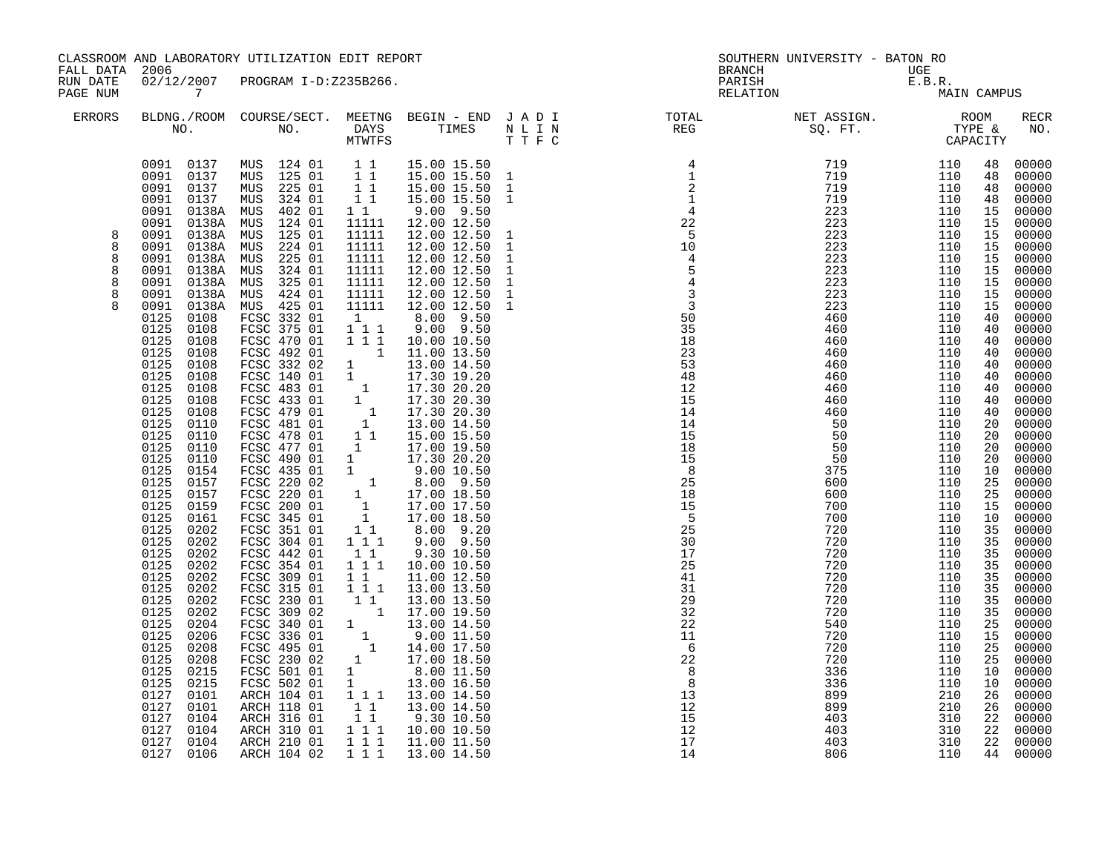| FALL DATA 2006                             |                                                                                                                                                                                                                                                                                                                                                                                                                                                                                                                                                                                                                                                                                                                                                                                                                                      | CLASSROOM AND LABORATORY UTILIZATION EDIT REPORT                                                                                                                                                                                                                                                                                                                                                                                                                                                                                                                                                                                                                                                                                                                                                              |                                                                                                                                                                                                                                                                                                                                                                                                                                                         |                                                                                                                                                                                                                                                                                                                                                                                                                                                                                                                                                                                                                                                                                                                                                                                                                                                                                                                                                                                         |                                                                                                                                                             | <b>BRANCH</b>                                                                                                                                                                                                                                                                                     | SOUTHERN UNIVERSITY - BATON RO                                                                                                                         |                                                                                                                                                        |                                                                                                                                                                                                                                                                                                                |                                                                                                                                                                                                                                                                                                                                                                                                                                                                         |
|--------------------------------------------|--------------------------------------------------------------------------------------------------------------------------------------------------------------------------------------------------------------------------------------------------------------------------------------------------------------------------------------------------------------------------------------------------------------------------------------------------------------------------------------------------------------------------------------------------------------------------------------------------------------------------------------------------------------------------------------------------------------------------------------------------------------------------------------------------------------------------------------|---------------------------------------------------------------------------------------------------------------------------------------------------------------------------------------------------------------------------------------------------------------------------------------------------------------------------------------------------------------------------------------------------------------------------------------------------------------------------------------------------------------------------------------------------------------------------------------------------------------------------------------------------------------------------------------------------------------------------------------------------------------------------------------------------------------|---------------------------------------------------------------------------------------------------------------------------------------------------------------------------------------------------------------------------------------------------------------------------------------------------------------------------------------------------------------------------------------------------------------------------------------------------------|-----------------------------------------------------------------------------------------------------------------------------------------------------------------------------------------------------------------------------------------------------------------------------------------------------------------------------------------------------------------------------------------------------------------------------------------------------------------------------------------------------------------------------------------------------------------------------------------------------------------------------------------------------------------------------------------------------------------------------------------------------------------------------------------------------------------------------------------------------------------------------------------------------------------------------------------------------------------------------------------|-------------------------------------------------------------------------------------------------------------------------------------------------------------|---------------------------------------------------------------------------------------------------------------------------------------------------------------------------------------------------------------------------------------------------------------------------------------------------|--------------------------------------------------------------------------------------------------------------------------------------------------------|--------------------------------------------------------------------------------------------------------------------------------------------------------|----------------------------------------------------------------------------------------------------------------------------------------------------------------------------------------------------------------------------------------------------------------------------------------------------------------|-------------------------------------------------------------------------------------------------------------------------------------------------------------------------------------------------------------------------------------------------------------------------------------------------------------------------------------------------------------------------------------------------------------------------------------------------------------------------|
| RUN DATE<br>PAGE NUM                       | 02/12/2007<br>$\overline{7}$                                                                                                                                                                                                                                                                                                                                                                                                                                                                                                                                                                                                                                                                                                                                                                                                         | PROGRAM I-D:Z235B266.                                                                                                                                                                                                                                                                                                                                                                                                                                                                                                                                                                                                                                                                                                                                                                                         |                                                                                                                                                                                                                                                                                                                                                                                                                                                         |                                                                                                                                                                                                                                                                                                                                                                                                                                                                                                                                                                                                                                                                                                                                                                                                                                                                                                                                                                                         |                                                                                                                                                             | PARISH<br>RELATION                                                                                                                                                                                                                                                                                | UGE<br>E.B.R.<br>MA:                                                                                                                                   | MAIN CAMPUS                                                                                                                                            |                                                                                                                                                                                                                                                                                                                |                                                                                                                                                                                                                                                                                                                                                                                                                                                                         |
| <b>ERRORS</b>                              |                                                                                                                                                                                                                                                                                                                                                                                                                                                                                                                                                                                                                                                                                                                                                                                                                                      |                                                                                                                                                                                                                                                                                                                                                                                                                                                                                                                                                                                                                                                                                                                                                                                                               |                                                                                                                                                                                                                                                                                                                                                                                                                                                         |                                                                                                                                                                                                                                                                                                                                                                                                                                                                                                                                                                                                                                                                                                                                                                                                                                                                                                                                                                                         |                                                                                                                                                             |                                                                                                                                                                                                                                                                                                   |                                                                                                                                                        |                                                                                                                                                        |                                                                                                                                                                                                                                                                                                                | RECR<br>NO.                                                                                                                                                                                                                                                                                                                                                                                                                                                             |
| 8<br>8<br>8<br>8<br>8<br>8<br>$\mathsf{R}$ | 0091 0137<br>0091 0137<br>0091<br>0137<br>0091<br>0137<br>0138A<br>0091<br>0091<br>0138A<br>0091<br>0138A<br>0091<br>0138A<br>0138A MUS<br>0091<br>0091<br>0138A<br>0091<br>0138A<br>0091<br>0138A<br>0091<br>0125<br>0108<br>0125<br>0108<br>0125<br>0108<br>0125<br>0108<br>0125<br>0108<br>0125<br>0108<br>0125<br>0108<br>0125<br>0108<br>0125<br>0108<br>0125<br>0110<br>0125<br>0110<br>0125<br>0110<br>0125<br>0110<br>0125<br>0154<br>0125<br>0157<br>0125<br>0157<br>0125<br>0159<br>0125<br>0161<br>0125<br>0202<br>0125<br>0202<br>0125<br>0202<br>0125<br>0202<br>0125<br>0202<br>0125<br>0202<br>0125<br>0202<br>0125<br>0202<br>0125<br>0204<br>0125<br>0206<br>0125<br>0208<br>0125<br>0208<br>0125<br>0215<br>0215<br>0125<br>0127<br>0101<br>0127<br>0101<br>0127<br>0104<br>0127 0104<br>0127<br>0104<br>0127 0106 | MUS 124 01 1 1<br>MUS 125 01 1 1<br>MUS 225 01<br>324 01<br>MUS<br>402 01<br>MUS<br>124 01<br>MUS<br>125 01<br>MUS<br>224 01<br>MUS<br>225 01<br>324 01<br>MUS<br>325 01<br>MUS<br>42401<br>MUS<br>0138A MUS 425 01<br>FCSC 332 01<br>FCSC 375 01<br>FCSC 470 01<br>FCSC 492 01<br>FCSC 332 02<br>FCSC 140 01<br>FCSC 483 01<br>FCSC 433 01<br>FCSC 479 01<br>FCSC 481 01<br>FCSC 478 01<br>FCSC 477 01<br>FCSC 490 01<br>FCSC 435 01<br>FCSC 220 02<br>FCSC 220 01<br>FCSC 200 01<br>FCSC 345 01<br>FCSC 351 01<br>FCSC 304 01<br>FCSC 442 01<br>FCSC 354 01<br>FCSC 309 01<br>FCSC 315 01<br>FCSC 230 01<br>FCSC 309 02<br>FCSC 340 01<br>FCSC 336 01<br>FCSC 495 01<br>FCSC 230 02<br>FCSC 501 01<br>FCSC 502 01<br>ARCH 104 01<br>ARCH 118 01<br>ARCH 316 01<br>ARCH 310 01<br>ARCH 210 01<br>ARCH 104 02 | $\begin{array}{ccc} & 1 & 1 \\ & 1 & 1 \end{array}$<br>$1\quad1$<br>11111<br>11111<br>11111<br>11111<br>11111<br>11111<br>11111<br>11111<br>1<br>$1 1 1$<br>111<br>$\overline{\phantom{a}}$<br>$\quad 1\  \  1$<br>1<br>$1^{\degree}1$<br>$1\ 1\ 1$<br>$1\quad1$<br>$1\hspace{0.1cm} 1\hspace{0.1cm} 1$<br>$1\quad1$<br>$1 1 1$<br>1 1<br>$\mathbf{1}$<br>$\begin{bmatrix} 1 \\ 1 \end{bmatrix}$<br>$1\quad1$<br>$1\quad1$<br>$1 1 1$<br>1 1 1<br>1 1 1 | 15.00 15.50<br>15.00 15.50<br>15.00 15.50<br>15.00 15.50<br>$9.00$ $9.50$<br>12.00 12.50<br>12.00 12.50<br>12.00 12.50<br>12.00 12.50<br>12.00 12.50<br>12.00 12.50<br>12.00 12.50<br>12.00 12.50<br>8.00 9.50<br>$9.00$ $9.50$<br>10.00 10.50<br>11.00 13.50<br>$\begin{bmatrix} 1 & 11.00 & 14.50 \ 1 & 13.00 & 14.50 \ 1 & 17.30 & 19.20 \ 1 & 17.30 & 20.20 \ 1 & 17.30 & 20.30 \ 1 & 17.30 & 20.30 \ 1 & 13.00 & 14.50 \end{bmatrix}$<br>15.00 15.50<br>17.00 19.50<br>17.30 20.20<br>9.0010.50<br>8.00 9.50<br>17.00 18.50<br>17.00 17.50<br>17.00 18.50<br>8.00 9.20<br>9.00 9.50<br>9.30 10.50<br>10.00 10.50<br>11.00 12.50<br>13.00 13.50<br>13.00 13.50<br>$\begin{bmatrix} 1 & 13.00 & 13.50 \\ 1 & 17.00 & 19.50 \\ 1 & 13.00 & 14.50 \end{bmatrix}$<br>$\begin{bmatrix} 1 & 9.00 & 11.50 \\ 1 & 14.00 & 17.50 \end{bmatrix}$<br>17.00 18.50<br>8.00 11.50<br>13.00 16.50<br>1 1 1 1 13.00 14.50<br>13.00 14.50<br>9.30 10.50<br>10.00 10.50<br>11.00 11.50<br>13.00 14.50 | $\mathbf{1}$<br>$\mathbf{1}$<br>$\mathbf{1}$<br>$\mathbf{1}$<br>$\mathbf{1}$<br>$\mathbf{1}$<br>$\mathbf{1}$<br>$\mathbf 1$<br>$\mathbf{1}$<br>$\mathbf{1}$ | $\begin{array}{r} 14 \\ 15 \\ 18 \\ 15 \\ 8 \\ 25 \\ 18 \\ 15 \\ 15 \\ \end{array}$<br>$\overline{5}$<br>$\begin{array}{r} 25 \\ 25 \\ 30 \\ 25 \\ 41 \\ 31 \\ 29 \\ 22 \\ 21 \\ 1 \\ 6 \end{array}$<br>6<br>$\begin{array}{r} 6 \\ 22 \\ 8 \\ 8 \\ 13 \\ 12 \\ 15 \\ 12 \\ 17 \\ 14 \end{array}$ | 700<br>700<br>720<br>720<br>720<br>720<br>720<br>720<br>720<br>720<br>540<br>720<br>720<br>720<br>336<br>336<br>899<br>899<br>403<br>403<br>403<br>806 | 110<br>110<br>110<br>110<br>110<br>110<br>110<br>110<br>110<br>110<br>110<br>110<br>110<br>110<br>110<br>110<br>210<br>210<br>310<br>310<br>310<br>110 | 48<br>48<br>48<br>48<br>15<br>15<br>15<br>15<br>15<br>15<br>15<br>15<br>15<br>40<br>40<br>40<br>40<br>40<br>40<br>40<br>40<br>40<br>20<br>20<br>20<br>20<br>10<br>25<br>25<br>15<br>10<br>35<br>35<br>35<br>35<br>35<br>35<br>35<br>35<br>25<br>15<br>25<br>25<br>10<br>10<br>26<br>26<br>22<br>22<br>22<br>44 | 00000<br>00000<br>00000<br>00000<br>00000<br>00000<br>00000<br>00000<br>00000<br>00000<br>00000<br>00000<br>00000<br>00000<br>00000<br>00000<br>00000<br>00000<br>00000<br>00000<br>00000<br>00000<br>00000<br>00000<br>00000<br>00000<br>00000<br>00000<br>00000<br>00000<br>00000<br>00000<br>00000<br>00000<br>00000<br>00000<br>00000<br>00000<br>00000<br>00000<br>00000<br>00000<br>00000<br>00000<br>00000<br>00000<br>00000<br>00000<br>00000<br>00000<br>00000 |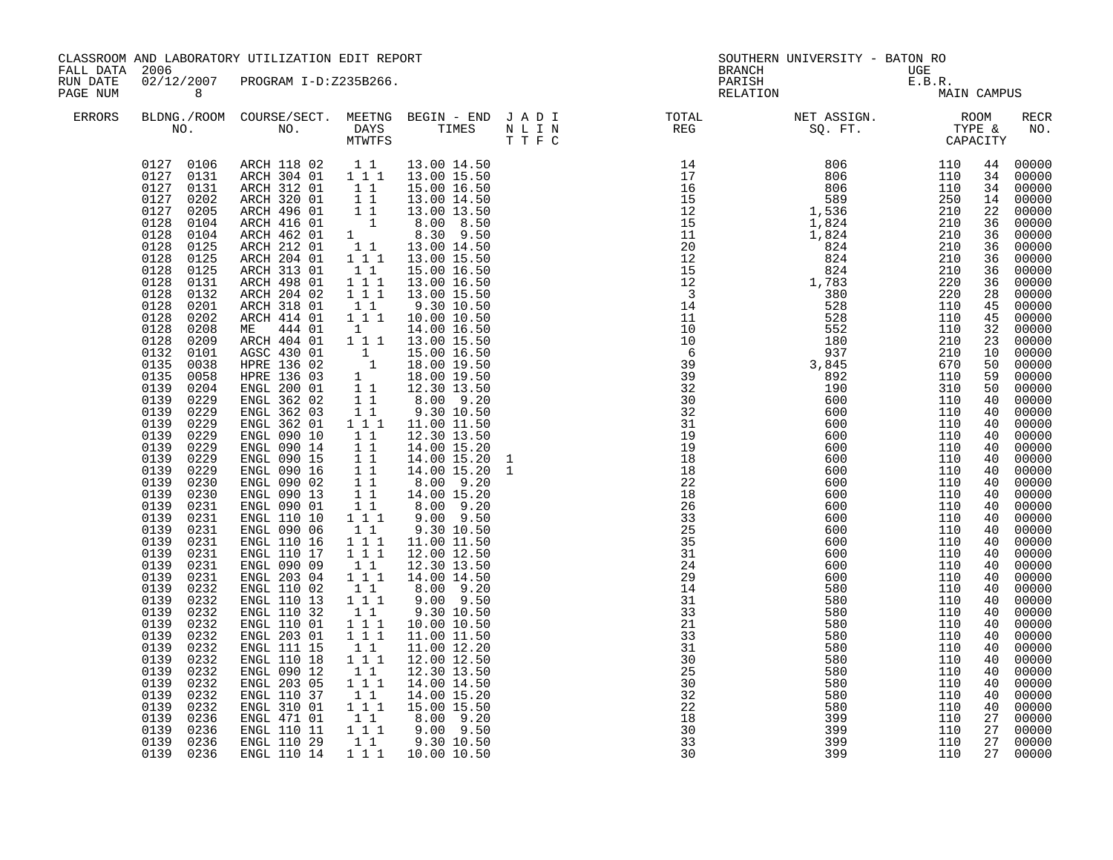| FALL DATA 2006       |                                                                                                                                                                                                                                                                                                                                                                                                                                                                                                                                                                                                                                                                                                                                                                                               | CLASSROOM AND LABORATORY UTILIZATION EDIT REPORT                                                                                                                                                                                                                                                                                                                                                                                                                                                                                                                                                                                                                                                                                                                                                                                                                                                                                                                            |                                                                                                                                                                                                                                                                                                                                                                                                                                                                                                                                                                                                                                   |                                                                                                                                                                                                                                                                                                                                                                                                                                                                                                                                                                                                                                                                                                                                                                                                           | <b>BRANCH</b>        | SOUTHERN UNIVERSITY - BATON RO                                                                                                                                                                                                                                                                       |                          |                                                                                                                                                                                                                                                                                                          |                                                                                                                                                                                                                                                                                                                                                                                                                                                                                            |
|----------------------|-----------------------------------------------------------------------------------------------------------------------------------------------------------------------------------------------------------------------------------------------------------------------------------------------------------------------------------------------------------------------------------------------------------------------------------------------------------------------------------------------------------------------------------------------------------------------------------------------------------------------------------------------------------------------------------------------------------------------------------------------------------------------------------------------|-----------------------------------------------------------------------------------------------------------------------------------------------------------------------------------------------------------------------------------------------------------------------------------------------------------------------------------------------------------------------------------------------------------------------------------------------------------------------------------------------------------------------------------------------------------------------------------------------------------------------------------------------------------------------------------------------------------------------------------------------------------------------------------------------------------------------------------------------------------------------------------------------------------------------------------------------------------------------------|-----------------------------------------------------------------------------------------------------------------------------------------------------------------------------------------------------------------------------------------------------------------------------------------------------------------------------------------------------------------------------------------------------------------------------------------------------------------------------------------------------------------------------------------------------------------------------------------------------------------------------------|-----------------------------------------------------------------------------------------------------------------------------------------------------------------------------------------------------------------------------------------------------------------------------------------------------------------------------------------------------------------------------------------------------------------------------------------------------------------------------------------------------------------------------------------------------------------------------------------------------------------------------------------------------------------------------------------------------------------------------------------------------------------------------------------------------------|----------------------|------------------------------------------------------------------------------------------------------------------------------------------------------------------------------------------------------------------------------------------------------------------------------------------------------|--------------------------|----------------------------------------------------------------------------------------------------------------------------------------------------------------------------------------------------------------------------------------------------------------------------------------------------------|--------------------------------------------------------------------------------------------------------------------------------------------------------------------------------------------------------------------------------------------------------------------------------------------------------------------------------------------------------------------------------------------------------------------------------------------------------------------------------------------|
| RUN DATE<br>PAGE NUM | 02/12/2007<br>8 <sup>8</sup>                                                                                                                                                                                                                                                                                                                                                                                                                                                                                                                                                                                                                                                                                                                                                                  | PROGRAM I-D:Z235B266.                                                                                                                                                                                                                                                                                                                                                                                                                                                                                                                                                                                                                                                                                                                                                                                                                                                                                                                                                       |                                                                                                                                                                                                                                                                                                                                                                                                                                                                                                                                                                                                                                   |                                                                                                                                                                                                                                                                                                                                                                                                                                                                                                                                                                                                                                                                                                                                                                                                           | PARISH<br>RELATION   | $\begin{array}{c}\n\text{UGE} \\ \text{E.B.R.} \\ \text{MA}\n\end{array}$                                                                                                                                                                                                                            | MAIN CAMPUS              |                                                                                                                                                                                                                                                                                                          |                                                                                                                                                                                                                                                                                                                                                                                                                                                                                            |
| ERRORS               |                                                                                                                                                                                                                                                                                                                                                                                                                                                                                                                                                                                                                                                                                                                                                                                               |                                                                                                                                                                                                                                                                                                                                                                                                                                                                                                                                                                                                                                                                                                                                                                                                                                                                                                                                                                             |                                                                                                                                                                                                                                                                                                                                                                                                                                                                                                                                                                                                                                   |                                                                                                                                                                                                                                                                                                                                                                                                                                                                                                                                                                                                                                                                                                                                                                                                           |                      |                                                                                                                                                                                                                                                                                                      |                          |                                                                                                                                                                                                                                                                                                          | RECR<br>NO.                                                                                                                                                                                                                                                                                                                                                                                                                                                                                |
|                      | 0127 0131<br>0127 0202<br>0127<br>0205<br>0128<br>0104<br>0128<br>0104<br>0128<br>0125<br>0128<br>0125<br>0128 0125<br>0128<br>0131<br>0128<br>0132<br>0128<br>0201<br>0128<br>0202<br>0128<br>0208<br>0128<br>0209<br>0132<br>0101<br>0135<br>0038<br>0135<br>0058<br>0139<br>0204<br>0139<br>0229<br>0139<br>0229<br>0139<br>0229<br>0139<br>0229<br>0139<br>0229<br>0139<br>0229<br>0139<br>0229<br>0139<br>0230<br>0139<br>0230<br>0139<br>0231<br>0139<br>0231<br>0139<br>0231<br>0139<br>0231<br>0139<br>0231<br>0139 0231<br>0139<br>0231<br>0139<br>0232<br>0139<br>0232<br>0139<br>0232<br>0139<br>0232<br>0139<br>0232<br>0139<br>0232<br>0139<br>0232<br>0139<br>0232<br>0139<br>0232<br>0139<br>0232<br>0139<br>0232<br>0139<br>0236<br>0139<br>0236<br>0236<br>0139<br>0139 0236 | $\begin{array}{cccc} 0127 & 0106 & \text{ARCH} & 118 & 02 & 1 & 1 \\ 0127 & 0131 & \text{ARCH} & 304 & 01 & 1 & 1 & 1 \end{array}$<br>ARCH 312 01<br>ARCH 320 01 1 1<br>NRCH 496 01 1 1 13.00 13.50<br>ARCH 416 01 1 8.00 8.50<br>ARCH 462 01 1 8.30 9.50<br>ARCH 212 01 1 1 13.00 14.50<br>ARCH 204 01 1 1 13.00 15.50<br>ARCH 313 01<br>ARCH 498 01<br>ARCH 204 02<br>ARCH 318 01<br>ARCH 414 01<br>ME 444 01<br>ARCH 404 01<br>AGSC 430 01<br>HPRE 136 02<br>HPRE 136 03<br>ENGL 200 01<br>ENGL 362 02<br>ENGL 362 03<br>ENGL 362 01<br>ENGL 090 10<br>ENGL 090 14<br>ENGL 090 15<br>ENGL 090 16<br>ENGL 090 02<br>ENGL 090 13<br>ENGL 090 01<br>ENGL 110 10<br>ENGL 090 06<br>ENGL 110 16<br>ENGL 110 17<br>ENGL 090 09<br>ENGL 203 04<br>ENGL 110 02<br>ENGL 110 13<br>ENGL 110 32<br>ENGL 110 01<br>ENGL 203 01<br>ENGL 111 15<br>ENGL 110 18<br>ENGL 090 12<br>ENGL 203 05<br>ENGL 110 37<br>ENGL 310 01<br>ENGL 471 01<br>ENGL 110 11<br>ENGL 110 29<br>ENGL 110 14 | 11<br>$\begin{array}{rrrr} & 1 & 1 \\ 1 & 1 & 1 \\ 1 & 1 & 1 \end{array}$<br>$1\quad1$<br>1 1 1<br>1<br>$1 1 1$<br>$\begin{array}{cc} 1 & 1 \\ 1 & 1 \end{array}$<br>11<br>$1 1 1$<br>11<br>11<br>$\begin{array}{c} 1\\ 1\\ 1 \end{array}$<br>11<br>11<br>11<br>$1 1 1$<br>$1\quad1$<br>$\begin{array}{rrrr} & 1 & 1 & 1 \\ & 1 & 1 & 1 \end{array}$<br>$\begin{array}{c} 1\\ 1\\ 1\\ 1 \end{array}$<br>$1\quad1$<br>$1 1 1$<br>$1\quad1$<br>$\begin{smallmatrix}&&1\\1&1&1\\1&1&1\end{smallmatrix}$<br>$\begin{bmatrix} 1 \\ 1 \end{bmatrix}$<br>111<br>11<br>1 1 1<br>11<br>$1 1 1$<br>11<br>$1^{\circ}1^{\circ}1$<br>$1\quad1$ | 13.00 14.50<br>13.00 15.50<br>15.00 16.50<br>13.00 14.50<br>15.00 16.50<br>13.00 16.50<br>13.00 15.50<br>9.30 10.50<br>10.00 10.50<br>14.00 16.50<br>13.00 15.50<br>$\begin{bmatrix} 1 & 1 & 1.5 & 0.0 & 15 & 50 \\ 1 & 15 & 0.0 & 16 & 50 \\ 1 & 18 & 0.0 & 19 & 50 \\ 1 & 18 & 0.0 & 19 & 50 \end{bmatrix}$<br>12.30 13.50<br>8.00 9.20<br>9.30 10.50<br>11.00 11.50<br>12.30 13.50<br>14.00 15.20<br>14.00 15.20<br>14.00 15.20<br>8.00 9.20<br>14.00 15.20<br>8.00 9.20<br>9.00 9.50<br>9.30 10.50<br>11.00 11.50<br>12.00 12.50<br>12.30 13.50<br>14.00 14.50<br>8.00 9.20<br>$9.00$ $9.50$<br>9.30 10.50<br>10.00 10.50<br>11.00 11.50<br>11.00 12.20<br>12.00 12.50<br>12.30 13.50<br>14.00 14.50<br>14.00 15.20<br>15.00 15.50<br>8.00 9.20<br>$9.00$ $9.50$<br>9.30 10.50<br>1 1 1 1 10.00 10.50 | 18<br>30<br>33<br>30 | NETING REG 50. PT. TYPE 2008<br>1110 8006 11110<br>15 8006 11110<br>115 8006 11110<br>115 15 9806 11110<br>115 15 9806 11110<br>123 1582 2110<br>1006 11110<br>123 224 2210<br>111 12528 824 2110<br>111 12528 2110<br>111 12528 1110<br>1000 11110<br>1000 11110<br>111<br>399<br>399<br>399<br>399 | 110<br>110<br>110<br>110 | 44<br>34<br>34<br>22<br>36<br>36<br>36<br>36<br>36<br>36<br>28<br>45<br>45<br>32<br>23<br>10<br>50<br>59<br>50<br>40<br>40<br>40<br>40<br>40<br>40<br>40<br>40<br>40<br>40<br>40<br>40<br>40<br>40<br>40<br>40<br>40<br>40<br>40<br>40<br>40<br>40<br>40<br>40<br>40<br>40<br>40<br>27<br>27<br>27<br>27 | 00000<br>00000<br>00000<br>14 00000<br>00000<br>00000<br>00000<br>00000<br>00000<br>00000<br>00000<br>00000<br>00000<br>00000<br>00000<br>00000<br>00000<br>$00000$<br>$00000$<br>00000<br>00000<br>00000<br>00000<br>00000<br>00000<br>00000<br>00000<br>00000<br>00000<br>$00000$<br>$00000$<br>00000<br>00000<br>$00000$<br>00000<br>00000<br>00000<br>$00000$<br>$00000$<br>00000<br>00000<br>00000<br>00000<br>00000<br>00000<br>00000<br>$00000$<br>00000<br>00000<br>00000<br>00000 |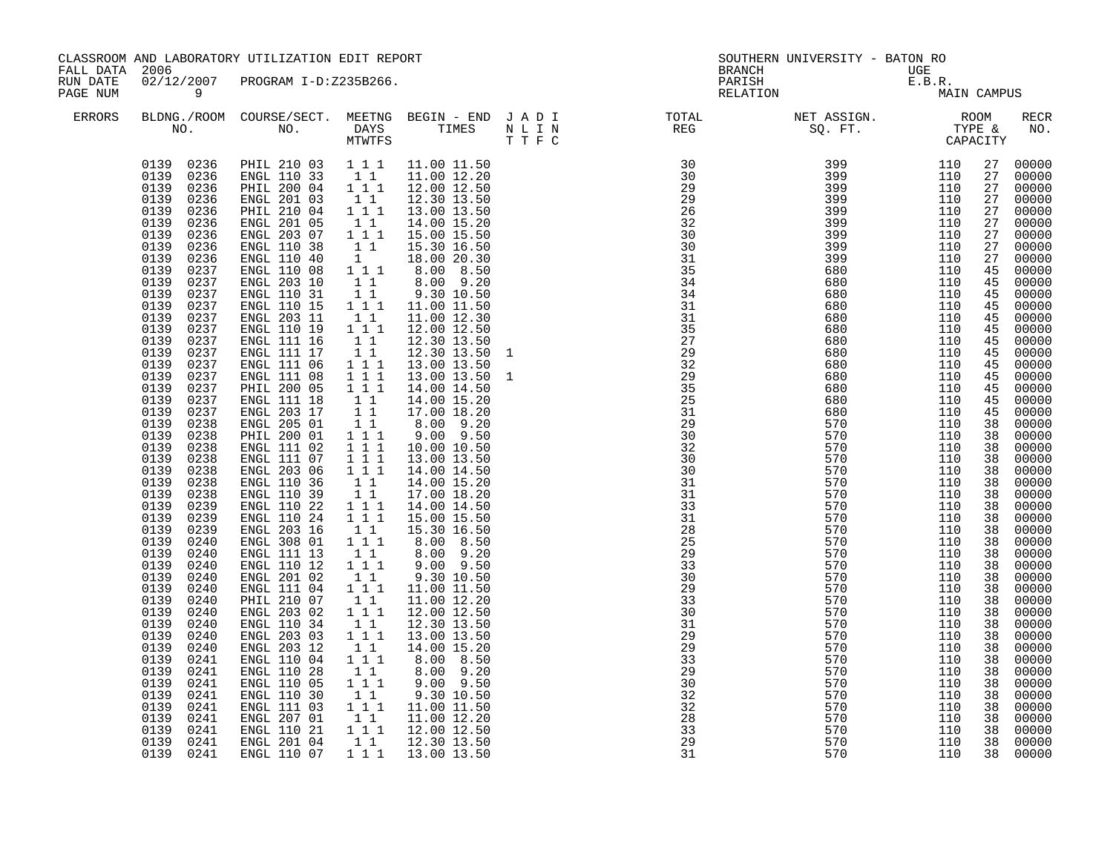| CLASSROOM AND LABORATORY UTILIZATION EDIT REPORT<br>FALL DATA 2006<br>02/12/2007<br>RUN DATE<br>PROGRAM I-D:Z235B266. |                                                                                                                                                                                                                                                                                                                                                                                                                                                                                                                                                                                                                                                                                                                                                                                                                                        |                                                                                                                                                                                                                                                                                                                                                                                                                                                                                                                                                                                                                                                                                                                                                                                                                               | <b>BRANCH</b>                                                                                                                                                                                                                                                                                                                                                                                                                                                                                                                                                                                                                              | SOUTHERN UNIVERSITY - BATON RO                                                                                                                                                                                                                                                                                                                                                                                                                                                                                                                                                                                                                                                                                                                 | UGE     |                                                                                                                                                                                                                                                                                                                                                                                                                                                                                                    |                                                             |                                                             |                                                                                                                                                                                                                                                                                                                |                                                                                                                                                                                                                                                                                                                                                                                                                                                                         |
|-----------------------------------------------------------------------------------------------------------------------|----------------------------------------------------------------------------------------------------------------------------------------------------------------------------------------------------------------------------------------------------------------------------------------------------------------------------------------------------------------------------------------------------------------------------------------------------------------------------------------------------------------------------------------------------------------------------------------------------------------------------------------------------------------------------------------------------------------------------------------------------------------------------------------------------------------------------------------|-------------------------------------------------------------------------------------------------------------------------------------------------------------------------------------------------------------------------------------------------------------------------------------------------------------------------------------------------------------------------------------------------------------------------------------------------------------------------------------------------------------------------------------------------------------------------------------------------------------------------------------------------------------------------------------------------------------------------------------------------------------------------------------------------------------------------------|--------------------------------------------------------------------------------------------------------------------------------------------------------------------------------------------------------------------------------------------------------------------------------------------------------------------------------------------------------------------------------------------------------------------------------------------------------------------------------------------------------------------------------------------------------------------------------------------------------------------------------------------|------------------------------------------------------------------------------------------------------------------------------------------------------------------------------------------------------------------------------------------------------------------------------------------------------------------------------------------------------------------------------------------------------------------------------------------------------------------------------------------------------------------------------------------------------------------------------------------------------------------------------------------------------------------------------------------------------------------------------------------------|---------|----------------------------------------------------------------------------------------------------------------------------------------------------------------------------------------------------------------------------------------------------------------------------------------------------------------------------------------------------------------------------------------------------------------------------------------------------------------------------------------------------|-------------------------------------------------------------|-------------------------------------------------------------|----------------------------------------------------------------------------------------------------------------------------------------------------------------------------------------------------------------------------------------------------------------------------------------------------------------|-------------------------------------------------------------------------------------------------------------------------------------------------------------------------------------------------------------------------------------------------------------------------------------------------------------------------------------------------------------------------------------------------------------------------------------------------------------------------|
| PAGE NUM                                                                                                              | $\overline{9}$                                                                                                                                                                                                                                                                                                                                                                                                                                                                                                                                                                                                                                                                                                                                                                                                                         |                                                                                                                                                                                                                                                                                                                                                                                                                                                                                                                                                                                                                                                                                                                                                                                                                               |                                                                                                                                                                                                                                                                                                                                                                                                                                                                                                                                                                                                                                            |                                                                                                                                                                                                                                                                                                                                                                                                                                                                                                                                                                                                                                                                                                                                                |         | PARISH<br>RELATION                                                                                                                                                                                                                                                                                                                                                                                                                                                                                 |                                                             | E.B.R.<br>MAIN CAMPUS                                       |                                                                                                                                                                                                                                                                                                                |                                                                                                                                                                                                                                                                                                                                                                                                                                                                         |
| <b>ERRORS</b>                                                                                                         |                                                                                                                                                                                                                                                                                                                                                                                                                                                                                                                                                                                                                                                                                                                                                                                                                                        |                                                                                                                                                                                                                                                                                                                                                                                                                                                                                                                                                                                                                                                                                                                                                                                                                               | MTWTFS                                                                                                                                                                                                                                                                                                                                                                                                                                                                                                                                                                                                                                     |                                                                                                                                                                                                                                                                                                                                                                                                                                                                                                                                                                                                                                                                                                                                                | T T F C | BLDNG./ROOM COURSE/SECT. MEETNG BEGIN – END J A D I TOTAL TOTAL NO. NO. DAYS TIMES N L I N REG REG                                                                                                                                                                                                                                                                                                                                                                                                 |                                                             |                                                             |                                                                                                                                                                                                                                                                                                                | RECR<br>NO.                                                                                                                                                                                                                                                                                                                                                                                                                                                             |
|                                                                                                                       | 0139 0236<br>0236<br>0139<br>0139<br>0236<br>0139<br>0236<br>0139<br>0236<br>0139<br>0236<br>0139<br>0236<br>0139<br>0236<br>0139<br>0236<br>0139<br>0237<br>0139<br>0237<br>0139<br>0237<br>0139<br>0237<br>0139<br>0237<br>0139<br>0237<br>0139<br>0237<br>0237<br>0139<br>0139<br>0237<br>0237<br>0139<br>0139<br>0237<br>0139<br>0237<br>0237<br>0139<br>0139<br>0238<br>0139<br>0238<br>0139<br>0238<br>0139<br>0238<br>0139<br>0238<br>0139<br>0238<br>0139<br>0238<br>0139<br>0239<br>0139<br>0239<br>0139<br>0239<br>0139<br>0240<br>0139<br>0240<br>0139<br>0240<br>0139<br>0240<br>0139<br>0240<br>0139<br>0240<br>0139<br>0240<br>0139<br>0240<br>0139<br>0240<br>0139<br>0240<br>0139<br>0241<br>0139<br>0241<br>0139<br>0241<br>0139<br>0241<br>0139<br>0241<br>0139<br>0241<br>0139<br>0241<br>0241<br>0139<br>0139 0241 | PHIL 210 03 1 1 1 11.00 11.50<br>ENGL 110 33<br>PHIL 200 04 1 1 1 12.00 12.50<br>ENGL 201 03<br>PHIL 210 04<br>ENGL 201 05<br>ENGL 203 07<br>ENGL 110 38<br>ENGL 110 40<br>ENGL 110 08<br>ENGL 203 10<br>ENGL 110 31<br>ENGL 110 15<br>ENGL 203 11<br>ENGL 110 19<br>ENGL 111 16<br>ENGL 111 17<br>ENGL 111 06<br>ENGL 111 08<br>PHIL 200 05<br>ENGL 111 18<br>ENGL 203 17<br>ENGL 205 01<br>PHIL 200 01<br>ENGL 111 02<br>ENGL 111 07<br>ENGL 203 06<br>ENGL 110 36<br>ENGL 110 39<br>ENGL 110 22<br>ENGL 110 24<br>ENGL 203 16<br>ENGL 308 01<br>ENGL 111 13<br>ENGL 110 12<br>ENGL 201 02<br>ENGL 111 04<br>PHIL 210 07<br>ENGL 203 02<br>ENGL 110 34<br>ENGL 203 03<br>ENGL 203 12<br>ENGL 110 04<br>ENGL 110 28<br>ENGL 110 05<br>ENGL 110 30<br>ENGL 111 03<br>ENGL 207 01<br>ENGL 110 21<br>ENGL 201 04<br>ENGL 110 07 | $1\quad1$<br>$1\quad1$<br>111<br>$\begin{smallmatrix}&1\\1&1\\1&1&1\end{smallmatrix}$<br>11<br>$\mathbf{1}$<br>1 1 1<br>$1\quad1$<br>$\begin{array}{c} \bar{1} & \bar{1} \\ 1 & 1 & 1 \end{array}$<br>11<br>$1 1 1$<br>$\begin{array}{ccc} & 1 & 1 \\ & 1 & 1 \end{array}$<br>1 1 1<br>$1 1 1$<br>1 1 1<br>$1\;1$<br>$1\quad1$<br>$1\quad1$<br>$1 1 1$<br>$1 1 1$<br>1 1 1<br>111<br>11<br>11<br>$1 1 1$<br>$1 1 1$<br>$1\quad1$<br>$1 1 1$<br>$1\quad1$<br>111<br>$1\quad1$<br>$1 1 1$<br>$1\quad1$<br>$1 1 1$<br>$1\quad1$<br>$1 1 1$<br>1 1<br>1 1 1<br>$1\quad1$<br>1 1 1<br>$1\quad1$<br>$1 1 1$<br>$1\quad1$<br>$1 1 1$<br>11<br>111 | 11.00 12.20<br>12.30 13.50<br>13.00 13.50<br>14.00 15.20<br>15.00 15.50<br>15.30 16.50<br>18.00 20.30<br>8.00 8.50<br>8.00 9.20<br>9.30 10.50<br>11.00 11.50<br>11.00 12.30<br>12.00 12.50<br>12.30 13.50<br>12.30 13.50<br>13.00 13.50<br>13.00 13.50<br>14.00 14.50<br>14.00 15.20<br>17.00 18.20<br>8.00 9.20<br>$9.00$ $9.50$<br>10.00 10.50<br>13.00 13.50<br>14.00 14.50<br>14.00 15.20<br>17.00 18.20<br>14.00 14.50<br>15.00 15.50<br>15.30 16.50<br>8.00 8.50<br>$8.00$ 9.20<br>$9.00$ $9.50$<br>9.30 10.50<br>11.00 11.50<br>11.00 12.20<br>12.00 12.50<br>12.30 13.50<br>13.00 13.50<br>14.00 15.20<br>8.00 8.50<br>8.00 9.20<br>9.00 9.50<br>9.30 10.50<br>11.00 11.50<br>11.00 12.20<br>12.00 12.50<br>12.30 13.50<br>13.00 13.50 |         | $\begin{array}{cccc} \texttt{N} \texttt{T} & \texttt{REC} & \texttt{SQ}, \texttt{FT} & \texttt{TY} \\ \texttt{N} \texttt{T} & \texttt{P} & \texttt{O} & \texttt{SQ}, \texttt{P} \texttt{T} & \texttt{TY} \\ \texttt{11} & \texttt{12} & \texttt{0} & \texttt{0} & \texttt{0} & \texttt{0} \\ \texttt{29} & \texttt{29} & \texttt{399} & \texttt{1110} & \texttt{110} \\ \texttt{29} & \texttt{299} & \texttt{399} & \texttt{11$<br>33<br>29<br>30<br>32<br>32<br>28<br>$\overline{33}$<br>29<br>31 | 570<br>570<br>570<br>570<br>570<br>570<br>570<br>570<br>570 | 110<br>110<br>110<br>110<br>110<br>110<br>110<br>110<br>110 | 27<br>27<br>27<br>27<br>27<br>27<br>27<br>27<br>27<br>45<br>45<br>45<br>45<br>45<br>45<br>45<br>45<br>45<br>45<br>45<br>45<br>45<br>38<br>38<br>38<br>38<br>38<br>38<br>38<br>38<br>38<br>38<br>38<br>38<br>38<br>38<br>38<br>38<br>38<br>38<br>38<br>38<br>38<br>38<br>38<br>38<br>38<br>38<br>38<br>38<br>38 | 00000<br>00000<br>00000<br>00000<br>00000<br>00000<br>00000<br>00000<br>00000<br>00000<br>00000<br>00000<br>00000<br>00000<br>00000<br>00000<br>00000<br>00000<br>00000<br>00000<br>00000<br>00000<br>00000<br>00000<br>00000<br>00000<br>00000<br>00000<br>00000<br>00000<br>00000<br>00000<br>00000<br>00000<br>00000<br>00000<br>00000<br>00000<br>00000<br>00000<br>00000<br>00000<br>00000<br>00000<br>00000<br>00000<br>00000<br>00000<br>00000<br>00000<br>00000 |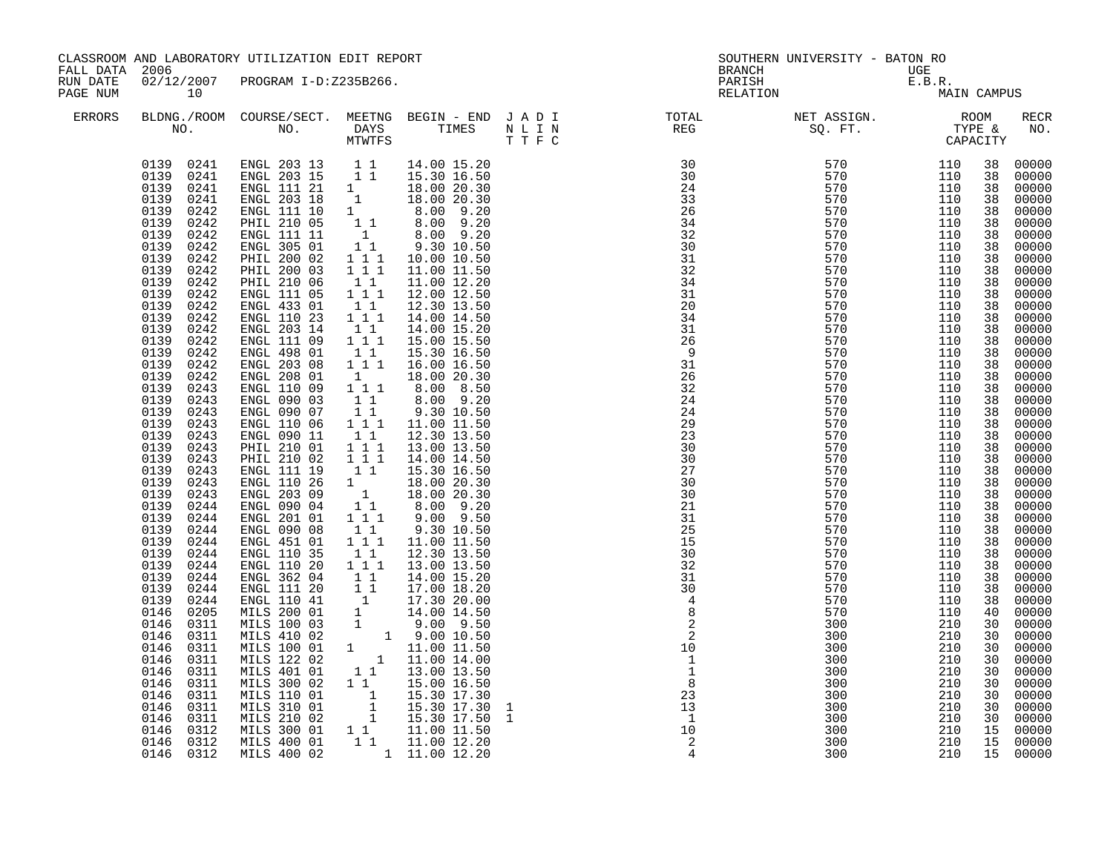| CLASSROOM AND LABORATORY UTILIZATION EDIT REPORT<br>FALL DATA 2006<br>02/12/2007 PROGRAM I-D:Z235B266.<br>RUN DATE<br>10<br>PAGE NUM |                                                                                                                                                                                                                                                                                                                                                                                                                                                                                                                                                                                                                                                                                                                                                                                                  |                                                                                                                                                                                                                                                                                                                                                                                                                                                                                                                                                                                                                                                                                                                                                                                                                                                                                                                                                                                                                                                                                                                                        | <b>BRANCH</b>                                                                                                                                                                                                                                                                                                                                                                            | SOUTHERN UNIVERSITY - BATON RO                                                                                                                                                                                                                                                                                                                                                                                                                                                                                                                                                                                                                                                           |                   |                                                                                                                                                                                                                                                                                                                                                                                                                                                                  |                                                                                  |                                                             |                                                                                                                                                                                                                                                                                                                |                                                                                                                                                                                                                                                                                                                                                                                                                                                                         |
|--------------------------------------------------------------------------------------------------------------------------------------|--------------------------------------------------------------------------------------------------------------------------------------------------------------------------------------------------------------------------------------------------------------------------------------------------------------------------------------------------------------------------------------------------------------------------------------------------------------------------------------------------------------------------------------------------------------------------------------------------------------------------------------------------------------------------------------------------------------------------------------------------------------------------------------------------|----------------------------------------------------------------------------------------------------------------------------------------------------------------------------------------------------------------------------------------------------------------------------------------------------------------------------------------------------------------------------------------------------------------------------------------------------------------------------------------------------------------------------------------------------------------------------------------------------------------------------------------------------------------------------------------------------------------------------------------------------------------------------------------------------------------------------------------------------------------------------------------------------------------------------------------------------------------------------------------------------------------------------------------------------------------------------------------------------------------------------------------|------------------------------------------------------------------------------------------------------------------------------------------------------------------------------------------------------------------------------------------------------------------------------------------------------------------------------------------------------------------------------------------|------------------------------------------------------------------------------------------------------------------------------------------------------------------------------------------------------------------------------------------------------------------------------------------------------------------------------------------------------------------------------------------------------------------------------------------------------------------------------------------------------------------------------------------------------------------------------------------------------------------------------------------------------------------------------------------|-------------------|------------------------------------------------------------------------------------------------------------------------------------------------------------------------------------------------------------------------------------------------------------------------------------------------------------------------------------------------------------------------------------------------------------------------------------------------------------------|----------------------------------------------------------------------------------|-------------------------------------------------------------|----------------------------------------------------------------------------------------------------------------------------------------------------------------------------------------------------------------------------------------------------------------------------------------------------------------|-------------------------------------------------------------------------------------------------------------------------------------------------------------------------------------------------------------------------------------------------------------------------------------------------------------------------------------------------------------------------------------------------------------------------------------------------------------------------|
|                                                                                                                                      |                                                                                                                                                                                                                                                                                                                                                                                                                                                                                                                                                                                                                                                                                                                                                                                                  |                                                                                                                                                                                                                                                                                                                                                                                                                                                                                                                                                                                                                                                                                                                                                                                                                                                                                                                                                                                                                                                                                                                                        |                                                                                                                                                                                                                                                                                                                                                                                          |                                                                                                                                                                                                                                                                                                                                                                                                                                                                                                                                                                                                                                                                                          |                   | PARISH<br>RELATION                                                                                                                                                                                                                                                                                                                                                                                                                                               | $\begin{array}{lll} \texttt{UGE} \\ \texttt{E.B.R.} \\ \texttt{MA1} \end{array}$ | MAIN CAMPUS                                                 |                                                                                                                                                                                                                                                                                                                |                                                                                                                                                                                                                                                                                                                                                                                                                                                                         |
| <b>ERRORS</b>                                                                                                                        |                                                                                                                                                                                                                                                                                                                                                                                                                                                                                                                                                                                                                                                                                                                                                                                                  |                                                                                                                                                                                                                                                                                                                                                                                                                                                                                                                                                                                                                                                                                                                                                                                                                                                                                                                                                                                                                                                                                                                                        |                                                                                                                                                                                                                                                                                                                                                                                          |                                                                                                                                                                                                                                                                                                                                                                                                                                                                                                                                                                                                                                                                                          |                   | BLDNG./ROOM COURSE/SECT. MEETNG BEGIN – END JADI TOTAL TOTAL NET ASSIGN. REG ROOM NO. DAYS TIMES NLIN REG SQ.FT. TYPE &                                                                                                                                                                                                                                                                                                                                          |                                                                                  |                                                             |                                                                                                                                                                                                                                                                                                                | RECR<br>NO.                                                                                                                                                                                                                                                                                                                                                                                                                                                             |
|                                                                                                                                      | 0139 0241<br>0139 0241<br>0139<br>0242<br>0139<br>0242<br>0139<br>0242<br>0139<br>0242<br>0139<br>0242<br>0139<br>0242<br>0139<br>0242<br>0139<br>0242<br>0139<br>0242<br>0139<br>0242<br>0139<br>0242<br>0139<br>0242<br>0139<br>0242<br>0139<br>0242<br>0139<br>0242<br>0139<br>0243<br>0243<br>0139<br>0139<br>0243<br>0139<br>0243<br>0139<br>0243<br>0139<br>0243<br>0139<br>0243<br>0139<br>0243<br>0139<br>0243<br>0139<br>0243<br>0139<br>0244<br>0139<br>0244<br>0139<br>0244<br>0139<br>0244<br>0139<br>0244<br>0139<br>0244<br>0139<br>0244<br>0139<br>0244<br>0139<br>0244<br>0146<br>0205<br>0146<br>0311<br>0146<br>0311<br>0146<br>0311<br>0146<br>0311<br>0146<br>0311<br>0146<br>0311<br>0146<br>0311<br>0146<br>0311<br>0146<br>0311<br>0146<br>0312<br>0146 0312<br>0146 0312 | $\begin{array}{cccccccc} 0139 & 0241 & \text{ENGL} & 203 & 13 & 1 & 1 & 14.00 & 15.20 \\ 0139 & 0241 & \text{ENGL} & 203 & 15 & 1 & 1 & 15.30 & 16.50 \end{array}$<br>ENGL 111 21 1<br>ENGL 111 21 1<br>ENGL 203 18 1 18.00 20.30<br>ENGL 111 10 1 8.00 9.20<br>PHIL 210 05 1 1 8.00 9.20<br>ENGL 111 11 1 8.00 9.20<br>ENGL 305 01<br>PHIL 200 02<br>PHIL 200 03<br>PHIL 210 06<br>ENGL 111 05<br>ENGL 433 01<br>ENGL 110 23<br>ENGL 203 14<br>ENGL 111 09<br>ENGL 498 01<br>ENGL 203 08<br>ENGL 208 01<br>ENGL 110 09<br>ENGL 090 03<br>ENGL 090 07<br>ENGL 110 06<br>ENGL 090 11<br>PHIL 210 01<br>PHIL 210 02<br>ENGL 111 19<br>ENGL 110 26<br>ENGL 203 09<br>ENGL 090 04<br>ENGL 201 01<br>ENGL 090 08<br>ENGL 451 01<br>ENGL 110 35<br>ENGL 110 20<br>ENGL 362 04<br>ENGL 362 04 1 1 14.00 15.20<br>ENGL 110 41 1 17.00 18.20<br>ENGL 110 41 1 17.30 20.00<br>MILS 200 01 1 14.00 14.50<br>MILS 100 03 1 9.00 9.50<br>MILS 410 02 1 9.00 10.50<br>MILS 100 01 1 11.00 11.50<br>MILS 122 02 1 11.00 14.00<br>MILS 40<br>MILS 300 02 1 1<br>MILS 110 01<br>MILS 310 01<br>MILS 210 02<br>MILS 300 01<br>MILS 400 01<br>MILS 400 02 | $\begin{smallmatrix}1&1\\1&1&1\end{smallmatrix}$<br>$1 1 1$<br>$\begin{bmatrix} 1 \\ 1 \\ 1 \end{bmatrix}$<br>11<br>1 1 1<br>11<br>$1 1 1$<br>$1\quad1$<br>1 1 1<br>$\mathbf{1}$<br>$1 1 1$<br>$1\quad1$<br>11<br>$1 1 1$<br>$1\quad1$<br>$1 1 1$<br>$1 1 1$<br>11<br>$\begin{smallmatrix}1&&\\&1\end{smallmatrix}$<br>11<br>1 1 1<br>$1\quad1$<br>$1 1 1$<br>11<br>$1 1 1$<br>$1\quad1$ | 9.30 10.50<br>10.00 10.50<br>11.00 11.50<br>11.00 12.20<br>12.00 12.50<br>12.30 13.50<br>14.00 14.50<br>14.00 15.20<br>15.00 15.50<br>15.30 16.50<br>16.00 16.50<br>18.00 20.30<br>8.00 8.50<br>8.00 9.20<br>9.30 10.50<br>11.00 11.50<br>12.30 13.50<br>13.00 13.50<br>14.00 14.50<br>15.30 16.50<br>18.00 20.30<br>18.00 20.30<br>8.00 9.20<br>$9.00$ $9.50$<br>9.30 10.50<br>11.00 11.50<br>12.30 13.50<br>13.00 13.50<br>14.00 15.20<br>15.00 16.50<br>$\begin{bmatrix} 1 & 15.30 & 17.30 \\ 1 & 15.30 & 17.30 \\ 1 & 15.30 & 17.50 \end{bmatrix}$<br>$\begin{bmatrix} 1 & 1 \\ 1 & 1 \end{bmatrix}$ $\begin{bmatrix} 11.00 & 11.50 \\ 11.00 & 12.20 \end{bmatrix}$<br>1 11.00 12.20 | 1<br>$\mathbf{1}$ | NETRE 1988 50, FT, TYRE 2002<br>1989 570 11110<br>1989 570 11110<br>1989 570 111110<br>1989 570 111110<br>1989 570 111110<br>1989 570 111110<br>1989 570 111110<br>1989 570 111110<br>1989 570 111110<br>1989 570 111110<br>1989 570 111110<br>1989 570 111110<br>198<br>$\begin{array}{c} 31 \\ 30 \\ 4 \\ 8 \\ 2 \\ 2 \\ 10 \\ 1 \end{array}$<br>$\frac{1}{1}$<br>$\begin{array}{c} 1\\ 8\\ 23\\ 13\\ 1 \end{array}$<br>$\overline{1}$<br>10<br>$\overline{a}$ | 300<br>300<br>300<br>300<br>300<br>300<br>300<br>300<br>300                      | 210<br>210<br>210<br>210<br>210<br>210<br>210<br>210<br>210 | 38<br>38<br>38<br>38<br>38<br>38<br>38<br>38<br>38<br>38<br>38<br>38<br>38<br>38<br>38<br>38<br>38<br>38<br>38<br>38<br>38<br>38<br>38<br>38<br>38<br>38<br>38<br>38<br>38<br>38<br>38<br>38<br>38<br>38<br>38<br>38<br>38<br>38<br>40<br>30<br>30<br>30<br>30<br>30<br>30<br>30<br>30<br>30<br>15<br>15<br>15 | 00000<br>00000<br>00000<br>00000<br>00000<br>00000<br>00000<br>00000<br>00000<br>00000<br>00000<br>00000<br>00000<br>00000<br>00000<br>00000<br>00000<br>00000<br>00000<br>00000<br>00000<br>00000<br>00000<br>00000<br>00000<br>00000<br>00000<br>00000<br>00000<br>00000<br>00000<br>00000<br>00000<br>00000<br>00000<br>00000<br>00000<br>00000<br>00000<br>00000<br>00000<br>00000<br>00000<br>00000<br>00000<br>00000<br>00000<br>00000<br>00000<br>00000<br>00000 |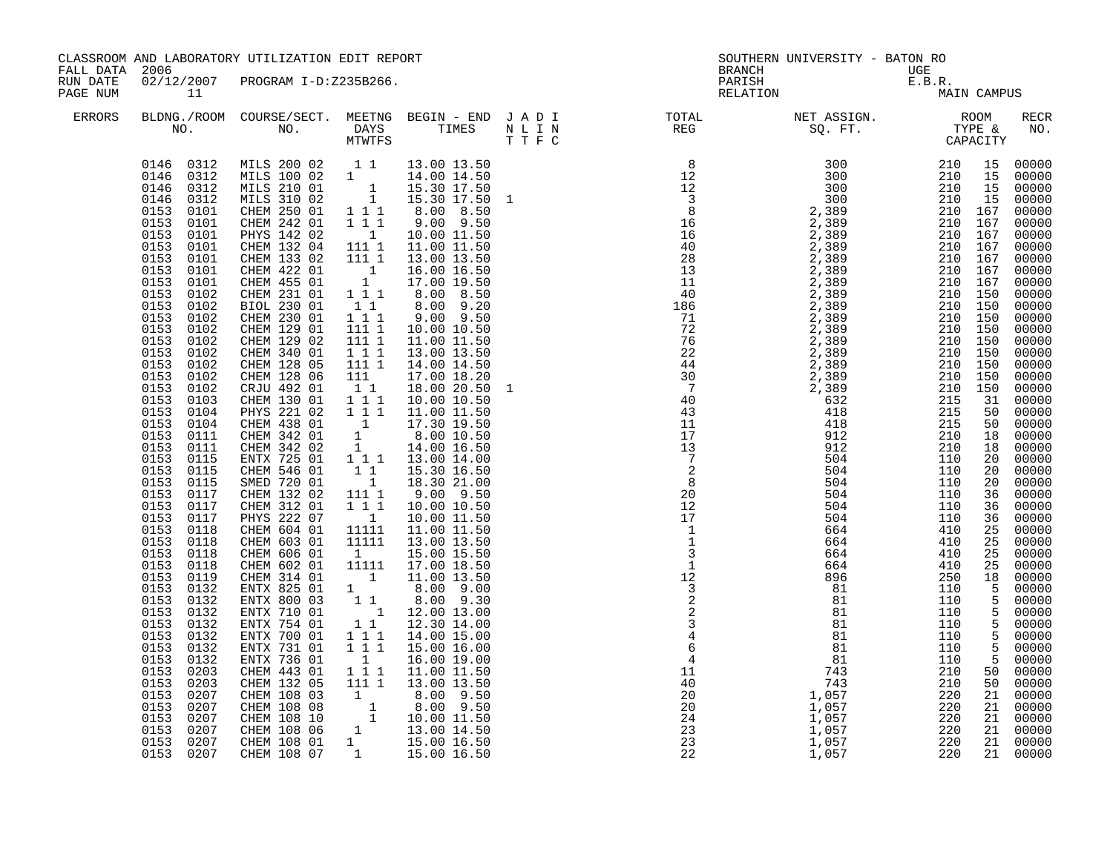| FALL DATA 2006       |                                                                                                                                                                                                                                                                                                                                                                                                                                                                                                                                                                                                                                                                                                                                                                                                                                     | CLASSROOM AND LABORATORY UTILIZATION EDIT REPORT                                                                                                                                                                                                                                                                                                                                                                                                                                                                                                                                                                                                                                                                                                                                                                               |                                                                                                                                                                                                                                                                                                                                                                                                                                                                                                                                                                                                                                          |                                                                                                                                                                                                                                                                                                                                                                                                                                                                                                                                                                                                                                                                                                                                                                                                                                                                                                                        | <b>BRANCH</b>                                                                                                                                                                                                                                                                                                                                           | SOUTHERN UNIVERSITY - BATON RO                            |                                               |                                        |                                                                                                                                                                                                                                                                                                                                                                                                                                             |
|----------------------|-------------------------------------------------------------------------------------------------------------------------------------------------------------------------------------------------------------------------------------------------------------------------------------------------------------------------------------------------------------------------------------------------------------------------------------------------------------------------------------------------------------------------------------------------------------------------------------------------------------------------------------------------------------------------------------------------------------------------------------------------------------------------------------------------------------------------------------|--------------------------------------------------------------------------------------------------------------------------------------------------------------------------------------------------------------------------------------------------------------------------------------------------------------------------------------------------------------------------------------------------------------------------------------------------------------------------------------------------------------------------------------------------------------------------------------------------------------------------------------------------------------------------------------------------------------------------------------------------------------------------------------------------------------------------------|------------------------------------------------------------------------------------------------------------------------------------------------------------------------------------------------------------------------------------------------------------------------------------------------------------------------------------------------------------------------------------------------------------------------------------------------------------------------------------------------------------------------------------------------------------------------------------------------------------------------------------------|------------------------------------------------------------------------------------------------------------------------------------------------------------------------------------------------------------------------------------------------------------------------------------------------------------------------------------------------------------------------------------------------------------------------------------------------------------------------------------------------------------------------------------------------------------------------------------------------------------------------------------------------------------------------------------------------------------------------------------------------------------------------------------------------------------------------------------------------------------------------------------------------------------------------|---------------------------------------------------------------------------------------------------------------------------------------------------------------------------------------------------------------------------------------------------------------------------------------------------------------------------------------------------------|-----------------------------------------------------------|-----------------------------------------------|----------------------------------------|---------------------------------------------------------------------------------------------------------------------------------------------------------------------------------------------------------------------------------------------------------------------------------------------------------------------------------------------------------------------------------------------------------------------------------------------|
| RUN DATE<br>PAGE NUM | 11                                                                                                                                                                                                                                                                                                                                                                                                                                                                                                                                                                                                                                                                                                                                                                                                                                  | 02/12/2007 PROGRAM I-D:Z235B266.                                                                                                                                                                                                                                                                                                                                                                                                                                                                                                                                                                                                                                                                                                                                                                                               |                                                                                                                                                                                                                                                                                                                                                                                                                                                                                                                                                                                                                                          |                                                                                                                                                                                                                                                                                                                                                                                                                                                                                                                                                                                                                                                                                                                                                                                                                                                                                                                        | PARISH<br>RELATION                                                                                                                                                                                                                                                                                                                                      | UGE<br>E.B.R.<br>MA:                                      |                                               | MAIN CAMPUS                            |                                                                                                                                                                                                                                                                                                                                                                                                                                             |
| <b>ERRORS</b>        |                                                                                                                                                                                                                                                                                                                                                                                                                                                                                                                                                                                                                                                                                                                                                                                                                                     |                                                                                                                                                                                                                                                                                                                                                                                                                                                                                                                                                                                                                                                                                                                                                                                                                                |                                                                                                                                                                                                                                                                                                                                                                                                                                                                                                                                                                                                                                          |                                                                                                                                                                                                                                                                                                                                                                                                                                                                                                                                                                                                                                                                                                                                                                                                                                                                                                                        |                                                                                                                                                                                                                                                                                                                                                         |                                                           |                                               |                                        | RECR<br>NO.                                                                                                                                                                                                                                                                                                                                                                                                                                 |
|                      | 0146 0312<br>0146 0312<br>0146<br>0312<br>0146<br>0312<br>0153<br>0101<br>0153<br>0101<br>0153<br>0101<br>0153<br>0101<br>0153<br>0101<br>0153<br>0101<br>0153<br>0101<br>0153<br>0102<br>0153<br>0102<br>0153<br>0102<br>0153<br>0102<br>0153<br>0102<br>0153<br>0102<br>0153<br>0102<br>0153<br>0102<br>0153<br>0102<br>0153<br>0103<br>0153<br>0104<br>0153<br>0104<br>0153<br>0111<br>0153<br>0111<br>0153<br>0115<br>0153<br>0115<br>0153<br>0115<br>0153<br>0117<br>0153<br>0117<br>0153<br>0117<br>0153<br>0118<br>0153<br>0118<br>0153<br>0118<br>0153<br>0118<br>0153<br>0119<br>0153<br>0132<br>0153<br>0132<br>0153<br>0132<br>0153<br>0132<br>0153<br>0132<br>0153<br>0132<br>0153<br>0132<br>0153<br>0203<br>0153<br>0203<br>0153<br>0207<br>0153<br>0207<br>0153<br>0207<br>0153<br>0207<br>0153<br>0207<br>0153 0207 | MILS 200 02 1 1<br>MILS 200 02<br>MILS 100 02 1<br>MILS 210 01 1<br>MILS 310 02 1<br>CHEM 250 01 1 1 1<br>CHEM 242 01<br>PHYS 142 02<br>CHEM 132 04<br>CHEM 133 02<br>CHEM 422 01<br>CHEM 455 01<br>CHEM 231 01<br>BIOL 230 01<br>CHEM 230 01<br>CHEM 129 01<br>CHEM 129 02<br>CHEM 340 01<br>CHEM 128 05<br>CHEM 128 06<br>CRJU 492 01<br>CHEM 130 01<br>PHYS 221 02<br>CHEM 438 01<br>CHEM 342 01<br>CHEM 342 02<br>ENTX 725 01<br>CHEM 546 01<br>SMED 720 01<br>CHEM 132 02<br>CHEM 312 01<br>PHYS 222 07<br>CHEM 604 01<br>CHEM 603 01<br>CHEM 606 01<br>CHEM 602 01<br>CHEM 314 01<br>ENTX 825 01 1<br>ENTX 800 03 1 1<br>ENTX 710 01<br>ENTX 754 01<br>ENTX 700 01<br>ENTX 731 01<br>ENTX 736 01<br>CHEM 443 01<br>CHEM 132 05<br>CHEM 108 03<br>CHEM 108 08<br>CHEM 108 10<br>CHEM 108 06<br>CHEM 108 01<br>CHEM 108 07 | $1 1 1$<br>$\overline{1}$<br>$1111$<br>111 1<br>$\begin{smallmatrix} & &1\\ & &1\\ 1 & &\end{smallmatrix}$<br>$\begin{array}{rr}\n1 & 1 & 1 \\  & 1 & 1\n\end{array}$<br>$1 1 1$<br>$1111$<br>$\begin{array}{c} 111 \\ 111 \\ 1 \end{array}$<br>111 1<br>111<br>$\begin{smallmatrix}1&1\\1&1&1\\1&1&1\end{smallmatrix}$<br>1<br>$\begin{smallmatrix}1\\1\\1\end{smallmatrix}$<br>$1 1 1$<br>$\begin{bmatrix} 1 \\ 1 \\ 1 \end{bmatrix}$<br>111 1<br>111<br>$\overline{1}$<br>11111<br>11111<br>$\mathbf{1}$<br>11111<br>$\begin{array}{ccc} 1&1&1\\ 1&1&1 \end{array}$<br>$\begin{smallmatrix}&&1\\1&1&1\end{smallmatrix}$<br>111 1<br>1 | 13.00 13.50<br>14.00 14.50<br>15.30 17.50<br>15.30 17.50 1<br>8.00 8.50<br>$9.00$ $9.50$<br>10.00 11.50<br>11.00 11.50<br>13.00 13.50<br>16.00 16.50<br>17.00 19.50<br>8.00 8.50<br>8.00 9.20<br>$9.00$ $9.50$<br>10.00 10.50<br>11.00 11.50<br>13.00 13.50<br>14.00 14.50<br>17.00 18.20<br>18.00 20.50<br>10.00 10.50<br>11.00 11.50<br>17.30 19.50<br>8.00 10.50<br>14.00 16.50<br>13.00 14.00<br>15.30 16.50<br>18.30 21.00<br>$9.00$ $9.50$<br>10.00 10.50<br>10.00 11.50<br>11.00 11.50<br>13.00 13.50<br>15.00 15.50<br>17.00 18.50<br>11.00 13.50<br>8.00 9.00<br>8.00 9.30<br>$\begin{bmatrix} 1 & 1 & 1 & 1 & 1 & 1 \\ 1 & 1 & 1 & 1 & 1 \\ 1 & 1 & 1 & 1 & 1 \end{bmatrix}$<br>14.00 15.00<br>15.00 16.00<br>16.00 19.00<br>11.00 11.50<br>13.00 13.50<br>8.00 9.50<br>$\begin{array}{cccc} 1 & 0.00 & 9.50 \ 1 & 1 & 0.00 & 11.50 \ 1 & 13.00 & 14.50 \ 1 & 15.00 & 16.50 \ 1 & 15.00 & 16.50 \end{array}$ | $\begin{array}{r} 3 \\ 3 \\ 12 \\ 2 \\ 3 \\ 2 \\ 2 \\ 3 \\ 4 \\ 6 \\ 4 \\ 1 \\ 1 \\ 4 \\ 0 \\ 20 \\ 20 \\ 20 \\ 22 \\ 23 \\ 23 \\ 22 \\ 23 \\ 22 \\ 24 \\ 23 \\ 22 \\ 24 \\ 23 \\ 24 \\ 22 \\ 24 \\ 25 \\ 26 \\ 27 \\ 28 \\ 22 \\ 23 \\ 24 \\ 25 \\ 27 \\ 28 \\ 29 \\ 21 \\ 22 \\ 23 \\ 24 \\ 25 \\ 27 \\ 28 \\ 29 \\ 20 \\ 21 \\ 22 \\ 23 \\ 24 \\ 25$ | 743<br>1,057<br>1,057<br>1,057<br>1,057<br>1,057<br>1,057 | 210<br>220<br>220<br>220<br>220<br>220<br>220 | 50<br>21<br>21<br>21<br>21<br>21<br>21 | 00000<br>00000<br>00000<br>00000<br>$00000$<br>$00000$<br>00000<br>00000<br>00000<br>00000<br>00000<br>00000<br>00000<br>$00000$<br>00000<br>00000<br>00000<br>00000<br>00000<br>00000<br>00000<br>00000<br>00000<br>00000<br>00000<br>00000<br>00000<br>00000<br>00000<br>00000<br>00000<br>00000<br>00000<br>00000<br>00000<br>00000<br>00000<br>00000<br>00000<br>00000<br>00000<br>00000<br>$00000$<br>00000<br>00000<br>00000<br>00000 |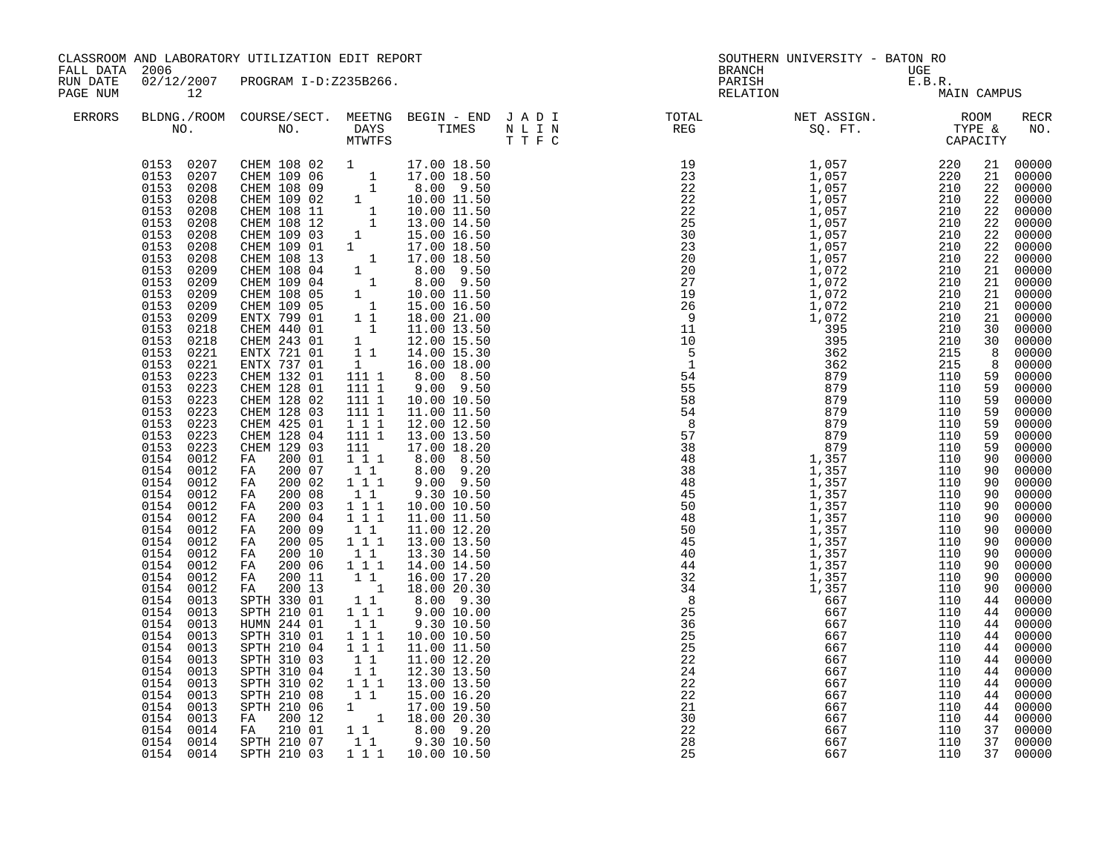| FALL DATA 2006       |                                                                                                                                                                                                                                                                                                                                                                                                                                                                                                                                                                                                                                                                                                                                                                                                                   | CLASSROOM AND LABORATORY UTILIZATION EDIT REPORT                                                                                                                                                                                                                                                                                                                                                                                                                                                                                                                                                                                                                                                                                                                                                                           |                                                                                                                                                                                                                                                                                                                                                                                   |                                                                                                                                                                                                                                                                                                                                                                                                                                                                                                                                                                                                                                                                                                                                                                                                                                                                                       |                                                                                   | SOUTHERN UNIVERSITY - BATON RO<br><b>BRANCH</b>                                                                                                                                                                                                                                                                                                                                                                                                                        | UGE                                                                              |                                                                                                                                                                                                                                                                                                              |                                                                                                                                                                                                                                                                                                                                                                                                                                                                      |
|----------------------|-------------------------------------------------------------------------------------------------------------------------------------------------------------------------------------------------------------------------------------------------------------------------------------------------------------------------------------------------------------------------------------------------------------------------------------------------------------------------------------------------------------------------------------------------------------------------------------------------------------------------------------------------------------------------------------------------------------------------------------------------------------------------------------------------------------------|----------------------------------------------------------------------------------------------------------------------------------------------------------------------------------------------------------------------------------------------------------------------------------------------------------------------------------------------------------------------------------------------------------------------------------------------------------------------------------------------------------------------------------------------------------------------------------------------------------------------------------------------------------------------------------------------------------------------------------------------------------------------------------------------------------------------------|-----------------------------------------------------------------------------------------------------------------------------------------------------------------------------------------------------------------------------------------------------------------------------------------------------------------------------------------------------------------------------------|---------------------------------------------------------------------------------------------------------------------------------------------------------------------------------------------------------------------------------------------------------------------------------------------------------------------------------------------------------------------------------------------------------------------------------------------------------------------------------------------------------------------------------------------------------------------------------------------------------------------------------------------------------------------------------------------------------------------------------------------------------------------------------------------------------------------------------------------------------------------------------------|-----------------------------------------------------------------------------------|------------------------------------------------------------------------------------------------------------------------------------------------------------------------------------------------------------------------------------------------------------------------------------------------------------------------------------------------------------------------------------------------------------------------------------------------------------------------|----------------------------------------------------------------------------------|--------------------------------------------------------------------------------------------------------------------------------------------------------------------------------------------------------------------------------------------------------------------------------------------------------------|----------------------------------------------------------------------------------------------------------------------------------------------------------------------------------------------------------------------------------------------------------------------------------------------------------------------------------------------------------------------------------------------------------------------------------------------------------------------|
| RUN DATE<br>PAGE NUM | 12                                                                                                                                                                                                                                                                                                                                                                                                                                                                                                                                                                                                                                                                                                                                                                                                                | 02/12/2007 PROGRAM I-D:Z235B266.                                                                                                                                                                                                                                                                                                                                                                                                                                                                                                                                                                                                                                                                                                                                                                                           |                                                                                                                                                                                                                                                                                                                                                                                   |                                                                                                                                                                                                                                                                                                                                                                                                                                                                                                                                                                                                                                                                                                                                                                                                                                                                                       |                                                                                   | UGE<br>E.B.R.<br>MA<br>PARISH<br>RELATION                                                                                                                                                                                                                                                                                                                                                                                                                              | MAIN CAMPUS                                                                      |                                                                                                                                                                                                                                                                                                              |                                                                                                                                                                                                                                                                                                                                                                                                                                                                      |
| <b>ERRORS</b>        |                                                                                                                                                                                                                                                                                                                                                                                                                                                                                                                                                                                                                                                                                                                                                                                                                   |                                                                                                                                                                                                                                                                                                                                                                                                                                                                                                                                                                                                                                                                                                                                                                                                                            |                                                                                                                                                                                                                                                                                                                                                                                   |                                                                                                                                                                                                                                                                                                                                                                                                                                                                                                                                                                                                                                                                                                                                                                                                                                                                                       |                                                                                   |                                                                                                                                                                                                                                                                                                                                                                                                                                                                        |                                                                                  |                                                                                                                                                                                                                                                                                                              | RECR<br>NO.                                                                                                                                                                                                                                                                                                                                                                                                                                                          |
|                      | 0153 0207<br>0153 0207<br>0153<br>0208<br>0153<br>0208<br>0153<br>0208<br>0153<br>0208<br>0153<br>0208<br>0153<br>0208<br>0153<br>0208<br>0153<br>0209<br>0153<br>0209<br>0153<br>0209<br>0209<br>0153<br>0153<br>0209<br>0153<br>0218<br>0153<br>0218<br>0153<br>0221<br>0153<br>0221<br>0153<br>0223<br>0153<br>0223<br>0153<br>0223<br>0153<br>0223<br>0153<br>0223<br>0153<br>0223<br>0153<br>0223<br>0154<br>0012<br>0154<br>0012<br>0154<br>0012<br>0154 0012<br>0154<br>0012<br>0154 0012<br>0154 0012<br>0154 0012<br>0154<br>0012<br>0154 0012<br>0154<br>0012<br>0154<br>0012<br>0154<br>0013<br>0154<br>0013<br>0154<br>0013<br>0154<br>0013<br>0154<br>0013<br>0154<br>0013<br>0154<br>0013<br>0154<br>0013<br>0154<br>0013<br>0154<br>0013<br>0154<br>0013<br>0154<br>0014<br>0154 0014<br>0154 0014 | CHEM 108 02 1<br>CHEM 109 06 1<br>CHEM 108 09 1<br>CHEM 108 02 1<br>CHEM 108 11 1<br>CHEM 108 12 1<br>CHEM 109 03 1<br>CHEM 109 01 1<br>CHEM 108 04 1<br>CHEM 108 04 1<br>CHEM 108 04 1<br>CHEM 108 05 1<br>CHEM 108 05 1<br>CHEM 108 05 1<br>CHEM 108 05<br>CHEM 440 01<br>CHEM 243 01<br>ENTX 721 01<br>ENTX 737 01<br>CHEM 132 01<br>CHEM 128 01<br>CHEM 128 02<br>CHEM 128 03<br>CHEM 425 01<br>CHEM 128 04<br>CHEM 129 03<br>200 01<br>FA<br>200 07<br>FA<br>200 02<br>FA<br>200 08<br>FA<br>200 03<br>FA<br>FA 200 04<br>FA 200 09<br>FA 200 05<br>FA 200 10<br>FA 200 06<br>FA 200 11<br>FA 200 13<br>SPTH 330 01<br>SPTH 210 01<br>HUMN 244 01<br>SPTH 310 01<br>SPTH 210 04<br>SPTH 310 03<br>SPTH 310 04<br>SPTH 310 02<br>SPTH 210 08<br>SPTH 210 06<br>200 12<br>FA<br>FA 210 01<br>SPTH 210 07<br>SPTH 210 03 | $\overline{\phantom{a}}$<br>$\begin{smallmatrix}1\\1\\1\end{smallmatrix}$<br>1<br>$1\bar{1}1$ $1$<br>111 1<br>111 1<br>111 1<br>111<br>111 1<br>111<br>$1 1 1$<br>$1\quad1$<br>111<br>$1\quad1$<br>$1 1 1$<br>$1 1 1$<br>$1\quad1$<br>111<br>1 1<br>$1 1 1$<br>11<br>$\overline{\phantom{a}}$<br>$1\quad1$<br>1 1 1<br>$1\quad1$<br>1 1 1<br>111<br>1 1<br>11<br>111<br>$1\quad1$ | 17.00 18.50<br>17.00 18.50<br>8.00 9.50<br>10.00 11.50<br>10.00 11.50<br>13.00 14.50<br>15.00 16.50<br>17.00 18.50<br>17.00 18.50<br>8.00 9.50<br>8.00 9.50<br>10.00 11.50<br>15.00 16.50<br>18.00 21.00<br>11.00 13.50<br>12.00 15.50<br>14.00 15.30<br>16.00 18.00<br>8.00 8.50<br>9.00 9.50<br>10.00 10.50<br>11.00 11.50<br>12.00 12.50<br>13.00 13.50<br>17.00 18.20<br>8.00 8.50<br>8.00 9.20<br>$9.00$ $9.50$<br>9.30 10.50<br>10.00 10.50<br>11.00 11.50<br>11.00 12.20<br>13.00 13.50<br>13.30 14.50<br>14.00 14.50<br>16.00 17.20<br>18.00 20.30<br>8.00 9.30<br>9.00 10.00<br>9.30 10.50<br>10.00 10.50<br>11.00 11.50<br>11.00 12.20<br>12.30 13.50<br>13.00 13.50<br>15.00 16.20<br>$\begin{array}{cccc} 1 & & 17.00 & 19.50 \\ & 1 & 18.00 & 20.30 \end{array}$<br>$\begin{array}{cccc} 1 & 1 & 8.00 & 9.20 \\ 1 & 1 & 9.30 & 10.50 \end{array}$<br>1 1 1 1 10.00 10.50 | 36<br>25<br>$\overline{25}$<br>22<br>24<br>22<br>22<br>21<br>30<br>22<br>28<br>25 | $\begin{array}{cccc} \textbf{1.7} & \textbf{1.8} & \textbf{1.9} \\ \textbf{2.8} & \textbf{3.9} & \textbf{1.957} & \textbf{2.20} \\ \textbf{3.9} & \textbf{1.957} & \textbf{2.20} \\ \textbf{2.21} & \textbf{1.957} & \textbf{2.20} \\ \textbf{2.22} & \textbf{1.957} & \textbf{2.20} \\ \textbf{2.22} & \textbf{1.957} & \textbf{2.210} \\ \textbf{2.22} & \textbf{1.957} & \text$<br>667<br>667<br>667<br>667<br>667<br>667<br>667<br>667<br>667<br>667<br>667<br>667 | 110<br>110<br>110<br>110<br>110<br>110<br>110<br>110<br>110<br>110<br>110<br>110 | 21<br>21<br>22<br>22<br>22<br>22<br>22<br>22<br>22<br>21<br>21<br>21<br>21<br>21<br>30<br>30<br>8<br>8<br>59<br>59<br>59<br>59<br>59<br>59<br>59<br>90<br>90<br>90<br>90<br>90<br>90<br>90<br>90<br>90<br>90<br>90<br>90<br>44<br>44<br>44<br>44<br>44<br>44<br>44<br>44<br>44<br>44<br>44<br>37<br>37<br>37 | 00000<br>00000<br>00000<br>00000<br>00000<br>00000<br>00000<br>00000<br>00000<br>00000<br>00000<br>00000<br>$00000$<br>$00000$<br>00000<br>00000<br>00000<br>00000<br>00000<br>00000<br>00000<br>00000<br>00000<br>00000<br>00000<br>00000<br>00000<br>00000<br>00000<br>00000<br>00000<br>$00000$<br>00000<br>00000<br>00000<br>00000<br>00000<br>00000<br>00000<br>00000<br>00000<br>00000<br>00000<br>00000<br>00000<br>00000<br>00000<br>00000<br>00000<br>00000 |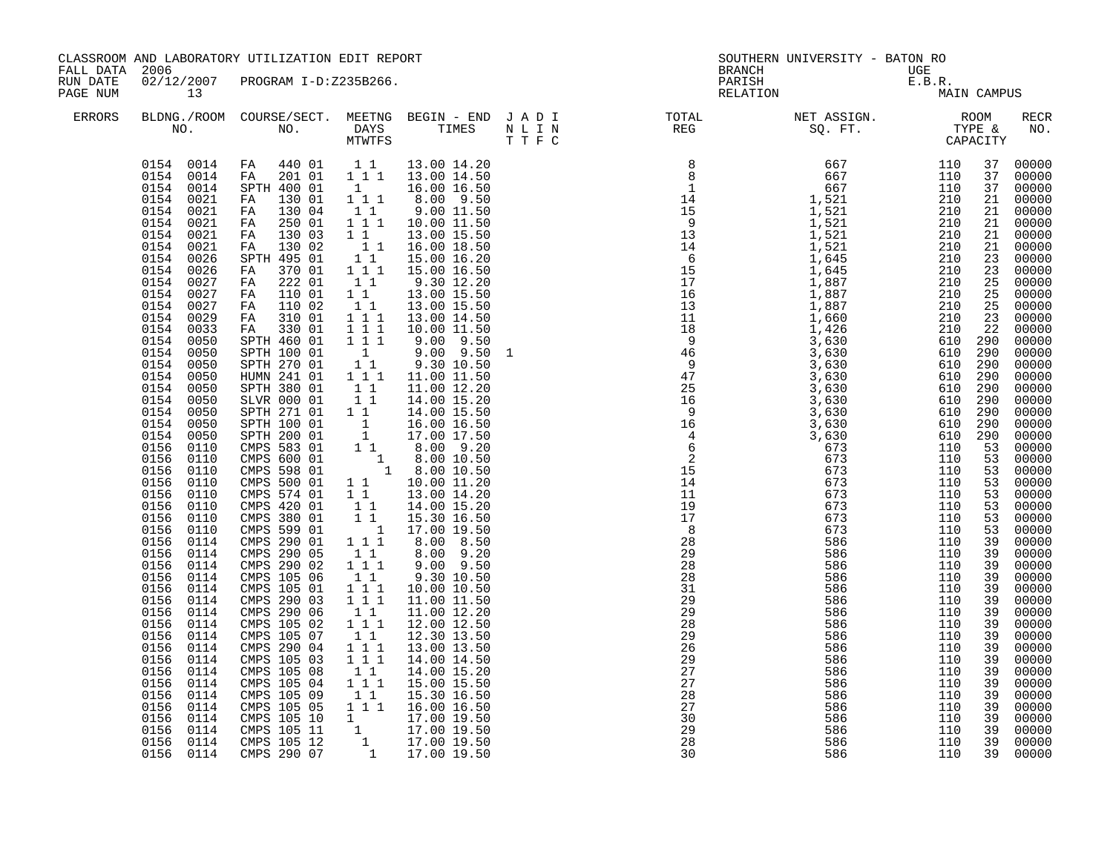| CLASSROOM AND LABORATORY UTILIZATION EDIT REPORT<br>FALL DATA 2006<br>RUN DATE<br>02/12/2007<br>PROGRAM I-D:Z235B266. |                                                                                                                                                                                                                                                                                                                                                                                                                                                                                                                                                                                                                                                                                                                                                                                                            |                                                                                                                                                                                                                                                                                                                                                                                                                                                                                                                                                                                                                                                                                                                                                                                                                          | <b>BRANCH</b>                                                                                                                                                                                                                                                                                                                                                                                                                               | SOUTHERN UNIVERSITY - BATON RO                                                                                                                                                                                                                                                                                                                                                                                                                                                                                                                                                                                                                                                                                                                                                                                                                                                                            | UGE                                                                                                                      |  |                                          |                                                                                                                                                                                                                                                                                             |                                                                                                                                                                                                                                                                                                                                                                                                                                                                         |
|-----------------------------------------------------------------------------------------------------------------------|------------------------------------------------------------------------------------------------------------------------------------------------------------------------------------------------------------------------------------------------------------------------------------------------------------------------------------------------------------------------------------------------------------------------------------------------------------------------------------------------------------------------------------------------------------------------------------------------------------------------------------------------------------------------------------------------------------------------------------------------------------------------------------------------------------|--------------------------------------------------------------------------------------------------------------------------------------------------------------------------------------------------------------------------------------------------------------------------------------------------------------------------------------------------------------------------------------------------------------------------------------------------------------------------------------------------------------------------------------------------------------------------------------------------------------------------------------------------------------------------------------------------------------------------------------------------------------------------------------------------------------------------|---------------------------------------------------------------------------------------------------------------------------------------------------------------------------------------------------------------------------------------------------------------------------------------------------------------------------------------------------------------------------------------------------------------------------------------------|-----------------------------------------------------------------------------------------------------------------------------------------------------------------------------------------------------------------------------------------------------------------------------------------------------------------------------------------------------------------------------------------------------------------------------------------------------------------------------------------------------------------------------------------------------------------------------------------------------------------------------------------------------------------------------------------------------------------------------------------------------------------------------------------------------------------------------------------------------------------------------------------------------------|--------------------------------------------------------------------------------------------------------------------------|--|------------------------------------------|---------------------------------------------------------------------------------------------------------------------------------------------------------------------------------------------------------------------------------------------------------------------------------------------|-------------------------------------------------------------------------------------------------------------------------------------------------------------------------------------------------------------------------------------------------------------------------------------------------------------------------------------------------------------------------------------------------------------------------------------------------------------------------|
| PAGE NUM                                                                                                              | 13                                                                                                                                                                                                                                                                                                                                                                                                                                                                                                                                                                                                                                                                                                                                                                                                         |                                                                                                                                                                                                                                                                                                                                                                                                                                                                                                                                                                                                                                                                                                                                                                                                                          |                                                                                                                                                                                                                                                                                                                                                                                                                                             |                                                                                                                                                                                                                                                                                                                                                                                                                                                                                                                                                                                                                                                                                                                                                                                                                                                                                                           | PARISH<br>RELATION                                                                                                       |  | E.B.R.<br>MAIN CAMPUS                    |                                                                                                                                                                                                                                                                                             |                                                                                                                                                                                                                                                                                                                                                                                                                                                                         |
| <b>ERRORS</b>                                                                                                         |                                                                                                                                                                                                                                                                                                                                                                                                                                                                                                                                                                                                                                                                                                                                                                                                            |                                                                                                                                                                                                                                                                                                                                                                                                                                                                                                                                                                                                                                                                                                                                                                                                                          |                                                                                                                                                                                                                                                                                                                                                                                                                                             |                                                                                                                                                                                                                                                                                                                                                                                                                                                                                                                                                                                                                                                                                                                                                                                                                                                                                                           | BLDNG./ROOM COURSE/SECT. MEETNG BEGIN – END JADI TOTAL TOTAL NET ASSIGN. ROOM ROOM NO. DAYS TIMES NLIN REG SQ.FT. TYPE & |  |                                          |                                                                                                                                                                                                                                                                                             | <b>RECR</b><br>NO.                                                                                                                                                                                                                                                                                                                                                                                                                                                      |
|                                                                                                                       | 0154 0014<br>0154 0014<br>0154 0021<br>0021<br>0154<br>0154<br>0021<br>0154<br>0021<br>0154<br>0021<br>0154<br>0026<br>0154<br>0026<br>0154<br>0027<br>0154<br>0027<br>0154<br>0027<br>0154<br>0029<br>0154<br>0033<br>0154<br>0050<br>0154<br>0050<br>0154<br>0050<br>0154<br>0050<br>0154<br>0050<br>0154<br>0050<br>0154<br>0050<br>0154<br>0050<br>0154<br>0050<br>0156<br>0110<br>0156<br>0110<br>0156 0110<br>0156<br>0110<br>0156<br>0110<br>0156<br>0110<br>0156 0110<br>0156<br>0110<br>0156<br>0114<br>0156<br>0114<br>0156<br>0114<br>0156<br>0114<br>0156<br>0114<br>0156<br>0114<br>0156<br>0114<br>0156<br>0114<br>0156<br>0114<br>0156<br>0114<br>0156<br>0114<br>0156<br>0114<br>0156<br>0114<br>0156<br>0114<br>0156<br>0114<br>0156<br>0114<br>0156<br>0114<br>0156<br>0114<br>0156 0114 | 0154 0014 FA 440 01 11<br>FA 201 01 1 1 1 1 13.00 14.50<br>SPTH 400 01<br>FA 130 01<br>130 04<br>FA<br>250 01<br>FA<br>130 03<br>FA<br>130 02<br>FA<br>SPTH 495 01<br>FA<br>370 01<br>222 01<br>FA<br>FA 110 01<br>FA<br>110 02<br>FA 310 01<br>330 01<br>FA<br>SPTH 460 01<br>SPTH 100 01<br>SPTH 270 01<br>HUMN 241 01<br>SPTH 380 01<br>SLVR 000 01<br>SPTH 271 01<br>SPTH 100 01<br>SPTH 200 01<br>CMPS 583 01<br>CMPS 600 01<br>CMPS 598 01<br>CMPS 500 01<br>CMPS 574 01<br>CMPS 420 01<br>CMPS 380 01<br>CMPS 599 01<br>CMPS 290 01<br>CMPS 290 05<br>CMPS 290 02<br>CMPS 105 06<br>CMPS 105 01<br>CMPS 290 03<br>CMPS 290 06<br>CMPS 105 02<br>CMPS 105 07<br>CMPS 290 04<br>CMPS 105 03<br>CMPS 105 08<br>CMPS 105 04<br>CMPS 105 09<br>CMPS 105 05<br>CMPS 105 10<br>CMPS 105 11<br>CMPS 105 12<br>CMPS 290 07 | $\mathbf{1}$<br>1 1 1<br>1 1<br>1 1 1<br>$1\quad1$<br>$\frac{1}{1}$ 1<br>$1^{\degree}1^{\degree}$<br>111<br>$1\quad1$<br>$1\quad1$<br>11<br>1 1 1<br>111<br>$1 1 1$<br>1<br>11<br>111<br>11<br>11<br>11<br>$\begin{array}{c} 1 \\ 1 \end{array}$<br>11<br>$1\quad1$<br>11<br>$1\quad1$<br>$\overline{1}$<br>1 1 1<br>$1\quad1$<br>1 1 1<br>1 1<br>1 1 1<br>1 1 1<br>1 1<br>111<br>$1\quad1$<br>$1 1 1$<br>1 1 1<br>$1\quad1$<br>1 1 1<br>11 | 13.00 14.20<br>16.00 16.50<br>8.00 9.50<br>9.00 11.50<br>10.00 11.50<br>13.00 15.50<br>16.00 18.50<br>15.00 16.20<br>15.00 16.50<br>9.30 12.20<br>13.00 15.50<br>13.00 15.50<br>13.00 14.50<br>10.00 11.50<br>$9.00$ $9.50$<br>$9.00$ $9.50$<br>9.30 10.50<br>11.00 11.50<br>11.00 12.20<br>14.00 15.20<br>14.00 15.50<br>16.00 16.50<br>17.00 17.50<br>8.00 9.20<br>$\begin{bmatrix} 1 & 8.00 & 10.50 \\ 1 & 8.00 & 10.50 \end{bmatrix}$<br>1 1 10.00 11.20<br>13.00 14.20<br>14.00 15.20<br>15.30 16.50<br>17.00 19.50<br>8.00 8.50<br>$8.00$ $9.20$<br>$9.00$ $9.50$<br>9.30 10.50<br>10.00 10.50<br>11.00 11.50<br>11.00 12.20<br>12.00 12.50<br>12.30 13.50<br>13.00 13.50<br>14.00 14.50<br>14.00 15.20<br>15.00 15.50<br>15.30 16.50<br>1 1 1 1 16.00 16.50<br>$\begin{array}{rrrr} 1 & 17.00 & 19.50 \ 1 & 17.00 & 19.50 \ 1 & 17.00 & 19.50 \ 1 & 17.00 & 19.50 \ 1 & 17.00 & 19.50 \end{array}$ |                                                                                                                          |  | 610 290<br>610 290<br>610 290<br>610 290 | 37<br>37<br>37<br>21<br>21<br>21<br>21<br>21<br>23<br>23<br>25<br>25<br>25<br>23<br>22<br>290<br>290<br>290<br>290<br>290<br>53<br>53<br>53<br>53<br>53<br>53<br>53<br>53<br>39<br>39<br>39<br>39<br>39<br>39<br>39<br>39<br>39<br>39<br>39<br>39<br>39<br>39<br>39<br>39<br>39<br>39<br>39 | 00000<br>00000<br>00000<br>00000<br>00000<br>00000<br>00000<br>00000<br>00000<br>00000<br>00000<br>00000<br>00000<br>00000<br>00000<br>00000<br>00000<br>00000<br>00000<br>00000<br>00000<br>00000<br>00000<br>00000<br>00000<br>00000<br>00000<br>00000<br>00000<br>00000<br>00000<br>00000<br>00000<br>00000<br>00000<br>00000<br>00000<br>00000<br>00000<br>00000<br>00000<br>00000<br>00000<br>00000<br>00000<br>00000<br>00000<br>00000<br>00000<br>00000<br>00000 |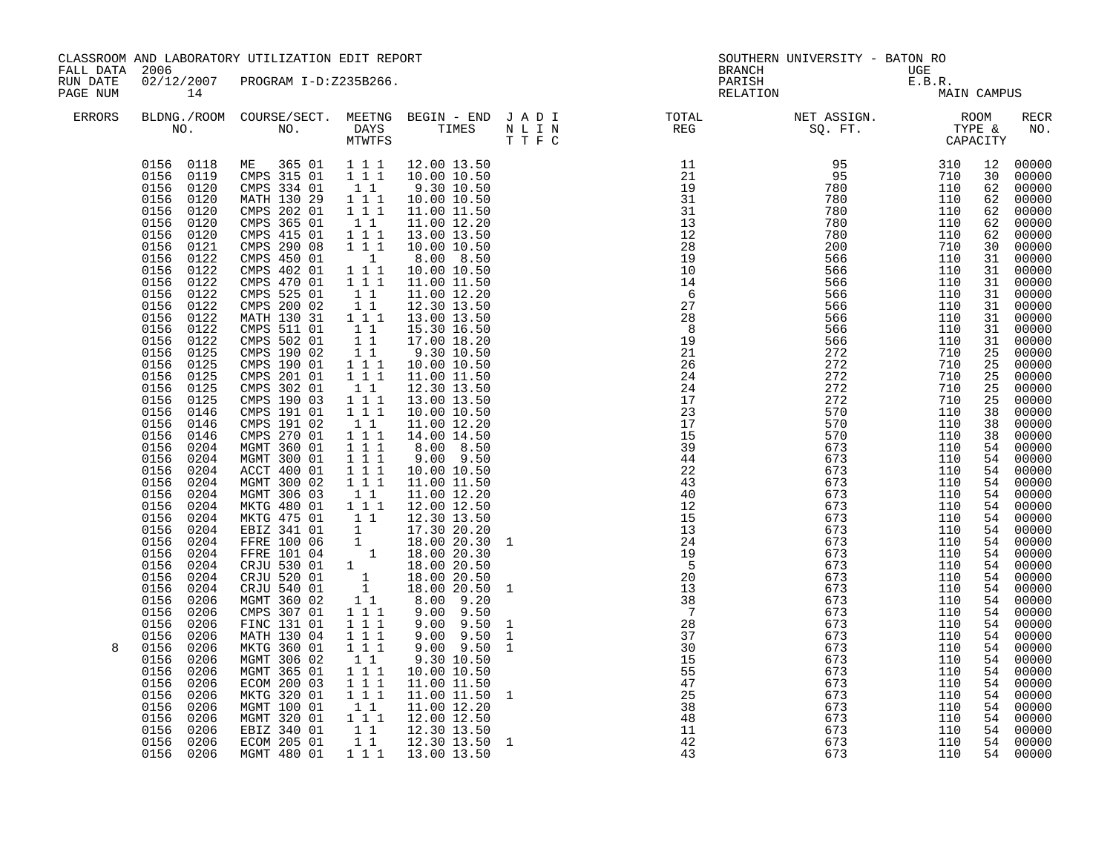| CLASSROOM AND LABORATORY UTILIZATION EDIT REPORT<br>FALL DATA 2006<br>RUN DATE<br>02/12/2007<br>PROGRAM I-D:Z235B266.                                                                                                                                                                                                                                                                                                                                               |                                                                                                                                                                                                                                                                                                                                                                                                                                                                                                                                                                                                                                                                                                                                                                                                                                                                                                                                                                                                                                                                            | <b>BRANCH</b>                                                                                                                                                                                                                                                                                                                                                                                                                                                                                                                                                                                                    | SOUTHERN UNIVERSITY - BATON RO                                                                                                                                                                                                                                                                                                                                                                                                                                                                                                                                                                                                                                                                                                                                                                                                                | UGE                                                                                          |                                                                                                                                                                                                                                                                                                                                                         |                                                                                                                            |                                                                                                                            |                                                                                                                                                                                                                                                                                        |                                                                                                                                                                                                                                                                                                                                                                                                                                                                                           |
|---------------------------------------------------------------------------------------------------------------------------------------------------------------------------------------------------------------------------------------------------------------------------------------------------------------------------------------------------------------------------------------------------------------------------------------------------------------------|----------------------------------------------------------------------------------------------------------------------------------------------------------------------------------------------------------------------------------------------------------------------------------------------------------------------------------------------------------------------------------------------------------------------------------------------------------------------------------------------------------------------------------------------------------------------------------------------------------------------------------------------------------------------------------------------------------------------------------------------------------------------------------------------------------------------------------------------------------------------------------------------------------------------------------------------------------------------------------------------------------------------------------------------------------------------------|------------------------------------------------------------------------------------------------------------------------------------------------------------------------------------------------------------------------------------------------------------------------------------------------------------------------------------------------------------------------------------------------------------------------------------------------------------------------------------------------------------------------------------------------------------------------------------------------------------------|-----------------------------------------------------------------------------------------------------------------------------------------------------------------------------------------------------------------------------------------------------------------------------------------------------------------------------------------------------------------------------------------------------------------------------------------------------------------------------------------------------------------------------------------------------------------------------------------------------------------------------------------------------------------------------------------------------------------------------------------------------------------------------------------------------------------------------------------------|----------------------------------------------------------------------------------------------|---------------------------------------------------------------------------------------------------------------------------------------------------------------------------------------------------------------------------------------------------------------------------------------------------------------------------------------------------------|----------------------------------------------------------------------------------------------------------------------------|----------------------------------------------------------------------------------------------------------------------------|----------------------------------------------------------------------------------------------------------------------------------------------------------------------------------------------------------------------------------------------------------------------------------------|-------------------------------------------------------------------------------------------------------------------------------------------------------------------------------------------------------------------------------------------------------------------------------------------------------------------------------------------------------------------------------------------------------------------------------------------------------------------------------------------|
| PAGE NUM<br>14                                                                                                                                                                                                                                                                                                                                                                                                                                                      |                                                                                                                                                                                                                                                                                                                                                                                                                                                                                                                                                                                                                                                                                                                                                                                                                                                                                                                                                                                                                                                                            |                                                                                                                                                                                                                                                                                                                                                                                                                                                                                                                                                                                                                  |                                                                                                                                                                                                                                                                                                                                                                                                                                                                                                                                                                                                                                                                                                                                                                                                                                               |                                                                                              | PARISH<br>RELATION                                                                                                                                                                                                                                                                                                                                      |                                                                                                                            | E.B.R.<br>MAIN CAMPUS                                                                                                      |                                                                                                                                                                                                                                                                                        |                                                                                                                                                                                                                                                                                                                                                                                                                                                                                           |
| <b>ERRORS</b>                                                                                                                                                                                                                                                                                                                                                                                                                                                       |                                                                                                                                                                                                                                                                                                                                                                                                                                                                                                                                                                                                                                                                                                                                                                                                                                                                                                                                                                                                                                                                            | MTWTFS                                                                                                                                                                                                                                                                                                                                                                                                                                                                                                                                                                                                           |                                                                                                                                                                                                                                                                                                                                                                                                                                                                                                                                                                                                                                                                                                                                                                                                                                               | T T F C                                                                                      | BLDNG./ROOM COURSE/SECT. MEETNG BEGIN – END J A D I TOTAL TOTAL NO. NO. TIMES TIMES N L I N REG                                                                                                                                                                                                                                                         | NET ASSIGN.<br>SQ. FT.<br>CAPACITY                                                                                         |                                                                                                                            |                                                                                                                                                                                                                                                                                        | RECR<br>NO.                                                                                                                                                                                                                                                                                                                                                                                                                                                                               |
| 0156 0119<br>0156 0120<br>0156 0120<br>0156<br>0156<br>0156<br>0156<br>0156<br>0156 0122<br>0156<br>0156<br>0156<br>0156<br>0156<br>0156<br>0156<br>0156<br>0156<br>0156<br>0156<br>0156<br>0156 0146<br>0156<br>0156 0204<br>0156<br>0156 0204<br>0156<br>0156 0204<br>0156<br>0156<br>0156<br>0156<br>0156<br>0156<br>0156<br>0156<br>0156<br>0156<br>0156<br>0156<br>0156<br>8<br>0156<br>0156<br>0156<br>0156<br>0156<br>0156<br>0156<br>0156 0206<br>0156 0206 | 0156 0118 ME 365 01 1 1 1 1 12.00 13.50<br>CMPS 315 01<br>CMPS 334 01<br>MATH 130 29<br>0120<br>CMPS 202 01<br>0120<br>CMPS 365 01<br>0120<br>CMPS 415 01<br>0121<br>CMPS 290 08<br>0122<br>CMPS 450 01<br>CMPS 402 01<br>0122<br>CMPS 470 01<br>0122<br>CMPS 525 01<br>CMPS 200 02<br>0122<br>0122<br>MATH 130 31<br>CMPS 511 01<br>0122<br>0122<br>CMPS 502 01<br>CMPS 190 02<br>0125<br>0125<br>CMPS 190 01<br>0125<br>CMPS 201 01<br>0125<br>CMPS 302 01<br>CMPS 190 03<br>0125<br>0146<br>CMPS 191 01<br>CMPS 191 02<br>CMPS 270 01<br>0146<br>MGMT 360 01<br>0204<br>MGMT 300 01<br>ACCT 400 01<br>0204<br>MGMT 300 02<br>MGMT 306 03<br>0204<br>MKTG 480 01<br>MKTG 475 01<br>0204<br>EBIZ 341 01<br>0204<br>0204<br>0204<br>0204<br>0204<br>0204<br>0206<br>MGMT 360 02<br>CMPS 307 01<br>0206<br>FINC 131 01<br>0206<br>0206<br>MATH 130 04<br>0206<br>MKTG 360 01<br>0206<br>MGMT 306 02<br>MGMT 365 01<br>0206<br>0206<br>ECOM 200 03<br>MKTG 320 01<br>0206<br>MGMT 100 01<br>0206<br>MGMT 320 01<br>0206<br>0206<br>EBIZ 340 01<br>ECOM 205 01<br>MGMT 480 01 | 1 1 1<br>11<br>$1 1 1$<br>111<br>11<br>$1^{\circ}1^{\circ}1$<br>1 1 1<br>$\overline{1}$<br>$\begin{array}{rrrr} & 1 & 1 & 1 \\ & 1 & 1 & 1 \end{array}$<br>$1\quad1$<br>11<br>$1 1 1$<br>11<br>11<br>11<br>$1 1 1$<br>$1 1 1$<br>$1\quad1$<br>$1 1 1$<br>111<br>$1\quad1$<br>$1 1 1$<br>$1 1 1$<br>$1 1 1$<br>1 1 1<br>$1 1 1$<br>$1\quad1$<br>$1 1 1$<br>$\begin{array}{cc} 1 & 1 \\ 1 & \end{array}$<br>11<br>1 1 1<br>$1 1 1$<br>$1 1 1$<br>$1 1 1$<br>$1\quad1$<br>$1 1 1$<br>$\begin{array}{cccc} 1 & 1 & 1 \\ 1 & 1 & 1 \\ 1 & 1 & 1 \\ & 1 & 1 \end{array}$<br>$1 1 1$<br>$1\quad1$<br>$1\quad1$<br>1 1 1 | 10.00 10.50<br>9.30 10.50<br>10.00 10.50<br>11.00 11.50<br>11.00 12.20<br>13.00 13.50<br>10.00 10.50<br>8.00 8.50<br>10.00 10.50<br>11.00 11.50<br>11.00 12.20<br>12.30 13.50<br>13.00 13.50<br>15.30 16.50<br>17.00 18.20<br>9.30 10.50<br>10.00 10.50<br>11.00 11.50<br>12.30 13.50<br>13.00 13.50<br>10.00 10.50<br>11.00 12.20<br>14.00 14.50<br>8.00 8.50<br>9.00 9.50<br>10.00 10.50<br>11.00 11.50<br>11.00 12.20<br>12.00 12.50<br>12.30 13.50<br>17.30 20.20<br>EBIZ 341 01 1 18.00 20.30<br>FFRE 100 06 1 18.00 20.30<br>CRJU 530 01 1 18.00 20.50<br>CRJU 520 01 1 18.00 20.50<br>CRJU 540 01 1 18.00 20.50<br>8.00 9.20<br>$9.00$ $9.50$<br>$9.00$ $9.50$<br>$9.00$ $9.50$<br>$9.00$ $9.50$<br>9.30 10.50<br>10.00 10.50<br>11.00 11.50<br>11.00 11.50<br>11.00 12.20<br>12.00 12.50<br>12.30 13.50<br>12.30 13.50<br>13.00 13.50 | $\mathbf{1}$<br>$\mathbf{1}$<br>$\mathbf{1}$<br>$\mathbf{1}$<br>$\mathbf{1}$<br>$\mathbf{1}$ | $288$<br>$19$<br>$21$<br>$26$<br>$24$<br>$24$<br>$24$<br>$27$<br>$15$<br>$39$<br>$44$<br>$22$<br>$43$<br>$40$<br>$12$<br>$15$<br>$13$<br>$21$<br>$5$<br>$13$<br>$29$<br>$5$<br>$13$<br>13<br>38<br>$\overline{7}$<br>$\begin{array}{c} 28 \\ 37 \end{array}$<br>30<br>$\begin{array}{c} 15 \\ 55 \end{array}$<br>47<br>25<br>38<br>48<br>11<br>42<br>43 | 673<br>673<br>673<br>673<br>673<br>673<br>673<br>673<br>673<br>673<br>673<br>673<br>673<br>673<br>673<br>673<br>673<br>673 | 110<br>110<br>110<br>110<br>110<br>110<br>110<br>110<br>110<br>110<br>110<br>110<br>110<br>110<br>110<br>110<br>110<br>110 | 12<br>30<br>62<br>62<br>62<br>62<br>62<br>30<br>31<br>31<br>31<br>31<br>31<br>31<br>31<br>31<br>25<br>25<br>25<br>25<br>25<br>38<br>38<br>38<br>54<br>54<br>54<br>54<br>54<br>54<br>54<br>54<br>54<br>54<br>54<br>54<br>54<br>54<br>54<br>54<br>54<br>54<br>54<br>54<br>54<br>54<br>54 | 00000<br>00000<br>00000<br>00000<br>00000<br>$00000$<br>00000<br>00000<br>00000<br>00000<br>00000<br>00000<br>00000<br>00000<br>00000<br>00000<br>00000<br>00000<br>00000<br>00000<br>00000<br>00000<br>00000<br>00000<br>00000<br>$00000$<br>$00000$<br>00000<br>00000<br>00000<br>00000<br>00000<br>00000<br>00000<br>00000<br>00000<br>00000<br>00000<br>00000<br>00000<br>00000<br>00000<br>00000<br>00000<br>00000<br>00000<br>54 00000<br>54 00000<br>00000<br>54 00000<br>54 00000 |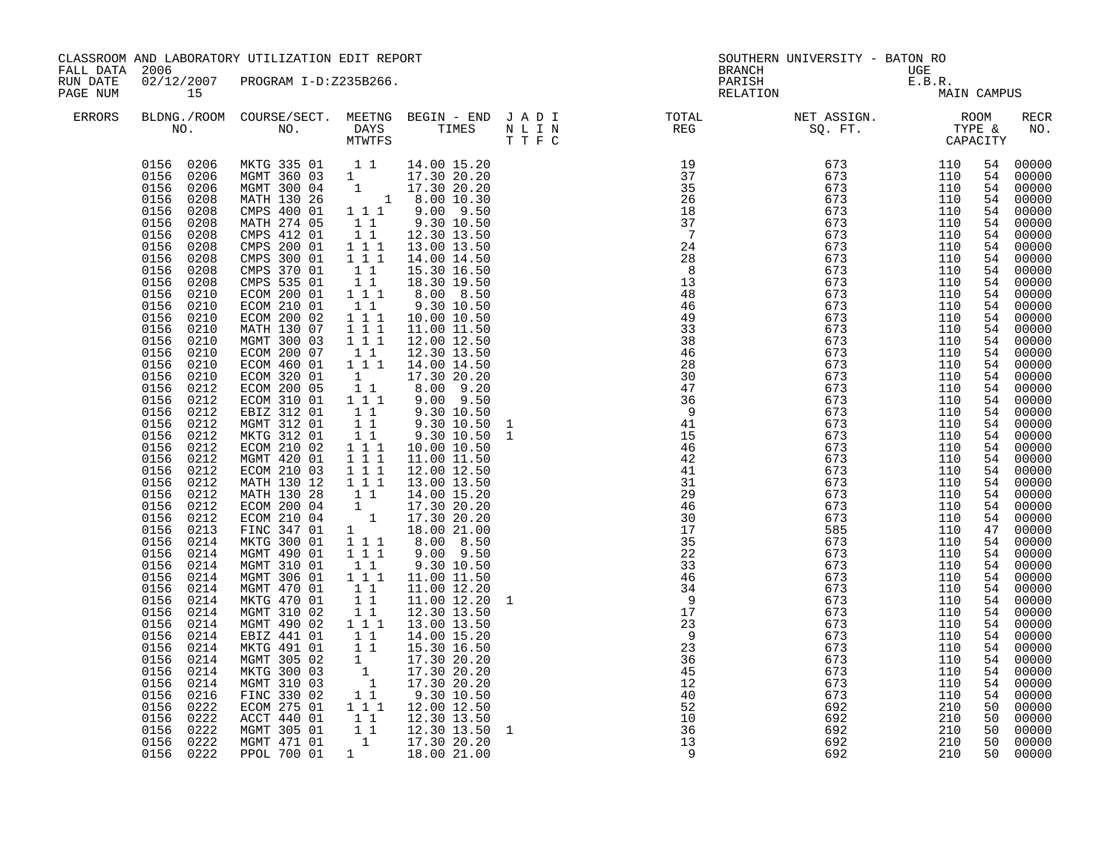| FALL DATA 2006<br>RUN DATE |                                                                                                                                                                                                                                                                                                                                                                                                                                                                                                                                                                                                                                                                                                                                                                                                       | CLASSROOM AND LABORATORY UTILIZATION EDIT REPORT                                                                                                                                                                                                                                                                                                                                                                                                                                                                                                                                                                                                                                                                                                                                                                                                      |                                                                                                                                                                                                                                                                                                                                                                                                                                                                                                                                                                                                             |                                                                                                                                                                                                                                                                                                                                                                                                                                                                                                                                                                                                                                                                                                                                                                                           |                                                                                                                                                                                                                                                                                                                               | <b>BRANCH</b>                                                                                                                                                                                                                                                                                                                                                                                                                                 | SOUTHERN UNIVERSITY - BATON RO |                          |                                                                                                                                                                                                                                                                            |                                                                                                                                                                                                                                                                                                                                                                                                                                                                                           |
|----------------------------|-------------------------------------------------------------------------------------------------------------------------------------------------------------------------------------------------------------------------------------------------------------------------------------------------------------------------------------------------------------------------------------------------------------------------------------------------------------------------------------------------------------------------------------------------------------------------------------------------------------------------------------------------------------------------------------------------------------------------------------------------------------------------------------------------------|-------------------------------------------------------------------------------------------------------------------------------------------------------------------------------------------------------------------------------------------------------------------------------------------------------------------------------------------------------------------------------------------------------------------------------------------------------------------------------------------------------------------------------------------------------------------------------------------------------------------------------------------------------------------------------------------------------------------------------------------------------------------------------------------------------------------------------------------------------|-------------------------------------------------------------------------------------------------------------------------------------------------------------------------------------------------------------------------------------------------------------------------------------------------------------------------------------------------------------------------------------------------------------------------------------------------------------------------------------------------------------------------------------------------------------------------------------------------------------|-------------------------------------------------------------------------------------------------------------------------------------------------------------------------------------------------------------------------------------------------------------------------------------------------------------------------------------------------------------------------------------------------------------------------------------------------------------------------------------------------------------------------------------------------------------------------------------------------------------------------------------------------------------------------------------------------------------------------------------------------------------------------------------------|-------------------------------------------------------------------------------------------------------------------------------------------------------------------------------------------------------------------------------------------------------------------------------------------------------------------------------|-----------------------------------------------------------------------------------------------------------------------------------------------------------------------------------------------------------------------------------------------------------------------------------------------------------------------------------------------------------------------------------------------------------------------------------------------|--------------------------------|--------------------------|----------------------------------------------------------------------------------------------------------------------------------------------------------------------------------------------------------------------------------------------------------------------------|-------------------------------------------------------------------------------------------------------------------------------------------------------------------------------------------------------------------------------------------------------------------------------------------------------------------------------------------------------------------------------------------------------------------------------------------------------------------------------------------|
| PAGE NUM                   | 15                                                                                                                                                                                                                                                                                                                                                                                                                                                                                                                                                                                                                                                                                                                                                                                                    | 02/12/2007 PROGRAM I-D:Z235B266.                                                                                                                                                                                                                                                                                                                                                                                                                                                                                                                                                                                                                                                                                                                                                                                                                      |                                                                                                                                                                                                                                                                                                                                                                                                                                                                                                                                                                                                             |                                                                                                                                                                                                                                                                                                                                                                                                                                                                                                                                                                                                                                                                                                                                                                                           |                                                                                                                                                                                                                                                                                                                               | PARISH<br>RELATION                                                                                                                                                                                                                                                                                                                                                                                                                            | UGE<br>E.B.R.<br>MA            | MAIN CAMPUS              |                                                                                                                                                                                                                                                                            |                                                                                                                                                                                                                                                                                                                                                                                                                                                                                           |
| <b>ERRORS</b>              |                                                                                                                                                                                                                                                                                                                                                                                                                                                                                                                                                                                                                                                                                                                                                                                                       |                                                                                                                                                                                                                                                                                                                                                                                                                                                                                                                                                                                                                                                                                                                                                                                                                                                       |                                                                                                                                                                                                                                                                                                                                                                                                                                                                                                                                                                                                             |                                                                                                                                                                                                                                                                                                                                                                                                                                                                                                                                                                                                                                                                                                                                                                                           |                                                                                                                                                                                                                                                                                                                               | BLDNG./ROOM COURSE/SECT. MEETNG BEGIN – END JADI TOTAL NET ASSIGN. NET ASSIGN. ROOM NO. DAYS TIMES NLIN REG SQ.FT. TYPE &                                                                                                                                                                                                                                                                                                                     |                                |                          |                                                                                                                                                                                                                                                                            | RECR<br>NO.                                                                                                                                                                                                                                                                                                                                                                                                                                                                               |
|                            | 0156 0206<br>0156 0206<br>0156 0206<br>0156 0208<br>0208<br>0156<br>0156<br>0208<br>0156<br>0208<br>0208<br>0156<br>0156<br>0208<br>0156 0208<br>0156<br>0208<br>0156<br>0210<br>0156<br>0210<br>0156<br>0210<br>0156<br>0210<br>0156<br>0210<br>0156<br>0210<br>0156<br>0210<br>0156<br>0210<br>0156<br>0212<br>0212<br>0156<br>0156<br>0212<br>0156<br>0212<br>0156<br>0212<br>0156<br>0212<br>0156<br>0212<br>0156 0212<br>0156<br>0212<br>0156<br>0212<br>0212<br>0156<br>0156 0212<br>0156<br>0213<br>0156 0214<br>0214<br>0156<br>0156 0214<br>0156 0214<br>0156 0214<br>0214<br>0156<br>0156 0214<br>0156<br>0214<br>0156<br>0214<br>0156<br>0214<br>0156<br>0214<br>0156<br>0214<br>0156<br>0214<br>0156<br>0216<br>0156<br>0222<br>0156<br>0222<br>0156<br>0222<br>0156<br>0222<br>0156 0222 | MKTG 335 01 11<br>MGMT 360 03 1 17.30 20.20<br>MGMT 300 04 1 17.30 20.20<br>MATH 130 26 1 8.00 10.30<br>CMPS 400 01 1 1 1 9.00 9.50<br>MATH 274 05<br>CMPS 412 01<br>CMPS 200 01<br>CMPS 300 01<br>CMPS 370 01<br>CMPS 535 01<br>ECOM 200 01<br>ECOM 210 01<br>ECOM 200 02<br>MATH 130 07<br>MGMT 300 03<br>ECOM 200 07<br>ECOM 460 01<br>ECOM 320 01<br>ECOM 200 05<br>ECOM 310 01<br>EBIZ 312 01<br>MGMT 312 01<br>MKTG 312 01<br>ECOM 210 02<br>MGMT 420 01<br>ECOM 210 03<br>MATH 130 12<br>MATH 130 28<br>ECOM 200 04<br>ECOM 210 04<br>FINC 347 01<br>MKTG 300 01<br>MGMT 490 01<br>MGMT 310 01<br>MGMT 306 01<br>MGMT 470 01<br>MKTG 470 01<br>MGMT 310 02<br>MGMT 490 02<br>EBIZ 441 01<br>MKTG 491 01<br>MGMT 305 02<br>MKTG 300 03<br>MGMT 310 03<br>FINC 330 02<br>ECOM 275 01<br>ACCT 440 01<br>MGMT 305 01<br>MGMT 471 01<br>PPOL 700 01 | 11<br>11<br>$\begin{array}{ccc} 1&1&1\\ 1&1&1 \end{array}$<br>11<br>11<br>$1 1 1$<br>$1\quad1$<br>111<br>$\begin{smallmatrix}1&1&1\\1&1&1\end{smallmatrix}$<br>$1\quad1$<br>1 1 1<br>1<br>$\begin{smallmatrix}1&1\\1&1&1\end{smallmatrix}$<br>11<br>11<br>$1\quad1$<br>$1 1 1$<br>111<br>1 1 1<br>1 1 1<br>$1\quad1$<br>$1 1 1$<br>$1 1 1$<br>$1\quad1$<br>$1 \quad 1 \quad 1$<br>11<br>11<br>$1\quad1$<br>111<br>$\begin{array}{ccc} & 1 & 1 \\ & 1 & 1 \end{array}$<br>$\begin{array}{c}\n1 \\ 1 \\ 1\n\end{array}$<br>11<br>1 1 1<br>$\begin{bmatrix} 1 & 1 \\ 1 & 1 \\ 1 & 1 \end{bmatrix}$<br>$\sim$ 1 | 14.00 15.20<br>9.30 10.50<br>12.30 13.50<br>13.00 13.50<br>14.00 14.50<br>15.30 16.50<br>18.30 19.50<br>8.00 8.50<br>9.30 10.50<br>10.00 10.50<br>11.00 11.50<br>12.00 12.50<br>12.30 13.50<br>14.00 14.50<br>17.30 20.20<br>8.00 9.20<br>9.00 9.50<br>9.30 10.50<br>9.30 10.50<br>9.30 10.50<br>10.00 10.50<br>11.00 11.50<br>12.00 12.50<br>13.00 13.50<br>14.00 15.20<br>$\begin{array}{rrrr} 1 & 17.30 & 20.20 \\ 1 & 17.30 & 20.20 \\ 1 & 17.30 & 20.20 \\ 1 & 18.00 & 21.00 \end{array}$<br>8.00 8.50<br>$9.00$ $9.50$<br>9.30 10.50<br>11.00 11.50<br>11.00 12.20<br>11.00 12.20<br>12.30 13.50<br>13.00 13.50<br>14.00 15.20<br>15.30 16.50<br>17.30 20.20<br>17.30 20.20<br>17.30 20.20<br>9.30 10.50<br>12.00 12.50<br>12.30 13.50<br>12.30 13.50<br>17.30 20.20<br>18.00 21.00 | $\begin{array}{r} 24 \ 28 \ 8 \ 8 \ 13 \ 4 \ 4 \ 6 \ 4 \ 9 \ 3 \ 3 \ 3 \ 8 \ 4 \ 6 \ 4 \ 9 \ 3 \ 3 \ 3 \ 8 \ 4 \ 4 \ 6 \ 4 \ 2 \ 2 \ 8 \ 8 \ 3 \ 0 \ 4 \ 7 \ 6 \ 9 \ 9 \ 4 \ 1 \ 1 \ 1 \ 4 \ 6 \ 4 \ 2 \ 2 \ 1 \ 2 \ 9 \ 4 \ 6 \ 4 \ 2 \ 1 \ 1 \ 2 \ 2 \ 9 \ 4 \ 6 \ 1 \ 3 \ 1 \ 2 \ 2 \ 9 \ 4 \ 6 \ 1 \ 3 \$<br>$\mathbf{1}$ | $\begin{array}{cccc} \textbf{N} & \textbf{R} \textbf{R} \textbf{S} \textbf{S} & \textbf{S} \textbf{S} & \textbf{S} \textbf{S} & \textbf{S} \textbf{S} \\ \textbf{N} & \textbf{P} & \textbf{S} & \textbf{S} & \textbf{S} & \textbf{S} \\ \textbf{S} & \textbf{S} & \textbf{S} & \textbf{S} & \textbf{S} & \textbf{S} \\ \textbf{S} & \textbf{S} & \textbf{S} & \textbf{S} & \textbf{S} & \textbf{S} \\ \textbf{S} & \textbf{S} & \text$<br>- 9 | 692<br>692<br>692<br>692       | 210<br>210<br>210<br>210 | 54<br>54<br>54<br>54<br>54<br>54<br>54<br>54<br>54<br>54<br>54<br>54<br>54<br>54<br>54<br>54<br>54<br>54<br>54<br>54<br>54<br>54<br>54<br>54<br>54<br>54<br>54<br>47<br>54<br>54<br>54<br>54<br>54<br>54<br>54<br>54<br>54<br>54<br>54<br>54<br>50<br>50<br>50<br>50<br>50 | 00000<br>00000<br>00000<br>00000<br>00000<br>00000<br>00000<br>00000<br>54 00000<br>54 00000<br>00000<br>00000<br>00000<br>00000<br>00000<br>00000<br>00000<br>54 00000<br>00000<br>00000<br>00000<br>00000<br>00000<br>00000<br>00000<br>00000<br>54 00000<br>00000<br>00000<br>00000<br>00000<br>00000<br>00000<br>00000<br>00000<br>00000<br>00000<br>54 00000<br>54 00000<br>00000<br>00000<br>00000<br>00000<br>00000<br>00000<br>00000<br>00000<br>00000<br>00000<br>00000<br>00000 |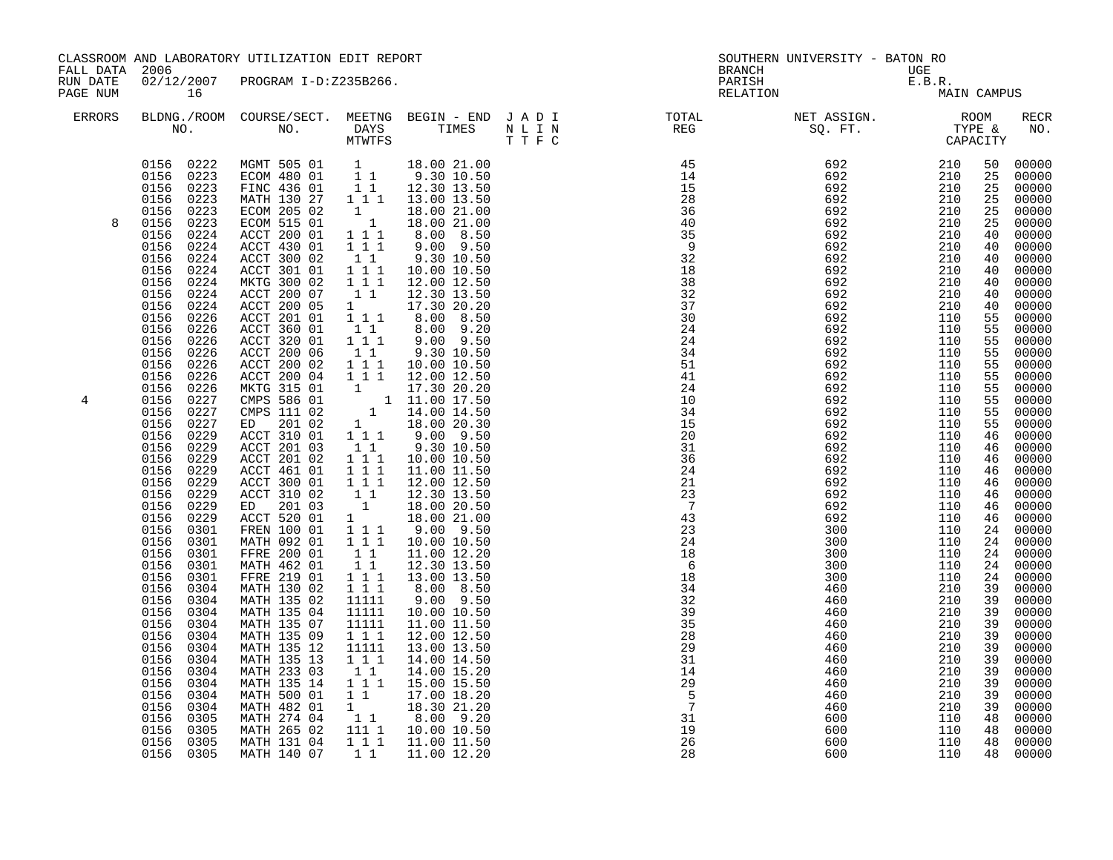|                      | CLASSROOM AND LABORATORY UTILIZATION EDIT REPORT<br>FALL DATA 2006<br>02/12/2007 PROGRAM I-D:Z235B266.                                                                                                                                                                                                                                                                                                                                                                                                                                                                                                                                                                                                                                                                      |                                                                                                                                                                                                                                                                                                                                                                                                                                                                                                                                                                                                                                                                                                                                                                                                                                                                                                                                           |                                                                                                                                                                                                                                                                                                                                                                                                                                                                                                                                                                                                                                                                  | <b>BRANCH</b>                                                                                                                                                                                                                                                                                                                                                                                                                                                                                                                                                                                                                                                                                                                                                                               | SOUTHERN UNIVERSITY - BATON RO                                                                                                                                                                                                                                                                                                                                                                                                                                                                                                     |                                                                                                                 |                                                                                         |                                                                                                                                                                                                                                                                                                                |                                                                                                                                                                                                                                                                                                                                                                                                                                                                           |
|----------------------|-----------------------------------------------------------------------------------------------------------------------------------------------------------------------------------------------------------------------------------------------------------------------------------------------------------------------------------------------------------------------------------------------------------------------------------------------------------------------------------------------------------------------------------------------------------------------------------------------------------------------------------------------------------------------------------------------------------------------------------------------------------------------------|-------------------------------------------------------------------------------------------------------------------------------------------------------------------------------------------------------------------------------------------------------------------------------------------------------------------------------------------------------------------------------------------------------------------------------------------------------------------------------------------------------------------------------------------------------------------------------------------------------------------------------------------------------------------------------------------------------------------------------------------------------------------------------------------------------------------------------------------------------------------------------------------------------------------------------------------|------------------------------------------------------------------------------------------------------------------------------------------------------------------------------------------------------------------------------------------------------------------------------------------------------------------------------------------------------------------------------------------------------------------------------------------------------------------------------------------------------------------------------------------------------------------------------------------------------------------------------------------------------------------|---------------------------------------------------------------------------------------------------------------------------------------------------------------------------------------------------------------------------------------------------------------------------------------------------------------------------------------------------------------------------------------------------------------------------------------------------------------------------------------------------------------------------------------------------------------------------------------------------------------------------------------------------------------------------------------------------------------------------------------------------------------------------------------------|------------------------------------------------------------------------------------------------------------------------------------------------------------------------------------------------------------------------------------------------------------------------------------------------------------------------------------------------------------------------------------------------------------------------------------------------------------------------------------------------------------------------------------|-----------------------------------------------------------------------------------------------------------------|-----------------------------------------------------------------------------------------|----------------------------------------------------------------------------------------------------------------------------------------------------------------------------------------------------------------------------------------------------------------------------------------------------------------|---------------------------------------------------------------------------------------------------------------------------------------------------------------------------------------------------------------------------------------------------------------------------------------------------------------------------------------------------------------------------------------------------------------------------------------------------------------------------|
| RUN DATE<br>PAGE NUM | 16                                                                                                                                                                                                                                                                                                                                                                                                                                                                                                                                                                                                                                                                                                                                                                          |                                                                                                                                                                                                                                                                                                                                                                                                                                                                                                                                                                                                                                                                                                                                                                                                                                                                                                                                           |                                                                                                                                                                                                                                                                                                                                                                                                                                                                                                                                                                                                                                                                  |                                                                                                                                                                                                                                                                                                                                                                                                                                                                                                                                                                                                                                                                                                                                                                                             | PARISH<br>RELATION                                                                                                                                                                                                                                                                                                                                                                                                                                                                                                                 | $\begin{array}{ccccc} \texttt{UGE} & & & \\ \texttt{E.B.R.} & & & \\ \texttt{MA:} & & \texttt{MA:} \end{array}$ | MAIN CAMPUS                                                                             |                                                                                                                                                                                                                                                                                                                |                                                                                                                                                                                                                                                                                                                                                                                                                                                                           |
| <b>ERRORS</b>        |                                                                                                                                                                                                                                                                                                                                                                                                                                                                                                                                                                                                                                                                                                                                                                             |                                                                                                                                                                                                                                                                                                                                                                                                                                                                                                                                                                                                                                                                                                                                                                                                                                                                                                                                           |                                                                                                                                                                                                                                                                                                                                                                                                                                                                                                                                                                                                                                                                  |                                                                                                                                                                                                                                                                                                                                                                                                                                                                                                                                                                                                                                                                                                                                                                                             | BLDNG./ROOM COURSE/SECT. MEETNG BEGIN – END JADI TOTAL TOTAL NET ASSIGN. REG ROOM NO. DAYS TIMES NLIN REG SQ.FT. TYPE &                                                                                                                                                                                                                                                                                                                                                                                                            |                                                                                                                 |                                                                                         |                                                                                                                                                                                                                                                                                                                | <b>RECR</b><br>NO.                                                                                                                                                                                                                                                                                                                                                                                                                                                        |
| 8<br>4               | 0156 0223<br>0156 0223<br>0156<br>0223<br>0223<br>0156<br>0156<br>0224<br>0156 0224<br>0156<br>0224<br>0156 0224<br>0156<br>0224<br>0156<br>0224<br>0156<br>0224<br>0156<br>0226<br>0156<br>0226<br>0156<br>0226<br>0156<br>0226<br>0156<br>0226<br>0156<br>0226<br>0156<br>0226<br>0156<br>0227<br>0156<br>0227<br>0156<br>0227<br>0156<br>0229<br>0156<br>0229<br>0156<br>0229<br>0156<br>0229<br>0156<br>0229<br>0156 0229<br>0229<br>0156<br>0156 0229<br>0156 0301<br>0156 0301<br>0156<br>0301<br>0156 0301<br>0156<br>0301<br>0156<br>0304<br>0156<br>0304<br>0156<br>0304<br>0156<br>0304<br>0156<br>0304<br>0156<br>0304<br>0156<br>0304<br>0156<br>0304<br>0156<br>0304<br>0156<br>0304<br>0156<br>0304<br>0156<br>0305<br>0156<br>0305<br>0156 0305<br>0156 0305 | $\begin{array}{cccccc} 0156 & 0222 & \text{MGMT} & 505 & 01 & 1 & 18.00 & 21.00 \\ 0156 & 0223 & \text{ECOM} & 480 & 01 & 1 & 9.30 & 10.50 \end{array}$<br>FINC 436 01<br>MATH 130 27 1 1 1 1 13.00 13.50<br>ECOM 205 02<br>ECOM 515 01<br>ACCT 200 01<br>ACCT 430 01<br>ACCT 300 02<br>ACCT 301 01<br>MKTG 300 02<br>ACCT 200 07<br>ACCT 200 05<br>ACCT 201 01<br>ACCT 360 01<br>ACCT 320 01<br>ACCT 200 06<br>ACCT 200 02<br>ACCT 200 04<br>MKTG 315 01<br>CMPS 586 01<br>CMPS 111 02<br>201 02<br>ED<br>ACCT 310 01<br>ACCT 201 03<br>ACCT 201 02<br>ACCT 461 01<br>ACCT 300 01<br>ACCT 310 02<br>ED 201 03<br>ACCT 520 01<br>FREN 100 01<br>MATH 092 01<br>FFRE 200 01<br>MATH 462 01<br>FFRE 219 01<br>MATH 130 02<br>MATH 135 02<br>MATH 135 04<br>MATH 135 07<br>MATH 135 09<br>MATH 135 12<br>MATH 135 13<br>MATH 233 03<br>MATH 135 14<br>MATH 500 01<br>MATH 482 01<br>MATH 274 04<br>MATH 265 02<br>MATH 131 04<br>MATH 140 07 | $\begin{array}{c}\n1 \\ 1 \\ 1 \\ 1\n\end{array}$<br>$1 1 1$<br>$\begin{bmatrix} 1 \\ 1 \end{bmatrix}$<br>1 1 1<br>$\overline{1}$ $\overline{1}$ $\overline{1}$<br>$1\quad1$<br>$1 \quad \blacksquare$<br>1 1 1<br>$1\quad1$<br>$1$ $1$ $1$<br>$1\quad1$<br>1 1 1<br>1 1 1<br>$\mathbf{1}$<br>$1\quad1$<br>$1 1 1$<br>$1 1 1$<br>$1 1 1$<br>$\begin{bmatrix} 1 \\ 1 \\ 1 \end{bmatrix}$<br>1<br>$1 1 1$<br>$\begin{smallmatrix}1&&1&1\\&1&1\end{smallmatrix}$<br>$1\quad1$<br>$1 1 1$<br>1 1 1<br>11111<br>11111<br>11111<br>$1\ 1\ 1$<br>11111<br>1 1 1<br>1 1<br>1 1 1<br>$1\quad1$<br>$\begin{bmatrix} 1 \\ 1 \end{bmatrix}$<br>111 1<br>$1 1 1$<br>$1\quad1$ | 1 1 12.30 13.50<br>18.00 21.00<br>18.00 21.00<br>8.00 8.50<br>9.00 9.50<br>9.30 10.50<br>10.00 10.50<br>12.00 12.50<br>12.30 13.50<br>17.30 20.20<br>8.00 8.50<br>8.00 9.20<br>9.00 9.50<br>9.30 10.50<br>10.00 10.50<br>12.00 12.50<br>$\begin{array}{cccc} 1 & & 17.30 & 20.20 \\ & 1 & 11.00 & 17.50 \\ & 1 & & 14.00 & 14.50 \end{array}$<br>18.00 20.30<br>1 1 1 9.00 9.50<br>9.30 10.50<br>10.00 10.50<br>11.00 11.50<br>12.00 12.50<br>12.30 13.50<br>18.00 20.50<br>18.00 21.00<br>9.00 9.50<br>10.00 10.50<br>11.00 12.20<br>12.30 13.50<br>13.00 13.50<br>8.00 8.50<br>9.00 9.50<br>10.00 10.50<br>11.00 11.50<br>12.00 12.50<br>13.00 13.50<br>14.00 14.50<br>14.00 15.20<br>15.00 15.50<br>17.00 18.20<br>18.30 21.20<br>8.00 9.20<br>10.00 10.50<br>11.00 11.50<br>11.00 12.20 | $\begin{array}{cccc} \texttt{N} \, \, \texttt{N} \, \, \texttt{N} \, \, \texttt{N} \, \, \texttt{N} \, \, \texttt{N} \, \, \texttt{N} \, \, \texttt{N} \, \, \texttt{N} \, \, \texttt{N} \, \, \texttt{N} \, \, \texttt{N} \, \, \texttt{N} \, \, \texttt{N} \, \, \texttt{N} \, \, \texttt{N} \, \, \texttt{N} \, \, \texttt{N} \, \, \texttt{N} \, \, \texttt{N} \, \, \texttt{N} \, \, \texttt$<br>$\frac{32}{39}$<br>$\overline{35}$<br>28<br>29<br>31<br>14<br>29<br>$\overline{5}$<br>$\overline{7}$<br>31<br>19<br>26<br>28 | 460<br>460<br>460<br>460<br>460<br>460<br>460<br>460<br>460<br>600<br>600<br>600<br>600                         | 210<br>210<br>210<br>210<br>210<br>210<br>210<br>210<br>210<br>110<br>110<br>110<br>110 | 50<br>25<br>25<br>25<br>25<br>25<br>40<br>40<br>40<br>40<br>40<br>40<br>40<br>55<br>55<br>55<br>55<br>55<br>55<br>55<br>55<br>55<br>55<br>46<br>46<br>46<br>46<br>46<br>46<br>46<br>46<br>24<br>24<br>24<br>24<br>24<br>39<br>39<br>39<br>39<br>39<br>39<br>39<br>39<br>39<br>39<br>39<br>48<br>48<br>48<br>48 | 00000<br>00000<br>00000<br>00000<br>00000<br>00000<br>00000<br>00000<br>00000<br>$00000$<br>00000<br>00000<br>00000<br>00000<br>00000<br>00000<br>00000<br>00000<br>00000<br>00000<br>00000<br>00000<br>00000<br>00000<br>00000<br>00000<br>00000<br>00000<br>00000<br>00000<br>00000<br>00000<br>00000<br>00000<br>00000<br>00000<br>00000<br>00000<br>00000<br>00000<br>00000<br>00000<br>00000<br>00000<br>00000<br>00000<br>00000<br>00000<br>00000<br>00000<br>00000 |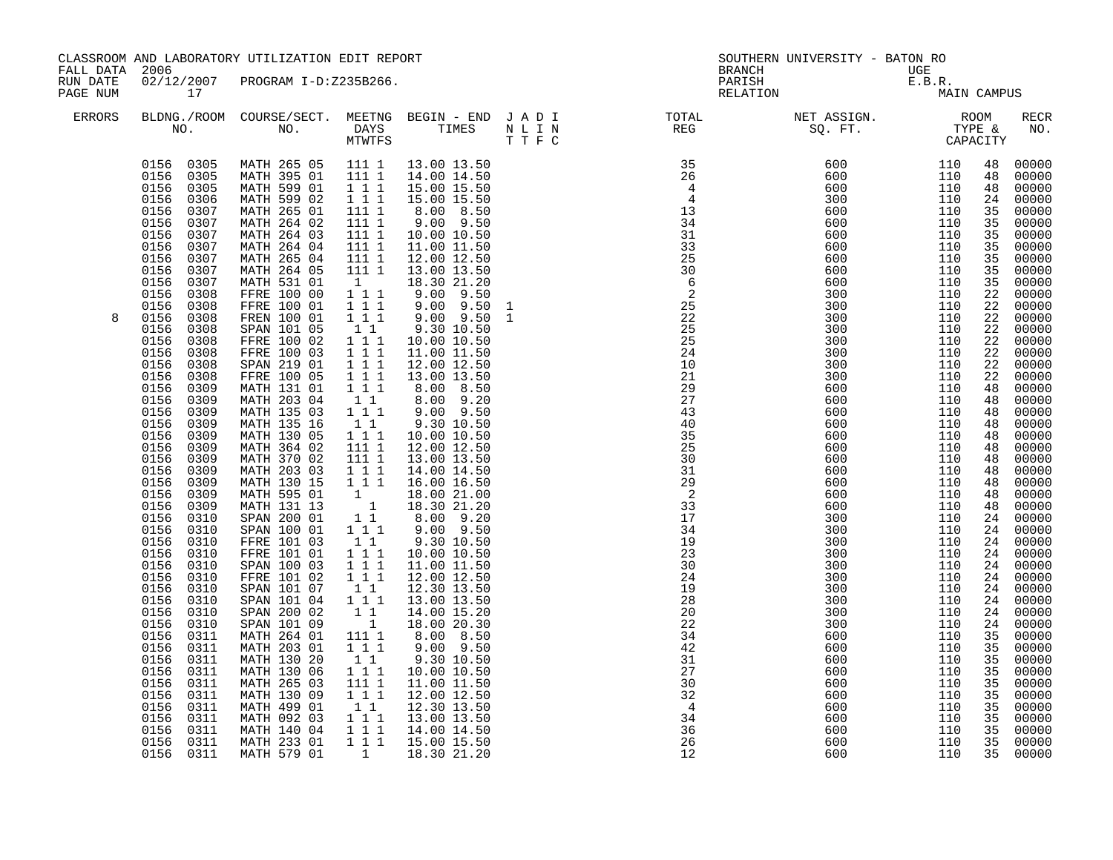|               | CLASSROOM AND LABORATORY UTILIZATION EDIT REPORT<br>FALL DATA 2006<br>02/12/2007 PROGRAM I-D:Z235B266. |                            |                                              |                           |  | SOUTHERN UNIVERSITY - BATON RO                                                                                                     |            |             |          |                |  |
|---------------|--------------------------------------------------------------------------------------------------------|----------------------------|----------------------------------------------|---------------------------|--|------------------------------------------------------------------------------------------------------------------------------------|------------|-------------|----------|----------------|--|
|               |                                                                                                        |                            |                                              |                           |  | BRANCH                                                                                                                             |            | UGE         |          |                |  |
| RUN DATE      |                                                                                                        |                            |                                              |                           |  | PARISH                                                                                                                             |            | E.B.R.      |          |                |  |
| PAGE NUM      | 17                                                                                                     |                            |                                              |                           |  | RELATION                                                                                                                           |            | MAIN CAMPUS |          |                |  |
| <b>ERRORS</b> |                                                                                                        |                            |                                              |                           |  |                                                                                                                                    |            |             |          | <b>RECR</b>    |  |
|               |                                                                                                        |                            |                                              |                           |  |                                                                                                                                    |            |             |          | NO.            |  |
|               |                                                                                                        |                            |                                              |                           |  | BLDNG./ROOM COURSE/SECT. MEETNG BEGIN – END JADI TOTAL NET ASSIGN. NET ASSIGN. ROOM ROOM NO. DAYS TIMES NLIN REG REG SQ.FT. TYPE & |            |             |          |                |  |
|               | 0156 0305                                                                                              | MATH 265 05                | 111 1                                        | 13.00 13.50               |  |                                                                                                                                    | 600        | 110         | 48       | 00000          |  |
|               | 0305<br>0156                                                                                           | MATH 395 01                | 111 1                                        | 14.00 14.50               |  |                                                                                                                                    | 600        | 110         | 48       | 00000          |  |
|               | 0156<br>0305                                                                                           | MATH 599 01                | $1 1 1$                                      | 15.00 15.50               |  |                                                                                                                                    | 600        | 110         | 48       | 00000          |  |
|               | 0156<br>0306                                                                                           | MATH 599 02                | 1 1 1                                        | 15.00 15.50               |  |                                                                                                                                    | 300        | 110         | 24       | 00000          |  |
|               | 0156<br>0307                                                                                           | MATH 265 01                | 111 1                                        | 8.00 8.50                 |  |                                                                                                                                    | 600        | 110         | 35       | 00000          |  |
|               | 0156<br>0307                                                                                           | MATH 264 02                | 111 1                                        | $9.00$ $9.50$             |  |                                                                                                                                    | 600        | 110         | 35       | 00000          |  |
|               | 0156<br>0307                                                                                           | MATH 264 03                | 111 1                                        | 10.00 10.50               |  |                                                                                                                                    | 600        | 110         | 35       | 00000          |  |
|               | 0156<br>0307                                                                                           | MATH 264 04                | 111 1                                        | 11.00 11.50               |  |                                                                                                                                    | 600        | 110         | 35       | 00000          |  |
|               | 0156<br>0307                                                                                           | MATH 265 04                | 111 1                                        | 12.00 12.50               |  |                                                                                                                                    | 600        | 110         | 35       | 00000          |  |
|               | 0307<br>0156                                                                                           | MATH 264 05                | 111 1                                        | 13.00 13.50               |  |                                                                                                                                    | 600        | 110         | 35       | 00000          |  |
|               | 0156<br>0307                                                                                           | MATH 531 01                | 1                                            | 18.30 21.20               |  |                                                                                                                                    | 600        | 110         | 35       | 00000          |  |
|               | 0156<br>0308                                                                                           | FFRE 100 00                | $1\ 1\ 1$                                    | $9.00$ $9.50$             |  |                                                                                                                                    | 300        | 110         | 22       | 00000          |  |
|               | 0156<br>0308                                                                                           | FFRE 100 01                | $1 1 1$                                      | $9.00$ $9.50$             |  |                                                                                                                                    | 300        | 110         | 22       | 00000          |  |
| 8             | 0156<br>0308                                                                                           | FREN 100 01                | $1 1 1$                                      | $9.00$ $9.50$             |  |                                                                                                                                    | 300        | 110         | 22       | 00000          |  |
|               | 0156<br>0308                                                                                           | SPAN 101 05                | $1\quad1$                                    | 9.30 10.50                |  |                                                                                                                                    | 300        | 110         | 22       | 00000          |  |
|               | 0156<br>0308                                                                                           | FFRE 100 02                | $1\hspace{0.1cm} 1\hspace{0.1cm} 1$          | 10.00 10.50               |  |                                                                                                                                    | 300        | 110         | 22       | 00000          |  |
|               | 0156<br>0308                                                                                           | FFRE 100 03                | 111                                          | 11.00 11.50               |  |                                                                                                                                    | 300        | 110         | 22       | 00000          |  |
|               | 0156<br>0308                                                                                           | SPAN 219 01                | $1 1 1$                                      | 12.00 12.50               |  |                                                                                                                                    | 300        | 110         | 22       | 00000          |  |
|               | 0156<br>0308                                                                                           | FFRE 100 05                | 1 1 1                                        | 13.00 13.50               |  |                                                                                                                                    | 300        | 110         | 22       | 00000          |  |
|               | 0156<br>0309                                                                                           | MATH 131 01                | 111                                          | 8.00 8.50                 |  |                                                                                                                                    | 600        | 110         | 48       | 00000          |  |
|               | 0156<br>0309                                                                                           | MATH 203 04                | $1\quad1$                                    | 8.00 9.20                 |  |                                                                                                                                    | 600        | 110         | 48       | 00000          |  |
|               | 0156<br>0309                                                                                           | MATH 135 03                | $1$ <sup>-1</sup> <sup>-1</sup>              | $9.00$ $9.50$             |  |                                                                                                                                    | 600        | 110         | 48       | 00000          |  |
|               | 0156<br>0309                                                                                           | MATH 135 16                | 11                                           | 9.30 10.50                |  |                                                                                                                                    | 600        | 110         | 48       | 00000          |  |
|               | 0156<br>0309                                                                                           | MATH 130 05                | 111                                          | 10.00 10.50               |  |                                                                                                                                    | 600        | 110         | 48       | 00000          |  |
|               | 0156<br>0309                                                                                           | MATH 364 02                | 111 1                                        | 12.00 12.50               |  |                                                                                                                                    | 600        | 110         | 48       | 00000          |  |
|               | 0156<br>0309                                                                                           | MATH 370 02                | 111 1                                        | 13.00 13.50               |  |                                                                                                                                    | 600        | 110         | 48       | 00000          |  |
|               | 0156<br>0309                                                                                           | MATH 203 03                | 1 1 1                                        | 14.00 14.50               |  |                                                                                                                                    | 600        | 110         | 48       | 00000          |  |
|               | 0156<br>0309                                                                                           | MATH 130 15                | 111                                          | 16.00 16.50               |  |                                                                                                                                    | 600        | 110         | 48       | 00000          |  |
|               | 0156<br>0309                                                                                           | MATH 595 01                | $\mathbf{1}$                                 | 18.00 21.00               |  |                                                                                                                                    | 600        | 110         | 48       | 00000          |  |
|               | 0156<br>0309                                                                                           | MATH 131 13                | $\begin{array}{cc} & 1 \\ 1 & 1 \end{array}$ | 18.30 21.20               |  |                                                                                                                                    | 600        | 110         | 48       | 00000          |  |
|               | 0156<br>0310<br>0156                                                                                   | SPAN 200 01<br>SPAN 100 01 | $1 1 1$                                      | 8.00 9.20<br>9.00 9.50    |  |                                                                                                                                    | 300<br>300 | 110         | 24       | 00000<br>00000 |  |
|               | 0310                                                                                                   |                            |                                              |                           |  |                                                                                                                                    |            | 110         | 24       |                |  |
|               | 0156<br>0310<br>0156<br>0310                                                                           | FFRE 101 03<br>FFRE 101 01 | 1 1<br>$1 1 1$                               | 9.30 10.50<br>10.00 10.50 |  |                                                                                                                                    | 300<br>300 | 110<br>110  | 24<br>24 | 00000<br>00000 |  |
|               | 0156<br>0310                                                                                           | SPAN 100 03                | 1 1 1                                        | 11.00 11.50               |  |                                                                                                                                    | 300        | 110         | 24       | 00000          |  |
|               | 0156<br>0310                                                                                           | FFRE 101 02                | $1 1 1$                                      | 12.00 12.50               |  |                                                                                                                                    | 300        | 110         | 24       | 00000          |  |
|               | 0156<br>0310                                                                                           | SPAN 101 07                | $1\quad1$                                    | 12.30 13.50               |  |                                                                                                                                    | 300        | 110         | 24       | 00000          |  |
|               | 0156<br>0310                                                                                           | SPAN 101 04                | 111                                          | 13.00 13.50               |  |                                                                                                                                    | 300        | 110         | 24       | 00000          |  |
|               | 0156<br>0310                                                                                           | SPAN 200 02                | 1 1                                          | 14.00 15.20               |  |                                                                                                                                    | 300        | 110         | 24       | 00000          |  |
|               | 0156<br>0310                                                                                           | SPAN 101 09                | $\overline{\phantom{a}}$                     | 18.00 20.30               |  |                                                                                                                                    | 300        | 110         | 24       | 00000          |  |
|               | 0156<br>0311                                                                                           | MATH 264 01                | 111 1                                        | 8.00 8.50                 |  |                                                                                                                                    | 600        | 110         | 35       | 00000          |  |
|               | 0156<br>0311                                                                                           | MATH 203 01                | $1 1 1$                                      | $9.00$ $9.50$             |  |                                                                                                                                    | 600        | 110         | 35       | 00000          |  |
|               | 0156<br>0311                                                                                           | MATH 130 20                | 11                                           | 9.30 10.50                |  |                                                                                                                                    | 600        | 110         | 35       | 00000          |  |
|               | 0156<br>0311                                                                                           | MATH 130 06                | 1 1 1                                        | 10.00 10.50               |  |                                                                                                                                    | 600        | 110         | 35       | 00000          |  |
|               | 0156<br>0311                                                                                           | MATH 265 03                | 111 1                                        | 11.00 11.50               |  |                                                                                                                                    | 600        | 110         | 35       | 00000          |  |
|               | 0156<br>0311                                                                                           | MATH 130 09                | $1\ 1\ 1$                                    | 12.00 12.50               |  |                                                                                                                                    | 600        | 110         | 35       | 00000          |  |
|               | 0156<br>0311                                                                                           | MATH 499 01                | 11                                           | 12.30 13.50               |  |                                                                                                                                    | 600        | 110         | 35       | 00000          |  |
|               | 0156<br>0311                                                                                           | MATH 092 03                | $1\ 1\ 1$                                    | 13.00 13.50               |  |                                                                                                                                    | 600        | 110         | 35       | 00000          |  |
|               | 0156<br>0311                                                                                           | MATH 140 04                | 111                                          | 14.00 14.50               |  |                                                                                                                                    | 600        | 110         | 35       | 00000          |  |
|               | 0156<br>0311                                                                                           | MATH 233 01                | 1 1 1                                        | 15.00 15.50               |  |                                                                                                                                    | 600        | 110         | 35       | 00000          |  |
|               | 0156 0311                                                                                              | MATH 579 01                | $\frac{1}{2}$                                | 18.30 21.20               |  |                                                                                                                                    | 600        | 110         | 35       | 00000          |  |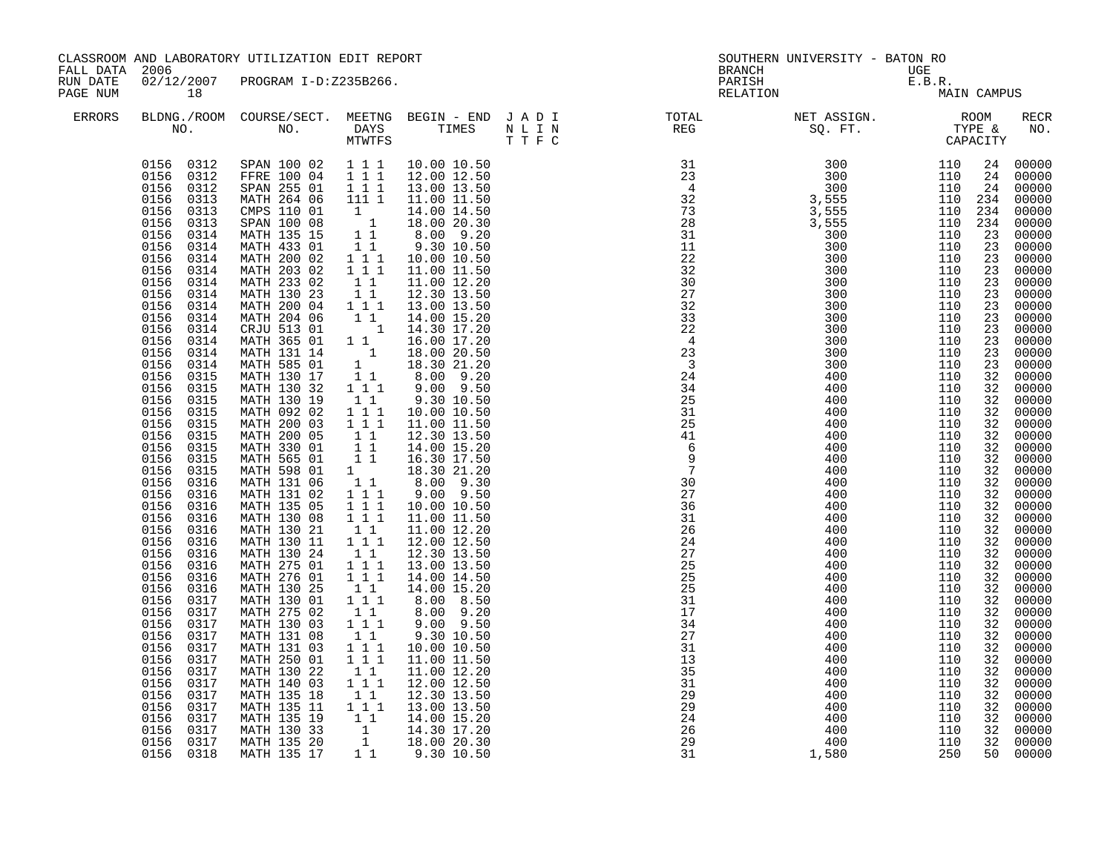| CLASSROOM AND LABORATORY UTILIZATION EDIT REPORT<br>FALL DATA 2006<br>02/12/2007 PROGRAM I-D:Z235B266.<br>RUN DATE |                                                                                                                                                                                                                                                                                                                                                                                                                                                                                                                                                                                                                                                                                                                                                                                                 | <b>BRANCH</b>                                                                                                                                                                                                                                                                                                                                                                                                                                                                                                                                                                                                                                                                                                                                                                                                                     | SOUTHERN UNIVERSITY - BATON RO                                                                                                                                                                                                                                                                                                                                                                                                                                                                                                                                                                     |                                                                                                                                                                                                                                                                                                                                                                                                                                                                                                                                                                                                                                                                                                                                                                                                                     |                                                                                                                                                                                                                                                                                                                                                    |                                                                                                                                                                                                                                              |                                                                                                                                                                                                                                                                             |                                                                                                                                                                                                                                                                                              |                                                                                                                                                                                                                                                                                                                                                                                                                                                                                   |
|--------------------------------------------------------------------------------------------------------------------|-------------------------------------------------------------------------------------------------------------------------------------------------------------------------------------------------------------------------------------------------------------------------------------------------------------------------------------------------------------------------------------------------------------------------------------------------------------------------------------------------------------------------------------------------------------------------------------------------------------------------------------------------------------------------------------------------------------------------------------------------------------------------------------------------|-----------------------------------------------------------------------------------------------------------------------------------------------------------------------------------------------------------------------------------------------------------------------------------------------------------------------------------------------------------------------------------------------------------------------------------------------------------------------------------------------------------------------------------------------------------------------------------------------------------------------------------------------------------------------------------------------------------------------------------------------------------------------------------------------------------------------------------|----------------------------------------------------------------------------------------------------------------------------------------------------------------------------------------------------------------------------------------------------------------------------------------------------------------------------------------------------------------------------------------------------------------------------------------------------------------------------------------------------------------------------------------------------------------------------------------------------|---------------------------------------------------------------------------------------------------------------------------------------------------------------------------------------------------------------------------------------------------------------------------------------------------------------------------------------------------------------------------------------------------------------------------------------------------------------------------------------------------------------------------------------------------------------------------------------------------------------------------------------------------------------------------------------------------------------------------------------------------------------------------------------------------------------------|----------------------------------------------------------------------------------------------------------------------------------------------------------------------------------------------------------------------------------------------------------------------------------------------------------------------------------------------------|----------------------------------------------------------------------------------------------------------------------------------------------------------------------------------------------------------------------------------------------|-----------------------------------------------------------------------------------------------------------------------------------------------------------------------------------------------------------------------------------------------------------------------------|----------------------------------------------------------------------------------------------------------------------------------------------------------------------------------------------------------------------------------------------------------------------------------------------|-----------------------------------------------------------------------------------------------------------------------------------------------------------------------------------------------------------------------------------------------------------------------------------------------------------------------------------------------------------------------------------------------------------------------------------------------------------------------------------|
| PAGE NUM                                                                                                           | 18                                                                                                                                                                                                                                                                                                                                                                                                                                                                                                                                                                                                                                                                                                                                                                                              |                                                                                                                                                                                                                                                                                                                                                                                                                                                                                                                                                                                                                                                                                                                                                                                                                                   |                                                                                                                                                                                                                                                                                                                                                                                                                                                                                                                                                                                                    |                                                                                                                                                                                                                                                                                                                                                                                                                                                                                                                                                                                                                                                                                                                                                                                                                     | PARISH<br>RELATION                                                                                                                                                                                                                                                                                                                                 | $\begin{array}{lll} \texttt{UGE} \\ \texttt{E.B.R.} \\ \texttt{MA!} \end{array}$                                                                                                                                                             |                                                                                                                                                                                                                                                                             | MAIN CAMPUS                                                                                                                                                                                                                                                                                  |                                                                                                                                                                                                                                                                                                                                                                                                                                                                                   |
| <b>ERRORS</b>                                                                                                      |                                                                                                                                                                                                                                                                                                                                                                                                                                                                                                                                                                                                                                                                                                                                                                                                 |                                                                                                                                                                                                                                                                                                                                                                                                                                                                                                                                                                                                                                                                                                                                                                                                                                   |                                                                                                                                                                                                                                                                                                                                                                                                                                                                                                                                                                                                    |                                                                                                                                                                                                                                                                                                                                                                                                                                                                                                                                                                                                                                                                                                                                                                                                                     | BLDNG./ROOM COURSE/SECT. MEETNG BEGIN – END JADI TOTAL TOTAL NET ASSIGN. REG ROOM NO. DAYS TIMES NLIN REG SQ.FT. TYPE &                                                                                                                                                                                                                            |                                                                                                                                                                                                                                              |                                                                                                                                                                                                                                                                             |                                                                                                                                                                                                                                                                                              | <b>RECR</b><br>NO.                                                                                                                                                                                                                                                                                                                                                                                                                                                                |
|                                                                                                                    | 0156 0312<br>0156 0312<br>0156 0312<br>0156 0313<br>0313<br>0156<br>0156 0313<br>0156<br>0314<br>0156 0314<br>0156<br>0314<br>0156 0314<br>0156<br>0314<br>0156<br>0314<br>0156<br>0314<br>0156<br>0314<br>0156<br>0314<br>0156<br>0314<br>0156<br>0314<br>0156<br>0314<br>0156<br>0315<br>0156<br>0315<br>0156<br>0315<br>0156<br>0315<br>0156<br>0315<br>0156<br>0315<br>0156<br>0315<br>0315<br>0156<br>0156 0315<br>0156<br>0316<br>0156 0316<br>0156<br>0316<br>0156 0316<br>0156 0316<br>0156 0316<br>0156<br>0316<br>0156 0316<br>0156<br>0316<br>0156<br>0316<br>0156<br>0317<br>0156<br>0317<br>0156<br>0317<br>0156<br>0317<br>0156<br>0317<br>0156<br>0317<br>0156<br>0317<br>0156<br>0317<br>0156<br>0317<br>0317<br>0156<br>0156<br>0317<br>0156<br>0317<br>0156 0317<br>0156 0318 | SPAN 100 02 1 1 1 10.00 10.50<br>FFRE 100 04 1 1 1<br>SPAN 255 01<br>MATH 264 06 111 1<br>CMPS 110 01 1<br>SPAN 100 08 1<br>MATH 135 15 1 1<br>MATH 433 01<br>MATH 200 02<br>MATH 203 02<br>MATH 233 02<br>MATH 130 23<br>MATH 200 04<br>MATH 204 06<br>CRJU 513 01<br>MATH 365 01<br>MATH 131 14<br>MATH 585 01<br>MATH 130 17<br>MATH 130 32<br>MATH 130 19<br>MATH 092 02<br>MATH 200 03<br>MATH 200 05<br>MATH 330 01<br>MATH 565 01<br>MATH 598 01 1<br>MATH 131 06<br>MATH 131 02<br>MATH 135 05<br>MATH 130 08<br>MATH 130 21<br>MATH 130 11<br>MATH 130 24<br>MATH 275 01<br>MATH 276 01<br>MATH 130 25<br>MATH 130 01<br>MATH 275 02<br>MATH 130 03<br>MATH 131 08<br>MATH 131 03<br>MATH 250 01<br>MATH 130 22<br>MATH 140 03<br>MATH 135 18<br>MATH 135 11<br>MATH 135 19<br>MATH 130 33<br>MATH 135 20<br>MATH 135 17 | 111<br>$\begin{smallmatrix}1&1\\1&1&1\end{smallmatrix}$<br>1 1 1<br>$\begin{bmatrix} 1 \\ 1 \end{bmatrix}$<br>$1\quad1$<br>$1^{\circ}1^{\circ}1$<br>11<br>$\overline{\phantom{a}}$<br>$1\quad1$<br>$\overline{1}$<br>$\begin{smallmatrix}1\1\1\end{smallmatrix}$<br>1 1 1<br>$1\quad1$<br>$1 1 1$<br>$1 1 1$<br>11<br>$\frac{1}{1}$ $\frac{1}{1}$<br>11<br>$1 1 1$<br>$1 1 1$<br>$1 1 1$<br>11<br>$1\ 1\ 1$<br>11<br>1 1 1<br>$\overline{1}$ $\overline{1}$ $\overline{1}$<br>11<br>$1 1 1$<br>$1\quad1$<br>$1 1 1$<br>$1\quad1$<br>$1 1 1$<br>111<br>$1\quad1$<br>1 1 1<br>11<br>111<br>$1\quad1$ | 12.00 12.50<br>13.00 13.50<br>11.00 11.50<br>14.00 14.50<br>18.00 20.30<br>8.00 9.20<br>9.30 10.50<br>10.00 10.50<br>11.00 11.50<br>11.00 12.20<br>12.30 13.50<br>13.00 13.50<br>14.00 15.20<br>14.30 17.20<br>16.00 17.20<br>18.00 20.50<br>18.30 21.20<br>8.00 9.20<br>$9.00$ $9.50$<br>9.30 10.50<br>10.00 10.50<br>11.00 11.50<br>12.30 13.50<br>14.00 15.20<br>16.30 17.50<br>18.30 21.20<br>8.00 9.30<br>9.00 9.50<br>10.00 10.50<br>11.00 11.50<br>11.00 12.20<br>12.00 12.50<br>12.30 13.50<br>13.00 13.50<br>14.00 14.50<br>14.00 15.20<br>8.00 8.50<br>8.00 9.20<br>9.00 9.50<br>9.30 10.50<br>10.00 10.50<br>11.00 11.50<br>11.00 12.20<br>12.00 12.50<br>12.30 13.50<br>13.00 13.50<br>$\begin{bmatrix} 1 & 1 & 14.00 & 15.20 \\ 1 & 14.30 & 17.20 \\ 1 & 18.00 & 20.30 \end{bmatrix}$<br>$9.30\ 10.50$ | $\overline{\mathbf{3}}$<br>$2\bar{4}$<br>$\begin{array}{r} 24 \\ 34 \\ 25 \\ 25 \\ 41 \\ 6 \\ 9 \\ 7 \\ 30 \\ \end{array}$<br>27<br>$\frac{36}{2}$<br>31<br>26<br>$\frac{24}{27}$<br>27<br>$\overline{25}$<br>$\frac{25}{25}$<br>$\overline{25}$<br>31<br>17<br>34<br>27<br>31<br>13<br>35<br>31<br>29<br>29<br>$\frac{24}{26}$<br>$\frac{26}{31}$ | 300<br>400<br>400<br>400<br>400<br>400<br>400<br>400<br>400<br>400<br>400<br>400<br>400<br>400<br>400<br>400<br>400<br>400<br>400<br>400<br>400<br>400<br>400<br>400<br>400<br>400<br>400<br>400<br>400<br>400<br>400<br>400<br>400<br>1,580 | 110 234<br>110 234<br>110 234<br>110<br>110<br>110<br>110<br>110<br>110<br>110<br>110<br>110<br>110<br>110<br>110<br>110<br>110<br>110<br>110<br>110<br>110<br>110<br>110<br>110<br>110<br>110<br>110<br>110<br>110<br>110<br>110<br>110<br>110<br>110<br>110<br>110<br>250 | 24<br>24<br>24<br>23<br>23<br>23<br>23<br>23<br>23<br>23<br>23<br>23<br>23<br>23<br>23<br>32<br>32<br>32<br>32<br>32<br>32<br>32<br>32<br>32<br>32<br>32<br>32<br>32<br>32<br>32<br>32<br>32<br>32<br>32<br>32<br>32<br>32<br>32<br>32<br>32<br>32<br>32<br>32<br>32<br>32<br>32<br>32<br>50 | 00000<br>00000<br>00000<br>00000<br>00000<br>00000<br>00000<br>00000<br>00000<br>$00000$<br>$00000$<br>00000<br>00000<br>00000<br>00000<br>00000<br>00000<br>00000<br>00000<br>00000<br>00000<br>00000<br>00000<br>00000<br>00000<br>$00000$<br>00000<br>00000<br>00000<br>$00000$<br>$00000$<br>00000<br>00000<br>00000<br>00000<br>00000<br>00000<br>00000<br>00000<br>00000<br>00000<br>00000<br>00000<br>00000<br>00000<br>00000<br>00000<br>00000<br>00000<br>00000<br>00000 |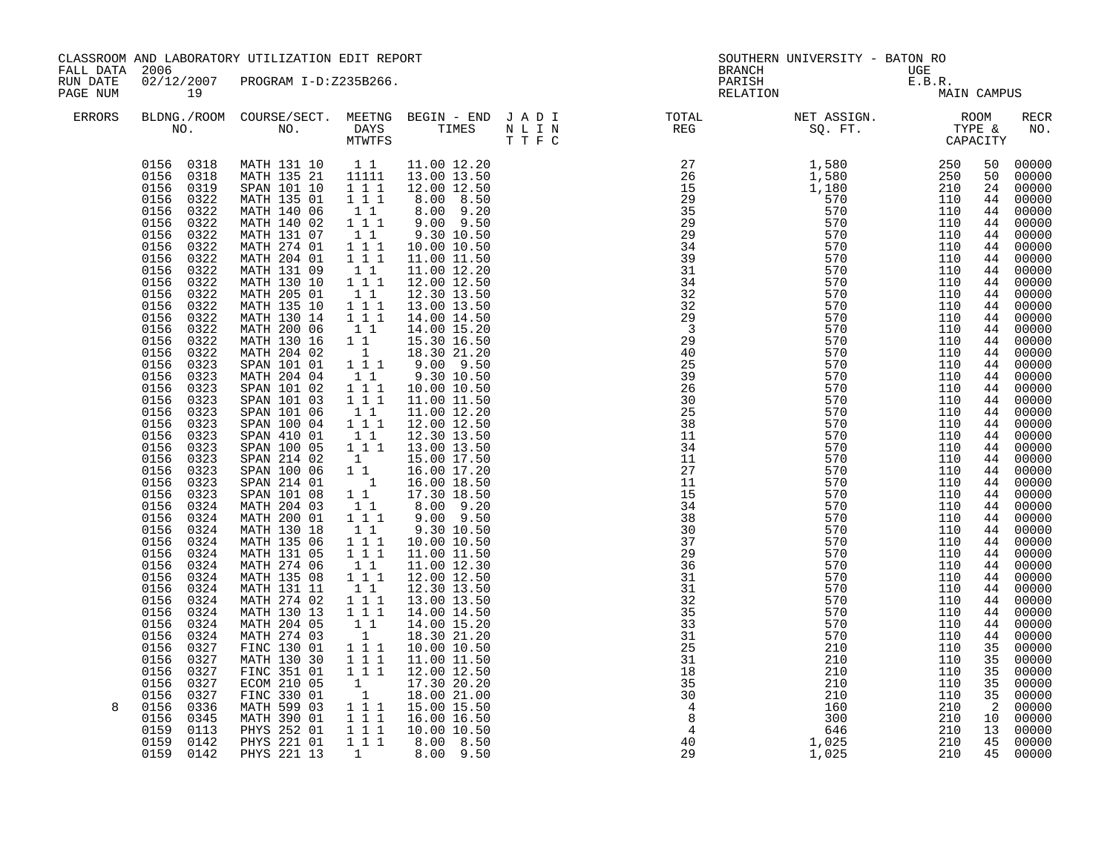| FALL DATA 2006<br>RUN DATE |                                                                                                                                                                                                                                                                                                                                                                                                                                                                                                                                                                                                                                                                                                                                                         | CLASSROOM AND LABORATORY UTILIZATION EDIT REPORT                                                                                                                                                                                                                                                                                                                                                                                                                                                                                                                                                                                                                                                                                        |                                                                                                                                                                                                                                                                                                                                                                                                                                                                                                                                                                                                                                                                                                                                                                                                |                                                                                                                                                                                                                                                                                                                                                                                                                                                                                                                                                                                                                                                                                                                        |                                  | SOUTHERN UNIVERSITY - BATON RO<br><b>BRANCH</b> |                          |                                                                                                                                                                                                                                                                                       |                                                                                                                                                                                                                                                                                                                                                                                                                                                            |
|----------------------------|---------------------------------------------------------------------------------------------------------------------------------------------------------------------------------------------------------------------------------------------------------------------------------------------------------------------------------------------------------------------------------------------------------------------------------------------------------------------------------------------------------------------------------------------------------------------------------------------------------------------------------------------------------------------------------------------------------------------------------------------------------|-----------------------------------------------------------------------------------------------------------------------------------------------------------------------------------------------------------------------------------------------------------------------------------------------------------------------------------------------------------------------------------------------------------------------------------------------------------------------------------------------------------------------------------------------------------------------------------------------------------------------------------------------------------------------------------------------------------------------------------------|------------------------------------------------------------------------------------------------------------------------------------------------------------------------------------------------------------------------------------------------------------------------------------------------------------------------------------------------------------------------------------------------------------------------------------------------------------------------------------------------------------------------------------------------------------------------------------------------------------------------------------------------------------------------------------------------------------------------------------------------------------------------------------------------|------------------------------------------------------------------------------------------------------------------------------------------------------------------------------------------------------------------------------------------------------------------------------------------------------------------------------------------------------------------------------------------------------------------------------------------------------------------------------------------------------------------------------------------------------------------------------------------------------------------------------------------------------------------------------------------------------------------------|----------------------------------|-------------------------------------------------|--------------------------|---------------------------------------------------------------------------------------------------------------------------------------------------------------------------------------------------------------------------------------------------------------------------------------|------------------------------------------------------------------------------------------------------------------------------------------------------------------------------------------------------------------------------------------------------------------------------------------------------------------------------------------------------------------------------------------------------------------------------------------------------------|
| PAGE NUM                   | 19                                                                                                                                                                                                                                                                                                                                                                                                                                                                                                                                                                                                                                                                                                                                                      | 02/12/2007 PROGRAM I-D:Z235B266.                                                                                                                                                                                                                                                                                                                                                                                                                                                                                                                                                                                                                                                                                                        |                                                                                                                                                                                                                                                                                                                                                                                                                                                                                                                                                                                                                                                                                                                                                                                                |                                                                                                                                                                                                                                                                                                                                                                                                                                                                                                                                                                                                                                                                                                                        |                                  | UGE<br>E.B.R.<br>MA:<br>PARISH<br>RELATION      | MAIN CAMPUS              |                                                                                                                                                                                                                                                                                       |                                                                                                                                                                                                                                                                                                                                                                                                                                                            |
| <b>ERRORS</b>              |                                                                                                                                                                                                                                                                                                                                                                                                                                                                                                                                                                                                                                                                                                                                                         |                                                                                                                                                                                                                                                                                                                                                                                                                                                                                                                                                                                                                                                                                                                                         |                                                                                                                                                                                                                                                                                                                                                                                                                                                                                                                                                                                                                                                                                                                                                                                                |                                                                                                                                                                                                                                                                                                                                                                                                                                                                                                                                                                                                                                                                                                                        |                                  |                                                 |                          |                                                                                                                                                                                                                                                                                       | RECR<br>NO.                                                                                                                                                                                                                                                                                                                                                                                                                                                |
| 8                          | 0156 0318<br>0156 0318<br>0156<br>0319<br>0156<br>0322<br>0322<br>0156<br>0156<br>0322<br>0156<br>0322<br>0156<br>0322<br>0322<br>0156<br>0156 0322<br>0156<br>0322<br>0156 0322<br>0156<br>0322<br>0156<br>0322<br>0156<br>0322<br>0156<br>0322<br>0156<br>0322<br>0156<br>0323<br>0156<br>0323<br>0156<br>0323<br>0156<br>0323<br>0156<br>0323<br>0156<br>0323<br>0156<br>0323<br>0156<br>0323<br>0156<br>0323<br>0156 0323<br>0156<br>0323<br>0156 0323<br>0324<br>0156<br>0156 0324<br>0156<br>0324<br>0156<br>0324<br>0156<br>0324<br>0156<br>0324<br>0156<br>0324<br>0156<br>0324<br>0156<br>0324<br>0156<br>0324<br>0156<br>0324<br>0156<br>0324<br>0156<br>0327<br>0156<br>0327<br>0156<br>0327<br>0156<br>0327<br>0156<br>0327<br>0156<br>0336 | MATH 131 10 1 1<br>MATH 135 21 11111<br>SPAN 101 10<br>MATH 135 01<br>MATH 140 06<br>MATH 140 02<br>MATH 131 07<br>MATH 274 01<br>MATH 204 01<br>MATH 131 09<br>MATH 130 10<br>MATH 205 01<br>MATH 135 10<br>MATH 130 14<br>MATH 200 06<br>MATH 130 16<br>MATH 204 02<br>SPAN 101 01<br>MATH 204 04<br>SPAN 101 02<br>SPAN 101 03<br>SPAN 101 06<br>SPAN 100 04<br>SPAN 410 01<br>SPAN 100 05<br>SPAN 214 02<br>SPAN 100 06<br>SPAN 214 01<br>SPAN 101 08<br>MATH 204 03<br>MATH 200 01<br>MATH 130 18<br>MATH 135 06<br>MATH 131 05<br>MATH 274 06<br>MATH 135 08<br>MATH 131 11<br>MATH 274 02<br>MATH 130 13<br>MATH 204 05<br>MATH 274 03<br>FINC 130 01<br>MATH 130 30<br>FINC 351 01<br>ECOM 210 05<br>FINC 330 01<br>MATH 599 03 | $1 1 1$<br>111<br>11<br>$1\ 1\ 1$<br>$1\quad1$<br>$\begin{array}{rrrr}\n1 & 1 & 1 \\ 1 & 1 & 1\n\end{array}$<br>$\begin{smallmatrix}&&1\\1&1\\1&1&1\end{smallmatrix}$<br>$\begin{bmatrix} 1 & 1 \\ 1 & 1 & 1 \\ 1 & 1 & 1 \end{bmatrix}$<br>11<br>$1\quad1$<br>1<br>$1 1 1$<br>11<br>111<br>$1\overline{1}$ $1\overline{1}$<br>11<br>$1 1 1$<br>$\begin{bmatrix} 1 \\ 1 \\ 1 \end{bmatrix}$<br>$\begin{bmatrix} 1 \\ 1 \end{bmatrix}$<br>$\begin{smallmatrix}1&&1\\&&1\\1&1\\1&1\end{smallmatrix}$<br>111<br>$1\quad1$<br>$\begin{array}{rrrr} 1&1&1\\ 1&1&1 \end{array}$<br>$1\quad1$<br>$1^{\circ}1^{\circ}1$<br>$1\quad1$<br>$\begin{array}{rrrr}\n1 & 1 & 1 \\ 1 & 1 & 1\n\end{array}$<br>11<br>$\overline{1}$<br>$1 1 1$<br>111<br>$1 1 1$<br>1<br>$\begin{bmatrix} 1 \\ 1 \end{bmatrix}$ | 11.00 12.20<br>13.00 13.50<br>12.00 12.50<br>8.00 8.50<br>8.00 9.20<br>$9.00$ $9.50$<br>9.30 10.50<br>10.00 10.50<br>11.00 11.50<br>11.00 12.20<br>12.00 12.50<br>12.30 13.50<br>13.00 13.50<br>14.00 14.50<br>14.00 15.20<br>15.30 16.50<br>18.30 21.20<br>9.00 9.50<br>9.30 10.50<br>10.00 10.50<br>11.00 11.50<br>11.00 12.20<br>12.00 12.50<br>12.30 13.50<br>13.00 13.50<br>15.00 17.50<br>16.00 17.20<br>16.00 18.50<br>17.30 18.50<br>8.00 9.20<br>$9.00$ $9.50$<br>9.30 10.50<br>10.00 10.50<br>11.00 11.50<br>11.00 12.30<br>12.00 12.50<br>12.30 13.50<br>13.00 13.50<br>14.00 14.50<br>14.00 15.20<br>18.30 21.20<br>10.00 10.50<br>11.00 11.50<br>12.00 12.50<br>17.30 20.20<br>18.00 21.00<br>15.00 15.50 | 18<br>35<br>30<br>$\overline{4}$ | 210<br>210<br>210<br>160                        | 110<br>110<br>110<br>210 | 50<br>50<br>24<br>44<br>44<br>44<br>44<br>44<br>44<br>44<br>44<br>44<br>44<br>44<br>44<br>44<br>44<br>44<br>44<br>44<br>44<br>44<br>44<br>44<br>44<br>44<br>44<br>44<br>44<br>44<br>44<br>44<br>44<br>44<br>44<br>44<br>44<br>44<br>44<br>44<br>44<br>35<br>35<br>35<br>35<br>35<br>2 | 00000<br>00000<br>00000<br>00000<br>00000<br>00000<br>00000<br>00000<br>$00000$<br>00000<br>00000<br>00000<br>00000<br>00000<br>00000<br>00000<br>00000<br>00000<br>00000<br>00000<br>00000<br>00000<br>00000<br>00000<br>00000<br>$00000$<br>00000<br>00000<br>00000<br>$00000$<br>$00000$<br>$00000$<br>00000<br>00000<br>$00000$<br>00000<br>00000<br>00000<br>00000<br>00000<br>00000<br>00000<br>00000<br>00000<br>00000<br>00000<br>$00000$<br>00000 |
|                            | 0156<br>0345<br>0159<br>0113<br>0159<br>0142<br>0159 0142                                                                                                                                                                                                                                                                                                                                                                                                                                                                                                                                                                                                                                                                                               | MATH 390 01<br>PHYS 252 01<br>PHYS 221 01<br>PHYS 221 13                                                                                                                                                                                                                                                                                                                                                                                                                                                                                                                                                                                                                                                                                | $1 1 1$<br>$1 1 1$<br>1 1 1<br>$\mathbf{1}$                                                                                                                                                                                                                                                                                                                                                                                                                                                                                                                                                                                                                                                                                                                                                    | 16.00 16.50<br>10.00 10.50<br>8.00 8.50<br>8.00 9.50                                                                                                                                                                                                                                                                                                                                                                                                                                                                                                                                                                                                                                                                   | 8<br>$\overline{4}$<br>40<br>29  | 300<br>646<br>1,025<br>1,025                    | 210<br>210<br>210<br>210 | 10<br>13<br>45                                                                                                                                                                                                                                                                        | 00000<br>00000<br>45 00000                                                                                                                                                                                                                                                                                                                                                                                                                                 |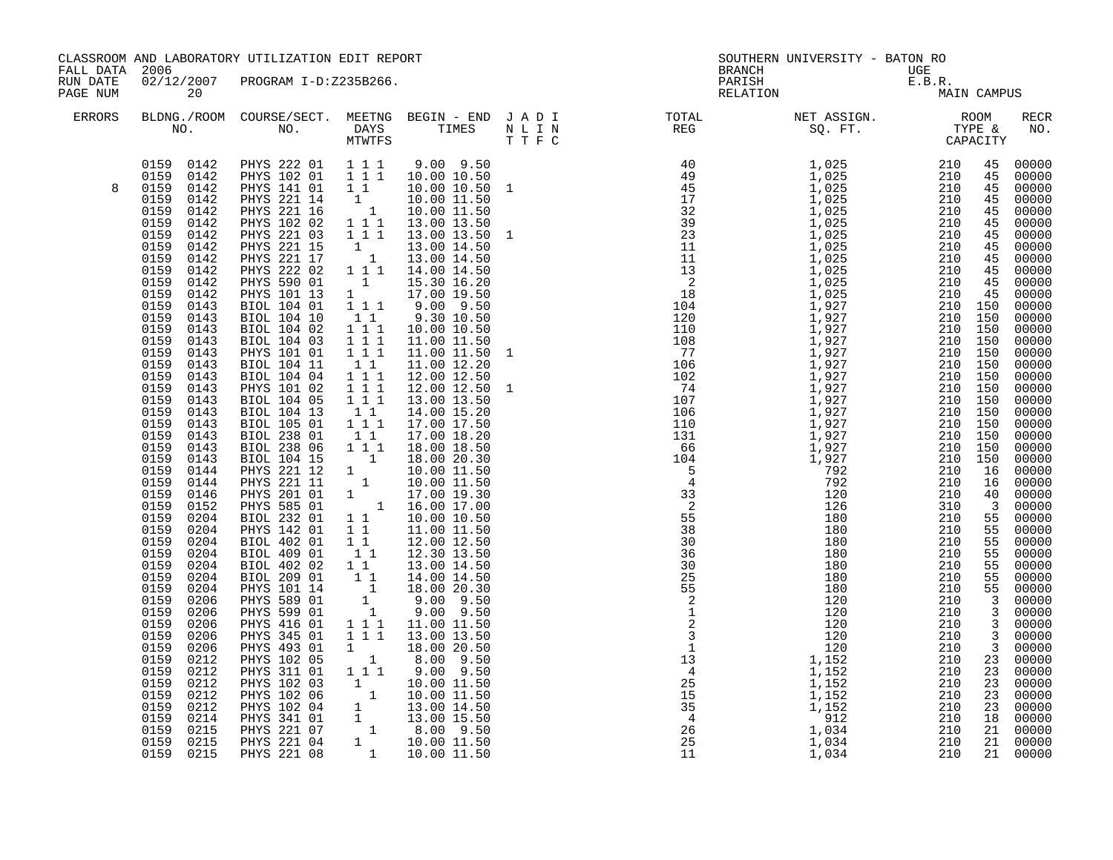| FALL DATA 2006       |                                                                                                                                                                                                                                                                                                                                                                                                                                                                                                                                                                                                                                                                                                                                                                                                                                     | CLASSROOM AND LABORATORY UTILIZATION EDIT REPORT                                                                                                                                                                                                                                                                                                                                                                                                                                                                                                                                                                                                                                                                                                                                                                                                                                                                                                                                                                                     |                                                                                                                                                                                                                                                                                                                                                                                                                                                                                                     |                                                                                                                                                                                                                                                                                                                                                                                                                                                                                                                                                                                                                                                                                                                              |  | SOUTHERN UNIVERSITY - BATON RO<br><b>BRANCH</b>                                                                                                                                                                                                                                                                                                                                                                                |             |                                                                                                                                                                                                                                                                                                                                                                                                                                                                                                                                                                          |
|----------------------|-------------------------------------------------------------------------------------------------------------------------------------------------------------------------------------------------------------------------------------------------------------------------------------------------------------------------------------------------------------------------------------------------------------------------------------------------------------------------------------------------------------------------------------------------------------------------------------------------------------------------------------------------------------------------------------------------------------------------------------------------------------------------------------------------------------------------------------|--------------------------------------------------------------------------------------------------------------------------------------------------------------------------------------------------------------------------------------------------------------------------------------------------------------------------------------------------------------------------------------------------------------------------------------------------------------------------------------------------------------------------------------------------------------------------------------------------------------------------------------------------------------------------------------------------------------------------------------------------------------------------------------------------------------------------------------------------------------------------------------------------------------------------------------------------------------------------------------------------------------------------------------|-----------------------------------------------------------------------------------------------------------------------------------------------------------------------------------------------------------------------------------------------------------------------------------------------------------------------------------------------------------------------------------------------------------------------------------------------------------------------------------------------------|------------------------------------------------------------------------------------------------------------------------------------------------------------------------------------------------------------------------------------------------------------------------------------------------------------------------------------------------------------------------------------------------------------------------------------------------------------------------------------------------------------------------------------------------------------------------------------------------------------------------------------------------------------------------------------------------------------------------------|--|--------------------------------------------------------------------------------------------------------------------------------------------------------------------------------------------------------------------------------------------------------------------------------------------------------------------------------------------------------------------------------------------------------------------------------|-------------|--------------------------------------------------------------------------------------------------------------------------------------------------------------------------------------------------------------------------------------------------------------------------------------------------------------------------------------------------------------------------------------------------------------------------------------------------------------------------------------------------------------------------------------------------------------------------|
| RUN DATE<br>PAGE NUM | 20                                                                                                                                                                                                                                                                                                                                                                                                                                                                                                                                                                                                                                                                                                                                                                                                                                  | 02/12/2007 PROGRAM I-D:Z235B266.                                                                                                                                                                                                                                                                                                                                                                                                                                                                                                                                                                                                                                                                                                                                                                                                                                                                                                                                                                                                     |                                                                                                                                                                                                                                                                                                                                                                                                                                                                                                     |                                                                                                                                                                                                                                                                                                                                                                                                                                                                                                                                                                                                                                                                                                                              |  | UGE<br>E.B.R.<br>MA:<br>PARISH<br>RELATION                                                                                                                                                                                                                                                                                                                                                                                     | MAIN CAMPUS |                                                                                                                                                                                                                                                                                                                                                                                                                                                                                                                                                                          |
| ERRORS               |                                                                                                                                                                                                                                                                                                                                                                                                                                                                                                                                                                                                                                                                                                                                                                                                                                     |                                                                                                                                                                                                                                                                                                                                                                                                                                                                                                                                                                                                                                                                                                                                                                                                                                                                                                                                                                                                                                      |                                                                                                                                                                                                                                                                                                                                                                                                                                                                                                     |                                                                                                                                                                                                                                                                                                                                                                                                                                                                                                                                                                                                                                                                                                                              |  | BLDNG./ROOM COURSE/SECT. MEETNG BEGIN – END JADI TOTAL NET ASSIGN. NET ASSIGN. ROOM ROOM NO. DAYS TIMES NLIN REG REG SQ.FT. TYPE &                                                                                                                                                                                                                                                                                             |             | RECR<br>NO.                                                                                                                                                                                                                                                                                                                                                                                                                                                                                                                                                              |
| 8                    | 0159 0142<br>0159 0142<br>0159<br>0142<br>0159<br>0142<br>0159<br>0142<br>0159<br>0142<br>0159<br>0142<br>0159<br>0142<br>0159<br>0142<br>0159<br>0142<br>0159<br>0142<br>0159<br>0142<br>0159<br>0143<br>0159<br>0143<br>0159<br>0143<br>0159<br>0143<br>0159<br>0143<br>0159<br>0143<br>0159<br>0143<br>0159<br>0143<br>0159<br>0143<br>0159<br>0143<br>0159<br>0143<br>0159<br>0143<br>0159<br>0143<br>0159<br>0143<br>0159<br>0144<br>0159<br>0144<br>0159<br>0146<br>0159<br>0152<br>0159<br>0204<br>0159<br>0204<br>0159<br>0204<br>0159<br>0204<br>0159<br>0204<br>0159<br>0204<br>0159<br>0204<br>0159<br>0206<br>0159<br>0206<br>0159<br>0206<br>0159<br>0206<br>0159<br>0206<br>0159<br>0212<br>0159<br>0212<br>0159<br>0212<br>0159<br>0212<br>0159<br>0212<br>0159<br>0214<br>0159<br>0215<br>0159<br>0215<br>0159 0215 | PHYS 222 01 1 1 1<br>PHYS 102 01 1 1 1<br>PHYS 141 01 1 1<br>PHYS 221 14 1 10.00 11.50<br>PHYS 221 16 1 10.00 11.50<br>PHYS 102 02 1 1 1 13.00 13.50<br>PHYS 221 03 1 1 1<br>PHYS 221 15<br>PHYS 221 15 1 13.00 14.50<br>PHYS 221 17 1 13.00 14.50<br>PHYS 222 02 1 1 1 14.00 14.50<br>PHYS 590 01<br>PHYS 101 13<br>BIOL 104 01<br>BIOL 104 10<br>BIOL 104 02<br>BIOL 104 03<br>PHYS 101 01<br>BIOL 104 11<br>BIOL 104 04 1 1 1<br>PHYS 101 02<br>BIOL 104 05<br>BIOL 104 13<br>BIOL 105 01<br>BIOL 238 01<br>BIOL 238 06 1 1 1<br>BIOL 104 15<br>PHYS 221 12 1 1 10.00 11.50<br>PHYS 221 11 1 10.00 11.50<br>PHYS 201 01 1 17.00 19.30<br>PHYS 585 01 1 16.00 17.00<br>PHYS 585 01 1 16.00 17.00<br>BIOL 232 01<br>PHYS 142 01<br>BIOL 402 01<br><b>BIOL 409 01</b><br>BIOL 402 02<br>BIOL 209 01<br>PHYS 101 14<br>PHYS 589 01<br>PHYS 599 01<br>PHYS 416 01<br>PHYS 345 01<br>PHYS 493 01<br>PHYS 102 05<br>PHYS 311 01<br>PHYS 102 03<br>PHYS 102 06<br>PHYS 102 04<br>PHYS 341 01<br>PHYS 221 07<br>PHYS 221 04<br>PHYS 221 08 | $\overline{1}$<br>$\begin{array}{c} 1 \end{array}$<br>1 1 1<br>$1\quad1$<br>$\begin{array}{cccc} & 1 & 1 & 1 \\ 1 & 1 & 1 & 1 \\ 1 & 1 & 1 & 1 \end{array}$<br>11<br>$1 1 1$<br>$\overline{1}$ $\overline{1}$ $\overline{1}$<br>11<br>$1 1 1$<br>$1\quad1$<br>$\begin{array}{ccc} 1 & 1 \\ 1 & 1 \end{array}$<br>$\begin{smallmatrix}1&&1\\&1\\1&&1\end{smallmatrix}$<br>11<br>$\begin{bmatrix} 1 \\ 1 \\ 1 \\ 1 \\ 1 \end{bmatrix}$<br>$1 1 1$<br>111<br>$\mathbf{1}$<br>$\overline{1}$<br>$1 1 1$ | $9.00$ $9.50$<br>10.00 10.50<br>10.00 10.50<br>10.00 11.50<br>13.00 13.50<br>15.30 16.20<br>17.00 19.50<br>$9.00$ $9.50$<br>9.30 10.50<br>10.00 10.50<br>11.00 11.50<br>11.00 11.50 1<br>11.00 12.20<br>12.00 12.50<br>12.00 12.50<br>13.00 13.50<br>14.00 15.20<br>17.00 17.50<br>17.00 18.20<br>18.00 18.50<br>10.00 10.50<br>11.00 11.50<br>12.00 12.50<br>12.30 13.50<br>13.00 14.50<br>14.00 14.50<br>18.00 20.30<br>9.00 9.50<br>$9.00$ $9.50$<br>11.00 11.50<br>13.00 13.50<br>18.00 20.50<br>8.00 9.50<br>$9.00$ $9.50$<br>$\begin{array}{rrrr} 1 & 1 & 9.00 & 9.50\ 1 & 10.00 & 11.50\ 1 & 10.00 & 11.50\ 1 & 13.00 & 14.50\ 1 & 13.00 & 15.50\ 1 & 8.00 & 9.50\ 1 & 10.00 & 11.50\ 1 & 10.00 & 11.50\ \end{array}$ |  | $\begin{smallmatrix} \text{R} & \text{R} & \text{R} & \text{R} & \text{R} & \text{R} & \text{R} & \text{R} & \text{R} & \text{R} & \text{R} & \text{R} & \text{R} & \text{R} & \text{R} & \text{R} & \text{R} & \text{R} & \text{R} & \text{R} & \text{R} & \text{R} & \text{R} & \text{R} & \text{R} & \text{R} & \text{R} & \text{R} & \text{R} & \text{R} & \text{R} & \text{R} & \text{R} & \text{R} & \text{R} & \text{R$ |             | 00000<br>00000<br>00000<br>00000<br>$00000$<br>$00000$<br>00000<br>$00000$<br>$00000$<br>$00000$<br>$00000$<br>$00000$<br>$00000$<br>00000<br>00000<br>00000<br>$00000$<br>00000<br>00000<br>$00000$<br>00000<br>00000<br>00000<br>$00000$<br>00000<br>00000<br>00000<br>$\begin{array}{rrrr} 40 & 00000 \\ 40 & 00000 \\ 3 & 00000 \\ 55 & 00000 \\ 55 & 00000 \end{array}$<br>00000<br>00000<br>$00000$<br>00000<br>00000<br>00000<br>00000<br>00000<br>00000<br>00000<br>$00000$<br>$00000$<br>00000<br>$00000$<br>$00000$<br>$00000$<br>$00000$<br>00000<br>21 00000 |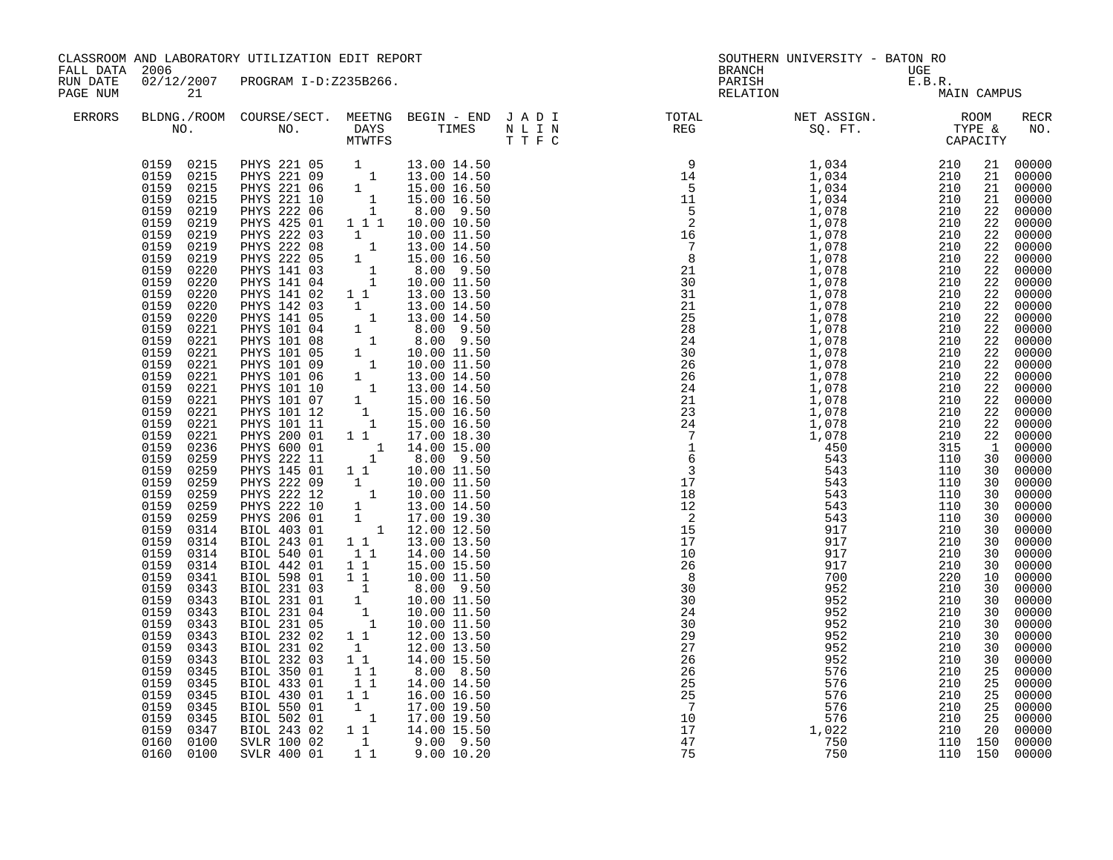| FALL DATA 2006       |                                                                                                                                                                                                                                                                                                                                                                                                                                                                                                                                                                                                                                                                                                                                                                                                                                  | CLASSROOM AND LABORATORY UTILIZATION EDIT REPORT                                                                                                                                                                                                                                                                                                                                                                                                                                                                                                                                                                                                                                                                                                                                                                                                                                                                                                                                                                                                                                                                               |                                                                                                                                                                                                                                                                                                                                            |                                                                                                                                                                                                                                                                                                                                                                                                                                            |                                                                           | SOUTHERN UNIVERSITY - BATON RO                                                                                                                                                                                                                                                                                                                                                                                                               |                                                                                                                                                                                                        |                                                                                                                                                                                                                                                                                                                                                                                                                                                                                                                                                                                                  |
|----------------------|----------------------------------------------------------------------------------------------------------------------------------------------------------------------------------------------------------------------------------------------------------------------------------------------------------------------------------------------------------------------------------------------------------------------------------------------------------------------------------------------------------------------------------------------------------------------------------------------------------------------------------------------------------------------------------------------------------------------------------------------------------------------------------------------------------------------------------|--------------------------------------------------------------------------------------------------------------------------------------------------------------------------------------------------------------------------------------------------------------------------------------------------------------------------------------------------------------------------------------------------------------------------------------------------------------------------------------------------------------------------------------------------------------------------------------------------------------------------------------------------------------------------------------------------------------------------------------------------------------------------------------------------------------------------------------------------------------------------------------------------------------------------------------------------------------------------------------------------------------------------------------------------------------------------------------------------------------------------------|--------------------------------------------------------------------------------------------------------------------------------------------------------------------------------------------------------------------------------------------------------------------------------------------------------------------------------------------|--------------------------------------------------------------------------------------------------------------------------------------------------------------------------------------------------------------------------------------------------------------------------------------------------------------------------------------------------------------------------------------------------------------------------------------------|---------------------------------------------------------------------------|----------------------------------------------------------------------------------------------------------------------------------------------------------------------------------------------------------------------------------------------------------------------------------------------------------------------------------------------------------------------------------------------------------------------------------------------|--------------------------------------------------------------------------------------------------------------------------------------------------------------------------------------------------------|--------------------------------------------------------------------------------------------------------------------------------------------------------------------------------------------------------------------------------------------------------------------------------------------------------------------------------------------------------------------------------------------------------------------------------------------------------------------------------------------------------------------------------------------------------------------------------------------------|
| RUN DATE<br>PAGE NUM | 21                                                                                                                                                                                                                                                                                                                                                                                                                                                                                                                                                                                                                                                                                                                                                                                                                               | 02/12/2007 PROGRAM I-D:Z235B266.                                                                                                                                                                                                                                                                                                                                                                                                                                                                                                                                                                                                                                                                                                                                                                                                                                                                                                                                                                                                                                                                                               |                                                                                                                                                                                                                                                                                                                                            |                                                                                                                                                                                                                                                                                                                                                                                                                                            |                                                                           | BRANCH UGE<br>PARISH E.B.R.<br>RELATION MA!                                                                                                                                                                                                                                                                                                                                                                                                  | MAIN CAMPUS                                                                                                                                                                                            |                                                                                                                                                                                                                                                                                                                                                                                                                                                                                                                                                                                                  |
| <b>ERRORS</b>        |                                                                                                                                                                                                                                                                                                                                                                                                                                                                                                                                                                                                                                                                                                                                                                                                                                  |                                                                                                                                                                                                                                                                                                                                                                                                                                                                                                                                                                                                                                                                                                                                                                                                                                                                                                                                                                                                                                                                                                                                |                                                                                                                                                                                                                                                                                                                                            |                                                                                                                                                                                                                                                                                                                                                                                                                                            |                                                                           |                                                                                                                                                                                                                                                                                                                                                                                                                                              |                                                                                                                                                                                                        | RECR<br>NO.                                                                                                                                                                                                                                                                                                                                                                                                                                                                                                                                                                                      |
|                      | 0159 0215<br>0159 0215<br>0159<br>0215<br>0159<br>0215<br>0159<br>0219<br>0159<br>0219<br>0159<br>0219<br>0159<br>0219<br>0159<br>0219<br>0159<br>0220<br>0159<br>0220<br>0159<br>0220<br>0159<br>0220<br>0159<br>0220<br>0159<br>0221<br>0159<br>0221<br>0159<br>0221<br>0159<br>0221<br>0159<br>0221<br>0159<br>0221<br>0159<br>0221<br>0159<br>0221<br>0159<br>0221<br>0159<br>0221<br>0159<br>0236<br>0159<br>0259<br>0159<br>0259<br>0159<br>0259<br>0159<br>0259<br>0159<br>0259<br>0159<br>0259<br>0159<br>0314<br>0159<br>0314<br>0159<br>0314<br>0159<br>0314<br>0159<br>0341<br>0159<br>0343<br>0159<br>0343<br>0159<br>0343<br>0159<br>0343<br>0159<br>0343<br>0159<br>0343<br>0159<br>0343<br>0159<br>0345<br>0159<br>0345<br>0159<br>0345<br>0159<br>0345<br>0159<br>0345<br>0159<br>0347<br>0160 0100<br>0160 0100 | PHYS 221 05 1 13.00 14.50<br>PHYS 221 09 1 13.00 14.50<br>PHYS 221 06 1 15.00 16.50<br>PHYS 221 10 1 15.00 16.50<br>PHYS 222 06 1 1 8.00 9.50<br>PHYS 425 01<br>PHYS 222 03<br>PHYS 222 08<br>PHYS 222 05<br>PHYS 141 03<br>PHYS 141 04<br>PHYS 141 02 1 1 13.00 13.50<br>PHYS 141 02 1 1 13.00 13.50<br>PHYS 142 03 1 13.00 14.50<br>PHYS 141 05 1 13.00 14.50<br>PHYS 101 04 1 8.00 9.50<br>PHYS 101 08 1 10.00 11.50<br>PHYS 101 05 1 10.00 11.50<br>PHYS 101 06 1 13.00 14.50<br>PHYS 101 06 1 13.00 14.50<br>PHYS 1<br>PHYS 200 01<br>PHYS 600 01<br>PHYS 222 11<br>PHYS 145 01<br>PHYS 222 09 1<br>PHYS 222 12 1 10.00 11.50<br>PHYS 222 12 1 10.00 11.50<br>PHYS 222 10 1 13.00 14.50<br>PHYS 206 01 1 17.00 19.30<br>BIOL 403 01 1 12.00 12.50<br>BIOL 243 01<br>BIOL 540 01<br>BIOL 442 01<br>BIOL 598 01 11<br>BIOL 231 03<br>BIOL 231 01<br>BIOL 231 01<br>1 0.00 11.50<br>BIOL 231 04<br>1 10.00 11.50<br>BIOL 231 05<br>1 10.00 11.50<br>BIOL 232 02<br>BIOL 231 02<br>BIOL 232 03<br><b>BIOL 350 01</b><br>BIOL 433 01<br>BIOL 430 01<br>BIOL 550 01<br>BIOL 502 01<br>BIOL 243 02<br>SVLR 100 02<br>SVLR 400 01 | $\begin{array}{c} 1 \\ 1 \\ 1 \\ 1 \\ 1 \\ 1 \end{array}$<br>$1\quad1$<br>$\begin{bmatrix} 1 \\ 1 \end{bmatrix}$<br>$11^{-}$<br>$1\quad1$<br>$\begin{bmatrix} 1 \\ 1 \end{bmatrix}$<br>11<br>$1\quad1$<br>1<br>$1\quad1$<br>$\begin{bmatrix} 1 \\ 1 \\ 1 \end{bmatrix}$<br>$1\quad1$<br>$\begin{smallmatrix}1&&\\&1\\&&1\end{smallmatrix}$ | 1 1 1 10.00 10.50<br>10.00 11.50<br>13.00 14.50<br>15.00 16.50<br>8.00 9.50<br>10.00 11.50<br>17.00 18.30<br>14.00 15.00<br>8.00 9.50<br>10.00 11.50<br>13.00 13.50<br>14.00 14.50<br>15.00 15.50<br>10.00 11.50<br>12.00 13.50<br>12.00 13.50<br>14.00 15.50<br>$8.00$ $8.50$<br>14.00 14.50<br>16.00 16.50<br>17.00 19.50<br>17.00 19.50<br>$\begin{array}{cccc} 1 & 1 & 14.00 & 15.50 \ 1 & 9.00 & 9.50 \ 1 & 9.00 & 10.20 \end{array}$ | $\begin{array}{c} 26 \\ 25 \\ 25 \\ 10 \\ 17 \\ 47 \\ \hline \end{array}$ | $\begin{array}{cccccccc} \textbf{M} & \textbf{I} & \textbf{I} & \textbf{I} & \textbf{I} & \textbf{I} & \textbf{I} & \textbf{I} & \textbf{I} & \textbf{I} & \textbf{I} & \textbf{I} & \textbf{I} & \textbf{I} & \textbf{I} & \textbf{I} & \textbf{I} & \textbf{I} & \textbf{I} & \textbf{I} & \textbf{I} & \textbf{I} & \textbf{I} & \textbf{I} & \textbf{I} & \textbf{I} & \textbf{I} & \textbf{I} & \textbf{I} & \textbf{I} & \text$<br>750 | 21<br>22<br>22<br>22<br>22<br>22<br>22<br>22<br>22<br>22<br>22<br>22<br>$\mathbf{1}$<br>30<br>30<br>30<br>30<br>30<br>30<br>30<br>30<br>30<br>30<br>10<br>30<br>30<br>30<br>30<br>30<br>30<br>30<br>25 | 21 00000<br>21 00000<br>00000<br>21 00000<br>$\frac{22}{22}$ 00000<br>22 00000<br>00000<br>00000<br>00000<br>22 00000<br>00000<br>00000<br>$\frac{22}{22}$ 00000<br>22 00000<br>00000<br>$\begin{array}{r} 22 & 00000 \\ 22 & 00000 \\ 22 & 00000 \\ 22 & 00000 \end{array}$<br>$00000$<br>00000<br>00000<br>00000<br>00000<br>00000<br>$00000$<br>00000<br>00000<br>00000<br>00000<br>00000<br>00000<br>00000<br>$00000$<br>00000<br>00000<br>00000<br>$00000$<br>$00000$<br>00000<br>$00000$<br>$00000$<br>$00000$<br>$00000$<br>00000<br>00000<br>$00000$<br>00000<br>00000<br>00000<br>00000 |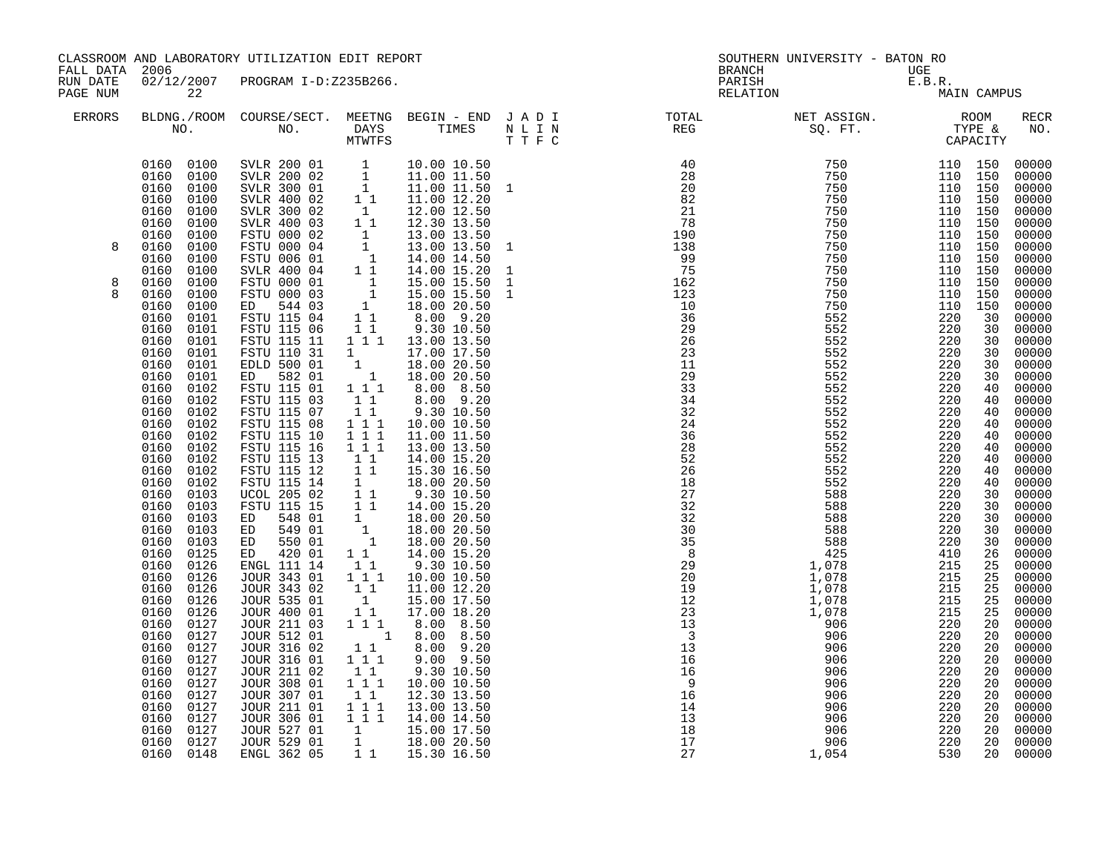| CLASSROOM AND LABORATORY UTILIZATION EDIT REPORT<br>FALL DATA 2006<br>02/12/2007 PROGRAM I-D:Z235B266.<br>RUN DATE |                                                                                                                                                                                                                                                                                                                                                                                                                                                                                                                                                                                                                                                                                                                                        |                                                                                                                                                                                                                                                                                                                                                                                                                                                                                                                                                                                                                                                                                                                                                                                                                        |                                                                                                                                                                                                                                                                                                                                                                          | SOUTHERN UNIVERSITY - BATON RO<br><b>BRANCH</b>                                                                                                                                                                                                                                                                                                                                                                                                                                                                                                                                                                                                                                                                             |                                                                                                        |                                                                                                                                                  |                                                                                                                                                                                                                                                                                                                                                                                                                                                                                                                                |                                                                                                                                                                                                                                                                                                                                                                         |                                                                                                                                                                                                     |                                                                                                                                                                                                                                                                                                                                                                                                                           |
|--------------------------------------------------------------------------------------------------------------------|----------------------------------------------------------------------------------------------------------------------------------------------------------------------------------------------------------------------------------------------------------------------------------------------------------------------------------------------------------------------------------------------------------------------------------------------------------------------------------------------------------------------------------------------------------------------------------------------------------------------------------------------------------------------------------------------------------------------------------------|------------------------------------------------------------------------------------------------------------------------------------------------------------------------------------------------------------------------------------------------------------------------------------------------------------------------------------------------------------------------------------------------------------------------------------------------------------------------------------------------------------------------------------------------------------------------------------------------------------------------------------------------------------------------------------------------------------------------------------------------------------------------------------------------------------------------|--------------------------------------------------------------------------------------------------------------------------------------------------------------------------------------------------------------------------------------------------------------------------------------------------------------------------------------------------------------------------|-----------------------------------------------------------------------------------------------------------------------------------------------------------------------------------------------------------------------------------------------------------------------------------------------------------------------------------------------------------------------------------------------------------------------------------------------------------------------------------------------------------------------------------------------------------------------------------------------------------------------------------------------------------------------------------------------------------------------------|--------------------------------------------------------------------------------------------------------|--------------------------------------------------------------------------------------------------------------------------------------------------|--------------------------------------------------------------------------------------------------------------------------------------------------------------------------------------------------------------------------------------------------------------------------------------------------------------------------------------------------------------------------------------------------------------------------------------------------------------------------------------------------------------------------------|-------------------------------------------------------------------------------------------------------------------------------------------------------------------------------------------------------------------------------------------------------------------------------------------------------------------------------------------------------------------------|-----------------------------------------------------------------------------------------------------------------------------------------------------------------------------------------------------|---------------------------------------------------------------------------------------------------------------------------------------------------------------------------------------------------------------------------------------------------------------------------------------------------------------------------------------------------------------------------------------------------------------------------|
| PAGE NUM                                                                                                           | 22                                                                                                                                                                                                                                                                                                                                                                                                                                                                                                                                                                                                                                                                                                                                     |                                                                                                                                                                                                                                                                                                                                                                                                                                                                                                                                                                                                                                                                                                                                                                                                                        |                                                                                                                                                                                                                                                                                                                                                                          |                                                                                                                                                                                                                                                                                                                                                                                                                                                                                                                                                                                                                                                                                                                             |                                                                                                        |                                                                                                                                                  | UGE<br>E.B.R.<br>MA<br>PARISH<br>RELATION                                                                                                                                                                                                                                                                                                                                                                                                                                                                                      |                                                                                                                                                                                                                                                                                                                                                                         | MAIN CAMPUS                                                                                                                                                                                         |                                                                                                                                                                                                                                                                                                                                                                                                                           |
| <b>ERRORS</b>                                                                                                      |                                                                                                                                                                                                                                                                                                                                                                                                                                                                                                                                                                                                                                                                                                                                        |                                                                                                                                                                                                                                                                                                                                                                                                                                                                                                                                                                                                                                                                                                                                                                                                                        | MTWTFS                                                                                                                                                                                                                                                                                                                                                                   |                                                                                                                                                                                                                                                                                                                                                                                                                                                                                                                                                                                                                                                                                                                             | BLDNG./ROOM COURSE/SECT. MEETNG BEGIN – END J A D I TOTAL TOTAL NO. DAYS TIMES N L I N REG REG<br>TTFC |                                                                                                                                                  |                                                                                                                                                                                                                                                                                                                                                                                                                                                                                                                                |                                                                                                                                                                                                                                                                                                                                                                         |                                                                                                                                                                                                     | RECR<br>NO.                                                                                                                                                                                                                                                                                                                                                                                                               |
| 8<br>8<br>R                                                                                                        | 0160 0100<br>0160 0100<br>0100<br>0160<br>0160<br>0100<br>0160<br>0100<br>0160<br>0100<br>0160<br>0100<br>0160<br>0100<br>0160<br>0100<br>0160<br>0100<br>0160<br>0100<br>0160<br>0100<br>0160<br>0100<br>0160<br>0101<br>0160<br>0101<br>0160<br>0101<br>0160<br>0101<br>0160<br>0101<br>0160<br>0101<br>0160<br>0102<br>0160<br>0102<br>0160<br>0102<br>0160<br>0102<br>0160<br>0102<br>0160<br>0102<br>0160<br>0102<br>0160<br>0102<br>0160<br>0102<br>0160<br>0103<br>0160<br>0103<br>0160<br>0103<br>0160<br>0103<br>0160<br>0103<br>0160<br>0125<br>0160<br>0126<br>0160<br>0126<br>0160<br>0126<br>0160<br>0126<br>0160<br>0126<br>0160<br>0127<br>0160<br>0127<br>0160<br>0127<br>0160<br>0127<br>0160<br>0127<br>0160<br>0127 | SVLR 200 01 1 10.00 10.50<br>SVLR 200 02 1 11.00 11.50<br>SVLR 300 01 1 11.00 11.50<br>SVLR 400 02 1 1 11.00 12.20<br>SVLR 300 02 1 12.00 12.50<br>SVLR 400 03 1 12.30 13.50<br>FSTU 000 02 1 13.00 13.50<br>FSTU 000 04 1 13.00 13.50<br>FSTU<br>SVLR 400 04<br>FSTU 000 01<br>FSTU 000 03<br>544 03<br>ED<br>FSTU 115 04<br>FSTU 115 06<br>FSTU 115 11<br>FSTU 110 31<br>EDLD 500 01<br>ED 582 01<br>FSTU 115 01<br>FSTU 115 03<br>FSTU 115 07<br>FSTU 115 08<br>FSTU 115 10<br>FSTU 115 16<br>FSTU 115 13<br>FSTU 115 12<br>FSTU 115 14<br>UCOL 205 02<br>FSTU 115 15<br>ED 548 01<br>ED 549 01<br>ED 550 01<br>ED 420 01<br>ENGL 111 14<br>JOUR 343 01<br>JOUR 343 02<br>JOUR 535 01<br>JOUR 400 01<br>JOUR 211 03<br>JOUR 512 01<br><b>JOUR 316 02</b><br>JOUR 316 01<br><b>JOUR 211 02</b><br><b>JOUR 308 01</b> | 11<br>$\begin{array}{c} 1 \\ 1 \\ 1 \\ 1 \\ 1 \end{array}$<br>$1\quad1$<br>$1 1 1$<br>$1\quad1$<br>11<br>111<br>$1\ 1\ 1$<br>$\begin{smallmatrix}1&&1\\&1\\1&&1\end{smallmatrix}$<br>11<br>$\begin{smallmatrix}1\1\1\end{smallmatrix}$<br>11<br>$1\quad1$<br>$1^{\circ}1^{\circ}1$<br>11<br>$\overline{1}$<br>$1^{\circ}1$<br>$1 1 1$<br>$1 1 1$<br>$1\quad1$<br>$1 1 1$ | 14.00 15.20<br>15.00 15.50<br>15.00 15.50<br>18.00 20.50<br>$8.00$ 9.20<br>9.30 10.50<br>1 1 1 1 13.00 13.50<br>17.00 17.50<br>$\begin{array}{rrrr} 1 & 17.00 & 17.50 \ 1 & 18.00 & 20.50 \ 1 & 18.00 & 20.50 \end{array}$<br>8.00 8.50<br>8.00 9.20<br>9.30 10.50<br>10.00 10.50<br>11.00 11.50<br>13.00 13.50<br>14.00 15.20<br>15.30 16.50<br>18.00 20.50<br>9.30 10.50<br>14.00 15.20<br>$\begin{array}{rrrr} 1 & 18.00 & 20.50 \ 1 & 18.00 & 20.50 \ 1 & 18.00 & 20.50 \ 1 & 14.00 & 15.20 \end{array}$<br>9.30 10.50<br>10.00 10.50<br>11.00 12.20<br>15.00 17.50<br>17.00 18.20<br>8.00 8.50<br>$\begin{bmatrix} 1 & 8.00 & 8.50 \\ 1 & 1 & 8.00 & 9.20 \end{bmatrix}$<br>$9.00$ $9.50$<br>9.30 10.50<br>10.00 10.50 | $\mathbf{1}$<br>$\mathbf{1}$                                                                           | 995<br>162123<br>1036962623<br>1129333<br>3424368282<br>526282<br>526282<br>2732<br>2732<br>2732<br>3333<br>3892<br>29092<br>2013<br>33333<br>16 | $\begin{array}{cccc} \text{I} & \text{N} & \text{REG} \\ \text{P} & \text{I} & \text{I} & \text{I} \\ \text{I} & \text{N} & \text{I} & \text{I} \\ \text{I} & \text{I} & \text{I} & \text{I} \\ \text{I} & \text{I} & \text{I} & \text{I} \\ \text{I} & \text{I} & \text{I} & \text{I} \\ \text{I} & \text{I} & \text{I} & \text{I} \\ \text{I} & \text{I} & \text{I} & \text{I} \\ \text{I} & \text{I} & \text{I} & \text{I} \\ \text$<br>1,078<br>1,078<br>1,078<br>1,078<br>1,078<br>906<br>906<br>906<br>906<br>906<br>906 | 110 150<br>110 150<br>110 150<br>110 150<br>110 150<br>110 150<br>110 150<br>110 150<br>110 150<br>110 150<br>110 150<br>110 150<br>110<br>220<br>220<br>220<br>220<br>220<br>220<br>220<br>220<br>220<br>220<br>220<br>220<br>220<br>220<br>220<br>220<br>220<br>220<br>220<br>220<br>410<br>215<br>215<br>215<br>215<br>215<br>220<br>220<br>220<br>220<br>220<br>220 | 150<br>30<br>30<br>30<br>30<br>30<br>30<br>40<br>40<br>40<br>40<br>40<br>40<br>40<br>40<br>40<br>30<br>30<br>30<br>30<br>30<br>26<br>25<br>25<br>25<br>25<br>25<br>20<br>20<br>20<br>20<br>20<br>20 | 00000<br>00000<br>00000<br>00000<br>$00000$<br>$00000$<br>00000<br>00000<br>00000<br>00000<br>00000<br>00000<br>00000<br>00000<br>00000<br>00000<br>00000<br>00000<br>00000<br>00000<br>00000<br>00000<br>00000<br>00000<br>00000<br>$00000$<br>00000<br>00000<br>00000<br>$00000$<br>00000<br>00000<br>00000<br>00000<br>00000<br>00000<br>00000<br>00000<br>00000<br>00000<br>00000<br>00000<br>00000<br>00000<br>00000 |
|                                                                                                                    | 0160<br>0127<br>0160<br>0127<br>0160<br>0127<br>0160<br>0127<br>0160 0127<br>0160 0148                                                                                                                                                                                                                                                                                                                                                                                                                                                                                                                                                                                                                                                 | JOUR 307 01<br>JOUR 211 01<br>JOUR 306 01<br>JOUR 527 01<br>JOUR 529 01<br>ENGL 362 05                                                                                                                                                                                                                                                                                                                                                                                                                                                                                                                                                                                                                                                                                                                                 | $\begin{bmatrix} 1 & 1 \end{bmatrix}$<br>$1 1 1$<br>$1 1 1$<br>$\overline{1}$                                                                                                                                                                                                                                                                                            | 12.30 13.50<br>13.00 13.50<br>14.00 14.50<br>15.00 17.50<br>$\begin{array}{cc} 1 & 18.00 & 20.50 \\ 1 & 1 & 15.30 & 16.50 \end{array}$                                                                                                                                                                                                                                                                                                                                                                                                                                                                                                                                                                                      |                                                                                                        | $16$<br>$16$<br>$9$<br>$16$<br>$14$<br>$13$<br>$18$<br>$17$<br>$27$                                                                              | 906<br>906<br>906<br>906<br>906<br>1,054                                                                                                                                                                                                                                                                                                                                                                                                                                                                                       | 220<br>220<br>220<br>220<br>220<br>530                                                                                                                                                                                                                                                                                                                                  | 20<br>20<br>20<br>20<br>20<br>20                                                                                                                                                                    | 00000<br>00000<br>00000<br>00000<br>00000                                                                                                                                                                                                                                                                                                                                                                                 |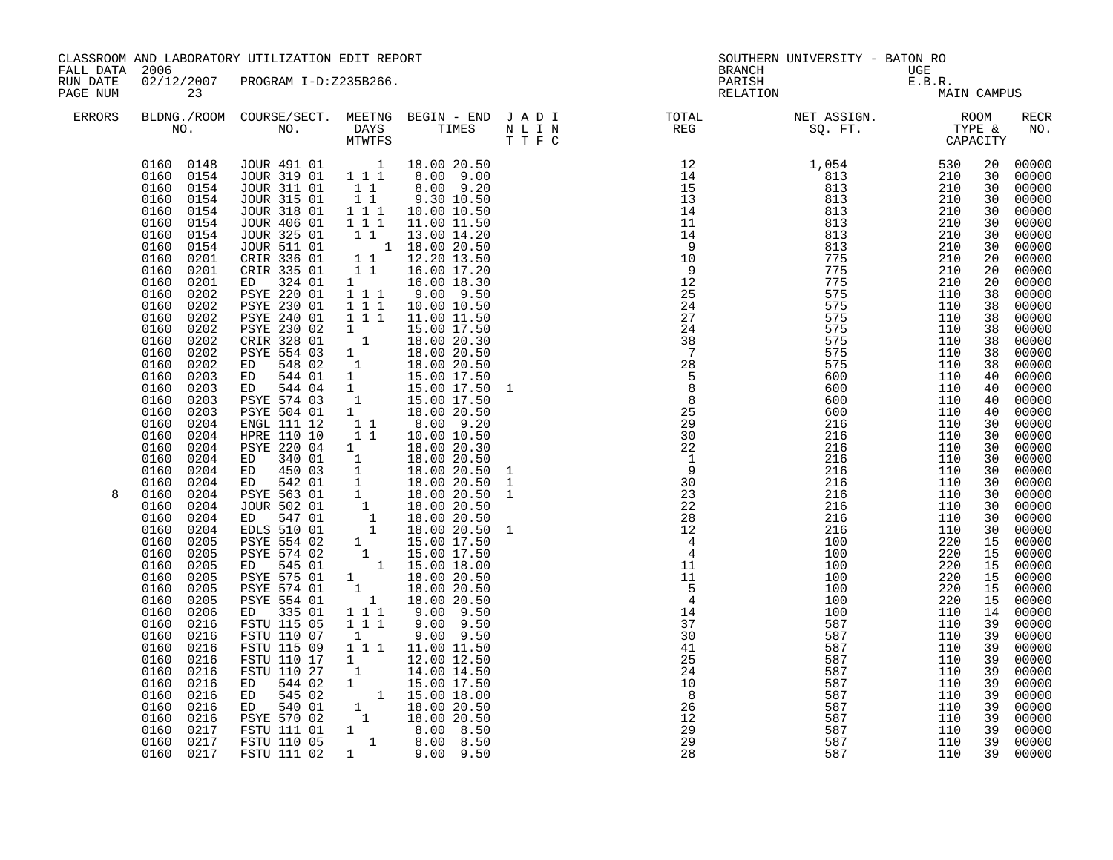| CLASSROOM AND LABORATORY UTILIZATION EDIT REPORT<br>FALL DATA 2006<br>RUN DATE<br>02/12/2007 PROGRAM I-D:Z235B266. |                                                                                                                                                                                                                                                                                                                                                                                                                                                                                                                                                                                                                                                                                                                                                                                                            | <b>BRANCH</b>                                                                                                                                                                                                                                                                                                                                                                                                                                                                                                                                                                                                                                                                                                                                                                                                                                                                                                          | SOUTHERN UNIVERSITY - BATON RO                                                                                                                                                                                                                             |                                                                                                                                                                                                                                                                                                                                                                                                                                                                                                                                                                                                                                                                                                                                                                                                                                                                                                                                                                                   |                                                                                                                         |                                             |             |                                                                                                                                                                                                                                                                                                                |                                                                                                                                                                                                                                                                                                                                                                                                                                                             |
|--------------------------------------------------------------------------------------------------------------------|------------------------------------------------------------------------------------------------------------------------------------------------------------------------------------------------------------------------------------------------------------------------------------------------------------------------------------------------------------------------------------------------------------------------------------------------------------------------------------------------------------------------------------------------------------------------------------------------------------------------------------------------------------------------------------------------------------------------------------------------------------------------------------------------------------|------------------------------------------------------------------------------------------------------------------------------------------------------------------------------------------------------------------------------------------------------------------------------------------------------------------------------------------------------------------------------------------------------------------------------------------------------------------------------------------------------------------------------------------------------------------------------------------------------------------------------------------------------------------------------------------------------------------------------------------------------------------------------------------------------------------------------------------------------------------------------------------------------------------------|------------------------------------------------------------------------------------------------------------------------------------------------------------------------------------------------------------------------------------------------------------|-----------------------------------------------------------------------------------------------------------------------------------------------------------------------------------------------------------------------------------------------------------------------------------------------------------------------------------------------------------------------------------------------------------------------------------------------------------------------------------------------------------------------------------------------------------------------------------------------------------------------------------------------------------------------------------------------------------------------------------------------------------------------------------------------------------------------------------------------------------------------------------------------------------------------------------------------------------------------------------|-------------------------------------------------------------------------------------------------------------------------|---------------------------------------------|-------------|----------------------------------------------------------------------------------------------------------------------------------------------------------------------------------------------------------------------------------------------------------------------------------------------------------------|-------------------------------------------------------------------------------------------------------------------------------------------------------------------------------------------------------------------------------------------------------------------------------------------------------------------------------------------------------------------------------------------------------------------------------------------------------------|
| PAGE NUM                                                                                                           | 23                                                                                                                                                                                                                                                                                                                                                                                                                                                                                                                                                                                                                                                                                                                                                                                                         |                                                                                                                                                                                                                                                                                                                                                                                                                                                                                                                                                                                                                                                                                                                                                                                                                                                                                                                        |                                                                                                                                                                                                                                                            |                                                                                                                                                                                                                                                                                                                                                                                                                                                                                                                                                                                                                                                                                                                                                                                                                                                                                                                                                                                   |                                                                                                                         | BRANCH UGE<br>PARISH E.B.R.<br>RELATION MA: | MAIN CAMPUS |                                                                                                                                                                                                                                                                                                                |                                                                                                                                                                                                                                                                                                                                                                                                                                                             |
| <b>ERRORS</b>                                                                                                      |                                                                                                                                                                                                                                                                                                                                                                                                                                                                                                                                                                                                                                                                                                                                                                                                            |                                                                                                                                                                                                                                                                                                                                                                                                                                                                                                                                                                                                                                                                                                                                                                                                                                                                                                                        |                                                                                                                                                                                                                                                            |                                                                                                                                                                                                                                                                                                                                                                                                                                                                                                                                                                                                                                                                                                                                                                                                                                                                                                                                                                                   | BLDNG./ROOM COURSE/SECT. MEETNG BEGIN – END JADI TOTAL TOTAL NET ASSIGN. REG ROOM NO. DAYS TIMES NLIN REG SQ.FT. TYPE & |                                             |             |                                                                                                                                                                                                                                                                                                                | <b>RECR</b><br>NO.                                                                                                                                                                                                                                                                                                                                                                                                                                          |
| 8                                                                                                                  | 0160 0154<br>0160 0154<br>0160 0154<br>0160<br>0154<br>0160<br>0154<br>0160<br>0154<br>0160<br>0154<br>0160<br>0201<br>0160<br>0201<br>0160<br>0201<br>0160<br>0202<br>0160<br>0202<br>0160<br>0202<br>0160<br>0202<br>0160<br>0202<br>0160<br>0202<br>0160<br>0202<br>0160<br>0203<br>0160<br>0203<br>0160<br>0203<br>0160<br>0203<br>0160<br>0204<br>0160<br>0204<br>0160<br>0204<br>0160<br>0204<br>0160 0204<br>0160<br>0204<br>0160<br>0204<br>0160<br>0204<br>0160<br>0204<br>0160<br>0204<br>0160<br>0205<br>0160<br>0205<br>0160<br>0205<br>0160<br>0205<br>0160<br>0205<br>0160<br>0205<br>0160<br>0206<br>0160<br>0216<br>0160<br>0216<br>0160<br>0216<br>0160<br>0216<br>0160<br>0216<br>0160<br>0216<br>0160<br>0216<br>0160<br>0216<br>0160<br>0216<br>0217<br>0160<br>0160 0217<br>0160 0217 | 0160  0148  JOUR  491  01   18.00  20.50<br>JOUR 319 01 111<br>JOUR 311 01 11<br>JOUR 315 01<br>JOUR 318 01 111<br>JOUR 406 01 111<br>JOUR 325 01<br>JOUR 511 01<br>CRIR 336 01<br>CRIR 335 01<br>324 01<br>ED<br>PSYE 220 01<br>PSYE 230 01<br>PSYE 240 01<br>PSYE 230 02<br>CRIR 328 01<br><b>PSYE 554 03</b><br>ED<br>548 02<br>ED 544 01<br>ED 544 04 1 15.00 17.50<br>PSYE 574 03 1 15.00 17.50<br>PSYE 504 01 1 18.00 20.50<br>ENGL 111 12 1 1 8.00 9.20<br>HPRE 110 10 1 1 10.00 10.50<br>PSYE 220 04<br>ED 340 01<br>ED 450 03<br>ED 542 01<br>PSYE 563 01<br>JOUR 502 01<br>547 01<br>ED<br>EDLS 510 01<br>PSYE 554 02<br>PSYE 574 02<br>545 01<br>ED<br><b>PSYE 575 01</b><br>PSYE 574 01<br>PSYE 554 01<br>335 01<br>ED<br>FSTU 115 05<br>FSTU 110 07<br>FSTU 115 09<br>FSTU 110 17<br>FSTU 110 27<br>544 02<br>ED<br>545 02<br>ED<br>ED 540 01<br>PSYE 570 02<br>FSTU 111 01<br>FSTU 110 05<br>FSTU 111 02 | $1\quad1$<br>1 1 1<br>$1 1 1$<br>$1 \quad \blacksquare$<br>$\begin{array}{cc} & 1 \\ & 1 \end{array}$<br>$\mathbf{1}$<br>1<br>$\begin{array}{c} 1 \\ 1 \\ 1 \end{array}$<br>1<br>$1\overline{1}$<br>$1 1 1$<br>1<br>$1 \quad \blacksquare$<br>$\mathbf{1}$ | 8.00 9.00<br>$8.00$ 9.20<br>9.30 10.50<br>10.00 10.50<br>11.00 11.50<br>1 1 13.00 14.20<br>$1 \t 1 \t 18.00 \t 20.50$<br>1 1 12.20 13.50<br>$1 1 1 16.00 17.20$<br>$1 16.00 18.30$<br>9.00 9.50<br>10.00 10.50<br>1 1 1 11.00 11.50<br>15.00 17.50<br>18.00 20.30<br>18.00 20.50<br>18.00 20.50<br>15.00 17.50<br>18.00 20.30<br>18.00 20.50<br>18.00 20.50<br>$\begin{array}{rrrr} 1 & 10.00 & 20.50 \ 1 & 18.00 & 20.50 \ 1 & 18.00 & 20.50 \ 1 & 18.00 & 20.50 \ 1 & 18.00 & 20.50 \ 1 & 18.00 & 20.50 \end{array}$<br>$\begin{array}{rrrr} 1 & 15.00 & 17.50 \ 1 & 15.00 & 17.50 \ 1 & 15.00 & 18.00 \ 1 & 18.00 & 20.50 \ 1 & 18.00 & 20.50 \end{array}$<br>18.00 20.50<br>$9.00$ $9.50$<br>$9.00$ $9.50$<br>$9.00$ $9.50$<br>1 1 1 1 11.00 11.50<br>12.00 12.50<br>14.00 14.50<br>$\begin{array}{rrrr} 1 & 14.00 & 14.50 \ 1 & 15.00 & 17.50 \ 1 & 15.00 & 18.00 \ 1 & 18.00 & 20.50 \ 1 & 18.00 & 20.50 \ 1 & 8.00 & 8.50 \ 1 & 8.00 & 8.50 \ 1 & 9.00 & 9.50 \end{array}$ |                                                                                                                         |                                             |             | 20<br>30<br>30<br>30<br>30<br>30<br>30<br>30<br>20<br>20<br>20<br>38<br>38<br>38<br>38<br>38<br>38<br>38<br>40<br>40<br>40<br>40<br>30<br>30<br>30<br>30<br>30<br>30<br>30<br>30<br>30<br>30<br>15<br>15<br>15<br>15<br>15<br>15<br>14<br>39<br>39<br>39<br>39<br>39<br>39<br>39<br>39<br>39<br>39<br>39<br>39 | 00000<br>00000<br>00000<br>00000<br>00000<br>$00000$<br>$00000$<br>00000<br>00000<br>00000<br>00000<br>00000<br>00000<br>00000<br>00000<br>00000<br>00000<br>00000<br>00000<br>00000<br>00000<br>00000<br>00000<br>00000<br>00000<br>$00000$<br>00000<br>00000<br>00000<br>00000<br>00000<br>00000<br>00000<br>00000<br>00000<br>00000<br>00000<br>00000<br>00000<br>00000<br>00000<br>00000<br>00000<br>00000<br>00000<br>00000<br>00000<br>00000<br>00000 |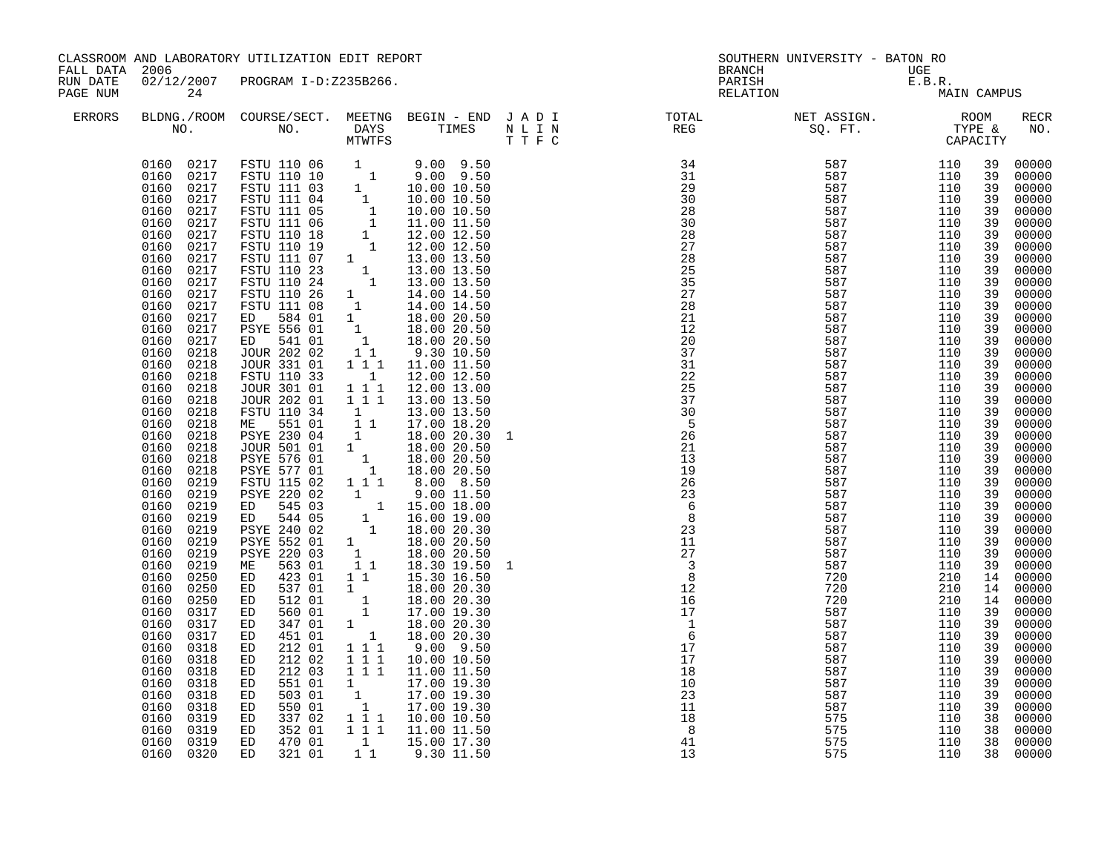| FALL DATA 2006<br>RUN DATE |                                                                                                                                                                                                                                                                                                                                                                                                                                                                                                                                                                                                                                                                                                                                                                                                                                     | CLASSROOM AND LABORATORY UTILIZATION EDIT REPORT                                                                                                                                                                                                                                                                                                                                                                                                                                                                                                                                                                                                                                                                                                                                                                                                 |                                                                                                                                                                                                                                                                                                                                                                         |                                                                                                                                                                                                                                                                                                                                                                                                                                                                                                                                                                                                                                                                                           |        | <b>BRANCH</b>             | SOUTHERN UNIVERSITY - BATON RO                                                                                                                                                                                                                                                                                                                                                                                                                                                                                      |                                 |                                                                                                                                                                                                                                                                                                                |                                                                                                                                                                                                                                                                                                                                                                                                                                                                         |
|----------------------------|-------------------------------------------------------------------------------------------------------------------------------------------------------------------------------------------------------------------------------------------------------------------------------------------------------------------------------------------------------------------------------------------------------------------------------------------------------------------------------------------------------------------------------------------------------------------------------------------------------------------------------------------------------------------------------------------------------------------------------------------------------------------------------------------------------------------------------------|--------------------------------------------------------------------------------------------------------------------------------------------------------------------------------------------------------------------------------------------------------------------------------------------------------------------------------------------------------------------------------------------------------------------------------------------------------------------------------------------------------------------------------------------------------------------------------------------------------------------------------------------------------------------------------------------------------------------------------------------------------------------------------------------------------------------------------------------------|-------------------------------------------------------------------------------------------------------------------------------------------------------------------------------------------------------------------------------------------------------------------------------------------------------------------------------------------------------------------------|-------------------------------------------------------------------------------------------------------------------------------------------------------------------------------------------------------------------------------------------------------------------------------------------------------------------------------------------------------------------------------------------------------------------------------------------------------------------------------------------------------------------------------------------------------------------------------------------------------------------------------------------------------------------------------------------|--------|---------------------------|---------------------------------------------------------------------------------------------------------------------------------------------------------------------------------------------------------------------------------------------------------------------------------------------------------------------------------------------------------------------------------------------------------------------------------------------------------------------------------------------------------------------|---------------------------------|----------------------------------------------------------------------------------------------------------------------------------------------------------------------------------------------------------------------------------------------------------------------------------------------------------------|-------------------------------------------------------------------------------------------------------------------------------------------------------------------------------------------------------------------------------------------------------------------------------------------------------------------------------------------------------------------------------------------------------------------------------------------------------------------------|
| PAGE NUM                   | 24                                                                                                                                                                                                                                                                                                                                                                                                                                                                                                                                                                                                                                                                                                                                                                                                                                  | 02/12/2007 PROGRAM I-D:Z235B266.                                                                                                                                                                                                                                                                                                                                                                                                                                                                                                                                                                                                                                                                                                                                                                                                                 |                                                                                                                                                                                                                                                                                                                                                                         |                                                                                                                                                                                                                                                                                                                                                                                                                                                                                                                                                                                                                                                                                           |        | PARISH                    | UGE<br>E.B.R.<br>MA:<br>RELATION                                                                                                                                                                                                                                                                                                                                                                                                                                                                                    | MAIN CAMPUS                     |                                                                                                                                                                                                                                                                                                                |                                                                                                                                                                                                                                                                                                                                                                                                                                                                         |
| ERRORS                     |                                                                                                                                                                                                                                                                                                                                                                                                                                                                                                                                                                                                                                                                                                                                                                                                                                     |                                                                                                                                                                                                                                                                                                                                                                                                                                                                                                                                                                                                                                                                                                                                                                                                                                                  |                                                                                                                                                                                                                                                                                                                                                                         |                                                                                                                                                                                                                                                                                                                                                                                                                                                                                                                                                                                                                                                                                           |        |                           | $\begin{tabular}{lllllllllllllllllllll} \textsc{BLONG.} \textsc{F100M.} & \textsc{COURSE/SECT.} & \textsc{MEETNG.} & \textsc{BEGIN - END.} & \textsc{J A D I} & \textsc{DTAT} & \textsc{NT1} & \textsc{NT1} & \textsc{NT1} & \textsc{NT1} & \textsc{NT1} & \textsc{NT1} & \textsc{NT1} & \textsc{NT1} & \textsc{NT1} & \textsc{NT1} & \textsc{NT1} & \textsc{NT1} & \textsc{NT1} & \textsc{NT1} & \textsc{NT1} & \textsc{NT1} & \$                                                                                  |                                 |                                                                                                                                                                                                                                                                                                                | RECR<br>NO.                                                                                                                                                                                                                                                                                                                                                                                                                                                             |
|                            | 0160 0217<br>0160 0217<br>0160<br>0217<br>0160<br>0217<br>0160<br>0217<br>0217<br>0160<br>0160<br>0217<br>0217<br>0160<br>0160<br>0217<br>0160<br>0217<br>0160<br>0217<br>0160<br>0217<br>0217<br>0160<br>0217<br>0160<br>0160<br>0217<br>0160<br>0217<br>0160<br>0218<br>0160<br>0218<br>0160<br>0218<br>0160<br>0218<br>0160<br>0218<br>0160<br>0218<br>0160<br>0218<br>0160<br>0218<br>0160<br>0218<br>0160<br>0218<br>0160<br>0218<br>0160<br>0219<br>0160<br>0219<br>0160<br>0219<br>0160<br>0219<br>0160<br>0219<br>0160<br>0219<br>0160<br>0219<br>0160<br>0219<br>0160<br>0250<br>0160<br>0250<br>0160<br>0250<br>0160<br>0317<br>0160<br>0317<br>0160<br>0317<br>0160<br>0318<br>0160<br>0318<br>0160<br>0318<br>0160<br>0318<br>0160<br>0318<br>0160<br>0318<br>0160<br>0319<br>0160<br>0319<br>0160<br>0319<br>0160 0320 | FSTU 110 06 1 9.00 9.50<br>FSTU 110 10 1 9.00 9.50<br>FSTU 111 03 1 10.00 10.50<br>FSTU 111 04 1 10.00 10.50<br>FSTU 111 05 1 10.00 10.50<br>FSTU 111 06 1 11.00 11.50<br>FSTU 110 18 1 12.00 12.50<br>FSTU 110 19 1 12.00 12.50<br>FSTU 110 2<br>PSYE 556 01<br>ED 541 01<br>JOUR 202 02<br>JOUR 331 01<br>FSTU 110 33<br>JOUR 301 01<br>JOUR 202 01<br>FSTU 110 34<br>ME 551 01<br>PSYE 230 04 1<br>JOUR 501 01 1<br>PSYE 576 01 1<br>PSYE 577 01 1<br>FSTU 115 02<br>PSYE 220 02<br>545 03<br>ED<br>544 05<br>ED<br>PSYE 240 02<br>PSYE 552 01<br>PSYE 220 03<br>563 01<br>МE<br>423 01<br>ED<br>537 01<br>ED<br>ED<br>512 01<br>560 01<br>ED<br>347 01<br>ED<br>451 01<br>ED<br>212 01<br>ED<br>ED<br>212 02<br>212 03<br>ED<br>551 01<br>ED<br>503 01<br>ED<br>550 01<br>ED<br>337 02<br>ED<br>ED<br>352 01<br>470 01<br>ED<br>321 01<br>ED | 1 1 1<br>$\overline{1}$<br>$\begin{array}{ccc} 1&1&1\\ 1&1&1 \end{array}$<br>$\begin{array}{cc} 1 \\ 1 \end{array}$<br>$1 1 1$<br>1<br>11<br>$1\quad1$<br>1<br>$\frac{1}{1}$<br>$\begin{smallmatrix}&1\\1&&1\\&1&1&1\end{smallmatrix}$<br>1 1 1<br>$\overline{1}$ $\overline{1}$ $\overline{1}$<br>$\begin{smallmatrix}1&&\\&1\end{smallmatrix}$<br>1<br>1<br>$1\quad1$ | $\begin{bmatrix} 1 & 18.00 & 20.50 \ 1 & 18.00 & 20.50 \ 1 & 9.30 & 10.50 \end{bmatrix}$<br>11.00 11.50<br>12.00 12.50<br>12.00 13.00<br>13.00 13.50<br>13.00 13.50<br>17.00 18.20<br>18.00 20.30<br>18.00 20.50<br>18.00 20.50<br>18.00 20.50<br>8.00 8.50<br>9.00 11.50<br>$\begin{array}{rrrr} & 1 & 5.00 & 18.00 \ 1 & 16.00 & 19.00 \ 1 & 18.00 & 20.30 \ 1 & 18.00 & 20.50 \ 1 & 18.00 & 20.50 \end{array}$<br>18.30 19.50<br>15.30 16.50<br>18.00 20.30<br>18.00 20.30<br>17.00 19.30<br>18.00 20.30<br>18.00 20.30<br>9.00 9.50<br>10.00 10.50<br>11.00 11.50<br>17.00 19.30<br>17.00 19.30<br>17.00 19.30<br>1 1 1 10.00 10.50<br>1 1 1 11.00 11.50<br>15.00 17.30<br>9.30 11.50 | 1<br>1 | 11<br>18<br>8<br>41<br>13 | $\begin{array}{r} \text{REG} \qquad \qquad \text{SPB} \qquad \qquad \text{SQ}, \quad \text{FT}. \qquad \text{CATE} \\ \text{SQ}, \quad \text{FT}. \qquad \text{CATE} \\ \text{SQ}, \quad \text{FT}. \qquad \text{CATE} \\ \text{SQ}, \quad \text{F}\text{T}. \qquad \text{CATE} \\ \text{SQ}, \quad \text{F}\text{T}. \qquad \text{CATE} \\ \text{SQ}, \quad \text{SFR} \qquad \text{S1} \\ \text{S1} \qquad \text{S1} \\ \text{S2} \qquad \text{S2} \qquad \text{S3} \\ \text{$<br>587<br>575<br>575<br>575<br>575 | 110<br>110<br>110<br>110<br>110 | 39<br>39<br>39<br>39<br>39<br>39<br>39<br>39<br>39<br>39<br>39<br>39<br>39<br>39<br>39<br>39<br>39<br>39<br>39<br>39<br>39<br>39<br>39<br>39<br>39<br>39<br>39<br>39<br>39<br>39<br>39<br>39<br>39<br>39<br>39<br>14<br>14<br>14<br>39<br>39<br>39<br>39<br>39<br>39<br>39<br>39<br>39<br>38<br>38<br>38<br>38 | 00000<br>00000<br>00000<br>00000<br>00000<br>00000<br>00000<br>00000<br>00000<br>00000<br>00000<br>00000<br>00000<br>00000<br>00000<br>00000<br>00000<br>00000<br>00000<br>00000<br>00000<br>00000<br>00000<br>00000<br>00000<br>00000<br>00000<br>00000<br>00000<br>00000<br>00000<br>00000<br>00000<br>00000<br>00000<br>00000<br>00000<br>00000<br>00000<br>00000<br>00000<br>00000<br>00000<br>00000<br>00000<br>00000<br>00000<br>00000<br>00000<br>00000<br>00000 |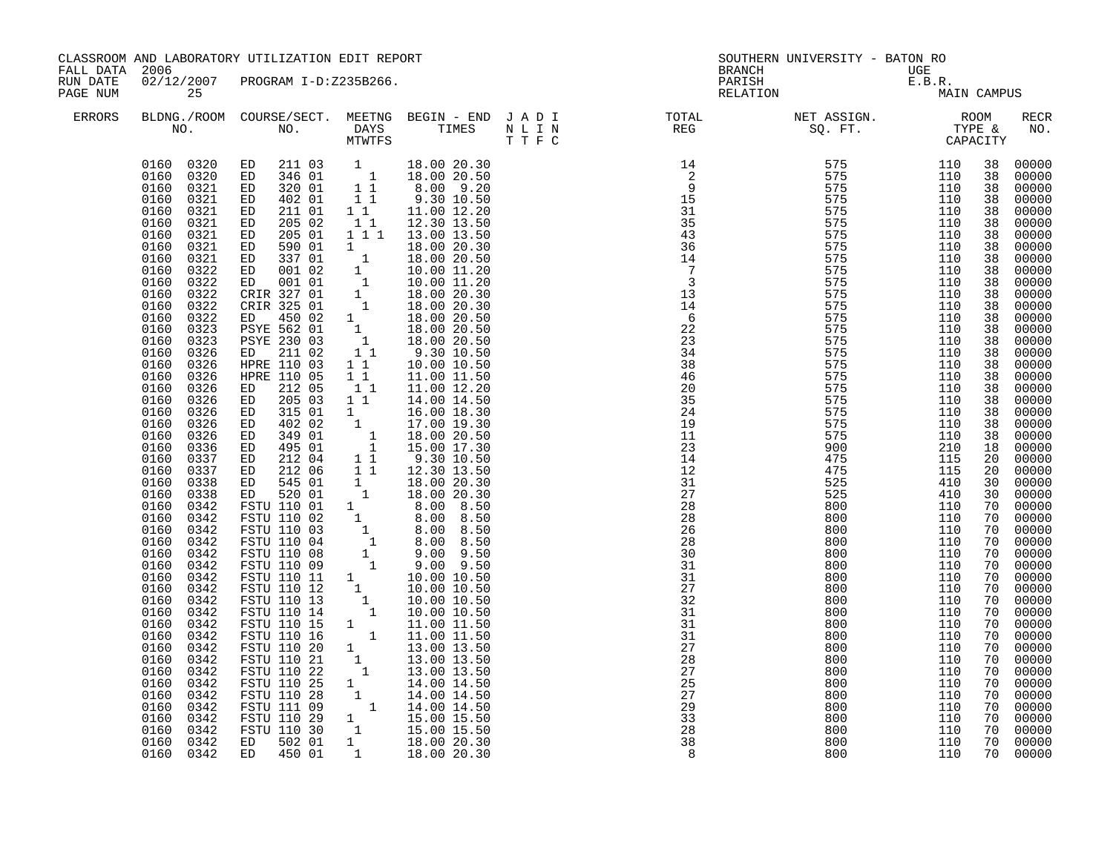| FALL DATA 2006       |                                                                                                                                                                                                                                                                                                                                                                                                                                                                                                                                                                                                                                                                                                                                                                                                                        | CLASSROOM AND LABORATORY UTILIZATION EDIT REPORT                                                                                                                                                                                                                                                                                                                                                                                                                                                                                                                                               |                                                                                                                                                                                                                                                                                                                                                          |                                                                                                                                                                                                                                                                                                                                                                                                                                                                                                                                                                                                                                                                                                                 | <b>BRANCH</b>                                                                                                           | SOUTHERN UNIVERSITY - BATON RO                              |                                                             |                                                                                                                                                                                                                                                                                                                |                                                                                                                                                                                                                                                                                                                                                                                                                                                                         |
|----------------------|------------------------------------------------------------------------------------------------------------------------------------------------------------------------------------------------------------------------------------------------------------------------------------------------------------------------------------------------------------------------------------------------------------------------------------------------------------------------------------------------------------------------------------------------------------------------------------------------------------------------------------------------------------------------------------------------------------------------------------------------------------------------------------------------------------------------|------------------------------------------------------------------------------------------------------------------------------------------------------------------------------------------------------------------------------------------------------------------------------------------------------------------------------------------------------------------------------------------------------------------------------------------------------------------------------------------------------------------------------------------------------------------------------------------------|----------------------------------------------------------------------------------------------------------------------------------------------------------------------------------------------------------------------------------------------------------------------------------------------------------------------------------------------------------|-----------------------------------------------------------------------------------------------------------------------------------------------------------------------------------------------------------------------------------------------------------------------------------------------------------------------------------------------------------------------------------------------------------------------------------------------------------------------------------------------------------------------------------------------------------------------------------------------------------------------------------------------------------------------------------------------------------------|-------------------------------------------------------------------------------------------------------------------------|-------------------------------------------------------------|-------------------------------------------------------------|----------------------------------------------------------------------------------------------------------------------------------------------------------------------------------------------------------------------------------------------------------------------------------------------------------------|-------------------------------------------------------------------------------------------------------------------------------------------------------------------------------------------------------------------------------------------------------------------------------------------------------------------------------------------------------------------------------------------------------------------------------------------------------------------------|
| RUN DATE<br>PAGE NUM | 25                                                                                                                                                                                                                                                                                                                                                                                                                                                                                                                                                                                                                                                                                                                                                                                                                     | 02/12/2007 PROGRAM I-D:Z235B266.                                                                                                                                                                                                                                                                                                                                                                                                                                                                                                                                                               |                                                                                                                                                                                                                                                                                                                                                          |                                                                                                                                                                                                                                                                                                                                                                                                                                                                                                                                                                                                                                                                                                                 | PARISH<br>RELATION                                                                                                      | UGE<br>E.B.R.<br>MA:                                        | MAIN CAMPUS                                                 |                                                                                                                                                                                                                                                                                                                |                                                                                                                                                                                                                                                                                                                                                                                                                                                                         |
| <b>ERRORS</b>        |                                                                                                                                                                                                                                                                                                                                                                                                                                                                                                                                                                                                                                                                                                                                                                                                                        |                                                                                                                                                                                                                                                                                                                                                                                                                                                                                                                                                                                                |                                                                                                                                                                                                                                                                                                                                                          |                                                                                                                                                                                                                                                                                                                                                                                                                                                                                                                                                                                                                                                                                                                 | BLDNG./ROOM COURSE/SECT. MEETNG BEGIN – END JADI TOTAL TOTAL NET ASSIGN. REG ROOM NO. DAYS TIMES NLIN REG SQ.FT. TYPE & |                                                             |                                                             |                                                                                                                                                                                                                                                                                                                | <b>RECR</b><br>NO.                                                                                                                                                                                                                                                                                                                                                                                                                                                      |
|                      | 0160 0320<br>0321<br>0160<br>0160<br>0321<br>0160<br>0321<br>0321<br>0160<br>0160<br>0321<br>0321<br>0160<br>0160<br>0321<br>0160<br>0322<br>0160<br>0322<br>0160<br>0322<br>0160<br>0322<br>0160<br>0322<br>0160<br>0323<br>0160<br>0323<br>0160<br>0326<br>0160<br>0326<br>0160<br>0326<br>0160<br>0326<br>0160<br>0326<br>0160<br>0326<br>0160<br>0326<br>0160<br>0326<br>0160<br>0336<br>0160<br>0337<br>0160<br>0337<br>0338<br>0160<br>0338<br>0160<br>0342<br>0160<br>0342<br>0160<br>0160<br>0342<br>0342<br>0160<br>0160<br>0342<br>0160<br>0342<br>0160<br>0342<br>0160<br>0342<br>0160<br>0342<br>0160<br>0342<br>0160<br>0342<br>0160<br>0342<br>0160<br>0342<br>0342<br>0160<br>0160<br>0342<br>0160<br>0342<br>0160<br>0342<br>0160<br>0342<br>0160<br>0342<br>0160<br>0342<br>0160<br>0342<br>0160 0342 | 0160  0320  ED  211  03<br>ED 211 03 1<br>ED 346 01 1<br>320 01<br>ED<br>402 01<br>ED<br>ED<br>211 01<br>205 02<br>ED<br>205 01<br>ED<br>590 01<br>ED<br>337 01<br>ED<br>001 02<br>ED<br>001 01<br>ED<br>CRIR 327 01<br>CRIR 325 01<br>ED<br>450 02<br>PSYE 562 01<br>PSYE 230 03<br>211 02<br>ED<br>HPRE 110 03<br>HPRE 110 05<br>212 05<br>ED<br>205 03<br>ED<br>315 01<br>ED<br>402 02<br>ED<br>349 01<br>ED<br>495 01<br>ED<br>212 04<br>ED<br>ED 212 06<br>545 01<br>ED<br>ED 520 01<br>FSTU 110 25<br>FSTU 110 28<br>FSTU 111 09<br>FSTU 110 29<br>FSTU 110 30<br>ED 502 01<br>ED 450 01 | 11<br>11<br>11<br>11<br>$\begin{bmatrix} 1 \\ 1 \\ 1 \\ 1 \end{bmatrix}$<br>$\begin{smallmatrix}1\1\1\end{smallmatrix}$<br>$\begin{bmatrix} 1 \\ 1 \\ 1 \\ 1 \end{bmatrix}$<br>1 1<br>11<br>11<br>$1\quad1$<br>$1 \quad$<br>$\begin{array}{c} \begin{array}{c} 1 \\ 1 \end{array} \\ \begin{array}{c} 1 \end{array} \end{array}$<br>$1\quad1$<br>11<br>1 | 18.00 20.30<br>18.00 20.50<br>8.00 9.20<br>9.30 10.50<br>11.00 12.20<br>12.30 13.50<br>1 1 1 1 13.00 13.50<br>18.00 20.30<br>18.00 20.50<br>10.00 11.20<br>10.00 11.20<br>18.00 20.30<br>18.00 20.30<br>18.00 20.50<br>18.00 20.50<br>18.00 20.50<br>9.30 10.50<br>10.00 10.50<br>11.00 11.50<br>11.00 12.20<br>14.00 14.50<br>16.00 18.30<br>17.00 19.30<br>18.00 20.50<br>15.00 17.30<br>9.30 10.50<br>12.30 13.50<br>18.00 20.30<br>$1 \t 18.00 \t 20.30$<br>$\begin{array}{cccc} 1 & 14.00 & 14.50 \\ 1 & 14.00 & 14.50 \\ 1 & 14.00 & 14.50 \\ 1 & 15.00 & 15.50 \\ \end{array}$<br>$\begin{array}{cccc} 1 & & 15\, .00 & 15\, .50\ & 1 & & 18\, .00 & 20\, .30\ & 1 & & 18\, .00 & 20\, .30\ \end{array}$ | 28<br>27<br>25<br>27<br>29<br>33<br>28<br>38<br>-8                                                                      | 800<br>800<br>800<br>800<br>800<br>800<br>800<br>800<br>800 | 110<br>110<br>110<br>110<br>110<br>110<br>110<br>110<br>110 | 38<br>38<br>38<br>38<br>38<br>38<br>38<br>38<br>38<br>38<br>38<br>38<br>38<br>38<br>38<br>38<br>38<br>38<br>38<br>38<br>38<br>38<br>38<br>38<br>18<br>20<br>20<br>30<br>30<br>70<br>70<br>70<br>70<br>70<br>70<br>70<br>70<br>70<br>70<br>70<br>70<br>70<br>70<br>70<br>70<br>70<br>70<br>70<br>70<br>70<br>70 | 00000<br>00000<br>00000<br>00000<br>00000<br>00000<br>00000<br>00000<br>00000<br>00000<br>00000<br>00000<br>00000<br>00000<br>00000<br>00000<br>00000<br>00000<br>00000<br>00000<br>00000<br>00000<br>00000<br>00000<br>00000<br>00000<br>00000<br>00000<br>00000<br>00000<br>00000<br>00000<br>00000<br>00000<br>00000<br>00000<br>00000<br>00000<br>00000<br>00000<br>00000<br>00000<br>00000<br>00000<br>00000<br>00000<br>00000<br>00000<br>00000<br>00000<br>00000 |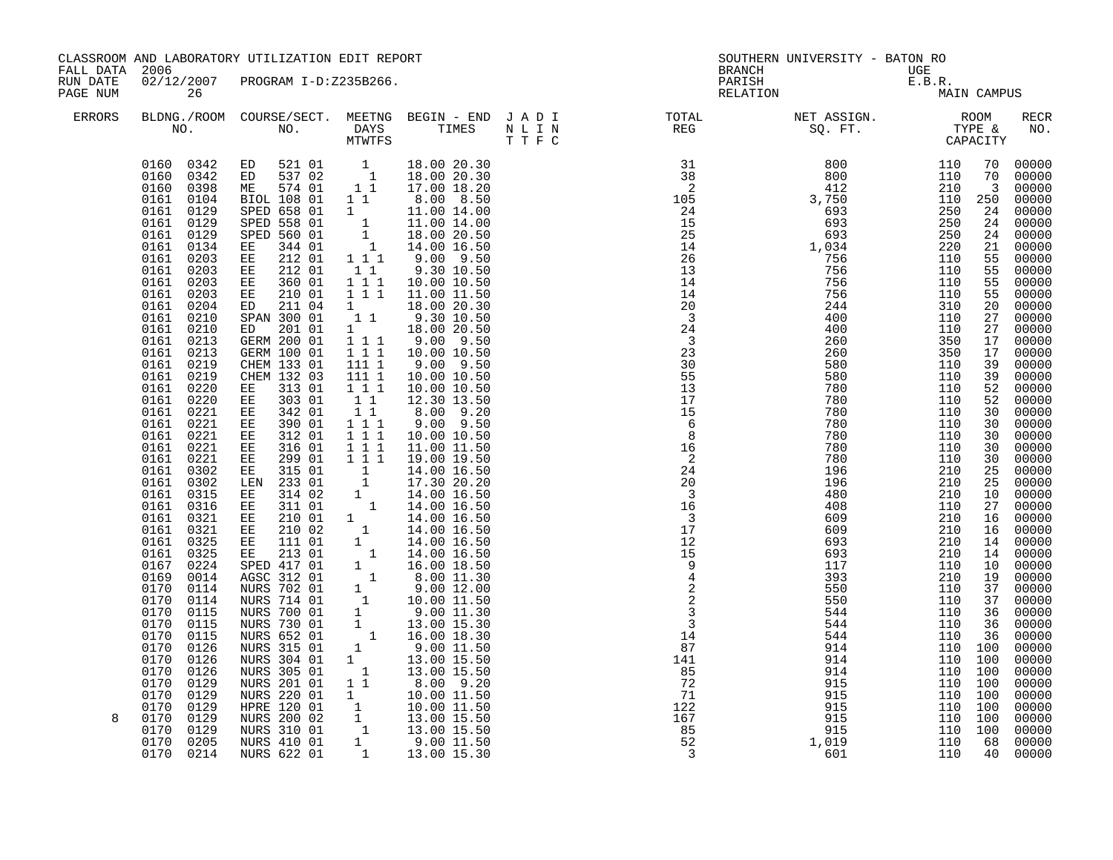| FALL DATA 2006       |                                                                                                                                                                                                                                                                                                                                                                                                                                                                                                                                                                                                                                                                                                                                                                                      | CLASSROOM AND LABORATORY UTILIZATION EDIT REPORT                                                                                                                                                                                                                                                                                                                                                                                                                                                                                                                                                                                                                                                                                                                                                                                                                 |                                                                                                                                                                                                                                                                                                                                                                                                                                                                                                                                                                                                                                                                  |                                                                                                                                                                                                                                                                                                                                                                                                                                                                                                                                                                                                                                                                                                                                                                                                                                                                     | <b>BRANCH</b>                                                                                                                                                                                                                                                                                                                                                                                                                           | SOUTHERN UNIVERSITY - BATON RO | UGE                                                            |                                                                                                                                                                                                                                                                               |                                                                                                                                                                                                                                                                                                                                                                                                                                             |
|----------------------|--------------------------------------------------------------------------------------------------------------------------------------------------------------------------------------------------------------------------------------------------------------------------------------------------------------------------------------------------------------------------------------------------------------------------------------------------------------------------------------------------------------------------------------------------------------------------------------------------------------------------------------------------------------------------------------------------------------------------------------------------------------------------------------|------------------------------------------------------------------------------------------------------------------------------------------------------------------------------------------------------------------------------------------------------------------------------------------------------------------------------------------------------------------------------------------------------------------------------------------------------------------------------------------------------------------------------------------------------------------------------------------------------------------------------------------------------------------------------------------------------------------------------------------------------------------------------------------------------------------------------------------------------------------|------------------------------------------------------------------------------------------------------------------------------------------------------------------------------------------------------------------------------------------------------------------------------------------------------------------------------------------------------------------------------------------------------------------------------------------------------------------------------------------------------------------------------------------------------------------------------------------------------------------------------------------------------------------|---------------------------------------------------------------------------------------------------------------------------------------------------------------------------------------------------------------------------------------------------------------------------------------------------------------------------------------------------------------------------------------------------------------------------------------------------------------------------------------------------------------------------------------------------------------------------------------------------------------------------------------------------------------------------------------------------------------------------------------------------------------------------------------------------------------------------------------------------------------------|-----------------------------------------------------------------------------------------------------------------------------------------------------------------------------------------------------------------------------------------------------------------------------------------------------------------------------------------------------------------------------------------------------------------------------------------|--------------------------------|----------------------------------------------------------------|-------------------------------------------------------------------------------------------------------------------------------------------------------------------------------------------------------------------------------------------------------------------------------|---------------------------------------------------------------------------------------------------------------------------------------------------------------------------------------------------------------------------------------------------------------------------------------------------------------------------------------------------------------------------------------------------------------------------------------------|
| RUN DATE<br>PAGE NUM | 26                                                                                                                                                                                                                                                                                                                                                                                                                                                                                                                                                                                                                                                                                                                                                                                   | 02/12/2007 PROGRAM I-D:Z235B266.                                                                                                                                                                                                                                                                                                                                                                                                                                                                                                                                                                                                                                                                                                                                                                                                                                 |                                                                                                                                                                                                                                                                                                                                                                                                                                                                                                                                                                                                                                                                  |                                                                                                                                                                                                                                                                                                                                                                                                                                                                                                                                                                                                                                                                                                                                                                                                                                                                     | PARISH<br>RELATION                                                                                                                                                                                                                                                                                                                                                                                                                      | UGE<br>E.B.R.<br>MA            |                                                                | MAIN CAMPUS                                                                                                                                                                                                                                                                   |                                                                                                                                                                                                                                                                                                                                                                                                                                             |
| <b>ERRORS</b>        |                                                                                                                                                                                                                                                                                                                                                                                                                                                                                                                                                                                                                                                                                                                                                                                      |                                                                                                                                                                                                                                                                                                                                                                                                                                                                                                                                                                                                                                                                                                                                                                                                                                                                  |                                                                                                                                                                                                                                                                                                                                                                                                                                                                                                                                                                                                                                                                  |                                                                                                                                                                                                                                                                                                                                                                                                                                                                                                                                                                                                                                                                                                                                                                                                                                                                     |                                                                                                                                                                                                                                                                                                                                                                                                                                         |                                |                                                                |                                                                                                                                                                                                                                                                               | RECR<br>NO.                                                                                                                                                                                                                                                                                                                                                                                                                                 |
| 8                    | 0160 0342<br>0342<br>0160<br>0160<br>0398<br>0104<br>0161<br>0129<br>0161<br>0161<br>0129<br>0161<br>0129<br>0161<br>0134<br>0161<br>0203<br>0161<br>0203<br>0161<br>0203<br>0161 0203<br>0161 0204<br>0161 0210<br>0161<br>0210<br>0161<br>0213<br>0161<br>0213<br>0161 0219<br>0219<br>0161<br>0161 0220<br>0161<br>0220<br>0161<br>0221<br>0161 0221<br>0161<br>0221<br>0161<br>0221<br>0161<br>0221<br>0161<br>0302<br>0161<br>0302<br>0161<br>0315<br>0316<br>0161<br>0161<br>0321<br>0161<br>0321<br>0161 0325<br>0161<br>0325<br>0167<br>0224<br>0169<br>0014<br>0170<br>0114<br>0114<br>0170<br>0170<br>0115<br>0170<br>0115<br>0170<br>0115<br>0170<br>0126<br>0170<br>0126<br>0170<br>0126<br>0170<br>0129<br>0170<br>0129<br>0170<br>0129<br>0170<br>0129<br>0170<br>0129 | ED 521 01 1 18.00 20.30<br>ED 537 02 1 18.00 20.30<br>ME 574 01 11<br>BIOL 108 01 1 1<br>SPED 658 01<br>SPED 558 01<br>SPED 560 01<br>344 01<br>EE<br>212 01<br>EE<br>$\mathop{\mathbb{E}} \mathop{\mathbb{E}}$<br>212 01<br>EE 360 01<br>210 01<br>EE<br>ED 211 04<br>SPAN 300 01<br>201 01<br>ED<br>GERM 200 01<br>GERM 100 01<br>CHEM 133 01<br>CHEM 132 03<br>313 01<br>ЕE<br>303 01<br>EE<br>EE<br>342 01<br>390 01<br>EE<br>312 01<br>ЕE<br>EE<br>316 01<br>299 01<br>EE<br>315 01<br>EE<br>LEN 233 01<br>314 02<br>EE<br>311 01<br>EE<br>210 01<br>$\mathbf{EE}$<br>EE 210 02<br>111 01<br>$\mathbf{EE}$<br>213 01<br>EE<br>SPED 417 01<br>AGSC 312 01<br>NURS 702 01<br>NURS 714 01<br>NURS 700 01<br>NURS 730 01<br>NURS 652 01<br>NURS 315 01<br>NURS 304 01<br>NURS 305 01<br>NURS 201 01<br>NURS 220 01<br>HPRE 120 01<br>NURS 200 02<br>NURS 310 01 | $1 1 1$<br>11<br>$\begin{array}{ccc} 1&1&1\\ 1&1&1 \end{array}$<br>$1 \quad \blacksquare$<br>$\begin{bmatrix} 1 & 1 \end{bmatrix}$<br>$\begin{array}{cccc}\n1 & 1 & 1 \\ 1 & 1 & 1 \\ 1 & 1 & 1\n\end{array}$<br>111 1<br>111 1<br>1 1 1<br>$1\quad1$<br>1 1<br>$1 1 1$<br>$1 1 1$<br>$1 1 1$<br>$1\ 1\ 1$<br>$\begin{array}{c} 1 \\ 1 \end{array}$<br>1<br>$\begin{smallmatrix}&1\\1&&1\\&1\\&&1\end{smallmatrix}$<br>$\begin{array}{cccc} & & 1 & & & \\ & 1 & & & & \\ & & 1 & & & \\ & & 1 & & & \\ & & 1 & & & \\ & & 1 & & & \\ & & 1 & & & \\ & & 1 & & & \\ & & 1 & & & \\ & & & 1 & & \\ & & & 1 & & \\ & & & & 1 & & \\ & & & & & 1 \end{array}$<br>11 | 17.00 18.20<br>8.00 8.50<br>$\begin{array}{cccc} 1 & 11.00 & 14.00 \\ 1 & 11.00 & 14.00 \\ 1 & 18.00 & 20.50 \\ 1 & 14.00 & 16.50 \\ \end{array}$<br>$9.00$ $9.50$<br>9.30 10.50<br>10.00 10.50<br>11.00 11.50<br>18.00 20.30<br>9.30 10.50<br>18.00 20.50<br>9.00 9.50<br>10.00 10.50<br>$9.00$ $9.50$<br>10.00 10.50<br>10.00 10.50<br>12.30 13.50<br>8.00 9.20<br>$9.00$ $9.50$<br>10.00 10.50<br>11.00 11.50<br>19.00 19.50<br>14.00 16.50<br>17.30 20.20<br>14.00 16.50<br>14.00 16.50<br>14.00 16.50<br>14.00 16.50<br>14.00 16.50<br>14.00 16.50<br>16.00 18.50<br>8.00 11.30<br>9.0012.00<br>10.00 11.50<br>9.00 11.30<br>13.00 15.30<br>16.00 18.30<br>9.00 11.50<br>13.00 15.50<br>13.00 15.50<br>8.00 9.20<br>$\begin{array}{rrrr} 1&1&0.00&11.50\ 1&10.00&11.50\ 1&10.00&11.50\ 1&13.00&15.50\ 1&9.00&11.50\ 1&13.00&15.50\ 1&13.00&15.30\ \end{array}$ | $\begin{array}{cccccccc} \text{R} & \text{C} & \text{C} & \text{C} & \text{C} & \text{C} \\ \text{R} & \text{C} & \text{C} & \text{C} & \text{C} \\ \text{R} & \text{C} & \text{C} & \text{C} & \text{C} \\ \text{R} & \text{C} & \text{C} & \text{C} \\ \text{R} & \text{C} & \text{C} & \text{C} \\ \text{R} & \text{C} & \text{C} & \text{C} \\ \text{R} & \text{R} & \text{R} & \text{R} \\ \text{R} & \text{R} & \text{R} & \text$ |                                | 110 100<br>110 100<br>110 100<br>110 100<br>110 100<br>110 100 | 70<br>70<br>$\overline{3}$<br>250<br>24<br>24<br>24<br>21<br>55<br>55<br>55<br>55<br>20<br>27<br>27<br>17<br>17<br>39<br>39<br>52<br>52<br>30<br>30<br>30<br>30<br>30<br>25<br>25<br>10<br>27<br>16<br>16<br>14<br>14<br>10<br>19<br>37<br>37<br>36<br>36<br>36<br>100<br>100 | 00000<br>00000<br>00000<br>00000<br>00000<br>00000<br>00000<br>00000<br>00000<br>00000<br>00000<br>00000<br>$00000$<br>$00000$<br>00000<br>00000<br>00000<br>$00000$<br>$00000$<br>00000<br>00000<br>00000<br>00000<br>00000<br>00000<br>00000<br>00000<br>00000<br>00000<br>00000<br>00000<br>00000<br>00000<br>00000<br>00000<br>00000<br>00000<br>00000<br>00000<br>00000<br>00000<br>00000<br>00000<br>00000<br>00000<br>00000<br>00000 |
|                      | 0170<br>0205<br>0170<br>0214                                                                                                                                                                                                                                                                                                                                                                                                                                                                                                                                                                                                                                                                                                                                                         | NURS 410 01<br>NURS 622 01                                                                                                                                                                                                                                                                                                                                                                                                                                                                                                                                                                                                                                                                                                                                                                                                                                       |                                                                                                                                                                                                                                                                                                                                                                                                                                                                                                                                                                                                                                                                  |                                                                                                                                                                                                                                                                                                                                                                                                                                                                                                                                                                                                                                                                                                                                                                                                                                                                     |                                                                                                                                                                                                                                                                                                                                                                                                                                         |                                |                                                                | 68<br>40                                                                                                                                                                                                                                                                      | 00000<br>00000                                                                                                                                                                                                                                                                                                                                                                                                                              |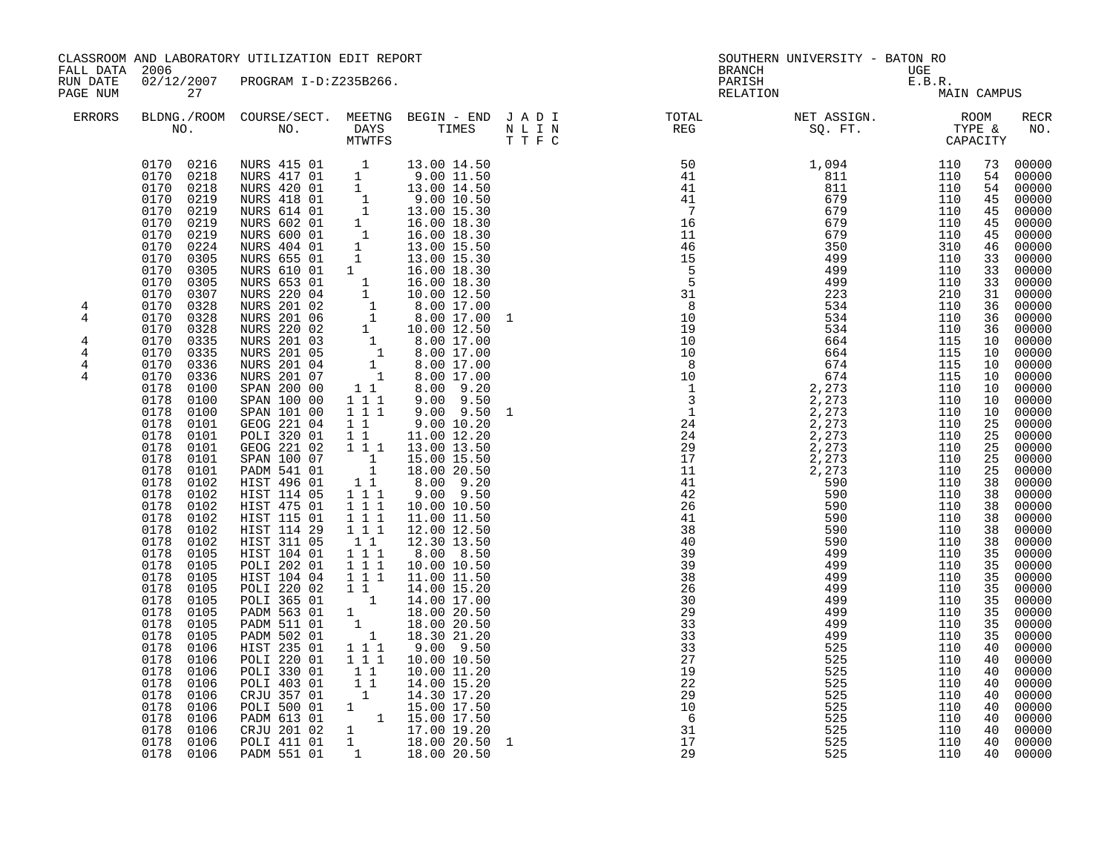| FALL DATA 2006                                       |                                                                                                                                                                                                                                                                                                                                                                                                                                                                                                                                                                                                                                                                                                                                                                                                                             | CLASSROOM AND LABORATORY UTILIZATION EDIT REPORT                                                                                                                                                                                                                                                                                                                                                                                                                                                                                                                                                                                                                                                                                                                                                                                                                                                                                                                                                                                                                                                                                                                                                      |                                                                                                                                                                                                                                                                                                                                                                                                                              |                                                                                                                                                                                                                                                                                                                                                                                                                                             |              | <b>BRANCH</b>                                                                                      | SOUTHERN UNIVERSITY - BATON RO                                                                                                                                                                                                                                                                                                                                                                                                               | UGE                                                                                     |                                                                                                                                                                                                                                                                                                                |                                                                                                                                                                                                                                                                                                                                                                                                                                                                           |
|------------------------------------------------------|-----------------------------------------------------------------------------------------------------------------------------------------------------------------------------------------------------------------------------------------------------------------------------------------------------------------------------------------------------------------------------------------------------------------------------------------------------------------------------------------------------------------------------------------------------------------------------------------------------------------------------------------------------------------------------------------------------------------------------------------------------------------------------------------------------------------------------|-------------------------------------------------------------------------------------------------------------------------------------------------------------------------------------------------------------------------------------------------------------------------------------------------------------------------------------------------------------------------------------------------------------------------------------------------------------------------------------------------------------------------------------------------------------------------------------------------------------------------------------------------------------------------------------------------------------------------------------------------------------------------------------------------------------------------------------------------------------------------------------------------------------------------------------------------------------------------------------------------------------------------------------------------------------------------------------------------------------------------------------------------------------------------------------------------------|------------------------------------------------------------------------------------------------------------------------------------------------------------------------------------------------------------------------------------------------------------------------------------------------------------------------------------------------------------------------------------------------------------------------------|---------------------------------------------------------------------------------------------------------------------------------------------------------------------------------------------------------------------------------------------------------------------------------------------------------------------------------------------------------------------------------------------------------------------------------------------|--------------|----------------------------------------------------------------------------------------------------|----------------------------------------------------------------------------------------------------------------------------------------------------------------------------------------------------------------------------------------------------------------------------------------------------------------------------------------------------------------------------------------------------------------------------------------------|-----------------------------------------------------------------------------------------|----------------------------------------------------------------------------------------------------------------------------------------------------------------------------------------------------------------------------------------------------------------------------------------------------------------|---------------------------------------------------------------------------------------------------------------------------------------------------------------------------------------------------------------------------------------------------------------------------------------------------------------------------------------------------------------------------------------------------------------------------------------------------------------------------|
| RUN DATE<br>PAGE NUM                                 | 27                                                                                                                                                                                                                                                                                                                                                                                                                                                                                                                                                                                                                                                                                                                                                                                                                          | 02/12/2007 PROGRAM I-D:Z235B266.                                                                                                                                                                                                                                                                                                                                                                                                                                                                                                                                                                                                                                                                                                                                                                                                                                                                                                                                                                                                                                                                                                                                                                      |                                                                                                                                                                                                                                                                                                                                                                                                                              |                                                                                                                                                                                                                                                                                                                                                                                                                                             |              | PARISH                                                                                             | UGE<br>E.B.R.<br>MA<br>RELATION                                                                                                                                                                                                                                                                                                                                                                                                              | MAIN CAMPUS                                                                             |                                                                                                                                                                                                                                                                                                                |                                                                                                                                                                                                                                                                                                                                                                                                                                                                           |
| <b>ERRORS</b>                                        |                                                                                                                                                                                                                                                                                                                                                                                                                                                                                                                                                                                                                                                                                                                                                                                                                             |                                                                                                                                                                                                                                                                                                                                                                                                                                                                                                                                                                                                                                                                                                                                                                                                                                                                                                                                                                                                                                                                                                                                                                                                       |                                                                                                                                                                                                                                                                                                                                                                                                                              |                                                                                                                                                                                                                                                                                                                                                                                                                                             |              |                                                                                                    | $\begin{tabular}{lllllllllllllllllllll} \textsc{BLDNG.} \textsc{ROOM} & \textsc{CUIRSE/SECT.} & \textsc{METING} & \textsc{BEGIN} & - & \textsc{END} & \textsc{J} & \textsc{A} & \textsc{D} & \textsc{I} & & & \textsc{TOTIL} & & & \textsc{NET} & \textsc{ASJGM.} & \textsc{ROOM} \\ \textsc{NO.} & \textsc{NO.} & \textsc{DAYS} & \textsc{TIMES} & \textsc{N} & \textsc{L} & \textsc{I} & \textsc{N} & & \textsc{FEG} & & & \textsc{SQ. FT$ |                                                                                         |                                                                                                                                                                                                                                                                                                                | RECR<br>NO.                                                                                                                                                                                                                                                                                                                                                                                                                                                               |
| 4<br>4<br>$\overline{4}$<br>4<br>4<br>$\overline{4}$ | 0170 0216<br>0170 0218<br>0170<br>0218<br>0170<br>0219<br>0170<br>0219<br>0170<br>0219<br>0170<br>0219<br>0224<br>0170<br>0170<br>0305<br>0170<br>0305<br>0170<br>0305<br>0170<br>0307<br>0170<br>0328<br>0170<br>0328<br>0328<br>0170<br>0170<br>0335<br>0170<br>0335<br>0170<br>0336<br>0336<br>0170<br>0178 0100<br>0178<br>0100<br>0178<br>0100<br>0178<br>0101<br>0178<br>0101<br>0178<br>0101<br>0178<br>0101<br>0178<br>0101<br>0178<br>0102<br>0178<br>0102<br>0178<br>0102<br>0178<br>0102<br>0178<br>0102<br>0178<br>0102<br>0178<br>0105<br>0178<br>0105<br>0178<br>0105<br>0178<br>0105<br>0178<br>0105<br>0178<br>0105<br>0178<br>0105<br>0178<br>0105<br>0178<br>0106<br>0178<br>0106<br>0178<br>0106<br>0178<br>0106<br>0178<br>0106<br>0178<br>0106<br>0178<br>0106<br>0178<br>0106<br>0178<br>0106<br>0178 | NURS 415 01 1 13.00 14.50<br>NURS 417 01 1 9.00 11.50<br>NURS 420 01 1 13.00 14.50<br>NURS 420 01 1 9.00 11.50<br>NURS 420 01 1 13.00 14.50<br>NURS 418 01 1 9.00 10.50<br>NURS 614 01 1 13.00 15.30<br>NURS 602 01 1 16.00 18.30<br>NURS 600 01 1 16.00 18.30<br>NURS 404 01 1 13.00 15.50<br>NURS 655 01 1 13.00 15.50<br>NURS 655<br>NURS 610 01 1<br>NURS 610 01 1 16.00 18.30<br>NURS 653 01 1 16.00 18.30<br>NURS 220 04 1 10.00 12.50<br>NURS 201 02 1 8.00 17.00<br>NURS 201 06 1 8.00 17.00<br>NURS 201 06 1 8.00 17.00<br>NURS 201 03 1 8.00 17.00<br>NURS 201 05 1 8.00 17.00<br>NURS 201 05<br>SPAN 200 00<br>SPAN 100 00<br>SPAN 101 00<br>GEOG 221 04<br>POLI 320 01<br>GEOG 221 02<br>SPAN 100 07<br>PADM 541 01<br>HIST 496 01<br>HIST 114 05<br>HIST 475 01<br>HIST 115 01<br>HIST 114 29 1 1 1<br>HIST 311 05<br>HIST 104 01<br>POLI 202 01<br>HIST 104 04<br>POLI 220 02<br>POLI 365 01<br>PADM 563 01<br>PADM 511 01<br>PADM 502 01<br>HIST 235 01<br>POLI 220 01<br>POLI 330 01<br>POLI 403 01<br>CRJU 357 01<br><b>POLI 500 01</b><br>PADM 613 01<br>PADM 613 01<br>CRJU 201 02 1 17.00 19.20<br>POLI 411 01 1 18.00 20.50 1<br>PADM 551 01 1 18.00 20.50<br>0106  PADM 551  01 | $\begin{array}{rrrr} & 1 & 1 \\ 1 & 1 & 1 \end{array}$<br>111<br>$1\quad1$<br>$1\quad1$<br>1 1 1<br>$\begin{array}{cc} & 1 \\ & 1 \end{array}$<br>$\begin{array}{c} 1\\ 1\\ 1\\ \end{array}$<br>1 1 1<br>$1 1 1$<br>$1\quad1$<br>1 1 1<br>$1 1 1$<br>$\overline{1}$ $\overline{1}$ $\overline{1}$<br>$1\quad1$<br>$1 1 1$<br>$1\ 1\ 1$<br>$1\quad1$<br>$\begin{smallmatrix}1&&1\\&1\\1&&\end{smallmatrix}$<br>$\overline{1}$ | 16.00 18.30<br>8.00 9.20<br>$9.00$ $9.50$<br>$9.00$ $9.50$<br>9.0010.20<br>11.00 12.20<br>13.00 13.50<br>15.00 15.50<br>18.00 20.50<br>8.00 9.20<br>9.00 9.50<br>10.00 10.50<br>11.00 11.50<br>12.00 12.50<br>12.30 13.50<br>8.00 8.50<br>10.00 10.50<br>11.00 11.50<br>14.00 15.20<br>14.00 17.00<br>18.00 20.50<br>18.00 20.50<br>18.30 21.20<br>$9.00$ $9.50$<br>10.00 10.50<br>10.00 11.20<br>14.00 15.20<br>14.30 17.20<br>15.00 17.50 | $\mathbf{1}$ | $\frac{2}{9}$<br>33<br>$\overline{33}$<br>$\overline{33}$<br>27<br>$\frac{2z}{29}$<br>10<br>6<br>2 | 499<br>499<br>499<br>525<br>525<br>525<br>525<br>525<br>525<br>525<br>525<br>525<br>525                                                                                                                                                                                                                                                                                                                                                      | 110<br>110<br>110<br>110<br>110<br>110<br>110<br>110<br>110<br>110<br>110<br>110<br>110 | 73<br>54<br>54<br>45<br>45<br>45<br>45<br>46<br>33<br>33<br>33<br>31<br>36<br>36<br>36<br>10<br>10<br>10<br>10<br>10<br>10<br>10<br>25<br>25<br>25<br>25<br>25<br>38<br>38<br>38<br>38<br>38<br>38<br>35<br>35<br>35<br>35<br>35<br>35<br>35<br>35<br>40<br>40<br>40<br>40<br>40<br>40<br>40<br>40<br>40<br>40 | 00000<br>00000<br>00000<br>00000<br>00000<br>00000<br>00000<br>00000<br>00000<br>00000<br>00000<br>00000<br>00000<br>00000<br>00000<br>00000<br>00000<br>00000<br>00000<br>00000<br>$00000$<br>00000<br>00000<br>00000<br>00000<br>00000<br>00000<br>00000<br>00000<br>00000<br>00000<br>00000<br>00000<br>00000<br>00000<br>00000<br>00000<br>00000<br>00000<br>00000<br>00000<br>00000<br>00000<br>00000<br>00000<br>00000<br>00000<br>00000<br>00000<br>00000<br>00000 |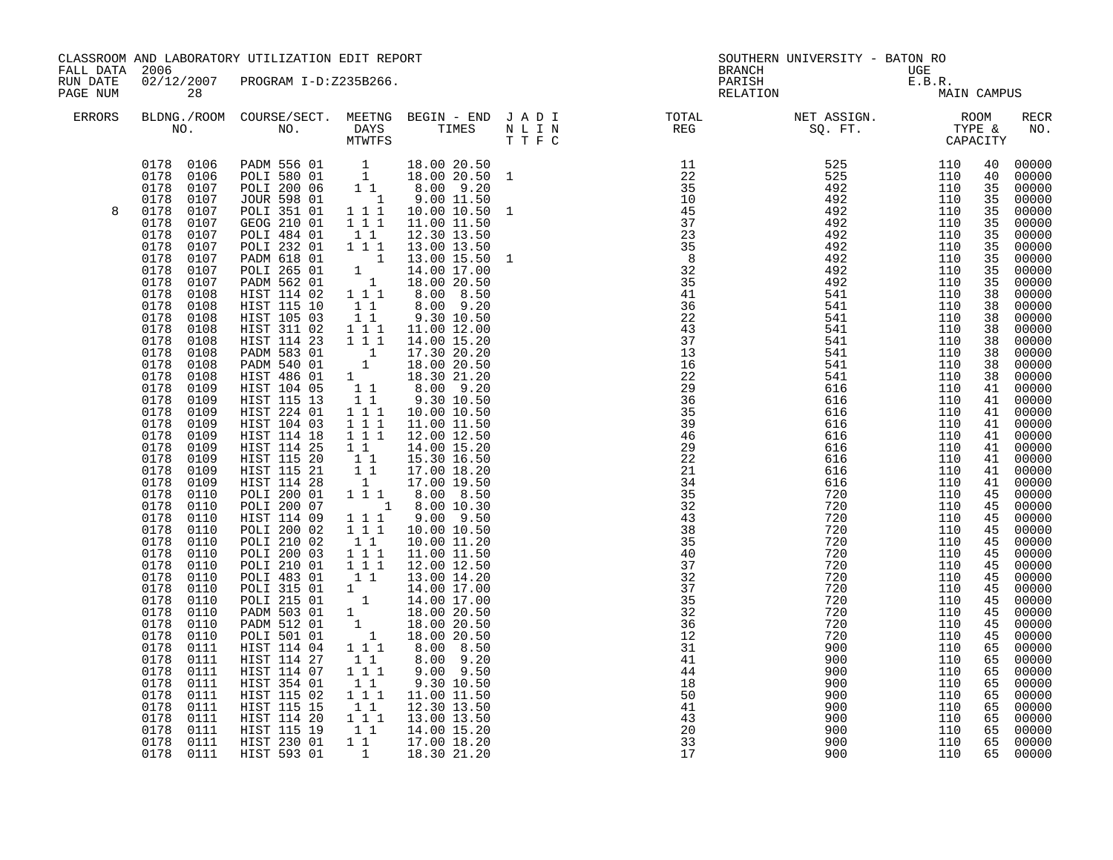|                      | CLASSROOM AND LABORATORY UTILIZATION EDIT REPORT<br>FALL DATA 2006<br>02/12/2007 PROGRAM I-D:Z235B266.                                                                                                                                                                                                                                                                                                                                                                                                                                                                                                                                                                                                                                                                                                                 |                                                                                                                                                                                                                                                                                                                                                                                                                                                                                                                                                                                                                                                                                                                                                                                                                                                                                              |                                                                                                                                                                                                                                                                                                                                                                                                                            | SOUTHERN UNIVERSITY - BATON RO<br><b>BRANCH</b><br>UGE                                                                                                                                                                                                                       |  |                                                                                                                           |                                                      |                                                      |                                                                                                                                                                                                                                                                                                          |                                                                                                                                                                                                                                                                                                                                                                                                                                                                |
|----------------------|------------------------------------------------------------------------------------------------------------------------------------------------------------------------------------------------------------------------------------------------------------------------------------------------------------------------------------------------------------------------------------------------------------------------------------------------------------------------------------------------------------------------------------------------------------------------------------------------------------------------------------------------------------------------------------------------------------------------------------------------------------------------------------------------------------------------|----------------------------------------------------------------------------------------------------------------------------------------------------------------------------------------------------------------------------------------------------------------------------------------------------------------------------------------------------------------------------------------------------------------------------------------------------------------------------------------------------------------------------------------------------------------------------------------------------------------------------------------------------------------------------------------------------------------------------------------------------------------------------------------------------------------------------------------------------------------------------------------------|----------------------------------------------------------------------------------------------------------------------------------------------------------------------------------------------------------------------------------------------------------------------------------------------------------------------------------------------------------------------------------------------------------------------------|------------------------------------------------------------------------------------------------------------------------------------------------------------------------------------------------------------------------------------------------------------------------------|--|---------------------------------------------------------------------------------------------------------------------------|------------------------------------------------------|------------------------------------------------------|----------------------------------------------------------------------------------------------------------------------------------------------------------------------------------------------------------------------------------------------------------------------------------------------------------|----------------------------------------------------------------------------------------------------------------------------------------------------------------------------------------------------------------------------------------------------------------------------------------------------------------------------------------------------------------------------------------------------------------------------------------------------------------|
| RUN DATE<br>PAGE NUM | 28                                                                                                                                                                                                                                                                                                                                                                                                                                                                                                                                                                                                                                                                                                                                                                                                                     |                                                                                                                                                                                                                                                                                                                                                                                                                                                                                                                                                                                                                                                                                                                                                                                                                                                                                              |                                                                                                                                                                                                                                                                                                                                                                                                                            |                                                                                                                                                                                                                                                                              |  | PARISH                                                                                                                    | UGE<br>E.B.R.<br>MA                                  | MAIN CAMPUS                                          |                                                                                                                                                                                                                                                                                                          |                                                                                                                                                                                                                                                                                                                                                                                                                                                                |
| ERRORS               |                                                                                                                                                                                                                                                                                                                                                                                                                                                                                                                                                                                                                                                                                                                                                                                                                        |                                                                                                                                                                                                                                                                                                                                                                                                                                                                                                                                                                                                                                                                                                                                                                                                                                                                                              |                                                                                                                                                                                                                                                                                                                                                                                                                            |                                                                                                                                                                                                                                                                              |  | BLDNG./ROOM COURSE/SECT. MEETNG BEGIN – END JADI TOTAL MET ASSIGN. MET ASSIGN. ROOM NO. DAYS TIMES NLIN REG SQ.FT. TYPE & |                                                      |                                                      |                                                                                                                                                                                                                                                                                                          | RECR<br>NO.                                                                                                                                                                                                                                                                                                                                                                                                                                                    |
| 8                    | 0178 0106<br>0178 0106<br>0178<br>0107<br>0178<br>0107<br>0178<br>0107<br>0178<br>0107<br>0178<br>0107<br>0178<br>0107<br>0178<br>0107<br>0178<br>0107<br>0178<br>0107<br>0178<br>0108<br>0178<br>0108<br>0178<br>0108<br>0178<br>0108<br>0178<br>0108<br>0178<br>0108<br>0178<br>0108<br>0178<br>0108<br>0178<br>0109<br>0178<br>0109<br>0178<br>0109<br>0109<br>0178<br>0178<br>0109<br>0178<br>0109<br>0178<br>0109<br>0178<br>0109<br>0178<br>0109<br>0178<br>0110<br>0178<br>0110<br>0178<br>0110<br>0178<br>0110<br>0178<br>0110<br>0178<br>0110<br>0178<br>0110<br>0178<br>0110<br>0178<br>0110<br>0178<br>0110<br>0178<br>0110<br>0178<br>0110<br>0178<br>0110<br>0178<br>0111<br>0178<br>0111<br>0178<br>0111<br>0178<br>0111<br>0178<br>0111<br>0178<br>0111<br>0178<br>0111<br>0178<br>0111<br>0178<br>0111 | PADM 556 01 1 18.00 20.50<br>POLI 580 01 1 18.00 20.50 1<br>POLI 200 06<br><b>JOUR 598 01</b><br>POLI 351 01 111<br>GEOG 210 01<br><b>POLI 484 01</b><br>POLI 232 01<br>PADM 618 01<br>POLI 265 01 1<br>PADM 562 01 1<br>HIST 114 02 1 1 1<br>HIST 115 10<br>HIST 105 03<br>HIST 311 02 1 1 1<br>HIST 114 23<br>PADM 583 01<br>PADM 583 01 1<br>PADM 540 01 1<br>HIST 486 01 1<br>HIST 104 05 1<br>HIST 104 05 1<br>HIST 115 13 1<br>HIST 224 01<br>HIST 104 03<br>HIST 114 18<br>HIST 114 25<br>HIST 115 20<br>HIST 115 21<br>HIST 114 28<br>POLI 200 01 1 1 1<br>POLI 200 07<br>HIST 114 09<br>POLI 200 02<br>POLI 210 02<br>POLI 200 03<br>POLI 210 01<br>POLI 483 01<br>POLI 315 01 1<br>POLI 215 01<br>PADM 503 01<br>PADM 512 01<br>POLI 501 01<br>HIST 114 04<br>HIST 114 27<br>HIST 114 07<br>HIST 354 01<br>HIST 115 02<br>HIST 115 15<br>HIST 114 20<br>HIST 115 19<br>HIST 230 01 | $1\quad1$<br>$\overline{1}$<br>$1 1 1$<br>11<br>111<br>$\overline{1}$<br>11<br>$1\quad1$<br>111<br>111<br>$1 1 1$<br>$1\overline{1}$ $1\overline{1}$<br>$1\quad1$<br>$\begin{bmatrix} 1\\1\\1\\1 \end{bmatrix}$<br>$1 1 1$<br>$1 1 1$<br>$\begin{smallmatrix}1&1\\1&1&1\end{smallmatrix}$<br>$1 1 1$<br>$1\quad1$<br>$\overline{1}$<br>$1\quad1$<br>$1 1 1$<br>11<br>$1\quad 1\quad 1$<br>11<br>$1 1 1$<br>11<br>$1\quad1$ | 1 8.00 10.30<br>$\begin{array}{rrrr} 1 & 11.00 & 20.50 \ 1 & 18.00 & 20.50 \ 1 & 18.00 & 20.50 \ 1 & 18.00 & 20.50 \ 1 & 1 & 8.00 & 8.50 \end{array}$<br>8.00 9.20<br>$9.00$ $9.50$<br>9.30 10.50<br>11.00 11.50<br>12.30 13.50<br>13.00 13.50<br>14.00 15.20<br>17.00 18.20 |  | 41<br>44<br>18<br>50<br>41<br>43<br>20<br>33                                                                              | 900<br>900<br>900<br>900<br>900<br>900<br>900<br>900 | 110<br>110<br>110<br>110<br>110<br>110<br>110<br>110 | 40<br>40<br>35<br>35<br>35<br>35<br>35<br>35<br>35<br>35<br>35<br>38<br>38<br>38<br>38<br>38<br>38<br>38<br>38<br>41<br>41<br>41<br>41<br>41<br>41<br>41<br>41<br>41<br>45<br>45<br>45<br>45<br>45<br>45<br>45<br>45<br>45<br>45<br>45<br>45<br>45<br>65<br>65<br>65<br>65<br>65<br>65<br>65<br>65<br>65 | 00000<br>00000<br>00000<br>00000<br>00000<br>00000<br>00000<br>00000<br>00000<br>00000<br>00000<br>00000<br>00000<br>00000<br>00000<br>00000<br>00000<br>00000<br>00000<br>00000<br>00000<br>00000<br>00000<br>00000<br>00000<br>00000<br>00000<br>00000<br>00000<br>00000<br>00000<br>00000<br>00000<br>00000<br>00000<br>00000<br>00000<br>00000<br>00000<br>00000<br>00000<br>00000<br>00000<br>00000<br>00000<br>00000<br>00000<br>00000<br>00000<br>00000 |
|                      | 0178 0111                                                                                                                                                                                                                                                                                                                                                                                                                                                                                                                                                                                                                                                                                                                                                                                                              | HIST 593 01                                                                                                                                                                                                                                                                                                                                                                                                                                                                                                                                                                                                                                                                                                                                                                                                                                                                                  | 1                                                                                                                                                                                                                                                                                                                                                                                                                          | 18.30 21.20                                                                                                                                                                                                                                                                  |  | 17                                                                                                                        | 900                                                  | 110                                                  |                                                                                                                                                                                                                                                                                                          | 65 00000                                                                                                                                                                                                                                                                                                                                                                                                                                                       |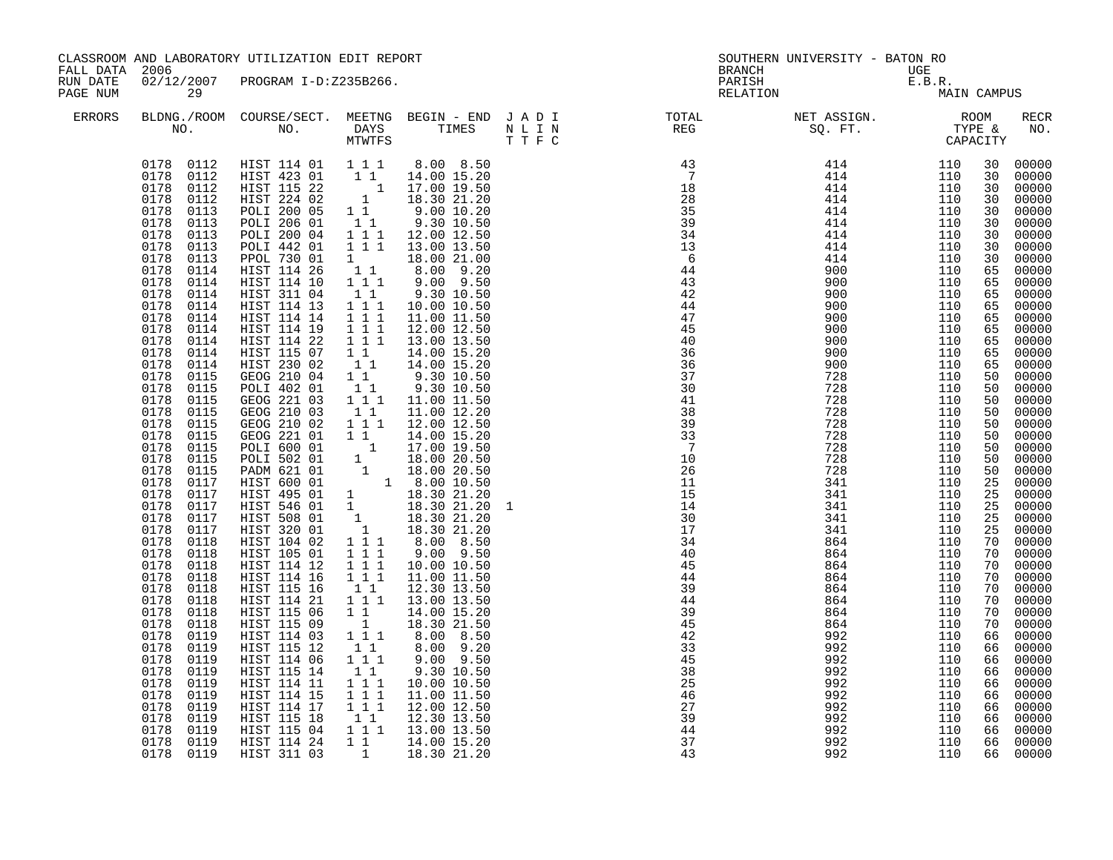| FALL DATA 2006       |                                                                                                                                                                                                                                                                                                                                                                                                                                                                                                                                                                                                                                                                                                                                                                                                                     | CLASSROOM AND LABORATORY UTILIZATION EDIT REPORT                                                                                                                                                                                                                                                                                                                                                                                                                                                                                                                                                                                                                                                                                                                                                                                                                                                                                                                       |                                                                                                                                                                                                                                                                                                                                                                                                                                                                   |                                                                                                                                                                                                                                                                                                                                                                                                                                                                                                                                                                                                               |         | <b>BRANCH</b>                                                                                                                                                                                                                                                                                                                                                                                                                                      | SOUTHERN UNIVERSITY - BATON RO                 |                          |                                                                                                                                                                                                                                                                                                                |                                                                                                                                                                                                                                                                                                                                                                                                                                                                                 |
|----------------------|---------------------------------------------------------------------------------------------------------------------------------------------------------------------------------------------------------------------------------------------------------------------------------------------------------------------------------------------------------------------------------------------------------------------------------------------------------------------------------------------------------------------------------------------------------------------------------------------------------------------------------------------------------------------------------------------------------------------------------------------------------------------------------------------------------------------|------------------------------------------------------------------------------------------------------------------------------------------------------------------------------------------------------------------------------------------------------------------------------------------------------------------------------------------------------------------------------------------------------------------------------------------------------------------------------------------------------------------------------------------------------------------------------------------------------------------------------------------------------------------------------------------------------------------------------------------------------------------------------------------------------------------------------------------------------------------------------------------------------------------------------------------------------------------------|-------------------------------------------------------------------------------------------------------------------------------------------------------------------------------------------------------------------------------------------------------------------------------------------------------------------------------------------------------------------------------------------------------------------------------------------------------------------|---------------------------------------------------------------------------------------------------------------------------------------------------------------------------------------------------------------------------------------------------------------------------------------------------------------------------------------------------------------------------------------------------------------------------------------------------------------------------------------------------------------------------------------------------------------------------------------------------------------|---------|----------------------------------------------------------------------------------------------------------------------------------------------------------------------------------------------------------------------------------------------------------------------------------------------------------------------------------------------------------------------------------------------------------------------------------------------------|------------------------------------------------|--------------------------|----------------------------------------------------------------------------------------------------------------------------------------------------------------------------------------------------------------------------------------------------------------------------------------------------------------|---------------------------------------------------------------------------------------------------------------------------------------------------------------------------------------------------------------------------------------------------------------------------------------------------------------------------------------------------------------------------------------------------------------------------------------------------------------------------------|
| RUN DATE<br>PAGE NUM | 29                                                                                                                                                                                                                                                                                                                                                                                                                                                                                                                                                                                                                                                                                                                                                                                                                  | 02/12/2007 PROGRAM I-D:Z235B266.                                                                                                                                                                                                                                                                                                                                                                                                                                                                                                                                                                                                                                                                                                                                                                                                                                                                                                                                       |                                                                                                                                                                                                                                                                                                                                                                                                                                                                   |                                                                                                                                                                                                                                                                                                                                                                                                                                                                                                                                                                                                               |         | PARISH<br>RELATION                                                                                                                                                                                                                                                                                                                                                                                                                                 | UGE<br>E.B.R.<br>MA:                           | MAIN CAMPUS              |                                                                                                                                                                                                                                                                                                                |                                                                                                                                                                                                                                                                                                                                                                                                                                                                                 |
| <b>ERRORS</b>        |                                                                                                                                                                                                                                                                                                                                                                                                                                                                                                                                                                                                                                                                                                                                                                                                                     |                                                                                                                                                                                                                                                                                                                                                                                                                                                                                                                                                                                                                                                                                                                                                                                                                                                                                                                                                                        | MTWTFS                                                                                                                                                                                                                                                                                                                                                                                                                                                            |                                                                                                                                                                                                                                                                                                                                                                                                                                                                                                                                                                                                               | T T F C | BLDNG./ROOM COURSE/SECT. MEETNG BEGIN – END J A D I TOTAL TOTAL NO. NO. DAYS TIMES N L I N REG REG                                                                                                                                                                                                                                                                                                                                                 | NET ASSIGN. ROOM<br>SQ. FT. TYPE &<br>CAPACITY |                          |                                                                                                                                                                                                                                                                                                                | RECR<br>NO.                                                                                                                                                                                                                                                                                                                                                                                                                                                                     |
|                      | 0178 0112<br>0178<br>0112<br>0178<br>0112<br>0113<br>0178<br>0178<br>0113<br>0178<br>0113<br>0178<br>0113<br>0178<br>0113<br>0178<br>0114<br>0178<br>0114<br>0178<br>0114<br>0178<br>0114<br>0178<br>0114<br>0178<br>0114<br>0178<br>0114<br>0178<br>0114<br>0178<br>0114<br>0178<br>0115<br>0178<br>0115<br>0178<br>0115<br>0178<br>0115<br>0178<br>0115<br>0178<br>0115<br>0178<br>0115<br>0178<br>0115<br>0178<br>0115<br>0178<br>0117<br>0178<br>0117<br>0178<br>0117<br>0178<br>0117<br>0178<br>0117<br>0178<br>0118<br>0178<br>0118<br>0178<br>0118<br>0178<br>0118<br>0178<br>0118<br>0178<br>0118<br>0178<br>0118<br>0178<br>0118<br>0178<br>0119<br>0178<br>0119<br>0178<br>0119<br>0178<br>0119<br>0178<br>0119<br>0178<br>0119<br>0119<br>0178<br>0119<br>0178<br>0178<br>0119<br>0178 0119<br>0178 0119 | 0178  0112  HIST  114  01  1  1  1<br>HIST 423 01 11 14.00 15.20<br>HIST 115 22 1 17.00 19.50<br>HIST 224 02 1 18.30 21.20<br>POLI 200 05 1 1 9.00 10.20<br>POLI 206 01<br>POLI 200 04<br>POLI 442 01<br>PPOL 730 01<br>HIST 114 26<br>HIST 114 10<br>HIST 311 04<br>HIST 114 13<br>HIST 114 14<br>HIST 114 19<br>HIST 114 22<br>HIST 115 07<br>HIST 230 02<br>GEOG 210 04<br>POLI 402 01<br>GEOG 221 03<br>GEOG 210 03<br>GEOG 210 02<br>GEOG 221 01<br>GEOG 221 01 11 14.00 15.20<br>POLI 600 01 1 17.00 19.50<br>POLI 502 01 1 18.00 20.50<br>PADM 621 01 1 18.00 20.50<br>HIST 600 01 1 8.00 10.50<br>HIST 495 01 1 18.30 21.20<br>HIST 546 01 1 18.30 21.20<br>HIST 508 01 1 18.30 21.20<br>HIST 3<br>HIST 114 12<br>HIST 114 16<br>HIST 115 16<br>HIST 114 21<br>HIST 115 06<br>HIST 115 09<br>HIST 114 03<br>HIST 115 12<br>HIST 114 06<br>HIST 115 14<br>HIST 114 11<br>HIST 114 15<br>HIST 114 17<br>HIST 115 18<br>HIST 115 04<br>HIST 114 24<br>HIST 311 03 | 11<br>$1^{\circ}1^{\circ}1$<br>$1 \quad \blacksquare$<br>$\begin{smallmatrix}1&1\\1&1&1\end{smallmatrix}$<br>11<br>$1 1 1$<br>$\overline{1}$ $\overline{1}$ $\overline{1}$<br>$1 1 1$<br>$\overline{1}$ $\overline{1}$ $\overline{1}$<br>$1\quad1$<br>$1\quad1$<br>11<br>11<br>$1 1 1$<br>11<br>$1 1 1$<br>$1\quad1$<br>1 1 1<br>$1 1 1$<br>$1\quad1$<br>$1 1 1$<br>11<br>1<br>1 1 1<br>11<br>111<br>11<br>$\begin{array}{rrrr} 1&1&1\\ 1&1&1 \end{array}$<br>111 | 8.00 8.50<br>9.30 10.50<br>12.00 12.50<br>18.00 21.00<br>8.00 9.20<br>9.00 9.50<br>9.30 10.50<br>10.00 10.50<br>11.00 11.50<br>12.00 12.50<br>13.00 13.50<br>14.00 15.20<br>14.00 15.20<br>9.30 10.50<br>9.30 10.50<br>11.00 11.50<br>11.00 12.20<br>12.00 12.50<br>14.00 15.20<br>10.00 10.50<br>11.00 11.50<br>12.30 13.50<br>13.00 13.50<br>14.00 15.20<br>18.30 21.50<br>8.00 8.50<br>8.00 9.20<br>$9.00$ $9.50$<br>9.30 10.50<br>10.00 10.50<br>11.00 11.50<br>12.00 12.50<br>$\begin{array}{cccc} 1 & 1 & 12.30 & 13.50 \\ 1 & 1 & 1 & 13.00 & 13.50 \end{array}$<br>1 1 1 14.00 15.20<br>1 18.30 21.20 |         | $\begin{array}{cccc} \text{R} & \text{R} & \text{S0.} & \text{FT.} & \text{TYY} \\ \text{R} & \text{S1.} & \text{GAP} & \text{GAP} & \text{GAP} \\ \text{R} & \text{S2.} & \text{S3.} & \text{GAP} & \text{GAP} \\ \text{R} & \text{S1.} & \text{S2.} & \text{S3.} & \text{S4.} \\ \text{S2.} & \text{S3.} & \text{S4.} & \text{S4.} \\ \text{S3.} & \text{S4.} & \text{S4.} & \text{S4.} \\ \text{S4.$<br>$\frac{25}{46}$<br>39<br>44<br>37<br>43 | 992<br>992<br>992<br>992                       | 110<br>110<br>110<br>110 | 30<br>30<br>30<br>30<br>30<br>30<br>30<br>30<br>30<br>65<br>65<br>65<br>65<br>65<br>65<br>65<br>65<br>65<br>50<br>50<br>50<br>50<br>50<br>50<br>50<br>50<br>50<br>25<br>25<br>25<br>25<br>25<br>70<br>70<br>70<br>70<br>70<br>70<br>70<br>70<br>66<br>66<br>66<br>66<br>66<br>66<br>66<br>66<br>66<br>66<br>66 | 00000<br>00000<br>00000<br>00000<br>00000<br>$00000$<br>00000<br>00000<br>00000<br>00000<br>00000<br>00000<br>00000<br>00000<br>00000<br>00000<br>00000<br>00000<br>00000<br>00000<br>00000<br>00000<br>00000<br>00000<br>00000<br>$00000$<br>$00000$<br>00000<br>00000<br>00000<br>00000<br>00000<br>00000<br>00000<br>00000<br>00000<br>00000<br>00000<br>00000<br>00000<br>00000<br>00000<br>00000<br>00000<br>00000<br>00000<br>$00000$<br>00000<br>00000<br>00000<br>00000 |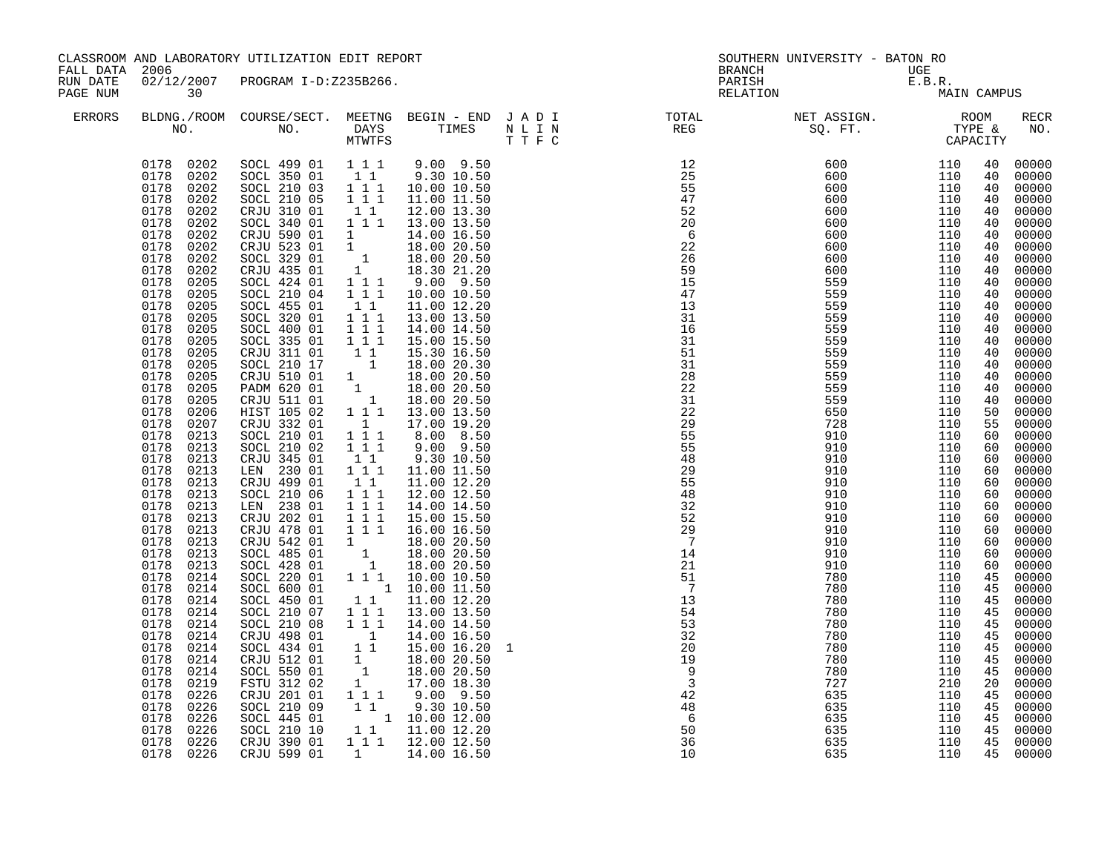| FALL DATA 2006       |                                                                                                                                                                                                                                                                                                                                                                                                                                                                                                                                                                                                                                                                                                                                                                                                                                     | CLASSROOM AND LABORATORY UTILIZATION EDIT REPORT                                                                                                                                                                                                                                                                                                                                                                                                                                                                                                                                                                                                                                                                                                                                                                                                                                             |                                                                                                                                                                                                                                                                                                                                                                                  |                                                                                                                                                                                                                                                                                                                                                                                                                                                                                                                                                                                                                                                                                                                                                                                                                                                                                |                                                                                | <b>BRANCH</b>                                                                                                                                                                                                                                                                                                                                                                                                                                                                                               | SOUTHERN UNIVERSITY - BATON RO                                                                                                                                                                                                                           |                                                                                                                                                                                                                                                          |                                                                                                                                                                                                                                                                                                                |                                                                                                                                                                                                                                                                                                                                                                                                                                                                                           |
|----------------------|-------------------------------------------------------------------------------------------------------------------------------------------------------------------------------------------------------------------------------------------------------------------------------------------------------------------------------------------------------------------------------------------------------------------------------------------------------------------------------------------------------------------------------------------------------------------------------------------------------------------------------------------------------------------------------------------------------------------------------------------------------------------------------------------------------------------------------------|----------------------------------------------------------------------------------------------------------------------------------------------------------------------------------------------------------------------------------------------------------------------------------------------------------------------------------------------------------------------------------------------------------------------------------------------------------------------------------------------------------------------------------------------------------------------------------------------------------------------------------------------------------------------------------------------------------------------------------------------------------------------------------------------------------------------------------------------------------------------------------------------|----------------------------------------------------------------------------------------------------------------------------------------------------------------------------------------------------------------------------------------------------------------------------------------------------------------------------------------------------------------------------------|--------------------------------------------------------------------------------------------------------------------------------------------------------------------------------------------------------------------------------------------------------------------------------------------------------------------------------------------------------------------------------------------------------------------------------------------------------------------------------------------------------------------------------------------------------------------------------------------------------------------------------------------------------------------------------------------------------------------------------------------------------------------------------------------------------------------------------------------------------------------------------|--------------------------------------------------------------------------------|-------------------------------------------------------------------------------------------------------------------------------------------------------------------------------------------------------------------------------------------------------------------------------------------------------------------------------------------------------------------------------------------------------------------------------------------------------------------------------------------------------------|----------------------------------------------------------------------------------------------------------------------------------------------------------------------------------------------------------------------------------------------------------|----------------------------------------------------------------------------------------------------------------------------------------------------------------------------------------------------------------------------------------------------------|----------------------------------------------------------------------------------------------------------------------------------------------------------------------------------------------------------------------------------------------------------------------------------------------------------------|-------------------------------------------------------------------------------------------------------------------------------------------------------------------------------------------------------------------------------------------------------------------------------------------------------------------------------------------------------------------------------------------------------------------------------------------------------------------------------------------|
| RUN DATE<br>PAGE NUM | 02/12/2007<br>30                                                                                                                                                                                                                                                                                                                                                                                                                                                                                                                                                                                                                                                                                                                                                                                                                    | PROGRAM I-D:Z235B266.                                                                                                                                                                                                                                                                                                                                                                                                                                                                                                                                                                                                                                                                                                                                                                                                                                                                        |                                                                                                                                                                                                                                                                                                                                                                                  |                                                                                                                                                                                                                                                                                                                                                                                                                                                                                                                                                                                                                                                                                                                                                                                                                                                                                |                                                                                | PARISH<br>RELATION                                                                                                                                                                                                                                                                                                                                                                                                                                                                                          | $\begin{array}{c}\n\mathsf{UGE} \\ \mathsf{E.B.R.} \\ \mathsf{MA}\n\end{array}$                                                                                                                                                                          | MAIN CAMPUS                                                                                                                                                                                                                                              |                                                                                                                                                                                                                                                                                                                |                                                                                                                                                                                                                                                                                                                                                                                                                                                                                           |
| ERRORS               |                                                                                                                                                                                                                                                                                                                                                                                                                                                                                                                                                                                                                                                                                                                                                                                                                                     |                                                                                                                                                                                                                                                                                                                                                                                                                                                                                                                                                                                                                                                                                                                                                                                                                                                                                              |                                                                                                                                                                                                                                                                                                                                                                                  |                                                                                                                                                                                                                                                                                                                                                                                                                                                                                                                                                                                                                                                                                                                                                                                                                                                                                |                                                                                | BLDNG./ROOM COURSE/SECT. MEETNG BEGIN – END JADI TOTAL MET ASSIGN. MET ASSIGN. ROOM NO. DAYS TIMES NLIN REG SQ.FT. TYPE &                                                                                                                                                                                                                                                                                                                                                                                   |                                                                                                                                                                                                                                                          |                                                                                                                                                                                                                                                          |                                                                                                                                                                                                                                                                                                                | RECR<br>NO.                                                                                                                                                                                                                                                                                                                                                                                                                                                                               |
|                      | 0178 0202<br>0178 0202<br>0178<br>0202<br>0178<br>0202<br>0178<br>0202<br>0178<br>0202<br>0178<br>0202<br>0178<br>0202<br>0178<br>0202<br>0178<br>0202<br>0178<br>0205<br>0178<br>0205<br>0178<br>0205<br>0178<br>0205<br>0178<br>0205<br>0178<br>0205<br>0178<br>0205<br>0178<br>0205<br>0178<br>0205<br>0178<br>0205<br>0178<br>0205<br>0178<br>0206<br>0178<br>0207<br>0178<br>0213<br>0178<br>0213<br>0178<br>0213<br>0178<br>0213<br>0178<br>0213<br>0178<br>0213<br>0178<br>0213<br>0178<br>0213<br>0178<br>0213<br>0178<br>0213<br>0178<br>0213<br>0178<br>0213<br>0178<br>0214<br>0178<br>0214<br>0178<br>0214<br>0178<br>0214<br>0178<br>0214<br>0178<br>0214<br>0178<br>0214<br>0178<br>0214<br>0214<br>0178<br>0178<br>0219<br>0178<br>0226<br>0178<br>0226<br>0178<br>0226<br>0178<br>0226<br>0178<br>0226<br>0178 0226 | SOCL 499 01 111<br>SOCL 350 01<br>SOCL 210 03 1 1 1<br>SOCL 210 05<br>CRJU 310 01<br>SOCL 340 01<br>CRJU 590 01<br>CRJU 523 01<br>SOCL 329 01<br>CRJU 435 01<br>SOCL 424 01<br>SOCL 210 04<br>SOCL 455 01<br>SOCL 320 01<br>SOCL 400 01<br>SOCL 335 01<br>CRJU 311 01<br>SOCL 210 17<br>CRJU 510 01 1 18.00 20.50<br>PADM 620 01 1 18.00 20.50<br>CRJU 511 01 1 18.00 20.50<br>CRJU 511 01 1 18.00 20.50<br>HIST 105 02 1 1 1 13.00 13.50<br>CRJU 332 01<br>SOCL 210 01<br>SOCL 210 02<br>CRJU 345 01<br>LEN 230 01<br>CRJU 499 01<br>SOCL 210 06<br>LEN 238 01<br>CRJU 202 01<br>CRJU 478 01<br>CRJU 542 01<br>SOCL 485 01<br>SOCL 428 01<br>$SOCL$ 220 01<br>SOCL 600 01<br>SOCL 450 01<br>SOCL 210 07<br>SOCL 210 08<br>CRJU 498 01<br>SOCL 434 01<br>CRJU 512 01<br>SOCL 550 01<br>FSTU 312 02<br>CRJU 201 01<br>SOCL 210 09<br>SOCL 445 01<br>SOCL 210 10<br>CRJU 390 01<br>CRJU 599 01 | $1\quad1$<br>$1\bar{1}1$<br>11<br>1 1 1<br>1<br>$1\quad1$<br>1 1 1<br>$1 1 1$<br>$\overline{1}$ $\overline{1}$ $\overline{1}$<br>$1\quad1$<br>1<br>$1 1 1$<br>$1 1 1$<br>11<br>$1 1 1$<br>$1\quad1$<br>$1 1 1$<br>$1 1 1$<br>$1 1 1$<br>$1\quad1$<br>1 1 1<br>$1\ 1\ 1$<br>$\begin{smallmatrix}&&1\\1&1\end{smallmatrix}$<br>$\frac{1}{1}$<br>1<br>$1 1 1$<br>11<br>$\mathbf{1}$ | $9.00$ $9.50$<br>9.30 10.50<br>10.00 10.50<br>11.00 11.50<br>12.00 13.30<br>13.00 13.50<br>14.00 16.50<br>$\begin{array}{cccc} 1 & & 18.00 & 20.50 \ 1 & & 18.00 & 20.50 \ 1 & & 18.30 & 21.20 \ 1 & 1 & 9.00 & 9.50 \ 1 & 1 & 10.00 & 10.50 \end{array}$<br>11.00 12.20<br>13.00 13.50<br>14.00 14.50<br>15.00 15.50<br>15.30 16.50<br>17.00 19.20<br>8.00 8.50<br>$9.00$ $9.50$<br>9.30 10.50<br>11.00 11.50<br>11.00 12.20<br>12.00 12.50<br>14.00 14.50<br>15.00 15.50<br>1 1 1 1 16.00 16.50<br>$\begin{array}{cccc} 1 & & 18.00 & 20.50\ 1 & & 18.00 & 20.50\ 1 & & 18.00 & 20.50\ 1 & 1 & 10.00 & 10.50\ \end{array}$<br>1 10.00 11.50<br>11.00 12.20<br>13.00 13.50<br>14.00 14.50<br>14.00 16.50<br>15.00 16.20<br>18.00 20.50<br>18.00 20.50<br>17.00 18.30<br>$9.00$ $9.50$<br>9.30 10.50<br>1 10.00 12.00<br>1 1 11.00 12.20<br>1 1 1 1 12.00 12.50<br>14.00 16.50 | 1<br>$\begin{array}{r} 19 \\ 9 \\ 42 \\ 48 \\ 6 \\ 36 \\ 36 \\ 10 \end{array}$ | $\begin{array}{cccc} 12 & 600 & 110 \ 25 & 600 & 110 \ 55 & 600 & 110 \ 47 & 600 & 110 \ 22 & 600 & 110 \ 6 & 20 & 600 & 110 \ 22 & 600 & 110 \ 22 & 600 & 110 \ 25 & 600 & 110 \ 25 & 600 & 110 \ 25 & 600 & 110 \ 15 & 559 & 110 \ 13 & 559 & 110 \ 14 & 5559 & 110 \ 16 & 559 & 110$<br>$131$<br>$31$<br>$31$<br>$51$<br>$31$<br>$22$<br>$22$<br>$31$<br>$22$<br>$25$<br>$55$<br>$58$<br>$29$<br>$55$<br>$48$<br>$29$<br>$55$<br>$48$<br>$25$<br>$7$<br>$13$<br>13<br>54<br>$54$<br>$53$<br>$32$<br>$20$ | 559<br>559<br>559<br>559<br>559<br>559<br>650<br>728<br>910<br>910<br>910<br>910<br>910<br>910<br>910<br>910<br>910<br>910<br>910<br>910<br>780<br>780<br>780<br>780<br>780<br>780<br>780<br>780<br>780<br>727<br>635<br>635<br>635<br>635<br>635<br>635 | 110<br>110<br>110<br>110<br>110<br>110<br>110<br>110<br>110<br>110<br>110<br>110<br>110<br>110<br>110<br>110<br>110<br>110<br>110<br>110<br>110<br>110<br>110<br>110<br>110<br>110<br>110<br>110<br>110<br>210<br>110<br>110<br>110<br>110<br>110<br>110 | 40<br>40<br>40<br>40<br>40<br>40<br>40<br>40<br>40<br>40<br>40<br>40<br>40<br>40<br>40<br>40<br>40<br>40<br>40<br>40<br>40<br>50<br>55<br>60<br>60<br>60<br>60<br>60<br>60<br>60<br>60<br>60<br>60<br>60<br>60<br>45<br>45<br>45<br>45<br>45<br>45<br>45<br>45<br>45<br>20<br>45<br>45<br>45<br>45<br>45<br>45 | 00000<br>00000<br>00000<br>00000<br>$00000$<br>$00000$<br>00000<br>00000<br>$00000$<br>$00000$<br>00000<br>00000<br>$00000$<br>$00000$<br>00000<br>00000<br>00000<br>00000<br>00000<br>00000<br>00000<br>00000<br>00000<br>00000<br>00000<br>$00000$<br>00000<br>00000<br>00000<br>$00000$<br>$00000$<br>00000<br>00000<br>00000<br>00000<br>00000<br>00000<br>00000<br>00000<br>00000<br>00000<br>00000<br>00000<br>00000<br>00000<br>00000<br>00000<br>00000<br>00000<br>00000<br>00000 |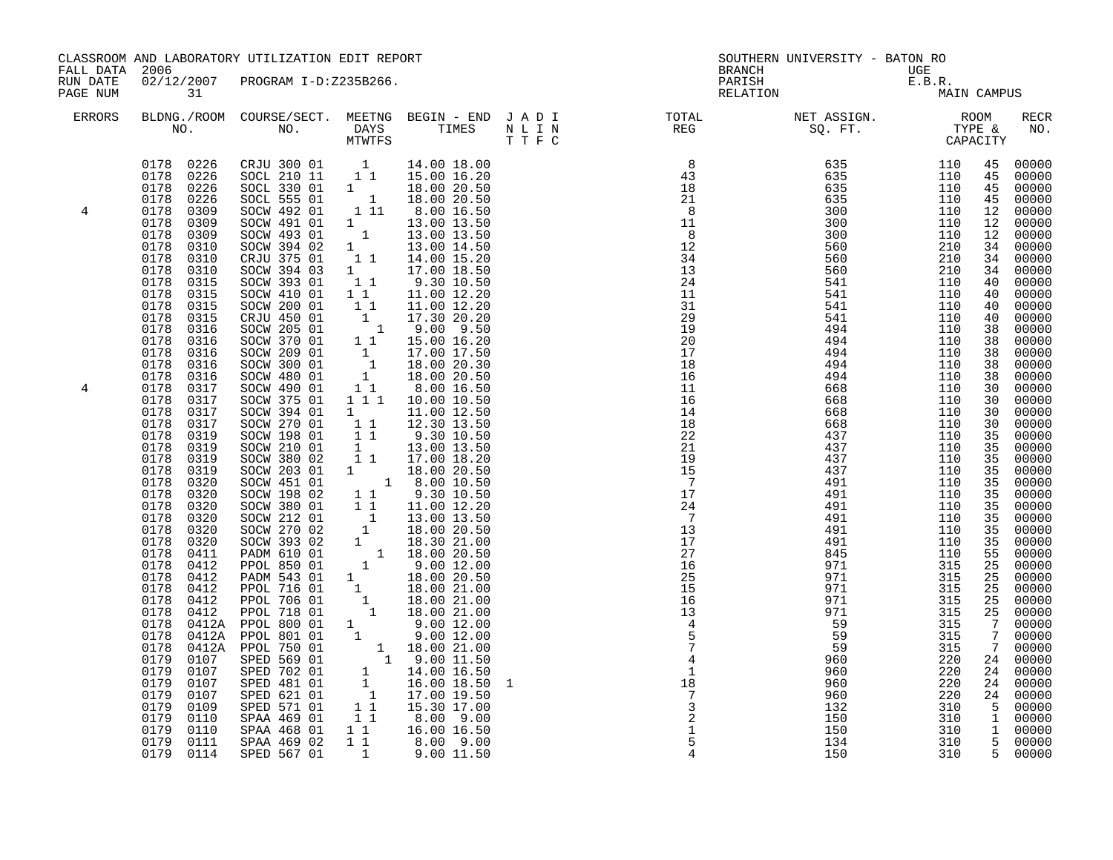| FALL DATA 2006       |                                                                                                                                                                                                                                                                                                                                                                                                                                                                                                                                                      | CLASSROOM AND LABORATORY UTILIZATION EDIT REPORT                                                                                                                                                                                                                                                                                                                                                                                                                                                                                                                                                                                                                                                                                                                                            |                                                                                                                                                                                                                  |                                                                                                                                                                                                                                                                                                                                                                                                                                                                                                                                                                                                                   |   | <b>BRANCH</b>                                                                                                                                                                                                                                                                                                                                                                                                                     | SOUTHERN UNIVERSITY - BATON RO                                                                                                                                                                                                                                                                                                                                                                                                                                                             |                                                                                                                                                                                    |                                                                                                                                                                                                                                                                 |                                                                                                                                                                                                                                                                                                                                                                                                                                                          |
|----------------------|------------------------------------------------------------------------------------------------------------------------------------------------------------------------------------------------------------------------------------------------------------------------------------------------------------------------------------------------------------------------------------------------------------------------------------------------------------------------------------------------------------------------------------------------------|---------------------------------------------------------------------------------------------------------------------------------------------------------------------------------------------------------------------------------------------------------------------------------------------------------------------------------------------------------------------------------------------------------------------------------------------------------------------------------------------------------------------------------------------------------------------------------------------------------------------------------------------------------------------------------------------------------------------------------------------------------------------------------------------|------------------------------------------------------------------------------------------------------------------------------------------------------------------------------------------------------------------|-------------------------------------------------------------------------------------------------------------------------------------------------------------------------------------------------------------------------------------------------------------------------------------------------------------------------------------------------------------------------------------------------------------------------------------------------------------------------------------------------------------------------------------------------------------------------------------------------------------------|---|-----------------------------------------------------------------------------------------------------------------------------------------------------------------------------------------------------------------------------------------------------------------------------------------------------------------------------------------------------------------------------------------------------------------------------------|--------------------------------------------------------------------------------------------------------------------------------------------------------------------------------------------------------------------------------------------------------------------------------------------------------------------------------------------------------------------------------------------------------------------------------------------------------------------------------------------|------------------------------------------------------------------------------------------------------------------------------------------------------------------------------------|-----------------------------------------------------------------------------------------------------------------------------------------------------------------------------------------------------------------------------------------------------------------|----------------------------------------------------------------------------------------------------------------------------------------------------------------------------------------------------------------------------------------------------------------------------------------------------------------------------------------------------------------------------------------------------------------------------------------------------------|
| RUN DATE<br>PAGE NUM | 31                                                                                                                                                                                                                                                                                                                                                                                                                                                                                                                                                   | 02/12/2007 PROGRAM I-D:Z235B266.                                                                                                                                                                                                                                                                                                                                                                                                                                                                                                                                                                                                                                                                                                                                                            |                                                                                                                                                                                                                  |                                                                                                                                                                                                                                                                                                                                                                                                                                                                                                                                                                                                                   |   | PARISH                                                                                                                                                                                                                                                                                                                                                                                                                            | UGE<br>E.B.R.<br>MA<br>RELATION                                                                                                                                                                                                                                                                                                                                                                                                                                                            | MAIN CAMPUS                                                                                                                                                                        |                                                                                                                                                                                                                                                                 |                                                                                                                                                                                                                                                                                                                                                                                                                                                          |
| <b>ERRORS</b>        |                                                                                                                                                                                                                                                                                                                                                                                                                                                                                                                                                      |                                                                                                                                                                                                                                                                                                                                                                                                                                                                                                                                                                                                                                                                                                                                                                                             |                                                                                                                                                                                                                  |                                                                                                                                                                                                                                                                                                                                                                                                                                                                                                                                                                                                                   |   |                                                                                                                                                                                                                                                                                                                                                                                                                                   | BLDNG./ROOM COURSE/SECT. MEETNG BEGIN – END JADI TOTAL TOTAL NET ASSIGN. REG ROOM NO. DAYS TIMES NLIN REG SQ.FT. TYPE &                                                                                                                                                                                                                                                                                                                                                                    |                                                                                                                                                                                    |                                                                                                                                                                                                                                                                 | <b>RECR</b><br>NO.                                                                                                                                                                                                                                                                                                                                                                                                                                       |
| 4<br>4               | 0178<br>0226<br>0178<br>0226<br>0178<br>0309<br>0178<br>0309<br>0178<br>0309<br>0178<br>0310<br>0178<br>0310<br>0178<br>0310<br>0178<br>0315<br>0178<br>0315<br>0178<br>0315<br>0178<br>0315<br>0178<br>0316<br>0178<br>0316<br>0178<br>0316<br>0178<br>0316<br>0178<br>0316<br>0178<br>0317<br>0178<br>0317<br>0178<br>0317<br>0178<br>0317<br>0178<br>0319<br>0178<br>0319<br>0178<br>0319<br>0178<br>0319<br>0178<br>0320<br>0178<br>0320<br>0178<br>0178<br>0178<br>0178<br>0178<br>0178<br>0178<br>0178<br>0178<br>0178<br>0178<br>0178<br>0178 | 0178  0226  CRJU  300  01  1<br>0178  0226  SOCL  210  11  11<br>SOCL 330 01 1<br>SOCL 555 01 1<br>SOCW 492 01<br>SOCW 491 01<br>SOCW 493 01<br>SOCW 394 02<br>CRJU 375 01<br>SOCW 394 03<br>SOCW 393 01<br>SOCW 410 01<br>SOCW 200 01<br>CRJU 450 01<br>SOCW 205 01<br>SOCW 370 01<br>SOCW 209 01<br>SOCW 300 01<br>SOCW 480 01<br>SOCW 490 01<br>SOCW 375 01<br>SOCW 394 01<br>SOCW 270 01<br>SOCW 198 01<br>SOCW 210 01<br>SOCW 380 02<br>SOCW 203 01<br>SOCW 451 01<br>SOCW 198 02<br>$\begin{tabular}{cccc} 0320 & SOCW 198 02 & 11 & 9.30 10.50 \\ 0320 & SOCW 380 01 & 11 & 11.00 12.20 \\ 0320 & SOCW 212 01 & 1 & 13.00 13.50 \\ 0320 & SOCW 270 02 & 1 & 18.00 20.50 \\ 0320 & SOCW 393 02 & 1 & 18.00 20.50 \\ 0320 & SOCW 393 02 & 1 & 18.00 20.50 \\ 0320 & SOCW 393 02 & 1 &$ | 11<br>$1 \quad \blacksquare$<br>$\begin{bmatrix} 1 & 1 \end{bmatrix}$<br>11<br>11<br>11<br>1<br>$\begin{array}{cccc} & 1 & 1 \\ & 1 & 1 \\ & & 1 & 1 \end{array}$<br>$\begin{smallmatrix}1\1\1\end{smallmatrix}$ | 14.00 18.00<br>15.00 16.20<br>18.00 20.50<br>18.00 20.50<br>8.00 16.50<br>13.00 13.50<br>13.00 13.50<br>13.00 14.50<br>14.00 15.20<br>17.00 18.50<br>9.30 10.50<br>11.00 12.20<br>11.00 12.20<br>$\begin{array}{rrrr} 1 & 11.00 & 12.20 \ 1 & 17.30 & 20.20 \ 1 & 1 & 9.00 & 9.50 \ 1 & 1 & 15.00 & 16.20 \ 1 & 17.00 & 17.50 \ 1 & 18.00 & 20.30 \ 1 & 18.00 & 20.50 \end{array}$<br>8.00 16.50<br>1 1 1 10.00 10.50<br>11.00 12.50<br>12.30 13.50<br>9.30 10.50<br>13.00 13.50<br>17.00 18.20<br>$\begin{array}{rrrr} 1 & 1.00 & 20.50 \\ 1 & 8.00 & 20.50 \\ 1 & 8.00 & 10.50 \\ 1 & 9.30 & 10.50 \end{array}$ |   | $\begin{array}{r} 34 \\ 13 \\ 24 \\ 11 \\ 29 \\ 19 \\ 20 \\ 17 \\ 18 \\ 16 \\ 16 \\ 11 \\ 16 \\ 14 \\ 14 \\ 18 \\ \end{array}$<br>18<br>22<br>21<br>$\begin{array}{c} 19 \\ 15 \\ 7 \end{array}$<br>$\begin{array}{c} 7 \\ 17 \\ 24 \end{array}$<br>$\overline{7}$<br>13<br>17<br>27<br>$\overline{16}$<br>25<br>$\begin{array}{c} 25 \\ 15 \\ 16 \\ 13 \\ \end{array}$<br>$\begin{array}{c}\n 4 \\  4 \\  5 \\  7\n \end{array}$ | $\begin{array}{cccc} 8 & 635 & 110 \\ 43 & 635 & 110 \\ 18 & 635 & 110 \\ 21 & 635 & 110 \\ 8 & 300 & 110 \\ 11 & 300 & 110 \\ 12 & 560 & 210 \\ 13 & 560 & 210 \\ 24 & 541 & 110 \\ 21 & 541 & 110 \\ 29 & 541 & 110 \\ 19 & 494 & 110 \\ 20 & 494 & 110 \\ 21 & 494 & 110 \\ 22 & 494 & 110 \\ 23 & $<br>494<br>494<br>494<br>668<br>668<br>668<br>668<br>437<br>437<br>437<br>437<br>491<br>491<br>491<br>491<br>491<br>491<br>845<br>971<br>971<br>971<br>971<br>971<br>59<br>59<br>59 | 110<br>110<br>110<br>110<br>110<br>110<br>110<br>110<br>110<br>110<br>110<br>110<br>110<br>110<br>110<br>110<br>110<br>110<br>315<br>315<br>315<br>315<br>315<br>315<br>315<br>315 | 45<br>45<br>45<br>45<br>12<br>12<br>12<br>34<br>34<br>34<br>40<br>40<br>40<br>40<br>38<br>38<br>38<br>38<br>38<br>30<br>30<br>30<br>30<br>35<br>35<br>35<br>35<br>35<br>35<br>35<br>35<br>35<br>35<br>55<br>25<br>25<br>25<br>$7\overline{ }$<br>$\overline{7}$ | 00000<br>00000<br>00000<br>00000<br>00000<br>00000<br>00000<br>00000<br>00000<br>00000<br>00000<br>00000<br>$00000$<br>$00000$<br>00000<br>00000<br>00000<br>00000<br>00000<br>$00000$<br>$00000$<br>$00000$<br>00000<br>00000<br>00000<br>00000<br>00000<br>00000<br>00000<br>00000<br>00000<br>00000<br>00000<br>00000<br>00000<br>00000<br>00000<br>$\begin{array}{cc}\n & 25 & 00000 \\  & 25 & 00000 \\  & 7 & 0000\n\end{array}$<br>00000<br>00000 |
|                      | 0179<br>0179<br>0179<br>0179<br>0179<br>0109<br>0179<br>0110                                                                                                                                                                                                                                                                                                                                                                                                                                                                                         | SPED 571 01<br>SPAA 469 01                                                                                                                                                                                                                                                                                                                                                                                                                                                                                                                                                                                                                                                                                                                                                                  | 11                                                                                                                                                                                                               | 15.30 17.00<br>1 1 8.00 9.00                                                                                                                                                                                                                                                                                                                                                                                                                                                                                                                                                                                      | 1 | $\overline{4}$<br>$\overline{1}$<br>$\frac{18}{7}$<br>$\begin{array}{c} 3 \\ 2 \\ 1 \end{array}$                                                                                                                                                                                                                                                                                                                                  | 960<br>960<br>960<br>960<br>132<br>150                                                                                                                                                                                                                                                                                                                                                                                                                                                     | 220<br>220<br>220<br>220<br>310<br>310                                                                                                                                             | 24<br>24<br>24                                                                                                                                                                                                                                                  | 00000<br>00000<br>00000<br>24 00000<br>$\begin{bmatrix} 1 & 0 & 0 & 0 & 0 \\ 5 & 0 & 0 & 0 & 0 \\ 1 & 0 & 0 & 0 & 0 \end{bmatrix}$                                                                                                                                                                                                                                                                                                                       |
|                      | 0179<br>0110<br>0179<br>0111<br>0179 0114                                                                                                                                                                                                                                                                                                                                                                                                                                                                                                            | SPAA 468 01<br>SPAA 469 02<br>SPED 567 01                                                                                                                                                                                                                                                                                                                                                                                                                                                                                                                                                                                                                                                                                                                                                   |                                                                                                                                                                                                                  | $\begin{bmatrix} 1 & 1 \\ 1 & 1 \\ 1 & 8 \\ 0 & 9 \\ 0 \\ 0 \end{bmatrix}$<br>1 9.00 11.50                                                                                                                                                                                                                                                                                                                                                                                                                                                                                                                        |   | 5                                                                                                                                                                                                                                                                                                                                                                                                                                 | 150<br>134<br>150                                                                                                                                                                                                                                                                                                                                                                                                                                                                          | 310<br>310<br>310                                                                                                                                                                  |                                                                                                                                                                                                                                                                 | 1 00000<br>5 00000<br>5 00000                                                                                                                                                                                                                                                                                                                                                                                                                            |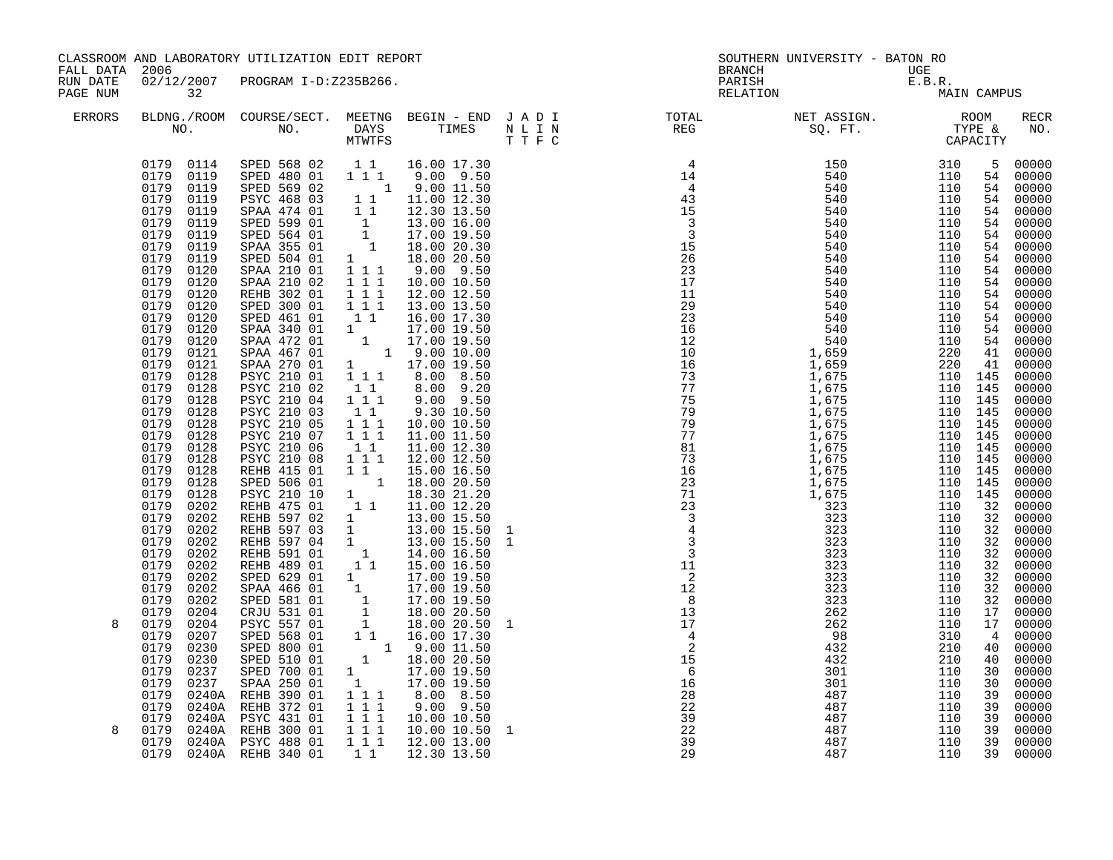| FALL DATA 2006       |                                                                                                                                                                                                                                                                                                                                                                                                                                                                                                                                                                                                                                                                                                        | CLASSROOM AND LABORATORY UTILIZATION EDIT REPORT                                                                                                                                                                                                                                                                                                                                                                                                                                                                                                                                                                                                                  |                                                                                                                                                                                                                                                                                                                                                                     |                                                                                                                                                                                                                                                                                                                                                                                                                                                                                                                                                                                                                                                                                                                                                                                                                   |   | <b>BRANCH</b>                                                                    | SOUTHERN UNIVERSITY - BATON RO                                                                                                                                                                                                                                                                                                                                                                                                         |                                                                                                                       |                                                                                                                                                                                      |                                                                                                                                                                                                                                                                                                                                                                                                              |
|----------------------|--------------------------------------------------------------------------------------------------------------------------------------------------------------------------------------------------------------------------------------------------------------------------------------------------------------------------------------------------------------------------------------------------------------------------------------------------------------------------------------------------------------------------------------------------------------------------------------------------------------------------------------------------------------------------------------------------------|-------------------------------------------------------------------------------------------------------------------------------------------------------------------------------------------------------------------------------------------------------------------------------------------------------------------------------------------------------------------------------------------------------------------------------------------------------------------------------------------------------------------------------------------------------------------------------------------------------------------------------------------------------------------|---------------------------------------------------------------------------------------------------------------------------------------------------------------------------------------------------------------------------------------------------------------------------------------------------------------------------------------------------------------------|-------------------------------------------------------------------------------------------------------------------------------------------------------------------------------------------------------------------------------------------------------------------------------------------------------------------------------------------------------------------------------------------------------------------------------------------------------------------------------------------------------------------------------------------------------------------------------------------------------------------------------------------------------------------------------------------------------------------------------------------------------------------------------------------------------------------|---|----------------------------------------------------------------------------------|----------------------------------------------------------------------------------------------------------------------------------------------------------------------------------------------------------------------------------------------------------------------------------------------------------------------------------------------------------------------------------------------------------------------------------------|-----------------------------------------------------------------------------------------------------------------------|--------------------------------------------------------------------------------------------------------------------------------------------------------------------------------------|--------------------------------------------------------------------------------------------------------------------------------------------------------------------------------------------------------------------------------------------------------------------------------------------------------------------------------------------------------------------------------------------------------------|
| RUN DATE<br>PAGE NUM | 32                                                                                                                                                                                                                                                                                                                                                                                                                                                                                                                                                                                                                                                                                                     | 02/12/2007 PROGRAM I-D:Z235B266.                                                                                                                                                                                                                                                                                                                                                                                                                                                                                                                                                                                                                                  |                                                                                                                                                                                                                                                                                                                                                                     |                                                                                                                                                                                                                                                                                                                                                                                                                                                                                                                                                                                                                                                                                                                                                                                                                   |   | PARISH                                                                           | $\begin{array}{c} \text{UGE}\\ \text{E.B.R.}\\ \text{MA:} \end{array}$<br>RELATION                                                                                                                                                                                                                                                                                                                                                     |                                                                                                                       | MAIN CAMPUS                                                                                                                                                                          |                                                                                                                                                                                                                                                                                                                                                                                                              |
| <b>ERRORS</b>        |                                                                                                                                                                                                                                                                                                                                                                                                                                                                                                                                                                                                                                                                                                        |                                                                                                                                                                                                                                                                                                                                                                                                                                                                                                                                                                                                                                                                   |                                                                                                                                                                                                                                                                                                                                                                     |                                                                                                                                                                                                                                                                                                                                                                                                                                                                                                                                                                                                                                                                                                                                                                                                                   |   |                                                                                  |                                                                                                                                                                                                                                                                                                                                                                                                                                        |                                                                                                                       |                                                                                                                                                                                      | RECR<br>NO.                                                                                                                                                                                                                                                                                                                                                                                                  |
| 8                    | 0179 0114<br>0179 0119<br>0179<br>0119<br>0179<br>0119<br>0179<br>0119<br>0179<br>0119<br>0179<br>0119<br>0179<br>0119<br>0179<br>0119<br>0179<br>0120<br>0179<br>0120<br>0179<br>0120<br>0179<br>0120<br>0179<br>0120<br>0179<br>0120<br>0179<br>0120<br>0179<br>0121<br>0179<br>0121<br>0179<br>0128<br>0179<br>0128<br>0179<br>0128<br>0179<br>0128<br>0179<br>0128<br>0179<br>0128<br>0179<br>0128<br>0179<br>0128<br>0179<br>0128<br>0179<br>0128<br>0179<br>0128<br>0179<br>0202<br>0179<br>0202<br>0179<br>0202<br>0179<br>0202<br>0179<br>0202<br>0179<br>0202<br>0179<br>0202<br>0179<br>0202<br>0179<br>0202<br>0179<br>0204<br>0179<br>0204<br>0179<br>0207<br>0179<br>0230<br>0179<br>0230 | SPED 568 02<br>SPED 480 01<br>SPED 569 02<br>PSYC 468 03<br>SPAA 474 01<br>SPED 599 01<br>SPED 564 01<br>SPAA 355 01<br>SPED 504 01<br>SPAA 210 01<br>SPAA 210 02<br>REHB 302 01<br>SPED 300 01<br>SPED 461 01<br>SPAA 340 01<br>SPAA 472 01<br>SPAA 467 01<br>SPAA 270 01<br>PSYC 210 01<br>PSYC 210 02<br>PSYC 210 04<br>PSYC 210 03<br>PSYC 210 05<br>PSYC 210 07<br>PSYC 210 06<br>PSYC 210 08<br>REHB 415 01<br>SPED 506 01<br>PSYC 210 10<br>REHB 475 01<br>REHB 597 02<br>REHB 597 03<br>REHB 597 04<br>REHB 591 01<br>REHB 489 01<br>SPED 629 01<br>SPAA 466 01<br>SPED 581 01<br>CRJU 531 01<br>PSYC 557 01<br>SPED 568 01<br>SPED 800 01<br>SPED 510 01 | $1\quad1$<br>$1\quad1$<br>11<br>$1 1 1$<br>$1 1 1$<br>1 1 1<br>11<br>$\begin{smallmatrix}1&1\\1&1&1\end{smallmatrix}$<br>1 1<br>$1 1 1$<br>$1 1 1$<br>$1\quad1$<br>1 1 1<br>11<br>$\begin{array}{cccc}\n1 & 1 \\ 1 & 1\n\end{array}$<br>1<br>$\overline{1}$<br>1<br>$\overline{1}$<br>11<br>1<br>$\begin{bmatrix} 1 \\ 1 \\ 1 \\ 1 \end{bmatrix}$<br>$1^{\degree}1$ | 16.00 17.30<br>1 1 1 9.00 9.50<br>1 9.00 11.50<br>11.00 12.30<br>12.30 13.50<br>$\begin{array}{rrrr} 1 & 12.50 & 16.00 \ 1 & 17.00 & 19.50 \ 1 & 17.00 & 20.30 \ 1 & 18.00 & 20.30 \ 1 & 18.00 & 20.50 \end{array}$<br>1 1 1 9.00 9.50<br>10.00 10.50<br>12.00 12.50<br>13.00 13.50<br>16.00 17.30<br>$\begin{array}{rrrr} 1 & 17.00 & 19.50 \ 1 & 17.00 & 19.50 \ 1 & 9.00 & 10.00 \ 1 & 17.00 & 19.50 \end{array}$<br>$111$ 8.00 8.50<br>8.00 9.20<br>$9.00$ $9.50$<br>9.30 10.50<br>10.00 10.50<br>11.00 11.50<br>11.00 12.30<br>12.00 12.50<br>15.00 16.50<br>18.00 20.50<br>18.30 21.20<br>11.00 12.20<br>13.00 15.50<br>13.00 15.50<br>13.00 15.50<br>14.00 16.50<br>15.00 16.50<br>17.00 19.50<br>17.00 19.50<br>17.00 19.50<br>18.00 20.50<br>18.00 20.50<br>16.00 17.30<br>1 9.00 11.50<br>1 18.00 20.50 |   |                                                                                  | $\begin{smallmatrix} \text{R} & \text{R} & \text{R} & \text{R} & \text{R} \\ \text{R} & \text{R} & \text{R} & \text{R} \\ \text{R} & \text{R} & \text{R} & \text{R} \\ \text{R} & \text{R} & \text{R} & \text{R} \\ \text{R} & \text{R} & \text{R} & \text{R} \\ \text{R} & \text{R} & \text{R} & \text{R} \\ \text{R} & \text{R} & \text{R} & \text{R} \\ \text{R} & \text{R} & \text{R} & \text{R} \\ \text{R} & \text{R} & \text{R$ | 110 145<br>110 145<br>110 145<br>110 145<br>110 145<br>110 145<br>110 145<br>110 145<br>110 145<br>110 145<br>110 145 | 5<br>54<br>54<br>54<br>54<br>54<br>54<br>54<br>54<br>54<br>54<br>54<br>54<br>54<br>54<br>41<br>41<br>32<br>32<br>32<br>32<br>32<br>32<br>32<br>32<br>32<br>17<br>17<br>4<br>40<br>40 | 00000<br>54 00000<br>00000<br>00000<br>00000<br>00000<br>00000<br>00000<br>00000<br>00000<br>00000<br>00000<br>$00000$<br>$00000$<br>00000<br>00000<br>00000<br>$00000$<br>00000<br>00000<br>00000<br>00000<br>00000<br>00000<br>00000<br>00000<br>00000<br>00000<br>00000<br>$00000$<br>$00000$<br>00000<br>00000<br>00000<br>00000<br>00000<br>00000<br>00000<br>00000<br>00000<br>00000<br>00000<br>00000 |
| 8                    | 0179<br>0237<br>0179<br>0237<br>0179<br>0240A<br>0179<br>0240A<br>0179<br>0240A<br>0179<br>0179                                                                                                                                                                                                                                                                                                                                                                                                                                                                                                                                                                                                        | SPED 700 01<br>SPAA 250 01<br>REHB 390 01<br>REHB 372 01<br>PSYC 431 01<br>0240A REHB 300 01<br>0240A PSYC 488 01<br>0179 0240A REHB 340 01                                                                                                                                                                                                                                                                                                                                                                                                                                                                                                                       | $1$ 1 1<br>$1\ 1\ 1$<br>$1 1 1$<br>$1 1 1$<br>$1\quad1$                                                                                                                                                                                                                                                                                                             | $\begin{array}{ccc} 1 & 17.00 & 19.50 \\ 1 & 17.00 & 19.50 \end{array}$<br>8.00 8.50<br>$9.00$ $9.50$<br>10.00 10.50<br>10.00 10.50<br>1 1 1 1 1 2.00 1 3.00<br>12.30 13.50                                                                                                                                                                                                                                                                                                                                                                                                                                                                                                                                                                                                                                       | 1 | $\begin{array}{r} 6 \\ 16 \\ 28 \\ 22 \\ 39 \\ 22 \\ 39 \\ 29 \end{array}$<br>29 | 487<br>487<br>487<br>487                                                                                                                                                                                                                                                                                                                                                                                                               | 110<br>110<br>110<br>110                                                                                              | 30<br>30<br>39<br>39<br>39<br>39<br>39<br>39                                                                                                                                         | 00000<br>00000<br>00000<br>00000<br>00000<br>00000<br>00000<br>00000                                                                                                                                                                                                                                                                                                                                         |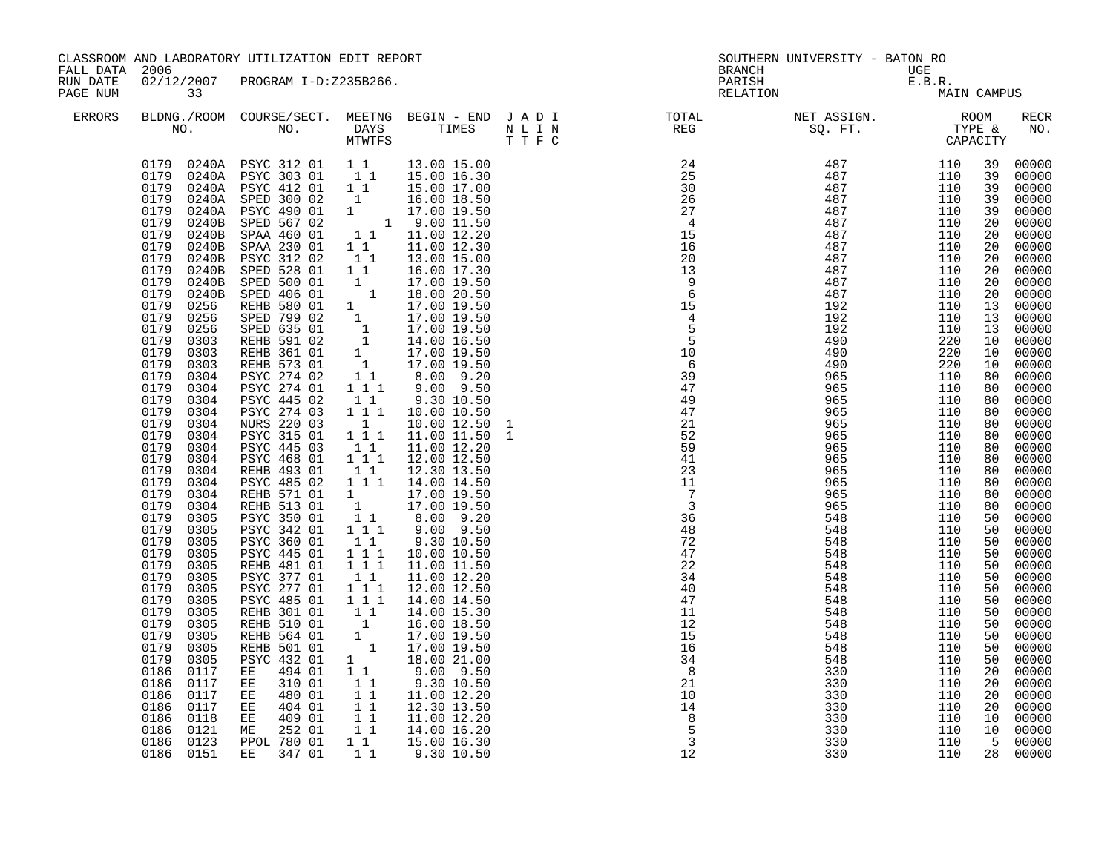| CLASSROOM AND LABORATORY UTILIZATION EDIT REPORT<br>FALL DATA 2006<br>RUN DATE<br>02/12/2007 PROGRAM I-D:Z235B266. |                                                                                                                                                                                                                                                                                                                                                                                                                                                                                                                                                                                                                                                                                                                                                                                                                 |                                                                                                                                                                                                                                                                                                                                                                                                                                                                                                                                                                                                                                                                                                                                                                                                                                                                                |                                                                                                                                                                                                                                                                                                                                                                                                                                                                                                                    | BRANCH                                                                                                                                                                                                                                                                                                                                                                                                                                                                                                                                                                                                                                                                                                                                                                                                                                                                  | SOUTHERN UNIVERSITY - BATON RO                                                                                                                                                                                                                                                                                                                                                                                                        | UGE                                  |             |                                                                                                                                                                                                                                                                                                                             |                                                                                                                                                                                                                                                                                                                                                                                                                                                                         |
|--------------------------------------------------------------------------------------------------------------------|-----------------------------------------------------------------------------------------------------------------------------------------------------------------------------------------------------------------------------------------------------------------------------------------------------------------------------------------------------------------------------------------------------------------------------------------------------------------------------------------------------------------------------------------------------------------------------------------------------------------------------------------------------------------------------------------------------------------------------------------------------------------------------------------------------------------|--------------------------------------------------------------------------------------------------------------------------------------------------------------------------------------------------------------------------------------------------------------------------------------------------------------------------------------------------------------------------------------------------------------------------------------------------------------------------------------------------------------------------------------------------------------------------------------------------------------------------------------------------------------------------------------------------------------------------------------------------------------------------------------------------------------------------------------------------------------------------------|--------------------------------------------------------------------------------------------------------------------------------------------------------------------------------------------------------------------------------------------------------------------------------------------------------------------------------------------------------------------------------------------------------------------------------------------------------------------------------------------------------------------|-------------------------------------------------------------------------------------------------------------------------------------------------------------------------------------------------------------------------------------------------------------------------------------------------------------------------------------------------------------------------------------------------------------------------------------------------------------------------------------------------------------------------------------------------------------------------------------------------------------------------------------------------------------------------------------------------------------------------------------------------------------------------------------------------------------------------------------------------------------------------|---------------------------------------------------------------------------------------------------------------------------------------------------------------------------------------------------------------------------------------------------------------------------------------------------------------------------------------------------------------------------------------------------------------------------------------|--------------------------------------|-------------|-----------------------------------------------------------------------------------------------------------------------------------------------------------------------------------------------------------------------------------------------------------------------------------------------------------------------------|-------------------------------------------------------------------------------------------------------------------------------------------------------------------------------------------------------------------------------------------------------------------------------------------------------------------------------------------------------------------------------------------------------------------------------------------------------------------------|
|                                                                                                                    |                                                                                                                                                                                                                                                                                                                                                                                                                                                                                                                                                                                                                                                                                                                                                                                                                 |                                                                                                                                                                                                                                                                                                                                                                                                                                                                                                                                                                                                                                                                                                                                                                                                                                                                                |                                                                                                                                                                                                                                                                                                                                                                                                                                                                                                                    |                                                                                                                                                                                                                                                                                                                                                                                                                                                                                                                                                                                                                                                                                                                                                                                                                                                                         |                                                                                                                                                                                                                                                                                                                                                                                                                                       |                                      | E.B.R.      |                                                                                                                                                                                                                                                                                                                             |                                                                                                                                                                                                                                                                                                                                                                                                                                                                         |
| PAGE NUM                                                                                                           | 33                                                                                                                                                                                                                                                                                                                                                                                                                                                                                                                                                                                                                                                                                                                                                                                                              |                                                                                                                                                                                                                                                                                                                                                                                                                                                                                                                                                                                                                                                                                                                                                                                                                                                                                |                                                                                                                                                                                                                                                                                                                                                                                                                                                                                                                    |                                                                                                                                                                                                                                                                                                                                                                                                                                                                                                                                                                                                                                                                                                                                                                                                                                                                         |                                                                                                                                                                                                                                                                                                                                                                                                                                       | BRANCH<br>PARISH E.T<br>RELATION E.T | MAIN CAMPUS |                                                                                                                                                                                                                                                                                                                             |                                                                                                                                                                                                                                                                                                                                                                                                                                                                         |
| ERRORS                                                                                                             |                                                                                                                                                                                                                                                                                                                                                                                                                                                                                                                                                                                                                                                                                                                                                                                                                 |                                                                                                                                                                                                                                                                                                                                                                                                                                                                                                                                                                                                                                                                                                                                                                                                                                                                                |                                                                                                                                                                                                                                                                                                                                                                                                                                                                                                                    |                                                                                                                                                                                                                                                                                                                                                                                                                                                                                                                                                                                                                                                                                                                                                                                                                                                                         | BLDNG./ROOM COURSE/SECT. MEETNG BEGIN – END JADI TOTAL TOTAL NET ASSIGN. ROOM ROOM NO. DAYS TIMES NLIN REG SQ.FT. TYPE &                                                                                                                                                                                                                                                                                                              |                                      |             |                                                                                                                                                                                                                                                                                                                             | <b>RECR</b><br>NO.                                                                                                                                                                                                                                                                                                                                                                                                                                                      |
|                                                                                                                    | 0179<br>0179<br>0179<br>0240A<br>0179<br>0240A<br>0179<br>0240B<br>0179<br>0240B<br>0179<br>0240B<br>0179<br>0240B<br>0179<br>0240B<br>0240B<br>0179<br>0179<br>0240B<br>0179<br>0256<br>0179<br>0256<br>0179<br>0256<br>0179<br>0303<br>0179<br>0303<br>0303<br>0179<br>0179<br>0304<br>0179<br>0304<br>0179<br>0304<br>0179<br>0304<br>0179<br>0304<br>0179<br>0304<br>0179<br>0304<br>0179<br>0304<br>0179<br>0304<br>0179<br>0304<br>0179<br>0304<br>0179<br>0304<br>0179<br>0305<br>0179<br>0305<br>0179<br>0305<br>0179<br>0305<br>0179<br>0305<br>0179<br>0305<br>0179<br>0305<br>0179<br>0305<br>0179<br>0305<br>0179<br>0305<br>0179<br>0305<br>0179<br>0305<br>0179<br>0305<br>0186<br>0117<br>0186<br>0117<br>0186<br>0117<br>0186<br>0117<br>0186<br>0118<br>0186<br>0121<br>0186 0123<br>0186 0151 | 0179 0240A PSYC 312 01 11 13.00 15.00<br>0240A PSYC 303 01<br>0240A PSYC 412 01 11<br>SPED 300 02<br>PSYC 490 01 1 17.00 19.50<br>SPED 567 02 1 9.00 11.50<br>SPAA 460 01 1 1 11.00 12.20<br>SPAA 230 01<br>PSYC 312 02<br>SPED 528 01<br>SPED 500 01<br>SPED 406 01<br>REHB 580 01<br>SPED 799 02<br>SPED 635 01<br>REHB 591 02<br>REHB 361 01<br>REHB 573 01<br>PSYC 274 02<br>PSYC 274 01<br>PSYC 445 02<br>PSYC 274 03<br>NURS 220 03<br>PSYC 315 01<br>PSYC 445 03<br>PSYC 468 01<br>REHB 493 01<br>PSYC 485 02<br>REHB 571 01<br>REHB 513 01<br>PSYC 350 01<br>PSYC 342 01<br>PSYC 360 01<br>PSYC 445 01<br>REHB 481 01<br>PSYC 377 01<br>PSYC 277 01<br>PSYC 485 01<br>REHB 301 01<br>REHB 510 01<br>REHB 564 01<br>REHB 501 01<br>PSYC 432 01<br>494 01<br>EE<br>310 01<br>ЕE<br>480 01<br>EE<br>EE<br>404 01<br>EE<br>409 01<br>ME 252 01<br>PPOL 780 01<br>EE 347 01 | $\mathbf{1}$<br>$1\quad1$<br>$1\quad1$<br>$1\quad1$<br>$1 1 1$<br>$1\quad1$<br>111<br>1<br>$1 1 1$<br>$\begin{smallmatrix}1&1\\1&1&1\end{smallmatrix}$<br>11<br>$\begin{smallmatrix}1&&\\&1\\1&&\end{smallmatrix}$<br>11<br>$1\overline{1}$<br>$1\quad1$<br>$1$ $1$ $1$<br>111<br>11<br>1 1 1<br>111<br>$1\quad1$<br>$\overline{1}$<br>$\begin{smallmatrix}1&&\\&1\end{smallmatrix}$<br>$1 \quad \blacksquare$<br>11<br>11<br>11<br>11<br>$\begin{smallmatrix}1&1\\1&1\end{smallmatrix}$<br>$1\quad1$<br>$1\quad1$ | 1 1 15.00 16.30<br>15.00 17.00<br>16.00 18.50<br>11.00 12.30<br>13.00 15.00<br>16.00 17.30<br>$\begin{array}{cccc} 1 & 1 & 16.00 & 17.30 \ 1 & 17.00 & 19.50 \ 1 & 18.00 & 20.50 \ 1 & 17.00 & 19.50 \ 1 & 17.00 & 19.50 \ 1 & 17.00 & 19.50 \ 1 & 14.00 & 16.50 \ 1 & 17.00 & 19.50 \ 1 & 17.00 & 19.50 \ 1 & 17.00 & 19.50 \ 1 & 1 & 8.00 & 9.20 \end{array}$<br>$9.00$ $9.50$<br>9.30 10.50<br>10.00 10.50<br>10.00 12.50<br>11.00 11.50<br>11.00 12.20<br>12.00 12.50<br>12.30 13.50<br>1 1 1 1 14.00 14.50<br>17.00 19.50<br>17.00 19.50<br>8.00 9.20<br>$9.00$ $9.50$<br>9.30 10.50<br>10.00 10.50<br>11.00 11.50<br>11.00 12.20<br>12.00 12.50<br>14.00 14.50<br>14.00 15.30<br>16.00 18.50<br>17.00 19.50<br>17.00 19.50<br>18.00 21.00<br>$9.00$ $9.50$<br>9.30 10.50<br>11.00 12.20<br>12.30 13.50<br>11.00 12.20<br>14.00 16.20<br>15.00 16.30<br>9.30 10.50 | $\begin{array}{cccccccc} \textbf{N} & \textbf{1} & \textbf{1} & \textbf{1} & \textbf{1} & \textbf{1} & \textbf{1} & \textbf{1} & \textbf{1} & \textbf{1} & \textbf{1} & \textbf{1} & \textbf{1} & \textbf{1} & \textbf{1} & \textbf{1} & \textbf{1} & \textbf{1} & \textbf{1} & \textbf{1} & \textbf{1} & \textbf{1} & \textbf{1} & \textbf{1} & \textbf{1} & \textbf{1} & \textbf{1} & \textbf{1} & \textbf{1} & \textbf{1} & \text$ |                                      |             | 39<br>39<br>39<br>39<br>39<br>20<br>20<br>20<br>20<br>20<br>20<br>20<br>13<br>13<br>13<br>10<br>10<br>10<br>80<br>80<br>80<br>80<br>80<br>80<br>80<br>80<br>80<br>80<br>80<br>80<br>50<br>50<br>50<br>50<br>50<br>50<br>50<br>50<br>50<br>50<br>50<br>50<br>50<br>20<br>20<br>20<br>20<br>10<br>10<br>$5\overline{)}$<br>28 | 00000<br>00000<br>00000<br>00000<br>00000<br>00000<br>00000<br>00000<br>00000<br>00000<br>00000<br>00000<br>00000<br>00000<br>00000<br>00000<br>00000<br>00000<br>00000<br>00000<br>00000<br>00000<br>00000<br>00000<br>00000<br>00000<br>00000<br>00000<br>00000<br>00000<br>00000<br>00000<br>00000<br>00000<br>00000<br>00000<br>00000<br>00000<br>00000<br>00000<br>00000<br>00000<br>00000<br>00000<br>00000<br>00000<br>00000<br>00000<br>00000<br>00000<br>00000 |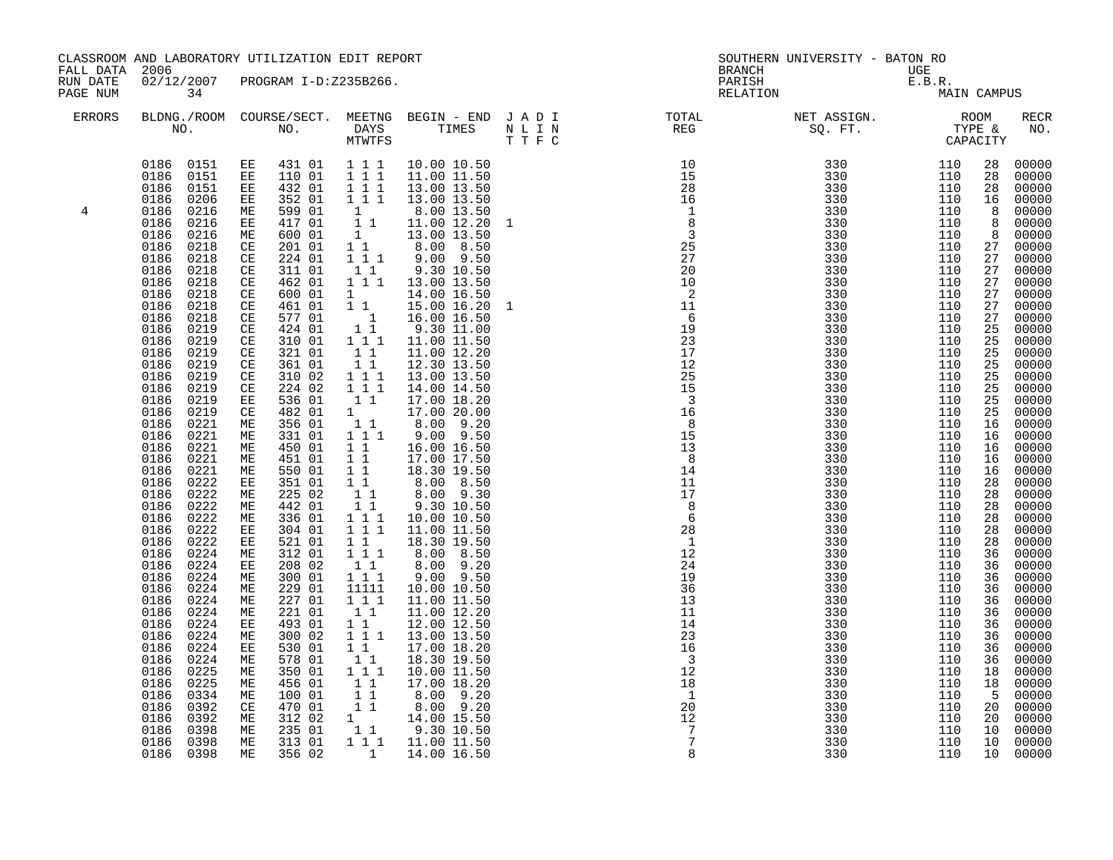|               | CLASSROOM AND LABORATORY UTILIZATION EDIT REPORT<br>FALL DATA 2006<br>02/12/2007<br>PROGRAM I-D:Z235B266.                                                                                                                                                                                                                                                                                                                                                                                                                                                                                                                                                                                                                                                                                                  |                                                                                                                                                                                                                                                                                                                                                                                                                                                                                                                                                                                                                                                                                                                                                                                                                                                                                                                                         |                                                                                                                                                                                                                                                                                                                                                                                                                                                                                                                                                                                                                                              |                                                                                                                                                                                                                                                                                                                                                                                                                                                                                                                                                                                                                                                                                                                                                                                |      | SOUTHERN UNIVERSITY - BATON RO<br><b>BRANCH</b><br>UGE<br>PARISH<br>E.B.R.                                                                                                                                     |                                                                                                                                                                      |                                                                                                                                                                                                                                                                                                                                                                   |                                                                                                                                                                                                                                                                                                            |                                                                                                                                                                                                                                                                                                                                                                                                                                                                         |
|---------------|------------------------------------------------------------------------------------------------------------------------------------------------------------------------------------------------------------------------------------------------------------------------------------------------------------------------------------------------------------------------------------------------------------------------------------------------------------------------------------------------------------------------------------------------------------------------------------------------------------------------------------------------------------------------------------------------------------------------------------------------------------------------------------------------------------|-----------------------------------------------------------------------------------------------------------------------------------------------------------------------------------------------------------------------------------------------------------------------------------------------------------------------------------------------------------------------------------------------------------------------------------------------------------------------------------------------------------------------------------------------------------------------------------------------------------------------------------------------------------------------------------------------------------------------------------------------------------------------------------------------------------------------------------------------------------------------------------------------------------------------------------------|----------------------------------------------------------------------------------------------------------------------------------------------------------------------------------------------------------------------------------------------------------------------------------------------------------------------------------------------------------------------------------------------------------------------------------------------------------------------------------------------------------------------------------------------------------------------------------------------------------------------------------------------|--------------------------------------------------------------------------------------------------------------------------------------------------------------------------------------------------------------------------------------------------------------------------------------------------------------------------------------------------------------------------------------------------------------------------------------------------------------------------------------------------------------------------------------------------------------------------------------------------------------------------------------------------------------------------------------------------------------------------------------------------------------------------------|------|----------------------------------------------------------------------------------------------------------------------------------------------------------------------------------------------------------------|----------------------------------------------------------------------------------------------------------------------------------------------------------------------|-------------------------------------------------------------------------------------------------------------------------------------------------------------------------------------------------------------------------------------------------------------------------------------------------------------------------------------------------------------------|------------------------------------------------------------------------------------------------------------------------------------------------------------------------------------------------------------------------------------------------------------------------------------------------------------|-------------------------------------------------------------------------------------------------------------------------------------------------------------------------------------------------------------------------------------------------------------------------------------------------------------------------------------------------------------------------------------------------------------------------------------------------------------------------|
| RUN DATE      |                                                                                                                                                                                                                                                                                                                                                                                                                                                                                                                                                                                                                                                                                                                                                                                                            |                                                                                                                                                                                                                                                                                                                                                                                                                                                                                                                                                                                                                                                                                                                                                                                                                                                                                                                                         |                                                                                                                                                                                                                                                                                                                                                                                                                                                                                                                                                                                                                                              |                                                                                                                                                                                                                                                                                                                                                                                                                                                                                                                                                                                                                                                                                                                                                                                |      |                                                                                                                                                                                                                |                                                                                                                                                                      |                                                                                                                                                                                                                                                                                                                                                                   |                                                                                                                                                                                                                                                                                                            |                                                                                                                                                                                                                                                                                                                                                                                                                                                                         |
| PAGE NUM      | 34                                                                                                                                                                                                                                                                                                                                                                                                                                                                                                                                                                                                                                                                                                                                                                                                         |                                                                                                                                                                                                                                                                                                                                                                                                                                                                                                                                                                                                                                                                                                                                                                                                                                                                                                                                         |                                                                                                                                                                                                                                                                                                                                                                                                                                                                                                                                                                                                                                              |                                                                                                                                                                                                                                                                                                                                                                                                                                                                                                                                                                                                                                                                                                                                                                                |      | RELATION                                                                                                                                                                                                       |                                                                                                                                                                      | MAIN CAMPUS                                                                                                                                                                                                                                                                                                                                                       |                                                                                                                                                                                                                                                                                                            |                                                                                                                                                                                                                                                                                                                                                                                                                                                                         |
| <b>ERRORS</b> |                                                                                                                                                                                                                                                                                                                                                                                                                                                                                                                                                                                                                                                                                                                                                                                                            |                                                                                                                                                                                                                                                                                                                                                                                                                                                                                                                                                                                                                                                                                                                                                                                                                                                                                                                                         | MTWTFS                                                                                                                                                                                                                                                                                                                                                                                                                                                                                                                                                                                                                                       |                                                                                                                                                                                                                                                                                                                                                                                                                                                                                                                                                                                                                                                                                                                                                                                | TTFC | BLDNG./ROOM COURSE/SECT. MEETNG BEGIN – END J A D I TOTAL TOTAL DAYS TIMES N L I N REG REG N U TOTAL                                                                                                           |                                                                                                                                                                      |                                                                                                                                                                                                                                                                                                                                                                   |                                                                                                                                                                                                                                                                                                            | <b>RECR</b><br>NO.                                                                                                                                                                                                                                                                                                                                                                                                                                                      |
| 4             | 0186 0151<br>0186<br>0151<br>0186<br>0206<br>0186<br>0216<br>0186<br>0216<br>0186<br>0216<br>0186<br>0218<br>0186<br>0218<br>0186<br>0218<br>0218<br>0186<br>0186<br>0218<br>0186<br>0218<br>0186<br>0218<br>0186<br>0219<br>0186<br>0219<br>0219<br>0186<br>0186<br>0219<br>0219<br>0186<br>0186<br>0219<br>0219<br>0186<br>0219<br>0186<br>0186 0221<br>0186<br>0221<br>0186 0221<br>0186<br>0221<br>0186 0221<br>0186<br>0222<br>0186<br>0222<br>0186<br>0222<br>0186<br>0222<br>0186<br>0222<br>0186<br>0222<br>0186<br>0224<br>0186<br>0224<br>0186<br>0224<br>0186<br>0224<br>0186<br>0224<br>0186<br>0224<br>0186<br>0224<br>0186<br>0224<br>0186<br>0224<br>0186<br>0224<br>0186<br>0225<br>0186<br>0225<br>0186<br>0334<br>0186<br>0392<br>0186<br>0392<br>0186<br>0398<br>0186 0398<br>0186 0398 | 0186  0151  EE  431  01  1  1  1<br>$\mathbf{EE}$<br>110 01<br>EE<br>432 01<br>ЕE<br>352 01<br>599 01<br>ME<br>417 01<br>EE<br>ME<br>600 01<br>201 01<br>CE<br>224 01<br>$\mathbb{C}\mathbb{E}$<br>311 01<br>CE<br>462 01<br>$\mathbb{C}\mathbb{E}$<br>600 01<br>CE<br>CE<br>461 01<br>577 01<br>CE<br>CE<br>424 01<br>310 01<br>CE<br>CE<br>321 01<br>361 01<br>CE<br>310 02<br>$\mathbb{C}\mathbb{E}$<br>224 02<br>CE<br>EE<br>536 01<br>482 01<br>CE<br>МE<br>356 01<br>331 01<br>МE<br>МE<br>450 01<br>451 01<br>МE<br>550 01<br>МE<br>351 01<br>EE<br>225 02<br>МE<br>442 01<br>МE<br>336 01<br>МE<br>304 01<br>EE<br>EE<br>521 01<br>312 01<br>МE<br>EE<br>208 02<br>300 01<br>МE<br>229 01<br>МE<br>МE<br>227 01<br>МE<br>221 01<br>EE<br>493 01<br>300 02<br>МE<br>EE<br>530 01<br>578 01<br>МE<br>ME<br>350 01<br>МE<br>456 01<br>100 01<br>МE<br>470 01<br>CE<br>ME<br>312 02<br>235 01<br>ME<br>ME<br>313 01<br>356 02<br>МE | 1 1 1<br>111<br>1 1 1<br>1<br>$\overline{1}$ 1<br>1<br>$1\quad1$<br>$1 1 1$<br>11<br>$1 1 1$<br>$1 \quad \blacksquare$<br>$1\quad1$<br>$\overline{1}$<br>$1\quad1$<br>$1 1 1$<br>$1\quad1$<br>11<br>$1 1 1$<br>$1 1 1$<br>$1\quad1$<br>$1 \quad \blacksquare$<br>11<br>$1 1 1$<br>$1\quad1$<br>$1\quad1$<br>$1\quad1$<br>$1\quad1$<br>11<br>11<br>$\begin{array}{ccc} 1&1&1\\ 1&1&1 \end{array}$<br>$1\quad1$<br>$1\overline{1}1$<br>11<br>$1^{\circ}1^{\circ}1$<br>11111<br>111<br>11<br>$1\quad1$<br>$1\overline{1}1$<br>$1\quad1$<br>11<br>111<br>$1\;1$<br>11<br>11<br>$\begin{smallmatrix}1&&\\&1&1\end{smallmatrix}$<br>$\overline{1}$ | 10.00 10.50<br>11.00 11.50<br>13.00 13.50<br>13.00 13.50<br>8.00 13.50<br>11.00 12.20 1<br>13.00 13.50<br>8.00 8.50<br>$9.00$ $9.50$<br>9.30 10.50<br>13.00 13.50<br>14.00 16.50<br>15.00 16.20<br>16.00 16.50<br>9.30 11.00<br>11.00 11.50<br>11.00 12.20<br>12.30 13.50<br>13.00 13.50<br>14.00 14.50<br>17.00 18.20<br>17.00 20.00<br>8.00 9.20<br>9.00 9.50<br>16.00 16.50<br>17.00 17.50<br>18.30 19.50<br>8.00 8.50<br>8.00 9.30<br>9.30 10.50<br>10.00 10.50<br>11.00 11.50<br>18.30 19.50<br>8.00 8.50<br>8.00 9.20<br>$9.00$ $9.50$<br>10.00 10.50<br>11.00 11.50<br>11.00 12.20<br>12.00 12.50<br>13.00 13.50<br>17.00 18.20<br>18.30 19.50<br>10.00 11.50<br>17.00 18.20<br>8.00 9.20<br>8.00 9.20<br>14.00 15.50<br>9.30 10.50<br>1 1 1 11.00 11.50<br>14.00 16.50 |      | $\begin{array}{r} 14 \\ 11 \\ 17 \\ 8 \\ 6 \\ 28 \\ 1 \\ 12 \\ 24 \\ 19 \\ 36 \\ 13 \\ 13 \\ 14 \\ 14 \\ 14 \\ 14 \\ 13 \\ 12 \\ 20 \\ 12 \\ 12 \\ 12 \\ 12 \\ 12 \\ 12 \\ 12 \\ 20 \\ 12 \\ 7 \\ \end{array}$ | 330<br>330<br>330<br>330<br>330<br>330<br>330<br>330<br>330<br>330<br>330<br>330<br>330<br>330<br>330<br>330<br>330<br>330<br>330<br>330<br>330<br>330<br>330<br>330 | 110<br>110<br>110<br>110<br>110<br>110<br>110<br>110<br>110<br>110<br>110<br>110<br>110<br>110<br>110<br>110<br>110<br>110<br>110<br>110<br>110<br>110<br>110<br>110<br>110<br>110<br>110<br>110<br>110<br>110<br>110<br>110<br>110<br>110<br>110<br>110<br>110<br>110<br>110<br>110<br>110<br>110<br>110<br>110<br>110<br>110<br>110<br>110<br>110<br>110<br>110 | 28<br>28<br>28<br>16<br>8<br>8<br>8<br>27<br>27<br>27<br>27<br>27<br>27<br>27<br>25<br>25<br>25<br>25<br>25<br>25<br>25<br>25<br>16<br>16<br>16<br>16<br>16<br>28<br>28<br>28<br>28<br>28<br>28<br>36<br>36<br>36<br>36<br>36<br>36<br>36<br>36<br>36<br>36<br>18<br>18<br>5<br>20<br>20<br>10<br>10<br>10 | 00000<br>00000<br>00000<br>00000<br>00000<br>00000<br>00000<br>00000<br>00000<br>00000<br>00000<br>00000<br>00000<br>00000<br>00000<br>00000<br>00000<br>00000<br>00000<br>00000<br>00000<br>00000<br>00000<br>00000<br>00000<br>00000<br>00000<br>00000<br>00000<br>00000<br>00000<br>00000<br>00000<br>00000<br>00000<br>00000<br>00000<br>00000<br>00000<br>00000<br>00000<br>00000<br>00000<br>00000<br>00000<br>00000<br>00000<br>00000<br>00000<br>00000<br>00000 |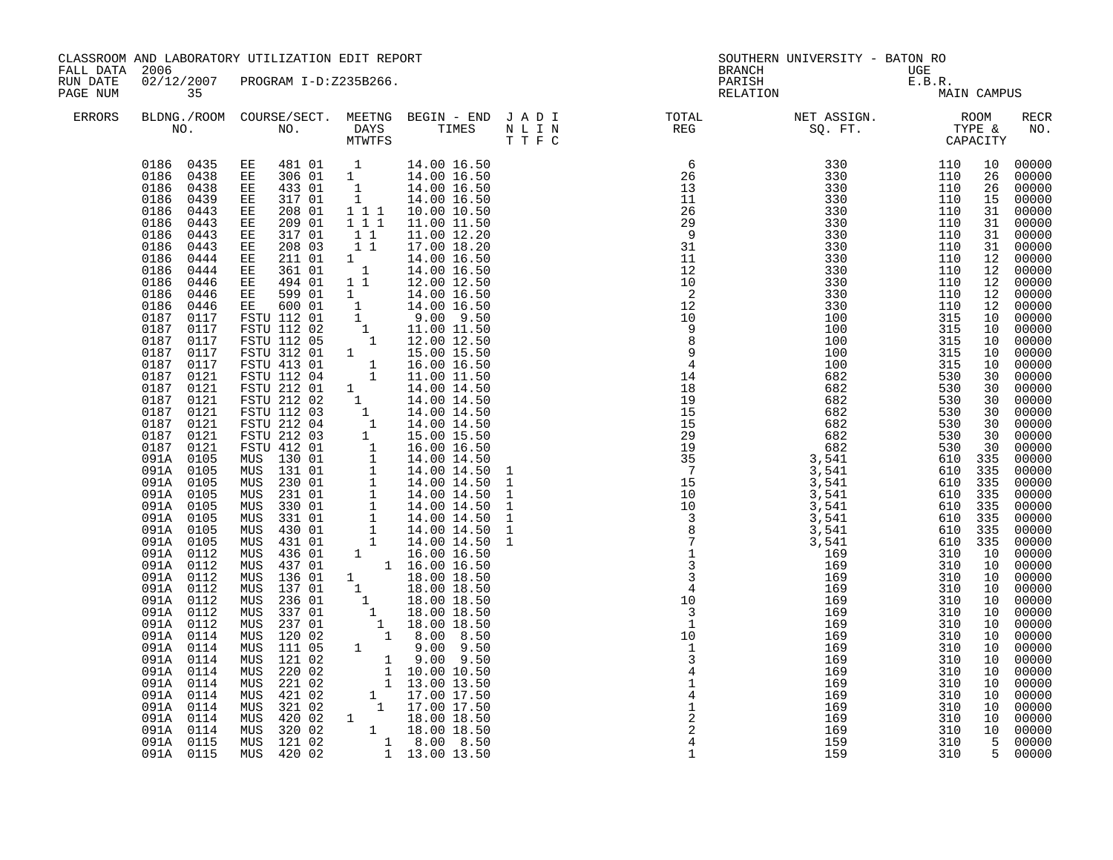| FALL DATA 2006<br>RUN DATE<br>PAGE NUM |                                                                                                                                                                                                                                                                                                                                                                                                                                                                                                                                                                                                                                                                                                                                        | CLASSROOM AND LABORATORY UTILIZATION EDIT REPORT                                                                                                                                                                                                                                                                                                                                                                                                                                                                                                                                                                                                                                                                                                                                                                                |                                                                                             |                                                                                                                                                                                                                                                                                                                                                                                                                                                                                                                                                                                                                                                                                                                                                                                                                                                                                       |                                                                                                | SOUTHERN UNIVERSITY - BATON RO<br><b>BRANCH</b>                                                                                                                                                                                                                                                                                                                                                                                                                                                                                                                                                                                                                                                                                                               | UGE                                                                                                                                                                                                                                                                                                                        |                                                                                                                                                                                                                                                                       |                                                                                                                                                                                                                                                                                                                                                                                                                                                                                     |
|----------------------------------------|----------------------------------------------------------------------------------------------------------------------------------------------------------------------------------------------------------------------------------------------------------------------------------------------------------------------------------------------------------------------------------------------------------------------------------------------------------------------------------------------------------------------------------------------------------------------------------------------------------------------------------------------------------------------------------------------------------------------------------------|---------------------------------------------------------------------------------------------------------------------------------------------------------------------------------------------------------------------------------------------------------------------------------------------------------------------------------------------------------------------------------------------------------------------------------------------------------------------------------------------------------------------------------------------------------------------------------------------------------------------------------------------------------------------------------------------------------------------------------------------------------------------------------------------------------------------------------|---------------------------------------------------------------------------------------------|---------------------------------------------------------------------------------------------------------------------------------------------------------------------------------------------------------------------------------------------------------------------------------------------------------------------------------------------------------------------------------------------------------------------------------------------------------------------------------------------------------------------------------------------------------------------------------------------------------------------------------------------------------------------------------------------------------------------------------------------------------------------------------------------------------------------------------------------------------------------------------------|------------------------------------------------------------------------------------------------|---------------------------------------------------------------------------------------------------------------------------------------------------------------------------------------------------------------------------------------------------------------------------------------------------------------------------------------------------------------------------------------------------------------------------------------------------------------------------------------------------------------------------------------------------------------------------------------------------------------------------------------------------------------------------------------------------------------------------------------------------------------|----------------------------------------------------------------------------------------------------------------------------------------------------------------------------------------------------------------------------------------------------------------------------------------------------------------------------|-----------------------------------------------------------------------------------------------------------------------------------------------------------------------------------------------------------------------------------------------------------------------|-------------------------------------------------------------------------------------------------------------------------------------------------------------------------------------------------------------------------------------------------------------------------------------------------------------------------------------------------------------------------------------------------------------------------------------------------------------------------------------|
|                                        | 35                                                                                                                                                                                                                                                                                                                                                                                                                                                                                                                                                                                                                                                                                                                                     | 02/12/2007 PROGRAM I-D:Z235B266.                                                                                                                                                                                                                                                                                                                                                                                                                                                                                                                                                                                                                                                                                                                                                                                                |                                                                                             |                                                                                                                                                                                                                                                                                                                                                                                                                                                                                                                                                                                                                                                                                                                                                                                                                                                                                       |                                                                                                | UGE<br>E.B.R.<br>MA<br>PARISH<br>RELATION                                                                                                                                                                                                                                                                                                                                                                                                                                                                                                                                                                                                                                                                                                                     |                                                                                                                                                                                                                                                                                                                            | MAIN CAMPUS                                                                                                                                                                                                                                                           |                                                                                                                                                                                                                                                                                                                                                                                                                                                                                     |
| <b>ERRORS</b>                          |                                                                                                                                                                                                                                                                                                                                                                                                                                                                                                                                                                                                                                                                                                                                        |                                                                                                                                                                                                                                                                                                                                                                                                                                                                                                                                                                                                                                                                                                                                                                                                                                 |                                                                                             |                                                                                                                                                                                                                                                                                                                                                                                                                                                                                                                                                                                                                                                                                                                                                                                                                                                                                       |                                                                                                |                                                                                                                                                                                                                                                                                                                                                                                                                                                                                                                                                                                                                                                                                                                                                               |                                                                                                                                                                                                                                                                                                                            |                                                                                                                                                                                                                                                                       | RECR<br>NO.                                                                                                                                                                                                                                                                                                                                                                                                                                                                         |
|                                        | 0186 0435<br>0186<br>0438<br>0186<br>0438<br>0186<br>0439<br>0186<br>0443<br>0186<br>0443<br>0186<br>0443<br>0186<br>0443<br>0186<br>0444<br>0186<br>0444<br>0186<br>0446<br>0186 0446<br>0186<br>0446<br>0187 0117<br>0187<br>0117<br>0187 0117<br>0187<br>0117<br>0187 0117<br>0187 0121<br>0187 0121<br>0187<br>0121<br>0187<br>0121<br>0187<br>0121<br>0187 0121<br>0187 0121<br>091A 0105<br>091A 0105<br>091A 0105<br>091A 0105<br>091A 0105<br>091A 0105<br>091A 0105<br>091A 0105<br>091A 0112<br>091A 0112<br>091A 0112<br>091A 0112<br>091A 0112<br>091A 0112<br>091A 0112<br>091A 0114<br>091A 0114<br>091A<br>0114<br>091A 0114<br>091A 0114<br>091A 0114<br>091A 0114<br>091A 0114<br>091A 0114<br>091A 0115<br>091A 0115 | 481 01 1<br>ЕE<br>EE 306 01 1<br>433 01<br>ЕE<br>317 01<br>EE<br>208 01<br>EE<br>209 01<br>EE<br>317 01<br>EE<br>208 03<br>EE<br>EE<br>211 01<br>EE<br>361 01<br>EE 494 01<br>599 01<br>EE<br>EE 600 01<br>FSTU 112 01<br>FSTU 112 02<br>FSTU 112 05<br>FSTU 312 01<br>FSTU 413 01<br>FSTU 112 04<br>FSTU 212 01<br>FSTU 212 02<br>FSTU 112 03<br>FSTU 212 04<br>FSTU 212 03<br>FSTU 412 01<br>MUS 130 01<br>131 01<br>MUS<br>230 01<br>MUS<br>MUS<br>231 01<br>330 01<br>MUS<br>MUS<br>331 01<br>430 01<br>MUS<br>431 01<br>MUS<br>436 01<br>MUS<br>437 01<br>MUS<br>136 01<br>MUS<br>MUS<br>137 01<br>MUS<br>236 01<br>MUS<br>337 01<br>237 01<br>MUS<br>120 02<br>MUS<br>111 05<br>MUS<br>MUS<br>121 02<br>220 02<br>MUS<br>221 02<br>MUS<br>421 02<br>MUS<br>321 02<br>MUS<br>MUS<br>MUS 320 02<br>MUS 121 02<br>MUS 420 02 | 1<br>1<br>1 1 1<br>111<br>$1\quad1$<br>11<br>1<br>$\overline{\mathbf{1}}$<br>$1\quad1$<br>1 | 14.00 16.50<br>14.00 16.50<br>14.00 16.50<br>14.00 16.50<br>10.00 10.50<br>11.00 11.50<br>11.00 12.20<br>17.00 18.20<br>14.00 16.50<br>14.00 16.50<br>12.00 12.50<br>14.00 16.50<br>14.00 16.50<br>$9.00$ $9.50$<br>11.00 11.50<br>12.00 12.50<br>15.00 15.50<br>16.00 16.50<br>11.00 11.50<br>$\begin{matrix} 1 & 10.00 & 11.50\ 1 & 14.00 & 14.50\ 1 & 14.00 & 14.50\ 1 & 14.00 & 14.50\ 1 & 14.00 & 14.50\ 1 & 14.00 & 14.50\ 1 & 15.00 & 15.50\ 1 & 15.00 & 15.50\ 1 & 16.00 & 16.50\ 1 & 14.00 & 14.50\ 1 & 14.00 & 14.50\ 1 & 14.00 & 14.50\ 1 & 14.00 & $<br>$\begin{array}{rrrr} 1 & 9.00 & 9.50 \ 1 & 10.00 & 10.50 \ 1 & 13.00 & 13.50 \ 1 & 17.00 & 17.50 \ 1 & 17.00 & 17.50 \end{array}$<br>1 17.00 17.50<br>$\begin{array}{cccc} 324 & 02 & 1 & 18.00 & 18.50 \ 320 & 02 & 1 & 18.00 & 18.50 \ 121 & 02 & 1 & 8.00 & 8.50 \ 420 & 02 & 1 & 13.00 & 13.50 \ \end{array}$ | $\begin{array}{c} 10 \\ 1 \\ 3 \\ 4 \\ 1 \\ 2 \\ 2 \\ 2 \\ 4 \\ 1 \end{array}$<br>$\mathbf{1}$ | $\begin{array}{cccc} 3\,3\,0 & \quad & 110 \\ 3\,3\,0 & \quad & 110 \\ 3\,3\,0 & \quad & 110 \\ 3\,3\,0 & \quad & 110 \\ 3\,3\,0 & \quad & 110 \\ 3\,3\,0 & \quad & 110 \\ 3\,3\,0 & \quad & 110 \\ 3\,3\,0 & \quad & 110 \\ 3\,3\,0 & \quad & 110 \\ \end{array}$<br>$\begin{array}{cccc} \text{T} & \text{T} & \text{F} & \text{C} \\ \text{7} & \text{C} & \text{80} & \text{50} \\ \text{7} & \text{9} & \text{13} & \text{3} & \text{3} \\ \text{12} & \text{25} & \text{3} & \text{3} \\ \text{13} & \text{14} & \text{3} & \text{3} \\ \text{15} & \text{16} & \text{17} \\ \text{16} & \text{17} & \text{18} \\ \text{17} & \text{18} & \text{18} \\ \text{18} & \text{19} & \text{19$<br>169<br>169<br>169<br>169<br>169<br>169<br>169<br>159<br>159 | 110<br>110<br>110<br>110<br>315<br>315<br>315<br>315<br>315<br>530<br>530<br>530<br>530<br>530<br>530<br>530<br>610 335<br>610 335<br>610 335<br>610 335<br>610<br>610<br>610 335<br>610 335<br>310<br>310<br>310<br>310<br>310<br>310<br>310<br>310<br>310<br>310<br>310<br>310<br>310<br>310<br>310<br>310<br>310<br>310 | 10<br>26<br>26<br>15<br>31<br>31<br>31<br>31<br>12<br>12<br>12<br>12<br>12<br>10<br>10<br>10<br>10<br>10<br>30<br>30<br>30<br>30<br>30<br>30<br>30<br>335<br>335<br>10<br>10<br>10<br>10<br>10<br>10<br>10<br>10<br>10<br>10<br>10<br>10<br>10<br>10<br>10<br>10<br>5 | 00000<br>00000<br>00000<br>00000<br>00000<br>00000<br>00000<br>00000<br>00000<br>00000<br>00000<br>00000<br>$00000$<br>$00000$<br>00000<br>00000<br>00000<br>$00000$<br>$00000$<br>00000<br>00000<br>00000<br>00000<br>00000<br>00000<br>00000<br>00000<br>00000<br>00000<br>00000<br>00000<br>00000<br>$00000$<br>00000<br>00000<br>00000<br>00000<br>00000<br>00000<br>00000<br>00000<br>00000<br>00000<br>00000<br>00000<br>00000<br>00000<br>00000<br>00000<br>00000<br>5 00000 |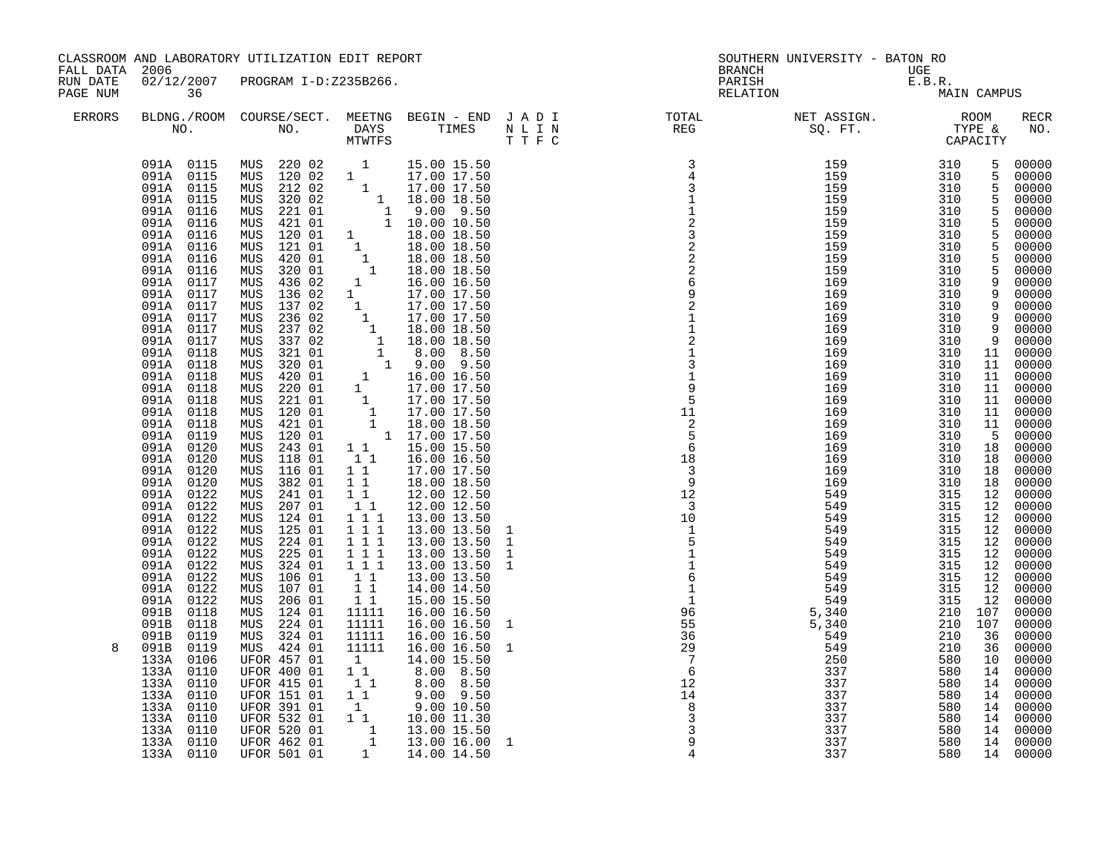| FALL DATA            | 2006                                                                                                                                                                                                                                                                                                                                                                                                                                                                                                                                                                                                                                                                                                                                         | CLASSROOM AND LABORATORY UTILIZATION EDIT REPORT                                                                                                                                                                                                                                                                                                                                                                                                                                                                                                                                                                                                                                                                                                                                                                                                                                                                          |                                                                                                                                                                                                                                                                                                                                                                                                                       |                                                                                                                                                                                                                                                                                                                                                                                                                                                                                                                                                                                                                                                                                                                                                                                                                                                                                                                                                                                                                                                                                                           |                                                                                                                           | <b>BRANCH</b>                                                                                                                                               | SOUTHERN UNIVERSITY - BATON RO                                                                                                                                                                                                                                                                                                                                                                                                                                                  | UGE                                                                                                                                                                                                                                                                                                                                                                                                                                                                                                                                                                                                                                                                                                     |                                                                                                                                                                                                                                                                                                                                                                                                                                                                              |
|----------------------|----------------------------------------------------------------------------------------------------------------------------------------------------------------------------------------------------------------------------------------------------------------------------------------------------------------------------------------------------------------------------------------------------------------------------------------------------------------------------------------------------------------------------------------------------------------------------------------------------------------------------------------------------------------------------------------------------------------------------------------------|---------------------------------------------------------------------------------------------------------------------------------------------------------------------------------------------------------------------------------------------------------------------------------------------------------------------------------------------------------------------------------------------------------------------------------------------------------------------------------------------------------------------------------------------------------------------------------------------------------------------------------------------------------------------------------------------------------------------------------------------------------------------------------------------------------------------------------------------------------------------------------------------------------------------------|-----------------------------------------------------------------------------------------------------------------------------------------------------------------------------------------------------------------------------------------------------------------------------------------------------------------------------------------------------------------------------------------------------------------------|-----------------------------------------------------------------------------------------------------------------------------------------------------------------------------------------------------------------------------------------------------------------------------------------------------------------------------------------------------------------------------------------------------------------------------------------------------------------------------------------------------------------------------------------------------------------------------------------------------------------------------------------------------------------------------------------------------------------------------------------------------------------------------------------------------------------------------------------------------------------------------------------------------------------------------------------------------------------------------------------------------------------------------------------------------------------------------------------------------------|---------------------------------------------------------------------------------------------------------------------------|-------------------------------------------------------------------------------------------------------------------------------------------------------------|---------------------------------------------------------------------------------------------------------------------------------------------------------------------------------------------------------------------------------------------------------------------------------------------------------------------------------------------------------------------------------------------------------------------------------------------------------------------------------|---------------------------------------------------------------------------------------------------------------------------------------------------------------------------------------------------------------------------------------------------------------------------------------------------------------------------------------------------------------------------------------------------------------------------------------------------------------------------------------------------------------------------------------------------------------------------------------------------------------------------------------------------------------------------------------------------------|------------------------------------------------------------------------------------------------------------------------------------------------------------------------------------------------------------------------------------------------------------------------------------------------------------------------------------------------------------------------------------------------------------------------------------------------------------------------------|
| RUN DATE<br>PAGE NUM | 02/12/2007<br>36                                                                                                                                                                                                                                                                                                                                                                                                                                                                                                                                                                                                                                                                                                                             | PROGRAM I-D:Z235B266.                                                                                                                                                                                                                                                                                                                                                                                                                                                                                                                                                                                                                                                                                                                                                                                                                                                                                                     |                                                                                                                                                                                                                                                                                                                                                                                                                       |                                                                                                                                                                                                                                                                                                                                                                                                                                                                                                                                                                                                                                                                                                                                                                                                                                                                                                                                                                                                                                                                                                           |                                                                                                                           | PARISH<br>RELATION                                                                                                                                          | UGE<br>E.B.R.<br>MA                                                                                                                                                                                                                                                                                                                                                                                                                                                             | MAIN CAMPUS                                                                                                                                                                                                                                                                                                                                                                                                                                                                                                                                                                                                                                                                                             |                                                                                                                                                                                                                                                                                                                                                                                                                                                                              |
| <b>ERRORS</b>        |                                                                                                                                                                                                                                                                                                                                                                                                                                                                                                                                                                                                                                                                                                                                              |                                                                                                                                                                                                                                                                                                                                                                                                                                                                                                                                                                                                                                                                                                                                                                                                                                                                                                                           | MTWTFS                                                                                                                                                                                                                                                                                                                                                                                                                |                                                                                                                                                                                                                                                                                                                                                                                                                                                                                                                                                                                                                                                                                                                                                                                                                                                                                                                                                                                                                                                                                                           | $\begin{array}{ccccc} \text{N} & \text{L} & \text{I} & \text{N} \\ \text{T} & \text{T} & \text{F} & \text{C} \end{array}$ | BLDNG./ROOM COURSE/SECT. MEETNG BEGIN – END J A D I TOTAL TOTAL DAYS TIMES N L I N REG REG                                                                  |                                                                                                                                                                                                                                                                                                                                                                                                                                                                                 |                                                                                                                                                                                                                                                                                                                                                                                                                                                                                                                                                                                                                                                                                                         | RECR<br>NO.                                                                                                                                                                                                                                                                                                                                                                                                                                                                  |
| 8                    | 091A 0115<br>091A 0115<br>091A 0115<br>091A 0115<br>091A 0116<br>091A<br>0116<br>091A 0116<br>091A 0116<br>091A 0116<br>091A 0116<br>091A 0117<br>091A 0117<br>091A 0117<br>091A 0117<br>091A<br>0117<br>091A<br>0117<br>091A<br>0118<br>091A<br>0118<br>091A<br>0118<br>091A 0118<br>091A 0118<br>091A 0118<br>091A 0118<br>091A 0119<br>091A 0120<br>091A 0120<br>091A 0120<br>091A 0120<br>091A 0122<br>0122<br>091A<br>091A<br>0122<br>091A 0122<br>091A 0122<br>091A<br>0122<br>091A<br>0122<br>091A<br>0122<br>091A<br>0122<br>091A<br>0122<br>091B<br>0118<br>091B<br>0118<br>091B<br>0119<br>091B 0119<br>133A 0106<br>133A 0110<br>133A 0110<br>133A 0110<br>133A<br>0110<br>133A<br>0110<br>133A<br>0110<br>133A 0110<br>133A 0110 | 220 02<br>MUS<br>MUS<br>120 02<br>MUS 212 02<br>320 02<br>MUS<br>MUS<br>221 01<br>421 01<br>MUS<br>120 01<br>MUS<br>121 01<br>MUS<br>${\tt MUS}$<br>420 01<br>MUS<br>320 01<br>436 02<br>MUS<br>136 02<br>MUS<br>137 02<br>MUS<br>236 02<br>MUS<br>237 02<br>MUS<br>MUS<br>337 02<br>321 01<br>MUS<br>320 01<br>MUS<br>420 01<br>MUS<br>220 01<br>MUS<br>221 01<br>MUS<br>120 01<br>MUS<br>421 01<br>MUS<br>120 01<br>MUS<br>243 01<br>MUS<br>118 01<br>MUS<br>116 01<br>MUS<br>MUS<br>382 01<br>241 01<br>MUS<br>207 01<br>MUS<br>MUS<br>124 01<br>125 01<br>MUS<br>MUS<br>224 01<br>225 01<br>MUS<br>324 01<br>MUS<br>106 01<br>MUS<br>107 01<br>MUS<br>206 01<br>MUS<br>124 01<br>MUS<br>224 01<br>MUS<br>324 01<br>MUS<br>MUS 424 01<br>UFOR 457 01<br><b>UFOR 400 01</b><br>UFOR 415 01<br><b>UFOR 151 01</b><br>UFOR 391 01<br><b>UFOR 532 01</b><br><b>UFOR 520 01</b><br><b>UFOR 462 01</b><br><b>UFOR 501 01</b> | $\overline{1}$<br>$1 \quad \blacksquare$<br>1<br>$1 \quad \blacksquare$<br>$\mathbf{1}$<br>1<br>$\begin{smallmatrix}1&&1\\&1\\1&&1\end{smallmatrix}$<br>$1\quad1$<br>11<br>$1\quad1$<br>$1\quad1$<br>111<br>$1 1 1$<br>111<br>$1 1 1$<br>111<br>11<br>11<br>11<br>11111<br>11111<br>11111<br>11111<br>$\overline{1}$<br>$1\quad1$<br>11<br>$1\quad1$<br>1<br>$1\quad1$<br>$\begin{bmatrix} 1 \\ 1 \\ 1 \end{bmatrix}$ | 15.00 15.50<br>17.00 17.50<br>$\begin{array}{@{}lllllllll@{}} & & 1 & 17.00 & 17.50 & \ & 1 & 18.00 & 18.50 & \ & & 1 & 9.00 & 9.50 & \ & & 1 & 10.00 & 10.50 & \ \end{array}$<br>$\begin{array}{rrrr} & 1 & 18.00 & 18.50 \ 1 & & 18.00 & 18.50 \ 1 & & 18.00 & 18.50 \ 1 & & 18.00 & 18.50 \ 1 & & 18.00 & 18.50 \end{array}$<br>16.00 16.50<br>17.00 17.50<br>17.00 17.50<br>$\begin{array}{rrrr} 1 & 17.00 & 17.50 \ 1 & 17.00 & 17.50 \ 1 & 18.00 & 18.50 \ 1 & 18.00 & 18.50 \ 1 & 8.00 & 8.50 \ 1 & 9.00 & 9.50 \ 1 & 16.00 & 16.50 \end{array}$<br>17.00 17.50<br>$\begin{bmatrix} 1 & 17.00 & 17.50 \ 1 & 17.00 & 17.50 \ 1 & 18.00 & 18.50 \ 1 & 17.00 & 17.50 \end{bmatrix}$<br>15.00 15.50<br>16.00 16.50<br>17.00 17.50<br>18.00 18.50<br>12.00 12.50<br>12.00 12.50<br>13.00 13.50<br>13.00 13.50<br>13.00 13.50<br>13.00 13.50<br>13.00 13.50<br>13.00 13.50<br>14.00 14.50<br>15.00 15.50<br>16.00 16.50<br>16.00 16.50<br>16.00 16.50<br>16.00 16.50<br>14.00 15.50<br>8.00 8.50<br>8.00 8.50<br>$9.00$ $9.50$<br>9.00 10.50<br>10.00 11.30<br>13.00 15.50<br>13.00 16.00<br>14.00 14.50 | $\mathbf{1}$<br>$\mathbf{1}$<br>$\mathbf{1}$<br>$\mathbf{1}$<br>$\mathbf{1}$<br>$\mathbf{1}$<br>$\mathbf 1$               | $\begin{array}{c} 25 \\ 7 \\ 6 \end{array}$<br>$\begin{array}{c} 6 \\ 12 \\ 14 \\ 8 \end{array}$<br>$\overline{3}$<br>$\overline{3}$<br>9<br>$\overline{4}$ | $\begin{array}{ccc} 159 & & 310 \\ 159 & & 310 \\ 159 & & 310 \\ 159 & & 310 \\ 159 & & 310 \\ 159 & & 310 \\ 159 & & 310 \\ \end{array}$<br>159<br>159<br>159<br>159<br>159<br>169<br>169<br>169<br>169<br>169<br>169<br>169<br>169<br>169<br>169<br>169<br>169<br>169<br>169<br>169<br>169<br>169<br>169<br>549<br>549<br>549<br>549<br>549<br>549<br>549<br>549<br>549<br>549<br>5,340<br>5,340<br>549<br>549<br>250<br>337<br>337<br>337<br>337<br>337<br>337<br>337<br>337 | 5<br>$\overline{5}$<br>5 <sub>5</sub><br>$\frac{5}{5}$<br>$5\phantom{.0}$<br>310<br>$\overline{5}$<br>310<br>310<br>5<br>$5\phantom{.0}$<br>310<br>5<br>310<br>9<br>310<br>310<br>9<br>9<br>310<br>9<br>310<br>9<br>310<br>310<br>9<br>310<br>11<br>310<br>11<br>310<br>11<br>310<br>11<br>310<br>11<br>310<br>11<br>310<br>11<br>310<br>- 5<br>310<br>18<br>310<br>18<br>310<br>18<br>310<br>18<br>315<br>12<br>315<br>12<br>315<br>12<br>315<br>12<br>315<br>12<br>315<br>12<br>315<br>12<br>315<br>12<br>315<br>12<br>315<br>12<br>210<br>107<br>210<br>107<br>210<br>36<br>210<br>36<br>580<br>10<br>580<br>14<br>580<br>14<br>580<br>14<br>580<br>14<br>580<br>14<br>580<br>14<br>580<br>14<br>580 | 00000<br>00000<br>00000<br>00000<br>00000<br>00000<br>00000<br>00000<br>00000<br>00000<br>00000<br>00000<br>00000<br>00000<br>00000<br>00000<br>00000<br>00000<br>00000<br>00000<br>00000<br>00000<br>00000<br>00000<br>00000<br>$00000$<br>00000<br>00000<br>00000<br>00000<br>00000<br>00000<br>00000<br>00000<br>00000<br>00000<br>00000<br>00000<br>00000<br>00000<br>00000<br>00000<br>00000<br>00000<br>00000<br>00000<br>00000<br>00000<br>00000<br>00000<br>14 00000 |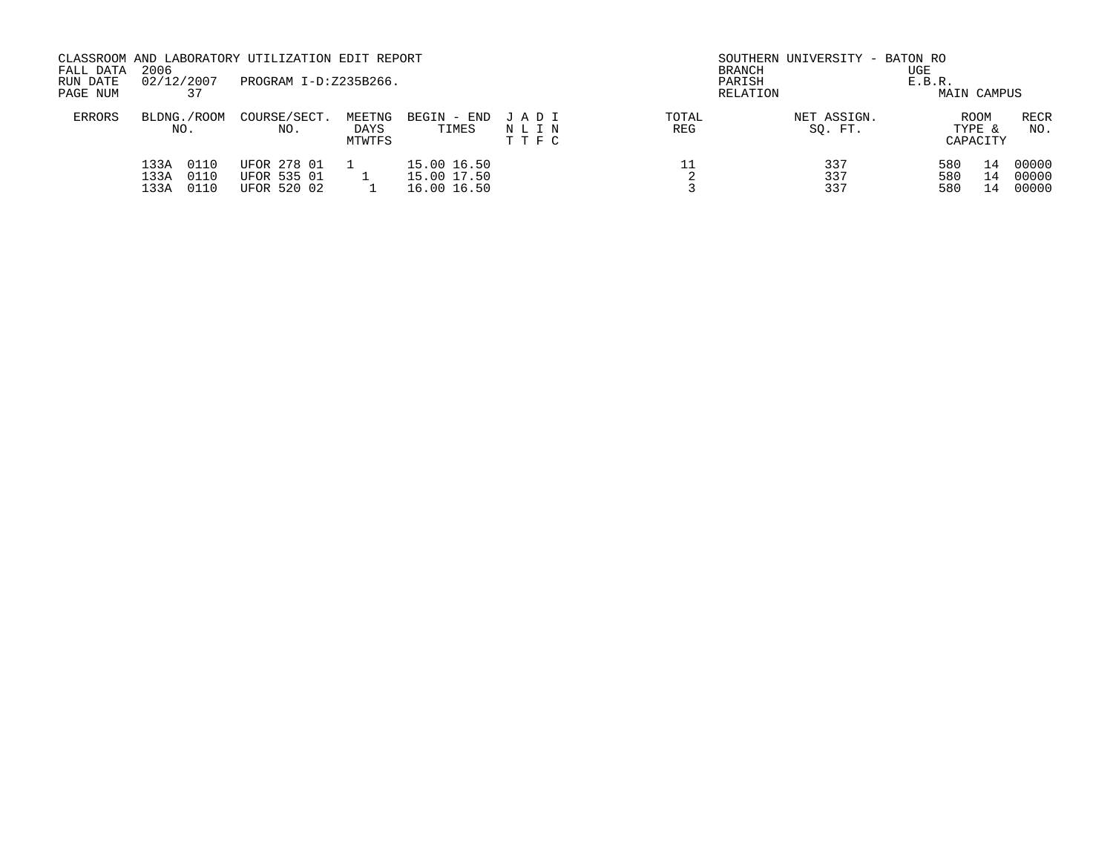| FALL DATA<br>RUN DATE<br>PAGE NUM | 2006<br>02/12/2007<br>37             | CLASSROOM AND LABORATORY UTILIZATION EDIT REPORT<br>PROGRAM I-D:Z235B266. |                          |                                           |                         | BRANCH<br>PARISH | SOUTHERN UNIVERSITY - BATON RO<br>RELATION | UGE<br>E.B.R.<br>MAIN CAMPUS |                |                         |
|-----------------------------------|--------------------------------------|---------------------------------------------------------------------------|--------------------------|-------------------------------------------|-------------------------|------------------|--------------------------------------------|------------------------------|----------------|-------------------------|
| <b>ERRORS</b>                     | BLDNG./ROOM<br>NO.                   | COURSE/SECT.<br>NO.                                                       | MEETNG<br>DAYS<br>MTWTFS | BEGIN - END<br>TIMES                      | JADI<br>NLIN<br>T T F C | TOTAL<br>REG     | NET ASSIGN.<br>SO. FT.                     | <b>ROOM</b><br>CAPACITY      | TYPE &         | RECR<br>NO.             |
|                                   | 133A<br>0110<br>133A<br>0110<br>133A | UFOR 278 01<br>UFOR 535 01<br>UFOR 520 02                                 |                          | 15.00 16.50<br>15.00 17.50<br>16.00 16.50 |                         |                  | 337<br>337<br>337                          | 580<br>580<br>580            | 14<br>14<br>14 | 00000<br>00000<br>00000 |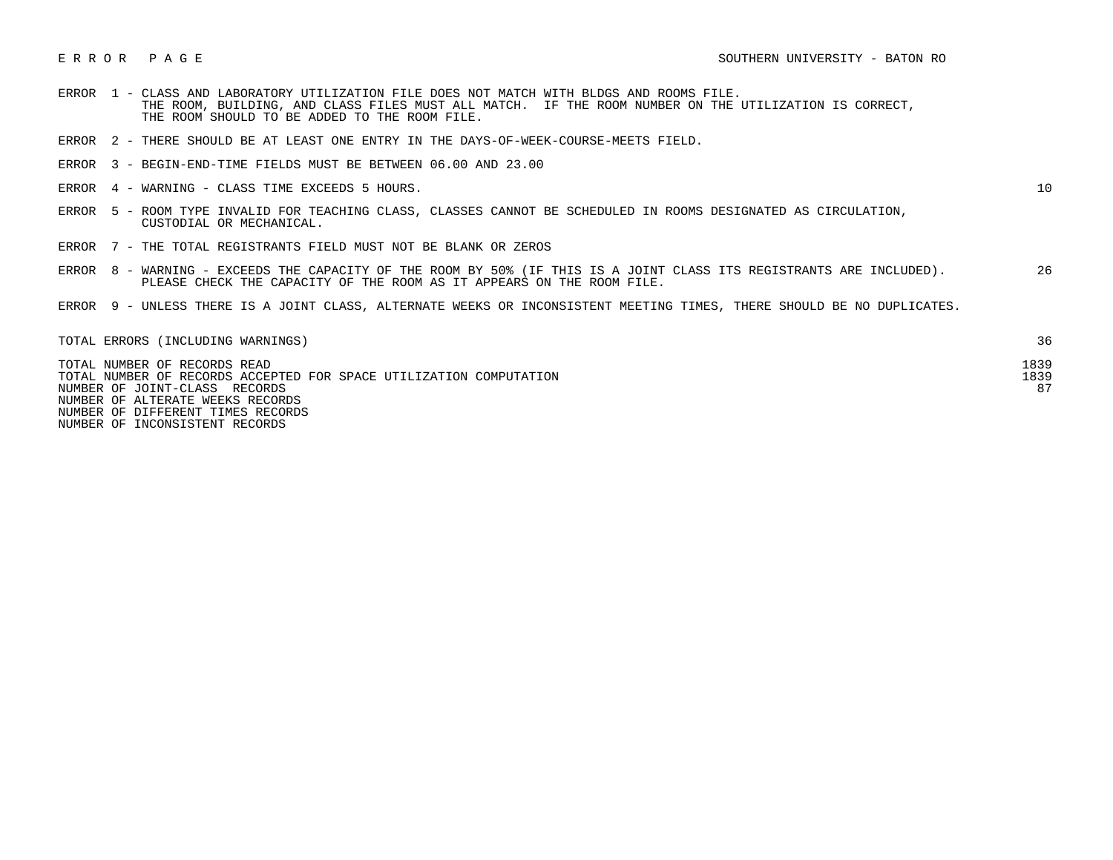- ERROR 1 CLASS AND LABORATORY UTILIZATION FILE DOES NOT MATCH WITH BLDGS AND ROOMS FILE. THE ROOM, BUILDING, AND CLASS FILES MUST ALL MATCH. IF THE ROOM NUMBER ON THE UTILIZATION IS CORRECT, THE ROOM SHOULD TO BE ADDED TO THE ROOM FILE.
- ERROR 2 THERE SHOULD BE AT LEAST ONE ENTRY IN THE DAYS-OF-WEEK-COURSE-MEETS FIELD.
- ERROR 3 BEGIN-END-TIME FIELDS MUST BE BETWEEN 06.00 AND 23.00
- ERROR 4 WARNING CLASS TIME EXCEEDS 5 HOURS. 10

- ERROR 5 ROOM TYPE INVALID FOR TEACHING CLASS, CLASSES CANNOT BE SCHEDULED IN ROOMS DESIGNATED AS CIRCULATION, CUSTODIAL OR MECHANICAL.
- ERROR 7 THE TOTAL REGISTRANTS FIELD MUST NOT BE BLANK OR ZEROS
- ERROR 8 WARNING EXCEEDS THE CAPACITY OF THE ROOM BY 50% (IF THIS IS A JOINT CLASS ITS REGISTRANTS ARE INCLUDED). 26 PLEASE CHECK THE CAPACITY OF THE ROOM AS IT APPEARS ON THE ROOM FILE.
- ERROR 9 UNLESS THERE IS A JOINT CLASS, ALTERNATE WEEKS OR INCONSISTENT MEETING TIMES, THERE SHOULD BE NO DUPLICATES.

| TOTAL ERRORS (INCLUDING WARNINGS)                                  |      |
|--------------------------------------------------------------------|------|
| TOTAL NUMBER OF RECORDS READ                                       | 1839 |
| TOTAL NUMBER OF RECORDS ACCEPTED FOR SPACE UTILIZATION COMPUTATION | 1839 |
| NUMBER OF JOINT-CLASS RECORDS                                      | 87   |
| NUMBER OF ALTERATE WEEKS RECORDS                                   |      |
| NUMBER OF DIFFERENT TIMES RECORDS                                  |      |

NUMBER OF INCONSISTENT RECORDS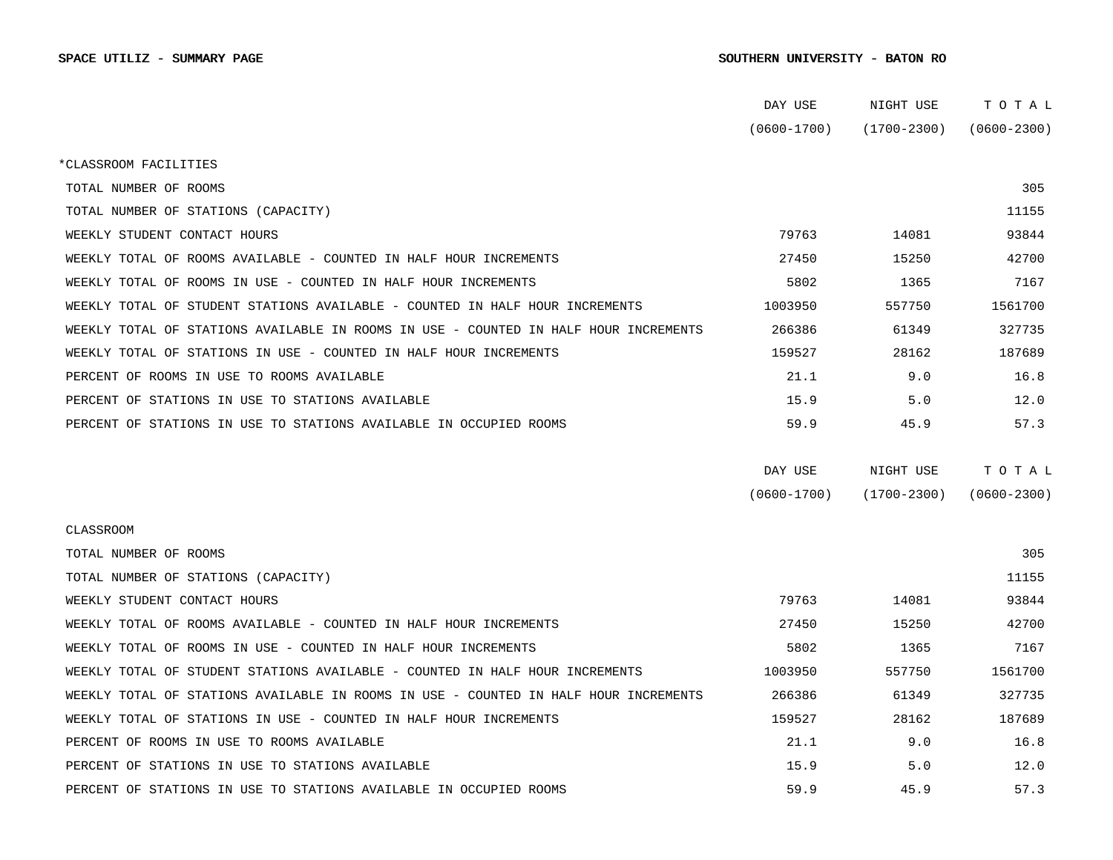## SPACE UTILIZ - SUMMARY PAGE SOUTHERN UNIVERSITY - BATON RO

|                                                                                      | DAY USE         | NIGHT USE       | TOTAL           |  |
|--------------------------------------------------------------------------------------|-----------------|-----------------|-----------------|--|
|                                                                                      | $(0600 - 1700)$ | (1700-2300)     | $(0600 - 2300)$ |  |
| *CLASSROOM FACILITIES                                                                |                 |                 |                 |  |
| TOTAL NUMBER OF ROOMS                                                                |                 |                 | 305             |  |
| TOTAL NUMBER OF STATIONS (CAPACITY)                                                  |                 |                 | 11155           |  |
| WEEKLY STUDENT CONTACT HOURS                                                         | 79763           | 14081           | 93844           |  |
| WEEKLY TOTAL OF ROOMS AVAILABLE - COUNTED IN HALF HOUR INCREMENTS                    | 27450           | 15250           | 42700           |  |
| WEEKLY TOTAL OF ROOMS IN USE - COUNTED IN HALF HOUR INCREMENTS                       | 5802            | 1365            | 7167            |  |
| WEEKLY TOTAL OF STUDENT STATIONS AVAILABLE - COUNTED IN HALF HOUR INCREMENTS         | 1003950         | 557750          | 1561700         |  |
| WEEKLY TOTAL OF STATIONS AVAILABLE IN ROOMS IN USE - COUNTED IN HALF HOUR INCREMENTS | 266386          | 61349           | 327735          |  |
| WEEKLY TOTAL OF STATIONS IN USE - COUNTED IN HALF HOUR INCREMENTS                    | 159527          | 28162           | 187689          |  |
| PERCENT OF ROOMS IN USE TO ROOMS AVAILABLE                                           | 21.1            | 9.0             | 16.8            |  |
| PERCENT OF STATIONS IN USE TO STATIONS AVAILABLE                                     | 15.9            | 5.0             | 12.0            |  |
| PERCENT OF STATIONS IN USE TO STATIONS AVAILABLE IN OCCUPIED ROOMS                   | 59.9            | 45.9            | 57.3            |  |
|                                                                                      |                 |                 |                 |  |
|                                                                                      | DAY USE         | NIGHT USE       | TOTAL           |  |
|                                                                                      | $(0600 - 1700)$ | $(1700 - 2300)$ | $(0600 - 2300)$ |  |
| CLASSROOM                                                                            |                 |                 |                 |  |
| TOTAL NUMBER OF ROOMS                                                                |                 |                 | 305             |  |
| TOTAL NUMBER OF STATIONS (CAPACITY)                                                  |                 |                 | 11155           |  |
| WEEKLY STUDENT CONTACT HOURS                                                         | 79763           | 14081           | 93844           |  |
| WEEKLY TOTAL OF ROOMS AVAILABLE - COUNTED IN HALF HOUR INCREMENTS                    | 27450           | 15250           | 42700           |  |
| WEEKLY TOTAL OF ROOMS IN USE - COUNTED IN HALF HOUR INCREMENTS                       | 5802            | 1365            | 7167            |  |
| WEEKLY TOTAL OF STUDENT STATIONS AVAILABLE - COUNTED IN HALF HOUR INCREMENTS         | 1003950         | 557750          | 1561700         |  |
| WEEKLY TOTAL OF STATIONS AVAILABLE IN ROOMS IN USE - COUNTED IN HALF HOUR INCREMENTS | 266386          | 61349           | 327735          |  |
| WEEKLY TOTAL OF STATIONS IN USE - COUNTED IN HALF HOUR INCREMENTS                    | 159527          | 28162           | 187689          |  |
| PERCENT OF ROOMS IN USE TO ROOMS AVAILABLE                                           | 21.1            | 9.0             | 16.8            |  |
| PERCENT OF STATIONS IN USE TO STATIONS AVAILABLE                                     | 15.9            | 5.0             | 12.0            |  |
| PERCENT OF STATIONS IN USE TO STATIONS AVAILABLE IN OCCUPIED ROOMS                   | 59.9            | 45.9            | 57.3            |  |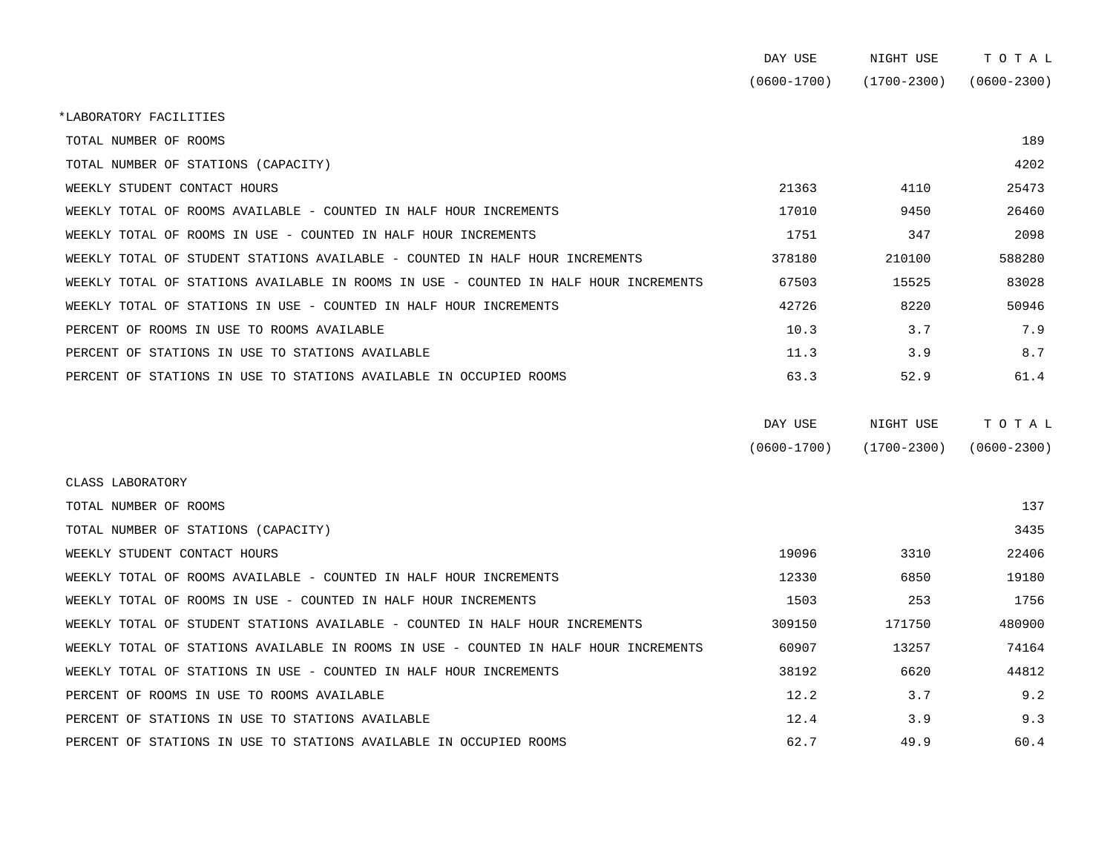|                                                                                      | DAY USE         | NIGHT USE       | TOTAL           |
|--------------------------------------------------------------------------------------|-----------------|-----------------|-----------------|
|                                                                                      | $(0600 - 1700)$ | $(1700 - 2300)$ | $(0600 - 2300)$ |
| *LABORATORY FACILITIES                                                               |                 |                 |                 |
| TOTAL NUMBER OF ROOMS                                                                |                 |                 | 189             |
| TOTAL NUMBER OF STATIONS (CAPACITY)                                                  |                 |                 | 4202            |
| WEEKLY STUDENT CONTACT HOURS                                                         | 21363           | 4110            | 25473           |
| WEEKLY TOTAL OF ROOMS AVAILABLE - COUNTED IN HALF HOUR INCREMENTS                    | 17010           | 9450            | 26460           |
| WEEKLY TOTAL OF ROOMS IN USE - COUNTED IN HALF HOUR INCREMENTS                       | 1751            | 347             | 2098            |
| WEEKLY TOTAL OF STUDENT STATIONS AVAILABLE - COUNTED IN HALF HOUR INCREMENTS         | 378180          | 210100          | 588280          |
| WEEKLY TOTAL OF STATIONS AVAILABLE IN ROOMS IN USE - COUNTED IN HALF HOUR INCREMENTS | 67503           | 15525           | 83028           |
| WEEKLY TOTAL OF STATIONS IN USE - COUNTED IN HALF HOUR INCREMENTS                    | 42726           | 8220            | 50946           |
| PERCENT OF ROOMS IN USE TO ROOMS AVAILABLE                                           | 10.3            | 3.7             | 7.9             |
| PERCENT OF STATIONS IN USE TO STATIONS AVAILABLE                                     | 11.3            | 3.9             | 8.7             |
| PERCENT OF STATIONS IN USE TO STATIONS AVAILABLE IN OCCUPIED ROOMS                   | 63.3            | 52.9            | 61.4            |
|                                                                                      | DAY USE         | NIGHT USE       | TOTAL           |

| $(0600 - 1700)$ | $(1700 - 2300)$ | $(0600 - 2300)$ |
|-----------------|-----------------|-----------------|

| CLASS LABORATORY                                                                     |        |        |        |
|--------------------------------------------------------------------------------------|--------|--------|--------|
| TOTAL NUMBER OF ROOMS                                                                |        |        | 137    |
| TOTAL NUMBER OF STATIONS (CAPACITY)                                                  |        |        | 3435   |
| WEEKLY STUDENT CONTACT HOURS                                                         | 19096  | 3310   | 22406  |
| WEEKLY TOTAL OF ROOMS AVAILABLE - COUNTED IN HALF HOUR INCREMENTS                    | 12330  | 6850   | 19180  |
| WEEKLY TOTAL OF ROOMS IN USE - COUNTED IN HALF HOUR INCREMENTS                       | 1503   | 253    | 1756   |
| WEEKLY TOTAL OF STUDENT STATIONS AVAILABLE - COUNTED IN HALF HOUR INCREMENTS         | 309150 | 171750 | 480900 |
| WEEKLY TOTAL OF STATIONS AVAILABLE IN ROOMS IN USE - COUNTED IN HALF HOUR INCREMENTS | 60907  | 13257  | 74164  |
| WEEKLY TOTAL OF STATIONS IN USE - COUNTED IN HALF HOUR INCREMENTS                    | 38192  | 6620   | 44812  |
| PERCENT OF ROOMS IN USE TO ROOMS AVAILABLE                                           | 12.2   | 3.7    | 9.2    |
| PERCENT OF STATIONS IN USE TO STATIONS AVAILABLE                                     | 12.4   | 3.9    | 9.3    |
| PERCENT OF STATIONS IN USE TO STATIONS AVAILABLE IN OCCUPIED ROOMS                   | 62.7   | 49.9   | 60.4   |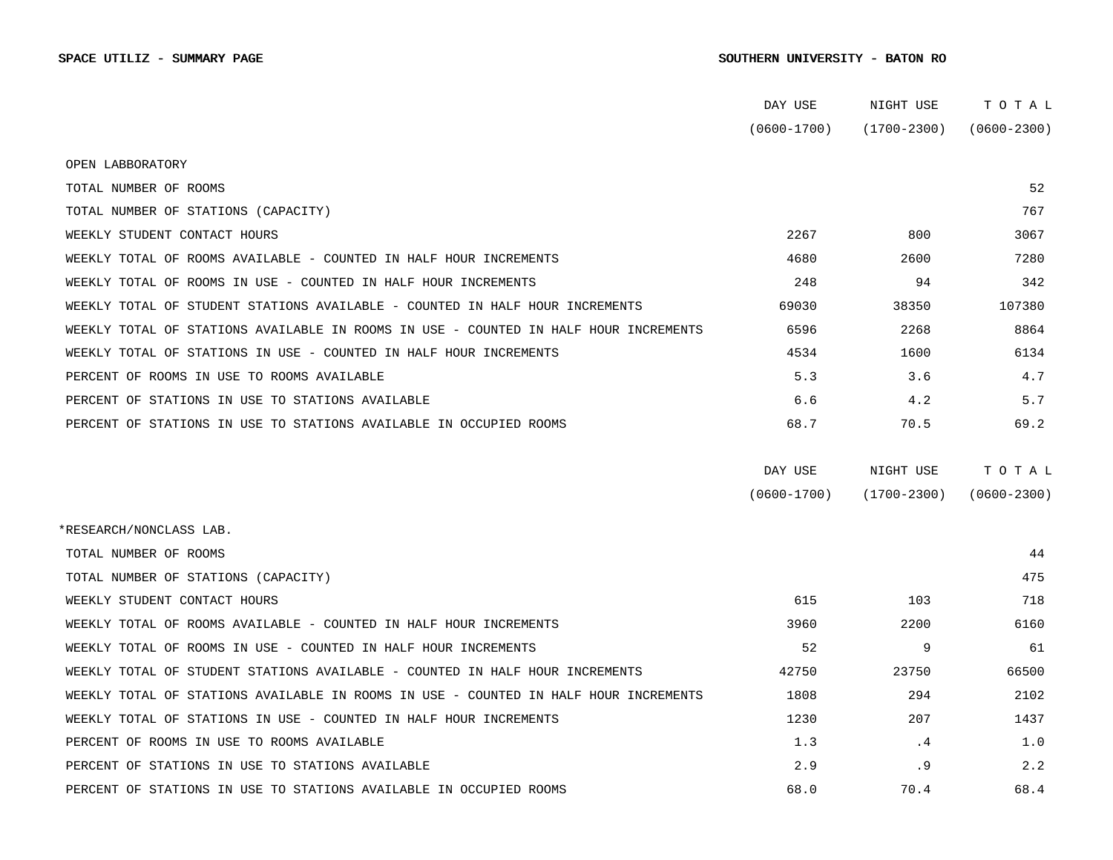|                                                                                      | DAY USE         | NIGHT USE       | TOTAL           |
|--------------------------------------------------------------------------------------|-----------------|-----------------|-----------------|
|                                                                                      | $(0600 - 1700)$ | $(1700 - 2300)$ | $(0600 - 2300)$ |
| OPEN LABBORATORY                                                                     |                 |                 |                 |
| TOTAL NUMBER OF ROOMS                                                                |                 |                 | 52              |
| TOTAL NUMBER OF STATIONS (CAPACITY)                                                  |                 |                 | 767             |
| WEEKLY STUDENT CONTACT HOURS                                                         | 2267            | 800             | 3067            |
| WEEKLY TOTAL OF ROOMS AVAILABLE - COUNTED IN HALF HOUR INCREMENTS                    | 4680            | 2600            | 7280            |
| WEEKLY TOTAL OF ROOMS IN USE - COUNTED IN HALF HOUR INCREMENTS                       | 248             | 94              | 342             |
| WEEKLY TOTAL OF STUDENT STATIONS AVAILABLE - COUNTED IN HALF HOUR INCREMENTS         | 69030           | 38350           | 107380          |
| WEEKLY TOTAL OF STATIONS AVAILABLE IN ROOMS IN USE - COUNTED IN HALF HOUR INCREMENTS | 6596            | 2268            | 8864            |
| WEEKLY TOTAL OF STATIONS IN USE - COUNTED IN HALF HOUR INCREMENTS                    | 4534            | 1600            | 6134            |
| PERCENT OF ROOMS IN USE TO ROOMS AVAILABLE                                           | 5.3             | 3.6             | 4.7             |
| PERCENT OF STATIONS IN USE TO STATIONS AVAILABLE                                     | 6.6             | 4.2             | 5.7             |
| PERCENT OF STATIONS IN USE TO STATIONS AVAILABLE IN OCCUPIED ROOMS                   | 68.7            | 70.5            | 69.2            |
|                                                                                      |                 |                 |                 |
|                                                                                      | DAY USE         | NIGHT USE       | TOTAL           |
|                                                                                      | $(0600 - 1700)$ | $(1700 - 2300)$ | $(0600 - 2300)$ |
| *RESEARCH/NONCLASS LAB.                                                              |                 |                 |                 |
| TOTAL NUMBER OF ROOMS                                                                |                 |                 | 44              |
| TOTAL NUMBER OF STATIONS (CAPACITY)                                                  |                 |                 | 475             |
| WEEKLY STUDENT CONTACT HOURS                                                         | 615             | 103             | 718             |
| WEEKLY TOTAL OF ROOMS AVAILABLE - COUNTED IN HALF HOUR INCREMENTS                    | 3960            | 2200            | 6160            |
| WEEKLY TOTAL OF ROOMS IN USE - COUNTED IN HALF HOUR INCREMENTS                       | 52              | 9               | 61              |
| WEEKLY TOTAL OF STUDENT STATIONS AVAILABLE - COUNTED IN HALF HOUR INCREMENTS         | 42750           | 23750           | 66500           |
| WEEKLY TOTAL OF STATIONS AVAILABLE IN ROOMS IN USE - COUNTED IN HALF HOUR INCREMENTS | 1808            | 294             | 2102            |
| WEEKLY TOTAL OF STATIONS IN USE - COUNTED IN HALF HOUR INCREMENTS                    | 1230            | 207             | 1437            |
| PERCENT OF ROOMS IN USE TO ROOMS AVAILABLE                                           | 1.3             | . 4             | 1.0             |
| PERCENT OF STATIONS IN USE TO STATIONS AVAILABLE                                     | 2.9             | . 9             | 2.2             |
| PERCENT OF STATIONS IN USE TO STATIONS AVAILABLE IN OCCUPIED ROOMS                   | 68.0            | 70.4            | 68.4            |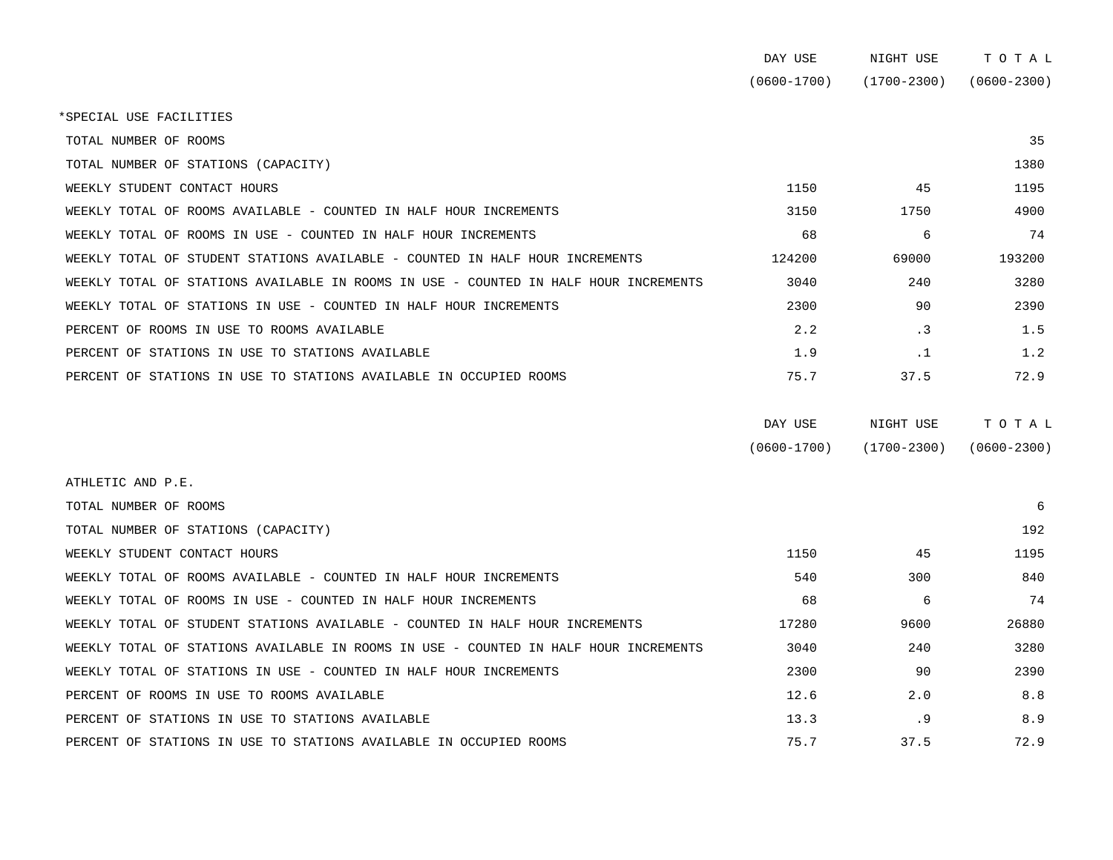| DAY USE         | NIGHT USE       | тотаг           |
|-----------------|-----------------|-----------------|
| $(0600 - 1700)$ | $(1700 - 2300)$ | $(0600 - 2300)$ |

\*SPECIAL USE FACILITIES

| TOTAL NUMBER OF ROOMS                                                                |        |           | 35     |
|--------------------------------------------------------------------------------------|--------|-----------|--------|
| TOTAL NUMBER OF STATIONS (CAPACITY)                                                  |        |           | 1380   |
| WEEKLY STUDENT CONTACT HOURS                                                         | 1150   | 45        | 1195   |
| WEEKLY TOTAL OF ROOMS AVAILABLE - COUNTED IN HALF HOUR INCREMENTS                    | 3150   | 1750      | 4900   |
| WEEKLY TOTAL OF ROOMS IN USE - COUNTED IN HALF HOUR INCREMENTS                       | 68     | 6         | 74     |
| WEEKLY TOTAL OF STUDENT STATIONS AVAILABLE - COUNTED IN HALF HOUR INCREMENTS         | 124200 | 69000     | 193200 |
| WEEKLY TOTAL OF STATIONS AVAILABLE IN ROOMS IN USE - COUNTED IN HALF HOUR INCREMENTS | 3040   | 240       | 3280   |
| WEEKLY TOTAL OF STATIONS IN USE - COUNTED IN HALF HOUR INCREMENTS                    | 2300   | 90        | 2390   |
| PERCENT OF ROOMS IN USE TO ROOMS AVAILABLE                                           | 2.2    | $\cdot$ 3 | 1.5    |
| PERCENT OF STATIONS IN USE TO STATIONS AVAILABLE                                     | 1.9    | $\cdot$ 1 | 1.2    |
| PERCENT OF STATIONS IN USE TO STATIONS AVAILABLE IN OCCUPIED ROOMS                   | 75.7   | 37.5      | 72.9   |

| DAY USE         | NIGHT USE       | ТОТАЬ           |
|-----------------|-----------------|-----------------|
| $(0600 - 1700)$ | $(1700 - 2300)$ | $(0600 - 2300)$ |

| ATHLETIC AND P.E.                                                                    |       |      |       |
|--------------------------------------------------------------------------------------|-------|------|-------|
| TOTAL NUMBER OF ROOMS                                                                |       |      | 6     |
| TOTAL NUMBER OF STATIONS (CAPACITY)                                                  |       |      | 192   |
| WEEKLY STUDENT CONTACT HOURS                                                         | 1150  | 45   | 1195  |
| WEEKLY TOTAL OF ROOMS AVAILABLE - COUNTED IN HALF HOUR INCREMENTS                    | 540   | 300  | 840   |
| WEEKLY TOTAL OF ROOMS IN USE - COUNTED IN HALF HOUR INCREMENTS                       | 68    | 6    | 74    |
| WEEKLY TOTAL OF STUDENT STATIONS AVAILABLE - COUNTED IN HALF HOUR INCREMENTS         | 17280 | 9600 | 26880 |
| WEEKLY TOTAL OF STATIONS AVAILABLE IN ROOMS IN USE - COUNTED IN HALF HOUR INCREMENTS | 3040  | 240  | 3280  |
| WEEKLY TOTAL OF STATIONS IN USE - COUNTED IN HALF HOUR INCREMENTS                    | 2300  | 90   | 2390  |
| PERCENT OF ROOMS IN USE TO ROOMS AVAILABLE                                           | 12.6  | 2.0  | 8.8   |
| PERCENT OF STATIONS IN USE TO STATIONS AVAILABLE                                     | 13.3  | . 9  | 8.9   |
| PERCENT OF STATIONS IN USE TO STATIONS AVAILABLE IN OCCUPIED ROOMS                   | 75.7  | 37.5 | 72.9  |